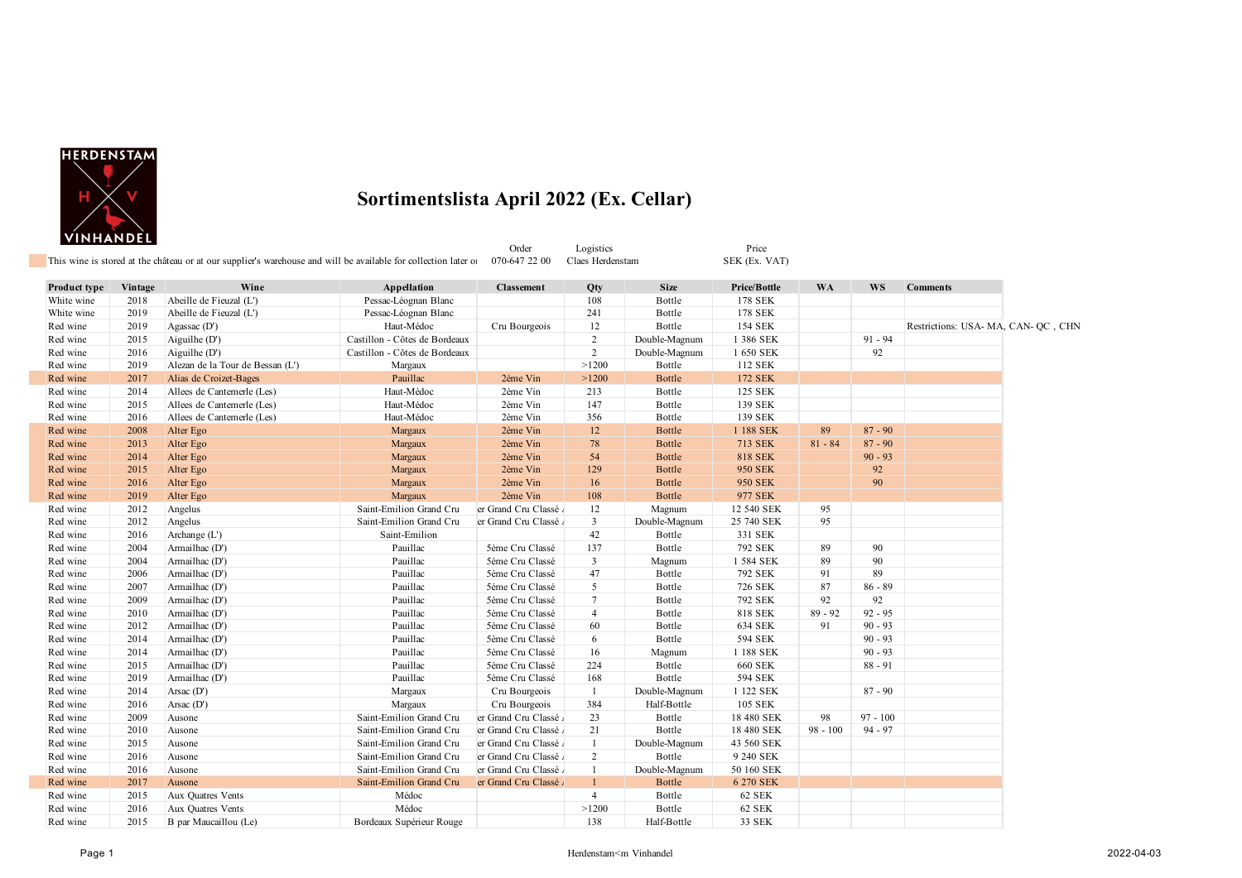

|                     |         | This wine is stored at the château or at our supplier's warehouse and will be available for collection later of |                               | Order<br>070-647 22 00 | Logistics<br>Claes Herdenstam |               | Price<br>SEK (Ex. VAT) |            |            |                                     |  |
|---------------------|---------|-----------------------------------------------------------------------------------------------------------------|-------------------------------|------------------------|-------------------------------|---------------|------------------------|------------|------------|-------------------------------------|--|
| <b>Product type</b> | Vintage | Wine                                                                                                            | Appellation                   | <b>Classement</b>      | Qty                           | <b>Size</b>   | Price/Bottle           | <b>WA</b>  | <b>WS</b>  | <b>Comments</b>                     |  |
| White wine          | 2018    | Abeille de Fieuzal (L')                                                                                         | Pessac-Léognan Blanc          |                        | 108                           | Bottle        | 178 SEK                |            |            |                                     |  |
| White wine          | 2019    | Abeille de Fieuzal (L')                                                                                         | Pessac-Léognan Blanc          |                        | 241                           | Bottle        | 178 SEK                |            |            |                                     |  |
| Red wine            | 2019    | Agassac $(D')$                                                                                                  | Haut-Médoc                    | Cru Bourgeois          | 12                            | Bottle        | <b>154 SEK</b>         |            |            | Restrictions: USA- MA, CAN- QC, CHN |  |
| Red wine            | 2015    | Aiguilhe (D')                                                                                                   | Castillon - Côtes de Bordeaux |                        | $\overline{c}$                | Double-Magnum | 1 386 SEK              |            | $91 - 94$  |                                     |  |
| Red wine            | 2016    | Aiguilhe (D')                                                                                                   | Castillon - Côtes de Bordeaux |                        | $\overline{2}$                | Double-Magnum | 1 650 SEK              |            | 92         |                                     |  |
| Red wine            | 2019    | Alezan de la Tour de Bessan (L')                                                                                | Margaux                       |                        | >1200                         | Bottle        | 112 SEK                |            |            |                                     |  |
| Red wine            | 2017    | Alias de Croizet-Bages                                                                                          | Pauillac                      | 2ème Vin               | >1200                         | Bottle        | 172 SEK                |            |            |                                     |  |
| Red wine            | 2014    | Allees de Cantemerle (Les)                                                                                      | Haut-Médoc                    | 2ème Vin               | 213                           | Bottle        | 125 SEK                |            |            |                                     |  |
| Red wine            | 2015    | Allees de Cantemerle (Les)                                                                                      | Haut-Médoc                    | 2ème Vin               | 147                           | Bottle        | 139 SEK                |            |            |                                     |  |
| Red wine            | 2016    | Allees de Cantemerle (Les)                                                                                      | Haut-Médoc                    | 2ème Vin               | 356                           | Bottle        | 139 SEK                |            |            |                                     |  |
| Red wine            | 2008    | Alter Ego                                                                                                       | Margaux                       | 2ème Vin               | 12                            | <b>Bottle</b> | 1 188 SEK              | 89         | $87 - 90$  |                                     |  |
| Red wine            | 2013    | Alter Ego                                                                                                       | Margaux                       | 2ème Vin               | 78                            | Bottle        | <b>713 SEK</b>         | $81 - 84$  | $87 - 90$  |                                     |  |
| Red wine            | 2014    | Alter Ego                                                                                                       | Margaux                       | 2ème Vin               | 54                            | Bottle        | <b>818 SEK</b>         |            | $90 - 93$  |                                     |  |
| Red wine            | 2015    | Alter Ego                                                                                                       | Margaux                       | 2ème Vin               | 129                           | <b>Bottle</b> | 950 SEK                |            | 92         |                                     |  |
| Red wine            | 2016    | Alter Ego                                                                                                       | Margaux                       | 2ème Vin               | 16                            | Bottle        | 950 SEK                |            | 90         |                                     |  |
| Red wine            | 2019    | Alter Ego                                                                                                       | Margaux                       | 2ème Vin               | 108                           | <b>Bottle</b> | 977 SEK                |            |            |                                     |  |
| Red wine            | 2012    | Angelus                                                                                                         | Saint-Emilion Grand Cru       | er Grand Cru Classé    | 12                            | Magnum        | 12 540 SEK             | 95         |            |                                     |  |
| Red wine            | 2012    | Angelus                                                                                                         | Saint-Emilion Grand Cru       | er Grand Cru Classé    | $\mathbf{3}$                  | Double-Magnum | 25 740 SEK             | 95         |            |                                     |  |
| Red wine            | 2016    | Archange (L')                                                                                                   | Saint-Emilion                 |                        | 42                            | Bottle        | 331 SEK                |            |            |                                     |  |
| Red wine            | 2004    | Armailhac (D')                                                                                                  | Pauillac                      | 5ème Cru Classé        | 137                           | Bottle        | 792 SEK                | 89         | 90         |                                     |  |
| Red wine            | 2004    | Armailhac (D')                                                                                                  | Pauillac                      | 5ème Cru Classé        | 3                             | Magnum        | 1 584 SEK              | 89         | 90         |                                     |  |
| Red wine            | 2006    | Armailhac (D')                                                                                                  | Pauillac                      | 5ème Cru Classé        | 47                            | Bottle        | 792 SEK                | 91         | 89         |                                     |  |
| Red wine            | 2007    | Armailhac (D')                                                                                                  | Pauillac                      | 5ème Cru Classé        | 5                             | Bottle        | 726 SEK                | 87         | $86 - 89$  |                                     |  |
| Red wine            | 2009    | Armailhac (D')                                                                                                  | Pauillac                      | 5ème Cru Classé        | $\tau$                        | Bottle        | 792 SEK                | 92         | 92         |                                     |  |
| Red wine            | 2010    | Armailhac (D')                                                                                                  | Pauillac                      | 5ème Cru Classé        | $\overline{4}$                | Bottle        | <b>818 SEK</b>         | $89 - 92$  | $92 - 95$  |                                     |  |
| Red wine            | 2012    | Armailhac (D')                                                                                                  | Pauillac                      | 5ème Cru Classé        | 60                            | Bottle        | 634 SEK                | 91         | $90 - 93$  |                                     |  |
| Red wine            | 2014    | Armailhac (D')                                                                                                  | Pauillac                      | 5ème Cru Classé        | 6                             | Bottle        | 594 SEK                |            | $90 - 93$  |                                     |  |
| Red wine            | 2014    | Armailhac (D')                                                                                                  | Pauillac                      | 5ème Cru Classé        | 16                            | Magnum        | 1 188 SEK              |            | $90 - 93$  |                                     |  |
| Red wine            | 2015    | Armailhac (D')                                                                                                  | Pauillac                      | 5ème Cru Classé        | 224                           | Bottle        | <b>660 SEK</b>         |            | $88 - 91$  |                                     |  |
| Red wine            | 2019    | Armailhac (D')                                                                                                  | Pauillac                      | 5ème Cru Classé        | 168                           | Bottle        | 594 SEK                |            |            |                                     |  |
| Red wine            | 2014    | Arsac $(D')$                                                                                                    | Margaux                       | Cru Bourgeois          | -1                            | Double-Magnum | 1 122 SEK              |            | $87 - 90$  |                                     |  |
| Red wine            | 2016    | Arsac $(D')$                                                                                                    | Margaux                       | Cru Bourgeois          | 384                           | Half-Bottle   | 105 SEK                |            |            |                                     |  |
| Red wine            | 2009    | Ausone                                                                                                          | Saint-Emilion Grand Cru       | er Grand Cru Classé    | 23                            | Bottle        | 18 480 SEK             | 98         | $97 - 100$ |                                     |  |
| Red wine            | 2010    | Ausone                                                                                                          | Saint-Emilion Grand Cru       | er Grand Cru Classé    | 21                            | Bottle        | 18 480 SEK             | $98 - 100$ | $94 - 97$  |                                     |  |
| Red wine            | 2015    | Ausone                                                                                                          | Saint-Emilion Grand Cru       | er Grand Cru Classé    | $\mathbf{1}$                  | Double-Magnum | 43 560 SEK             |            |            |                                     |  |
| Red wine            | 2016    | Ausone                                                                                                          | Saint-Emilion Grand Cru       | er Grand Cru Classé    | $\overline{c}$                | Bottle        | 9 240 SEK              |            |            |                                     |  |
| Red wine            | 2016    | Ausone                                                                                                          | Saint-Emilion Grand Cru       | er Grand Cru Classé    | $\mathbf{1}$                  | Double-Magnum | 50 160 SEK             |            |            |                                     |  |
| Red wine            | 2017    | Ausone                                                                                                          | Saint-Emilion Grand Cru       | er Grand Cru Classé    | $\mathbf{1}$                  | <b>Bottle</b> | 6 270 SEK              |            |            |                                     |  |
| Red wine            | 2015    | Aux Quatres Vents                                                                                               | Médoc                         |                        | $\overline{4}$                | Bottle        | 62 SEK                 |            |            |                                     |  |
| Red wine            | 2016    | Aux Quatres Vents                                                                                               | Médoc                         |                        | >1200                         | Bottle        | 62 SEK                 |            |            |                                     |  |
| Red wine            | 2015    | B par Maucaillou (Le)                                                                                           | Bordeaux Supérieur Rouge      |                        | 138                           | Half-Bottle   | 33 SEK                 |            |            |                                     |  |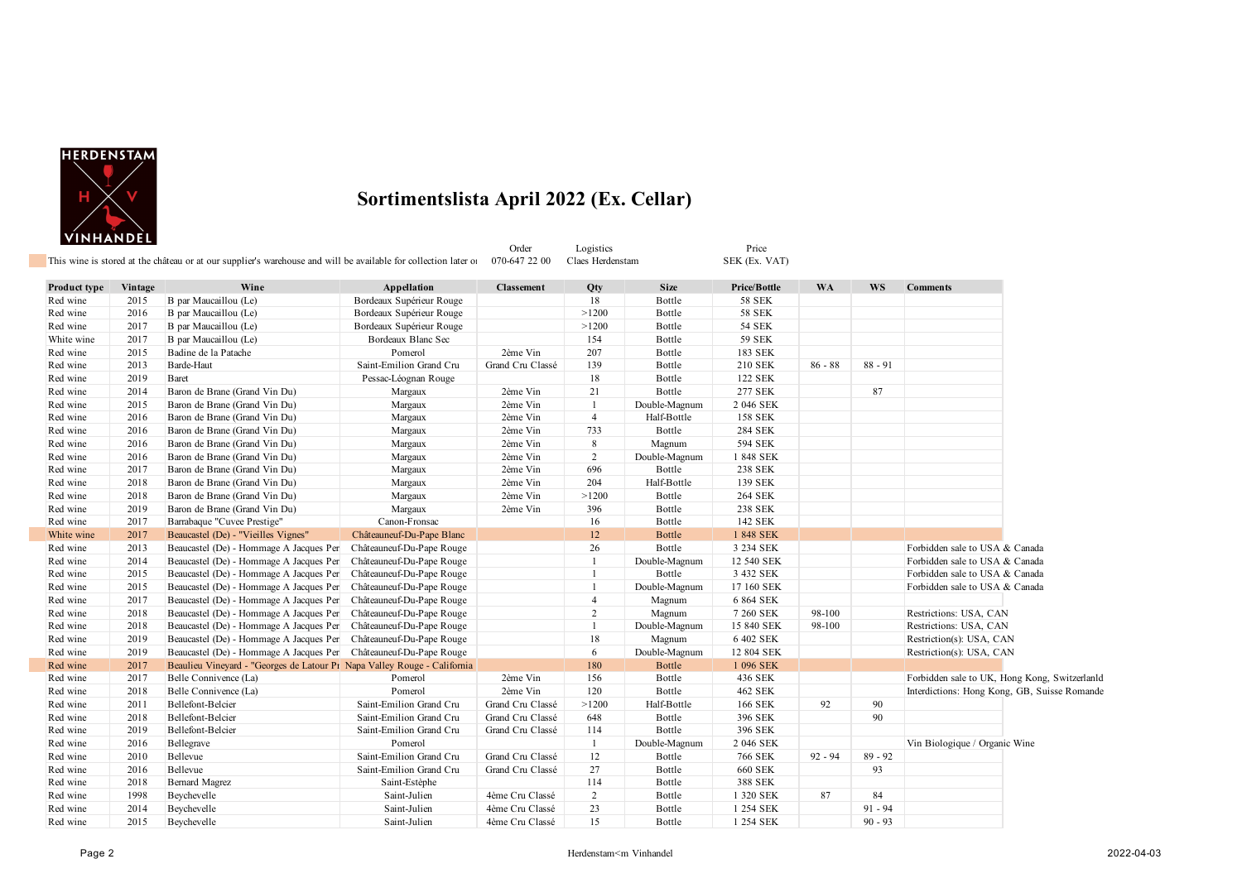

| , ,,,,,,,,,,,,,, |         | This wine is stored at the château or at our supplier's warehouse and will be available for collection later of |                           | Order<br>070-647 22 00 | Logistics<br>Claes Herdenstam |               | Price<br>SEK (Ex. VAT) |           |           |                                               |
|------------------|---------|-----------------------------------------------------------------------------------------------------------------|---------------------------|------------------------|-------------------------------|---------------|------------------------|-----------|-----------|-----------------------------------------------|
| Product type     | Vintage | Wine                                                                                                            | Appellation               | <b>Classement</b>      | Qty                           | <b>Size</b>   | Price/Bottle           | <b>WA</b> | <b>WS</b> | <b>Comments</b>                               |
| Red wine         | 2015    | B par Maucaillou (Le)                                                                                           | Bordeaux Supérieur Rouge  |                        | 18                            | Bottle        | <b>58 SEK</b>          |           |           |                                               |
| Red wine         | 2016    | B par Maucaillou (Le)                                                                                           | Bordeaux Supérieur Rouge  |                        | >1200                         | Bottle        | <b>58 SEK</b>          |           |           |                                               |
| Red wine         | 2017    | B par Maucaillou (Le)                                                                                           | Bordeaux Supérieur Rouge  |                        | >1200                         | Bottle        | <b>54 SEK</b>          |           |           |                                               |
| White wine       | 2017    | B par Maucaillou (Le)                                                                                           | Bordeaux Blanc Sec        |                        | 154                           | Bottle        | <b>59 SEK</b>          |           |           |                                               |
| Red wine         | 2015    | Badine de la Patache                                                                                            | Pomerol                   | 2ème Vin               | 207                           | Bottle        | 183 SEK                |           |           |                                               |
| Red wine         | 2013    | Barde-Haut                                                                                                      | Saint-Emilion Grand Cru   | Grand Cru Classé       | 139                           | Bottle        | 210 SEK                | $86 - 88$ | $88 - 91$ |                                               |
| Red wine         | 2019    | Baret                                                                                                           | Pessac-Léognan Rouge      |                        | 18                            | Bottle        | 122 SEK                |           |           |                                               |
| Red wine         | 2014    | Baron de Brane (Grand Vin Du)                                                                                   | Margaux                   | 2ème Vin               | 21                            | Bottle        | 277 SEK                |           | 87        |                                               |
| Red wine         | 2015    | Baron de Brane (Grand Vin Du)                                                                                   | Margaux                   | 2ème Vin               | $\overline{1}$                | Double-Magnum | 2 046 SEK              |           |           |                                               |
| Red wine         | 2016    | Baron de Brane (Grand Vin Du)                                                                                   | Margaux                   | 2ème Vin               | $\overline{4}$                | Half-Bottle   | <b>158 SEK</b>         |           |           |                                               |
| Red wine         | 2016    | Baron de Brane (Grand Vin Du)                                                                                   | Margaux                   | 2ème Vin               | 733                           | Bottle        | 284 SEK                |           |           |                                               |
| Red wine         | 2016    | Baron de Brane (Grand Vin Du)                                                                                   | Margaux                   | 2ème Vin               | 8                             | Magnum        | 594 SEK                |           |           |                                               |
| Red wine         | 2016    | Baron de Brane (Grand Vin Du)                                                                                   | Margaux                   | 2ème Vin               | 2                             | Double-Magnum | 1 848 SEK              |           |           |                                               |
| Red wine         | 2017    | Baron de Brane (Grand Vin Du)                                                                                   | Margaux                   | 2ème Vin               | 696                           | Bottle        | 238 SEK                |           |           |                                               |
| Red wine         | 2018    | Baron de Brane (Grand Vin Du)                                                                                   | Margaux                   | 2ème Vin               | 204                           | Half-Bottle   | 139 SEK                |           |           |                                               |
| Red wine         | 2018    | Baron de Brane (Grand Vin Du)                                                                                   | Margaux                   | 2ème Vin               | >1200                         | Bottle        | <b>264 SEK</b>         |           |           |                                               |
| Red wine         | 2019    | Baron de Brane (Grand Vin Du)                                                                                   | Margaux                   | 2ème Vin               | 396                           | Bottle        | 238 SEK                |           |           |                                               |
| Red wine         | 2017    | Barrabaque "Cuvee Prestige"                                                                                     | Canon-Fronsac             |                        | 16                            | Bottle        | 142 SEK                |           |           |                                               |
| White wine       | 2017    | Beaucastel (De) - "Vieilles Vignes"                                                                             | Châteauneuf-Du-Pape Blanc |                        | 12                            | <b>Bottle</b> | 1 848 SEK              |           |           |                                               |
| Red wine         | 2013    | Beaucastel (De) - Hommage A Jacques Per                                                                         | Châteauneuf-Du-Pape Rouge |                        | 26                            | Bottle        | 3 234 SEK              |           |           | Forbidden sale to USA & Canada                |
| Red wine         | 2014    | Beaucastel (De) - Hommage A Jacques Per                                                                         | Châteauneuf-Du-Pape Rouge |                        | $\overline{1}$                | Double-Magnum | 12 540 SEK             |           |           | Forbidden sale to USA & Canada                |
| Red wine         | 2015    | Beaucastel (De) - Hommage A Jacques Per                                                                         | Châteauneuf-Du-Pape Rouge |                        | $\overline{1}$                | Bottle        | 3 432 SEK              |           |           | Forbidden sale to USA & Canada                |
| Red wine         | 2015    | Beaucastel (De) - Hommage A Jacques Per                                                                         | Châteauneuf-Du-Pape Rouge |                        | $\mathbf{1}$                  | Double-Magnum | 17 160 SEK             |           |           | Forbidden sale to USA & Canada                |
| Red wine         | 2017    | Beaucastel (De) - Hommage A Jacques Per                                                                         | Châteauneuf-Du-Pape Rouge |                        | $\overline{4}$                | Magnum        | 6 864 SEK              |           |           |                                               |
| Red wine         | 2018    | Beaucastel (De) - Hommage A Jacques Per                                                                         | Châteauneuf-Du-Pape Rouge |                        | 2                             | Magnum        | 7 260 SEK              | 98-100    |           | Restrictions: USA, CAN                        |
| Red wine         | 2018    | Beaucastel (De) - Hommage A Jacques Per                                                                         | Châteauneuf-Du-Pape Rouge |                        | $\overline{1}$                | Double-Magnum | 15 840 SEK             | 98-100    |           | Restrictions: USA, CAN                        |
| Red wine         | 2019    | Beaucastel (De) - Hommage A Jacques Per                                                                         | Châteauneuf-Du-Pape Rouge |                        | 18                            | Magnum        | 6 402 SEK              |           |           | Restriction(s): USA, CAN                      |
| Red wine         | 2019    | Beaucastel (De) - Hommage A Jacques Per                                                                         | Châteauneuf-Du-Pape Rouge |                        | 6                             | Double-Magnum | 12 804 SEK             |           |           | Restriction(s): USA, CAN                      |
| Red wine         | 2017    | Beaulieu Vineyard - "Georges de Latour P1 Napa Valley Rouge - California                                        |                           |                        | 180                           | Bottle        | 1 096 SEK              |           |           |                                               |
| Red wine         | 2017    | Belle Connivence (La)                                                                                           | Pomerol                   | 2ème Vin               | 156                           | Bottle        | 436 SEK                |           |           | Forbidden sale to UK, Hong Kong, Switzerlanld |
| Red wine         | 2018    | Belle Connivence (La)                                                                                           | Pomerol                   | 2ème Vin               | 120                           | Bottle        | 462 SEK                |           |           | Interdictions: Hong Kong, GB, Suisse Romande  |
| Red wine         | 2011    | Bellefont-Belcier                                                                                               | Saint-Emilion Grand Cru   | Grand Cru Classé       | >1200                         | Half-Bottle   | 166 SEK                | 92        | 90        |                                               |
| Red wine         | 2018    | Bellefont-Belcier                                                                                               | Saint-Emilion Grand Cru   | Grand Cru Classé       | 648                           | Bottle        | 396 SEK                |           | 90        |                                               |
| Red wine         | 2019    | Bellefont-Belcier                                                                                               | Saint-Emilion Grand Cru   | Grand Cru Classé       | 114                           | Bottle        | 396 SEK                |           |           |                                               |
| Red wine         | 2016    | Bellegrave                                                                                                      | Pomerol                   |                        | $\mathbf{1}$                  | Double-Magnum | 2 046 SEK              |           |           | Vin Biologique / Organic Wine                 |
| Red wine         | 2010    | Bellevue                                                                                                        | Saint-Emilion Grand Cru   | Grand Cru Classé       | 12                            | Bottle        | 766 SEK                | $92 - 94$ | $89 - 92$ |                                               |
| Red wine         | 2016    | Bellevue                                                                                                        | Saint-Emilion Grand Cru   | Grand Cru Classé       | 27                            | Bottle        | <b>660 SEK</b>         |           | 93        |                                               |
| Red wine         | 2018    | <b>Bernard Magrez</b>                                                                                           | Saint-Estèphe             |                        | 114                           | Bottle        | 388 SEK                |           |           |                                               |
| Red wine         | 1998    | Beychevelle                                                                                                     | Saint-Julien              | 4ème Cru Classé        | 2                             | Bottle        | 1 320 SEK              | 87        | 84        |                                               |
| Red wine         | 2014    | Beychevelle                                                                                                     | Saint-Julien              | 4ème Cru Classé        | 23                            | Bottle        | 1 254 SEK              |           | $91 - 94$ |                                               |
| Red wine         | 2015    | Beychevelle                                                                                                     | Saint-Julien              | 4ème Cru Classé        | 15                            | Bottle        | 1 254 SEK              |           | $90 - 93$ |                                               |
|                  |         |                                                                                                                 |                           |                        |                               |               |                        |           |           |                                               |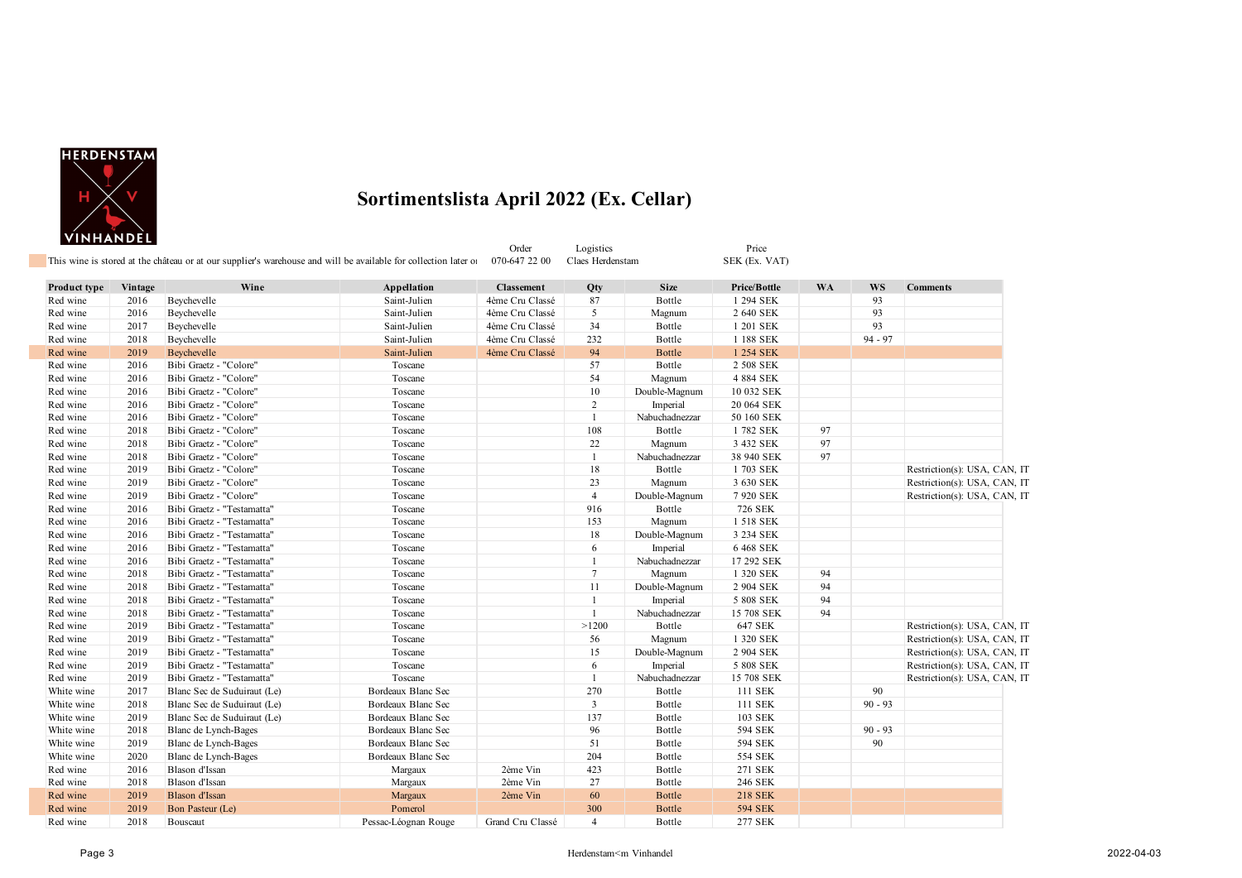

| <b>Product type</b><br>Red wine<br>Red wine<br>Red wine<br>Red wine<br>Red wine<br>Red wine<br>Red wine<br>Red wine<br>Red wine<br>Red wine<br>Red wine | Vintage<br>2016<br>2016<br>2017<br>2018<br>2019<br>2016<br>2016<br>2016<br>2016<br>2016<br>2018 | This wine is stored at the château or at our supplier's warehouse and will be available for collection later of<br>Wine<br>Beychevelle<br>Beychevelle<br>Beychevelle<br>Beychevelle<br>Beychevelle<br>Bibi Graetz - "Colore"<br>Bibi Graetz - "Colore"<br>Bibi Graetz - "Colore" | Appellation<br>Saint-Julien<br>Saint-Julien<br>Saint-Julien<br>Saint-Julien<br>Saint-Julien<br>Toscane<br>Toscane | 070-647 22 00<br><b>Classement</b><br>4ème Cru Classé<br>4ème Cru Classé<br>4ème Cru Classé<br>4ème Cru Classé<br>4ème Cru Classé | Claes Herdenstam<br>Qty<br>87<br>5<br>34<br>232 | <b>Size</b><br>Bottle<br>Magnum | SEK (Ex. VAT)<br><b>Price/Bottle</b><br>1 294 SEK<br>2 640 SEK | <b>WA</b> | WS<br>93  | <b>Comments</b>              |
|---------------------------------------------------------------------------------------------------------------------------------------------------------|-------------------------------------------------------------------------------------------------|----------------------------------------------------------------------------------------------------------------------------------------------------------------------------------------------------------------------------------------------------------------------------------|-------------------------------------------------------------------------------------------------------------------|-----------------------------------------------------------------------------------------------------------------------------------|-------------------------------------------------|---------------------------------|----------------------------------------------------------------|-----------|-----------|------------------------------|
|                                                                                                                                                         |                                                                                                 |                                                                                                                                                                                                                                                                                  |                                                                                                                   |                                                                                                                                   |                                                 |                                 |                                                                |           |           |                              |
|                                                                                                                                                         |                                                                                                 |                                                                                                                                                                                                                                                                                  |                                                                                                                   |                                                                                                                                   |                                                 |                                 |                                                                |           |           |                              |
|                                                                                                                                                         |                                                                                                 |                                                                                                                                                                                                                                                                                  |                                                                                                                   |                                                                                                                                   |                                                 |                                 |                                                                |           |           |                              |
|                                                                                                                                                         |                                                                                                 |                                                                                                                                                                                                                                                                                  |                                                                                                                   |                                                                                                                                   |                                                 |                                 |                                                                |           | 93        |                              |
|                                                                                                                                                         |                                                                                                 |                                                                                                                                                                                                                                                                                  |                                                                                                                   |                                                                                                                                   |                                                 | Bottle                          | 1 201 SEK                                                      |           | 93        |                              |
|                                                                                                                                                         |                                                                                                 |                                                                                                                                                                                                                                                                                  |                                                                                                                   |                                                                                                                                   |                                                 | Bottle                          | 1 188 SEK                                                      |           | $94 - 97$ |                              |
|                                                                                                                                                         |                                                                                                 |                                                                                                                                                                                                                                                                                  |                                                                                                                   |                                                                                                                                   | 94                                              | <b>Bottle</b>                   | 1 254 SEK                                                      |           |           |                              |
|                                                                                                                                                         |                                                                                                 |                                                                                                                                                                                                                                                                                  |                                                                                                                   |                                                                                                                                   | 57                                              | Bottle                          | 2 508 SEK                                                      |           |           |                              |
|                                                                                                                                                         |                                                                                                 |                                                                                                                                                                                                                                                                                  |                                                                                                                   |                                                                                                                                   | 54                                              | Magnum                          | 4 884 SEK                                                      |           |           |                              |
|                                                                                                                                                         |                                                                                                 |                                                                                                                                                                                                                                                                                  | Toscane                                                                                                           |                                                                                                                                   | 10                                              | Double-Magnum                   | 10 032 SEK                                                     |           |           |                              |
|                                                                                                                                                         |                                                                                                 | Bibi Graetz - "Colore"                                                                                                                                                                                                                                                           | Toscane                                                                                                           |                                                                                                                                   | 2                                               | Imperial                        | 20 064 SEK                                                     |           |           |                              |
|                                                                                                                                                         |                                                                                                 | Bibi Graetz - "Colore"                                                                                                                                                                                                                                                           | Toscane                                                                                                           |                                                                                                                                   | $\mathbf{1}$                                    | Nabuchadnezzar                  | 50 160 SEK                                                     |           |           |                              |
|                                                                                                                                                         |                                                                                                 | Bibi Graetz - "Colore"                                                                                                                                                                                                                                                           | Toscane                                                                                                           |                                                                                                                                   | 108                                             | Bottle                          | 1782 SEK                                                       | 97        |           |                              |
| Red wine                                                                                                                                                | 2018                                                                                            | Bibi Graetz - "Colore"                                                                                                                                                                                                                                                           | Toscane                                                                                                           |                                                                                                                                   | 22                                              | Magnum                          | 3 432 SEK                                                      | 97        |           |                              |
| Red wine                                                                                                                                                | 2018                                                                                            | Bibi Graetz - "Colore"                                                                                                                                                                                                                                                           | Toscane                                                                                                           |                                                                                                                                   | -1                                              | Nabuchadnezzar                  | 38 940 SEK                                                     | 97        |           |                              |
| Red wine                                                                                                                                                | 2019                                                                                            | Bibi Graetz - "Colore"                                                                                                                                                                                                                                                           | Toscane                                                                                                           |                                                                                                                                   | 18                                              | Bottle                          | 1703 SEK                                                       |           |           | Restriction(s): USA, CAN, IT |
| Red wine                                                                                                                                                | 2019                                                                                            | Bibi Graetz - "Colore"                                                                                                                                                                                                                                                           | Toscane                                                                                                           |                                                                                                                                   | 23                                              | Magnum                          | 3 630 SEK                                                      |           |           | Restriction(s): USA, CAN, IT |
| Red wine                                                                                                                                                | 2019                                                                                            | Bibi Graetz - "Colore"                                                                                                                                                                                                                                                           | Toscane                                                                                                           |                                                                                                                                   | $\overline{4}$                                  | Double-Magnum                   | 7 920 SEK                                                      |           |           | Restriction(s): USA, CAN, IT |
| Red wine                                                                                                                                                | 2016                                                                                            | Bibi Graetz - "Testamatta"                                                                                                                                                                                                                                                       | Toscane                                                                                                           |                                                                                                                                   | 916                                             | Bottle                          | 726 SEK                                                        |           |           |                              |
| Red wine                                                                                                                                                | 2016                                                                                            | Bibi Graetz - "Testamatta"                                                                                                                                                                                                                                                       | Toscane                                                                                                           |                                                                                                                                   | 153                                             | Magnum                          | 1 518 SEK                                                      |           |           |                              |
| Red wine                                                                                                                                                | 2016                                                                                            | Bibi Graetz - "Testamatta"                                                                                                                                                                                                                                                       | Toscane                                                                                                           |                                                                                                                                   | 18                                              | Double-Magnum                   | 3 234 SEK                                                      |           |           |                              |
| Red wine                                                                                                                                                | 2016                                                                                            | Bibi Graetz - "Testamatta"                                                                                                                                                                                                                                                       | Toscane                                                                                                           |                                                                                                                                   | 6                                               | Imperial                        | 6 468 SEK                                                      |           |           |                              |
| Red wine                                                                                                                                                | 2016                                                                                            | Bibi Graetz - "Testamatta"                                                                                                                                                                                                                                                       | Toscane                                                                                                           |                                                                                                                                   | -1                                              | Nabuchadnezzar                  | 17 292 SEK                                                     |           |           |                              |
| Red wine                                                                                                                                                | 2018                                                                                            | Bibi Graetz - "Testamatta"                                                                                                                                                                                                                                                       | Toscane                                                                                                           |                                                                                                                                   | $7\phantom{.0}$                                 | Magnum                          | 1 320 SEK                                                      | 94        |           |                              |
| Red wine                                                                                                                                                | 2018                                                                                            | Bibi Graetz - "Testamatta"                                                                                                                                                                                                                                                       | Toscane                                                                                                           |                                                                                                                                   | 11                                              | Double-Magnum                   | 2 904 SEK                                                      | 94        |           |                              |
| Red wine                                                                                                                                                | 2018                                                                                            | Bibi Graetz - "Testamatta"                                                                                                                                                                                                                                                       | Toscane                                                                                                           |                                                                                                                                   | $\mathbf{1}$                                    | Imperial                        | 5 808 SEK                                                      | 94        |           |                              |
| Red wine                                                                                                                                                | 2018                                                                                            | Bibi Graetz - "Testamatta"                                                                                                                                                                                                                                                       | Toscane                                                                                                           |                                                                                                                                   | $\mathbf{1}$                                    | Nabuchadnezzar                  | 15 708 SEK                                                     | 94        |           |                              |
| Red wine                                                                                                                                                | 2019                                                                                            | Bibi Graetz - "Testamatta"                                                                                                                                                                                                                                                       | Toscane                                                                                                           |                                                                                                                                   | >1200                                           | Bottle                          | 647 SEK                                                        |           |           | Restriction(s): USA, CAN, IT |
| Red wine                                                                                                                                                | 2019                                                                                            | Bibi Graetz - "Testamatta"                                                                                                                                                                                                                                                       | Toscane                                                                                                           |                                                                                                                                   | 56                                              | Magnum                          | 1 320 SEK                                                      |           |           | Restriction(s): USA, CAN, IT |
| Red wine                                                                                                                                                | 2019                                                                                            | Bibi Graetz - "Testamatta"                                                                                                                                                                                                                                                       | Toscane                                                                                                           |                                                                                                                                   | 15                                              | Double-Magnum                   | 2 904 SEK                                                      |           |           | Restriction(s): USA, CAN, IT |
| Red wine                                                                                                                                                | 2019                                                                                            | Bibi Graetz - "Testamatta"                                                                                                                                                                                                                                                       | Toscane                                                                                                           |                                                                                                                                   | 6                                               | Imperial                        | 5 808 SEK                                                      |           |           | Restriction(s): USA, CAN, IT |
| Red wine                                                                                                                                                | 2019                                                                                            | Bibi Graetz - "Testamatta"                                                                                                                                                                                                                                                       | Toscane                                                                                                           |                                                                                                                                   | -1                                              | Nabuchadnezzar                  | 15 708 SEK                                                     |           |           | Restriction(s): USA, CAN, IT |
| White wine                                                                                                                                              | 2017                                                                                            | Blanc Sec de Suduiraut (Le)                                                                                                                                                                                                                                                      | Bordeaux Blanc Sec                                                                                                |                                                                                                                                   | 270                                             | Bottle                          | 111 SEK                                                        |           | 90        |                              |
| White wine                                                                                                                                              | 2018                                                                                            | Blanc Sec de Suduiraut (Le)                                                                                                                                                                                                                                                      | Bordeaux Blanc Sec                                                                                                |                                                                                                                                   | $\overline{3}$                                  | Bottle                          | 111 SEK                                                        |           | $90 - 93$ |                              |
| White wine                                                                                                                                              | 2019                                                                                            | Blanc Sec de Suduiraut (Le)                                                                                                                                                                                                                                                      | Bordeaux Blanc Sec                                                                                                |                                                                                                                                   | 137                                             | Bottle                          | 103 SEK                                                        |           |           |                              |
| White wine                                                                                                                                              | 2018                                                                                            | Blanc de Lynch-Bages                                                                                                                                                                                                                                                             | Bordeaux Blanc Sec                                                                                                |                                                                                                                                   | 96                                              | Bottle                          | 594 SEK                                                        |           | $90 - 93$ |                              |
| White wine                                                                                                                                              | 2019                                                                                            | Blanc de Lynch-Bages                                                                                                                                                                                                                                                             | Bordeaux Blanc Sec                                                                                                |                                                                                                                                   | 51                                              | Bottle                          | 594 SEK                                                        |           | 90        |                              |
| White wine                                                                                                                                              | 2020                                                                                            | Blanc de Lynch-Bages                                                                                                                                                                                                                                                             | Bordeaux Blanc Sec                                                                                                |                                                                                                                                   | 204                                             | Bottle                          | 554 SEK                                                        |           |           |                              |
| Red wine                                                                                                                                                | 2016                                                                                            | Blason d'Issan                                                                                                                                                                                                                                                                   | Margaux                                                                                                           | 2ème Vin                                                                                                                          | 423                                             | Bottle                          | 271 SEK                                                        |           |           |                              |
| Red wine                                                                                                                                                | 2018                                                                                            | Blason d'Issan                                                                                                                                                                                                                                                                   | Margaux                                                                                                           | 2ème Vin                                                                                                                          | 27                                              | Bottle                          | 246 SEK                                                        |           |           |                              |
| Red wine                                                                                                                                                | 2019                                                                                            | Blason d'Issan                                                                                                                                                                                                                                                                   | Margaux                                                                                                           | 2ème Vin                                                                                                                          | 60                                              | <b>Bottle</b>                   | <b>218 SEK</b>                                                 |           |           |                              |
| Red wine                                                                                                                                                | 2019                                                                                            | Bon Pasteur (Le)                                                                                                                                                                                                                                                                 | Pomerol                                                                                                           |                                                                                                                                   | 300                                             | <b>Bottle</b>                   | <b>594 SEK</b>                                                 |           |           |                              |
| Red wine                                                                                                                                                | 2018                                                                                            | Bouscaut                                                                                                                                                                                                                                                                         | Pessac-Léognan Rouge                                                                                              | Grand Cru Classé                                                                                                                  | $\overline{4}$                                  | Bottle                          | 277 SEK                                                        |           |           |                              |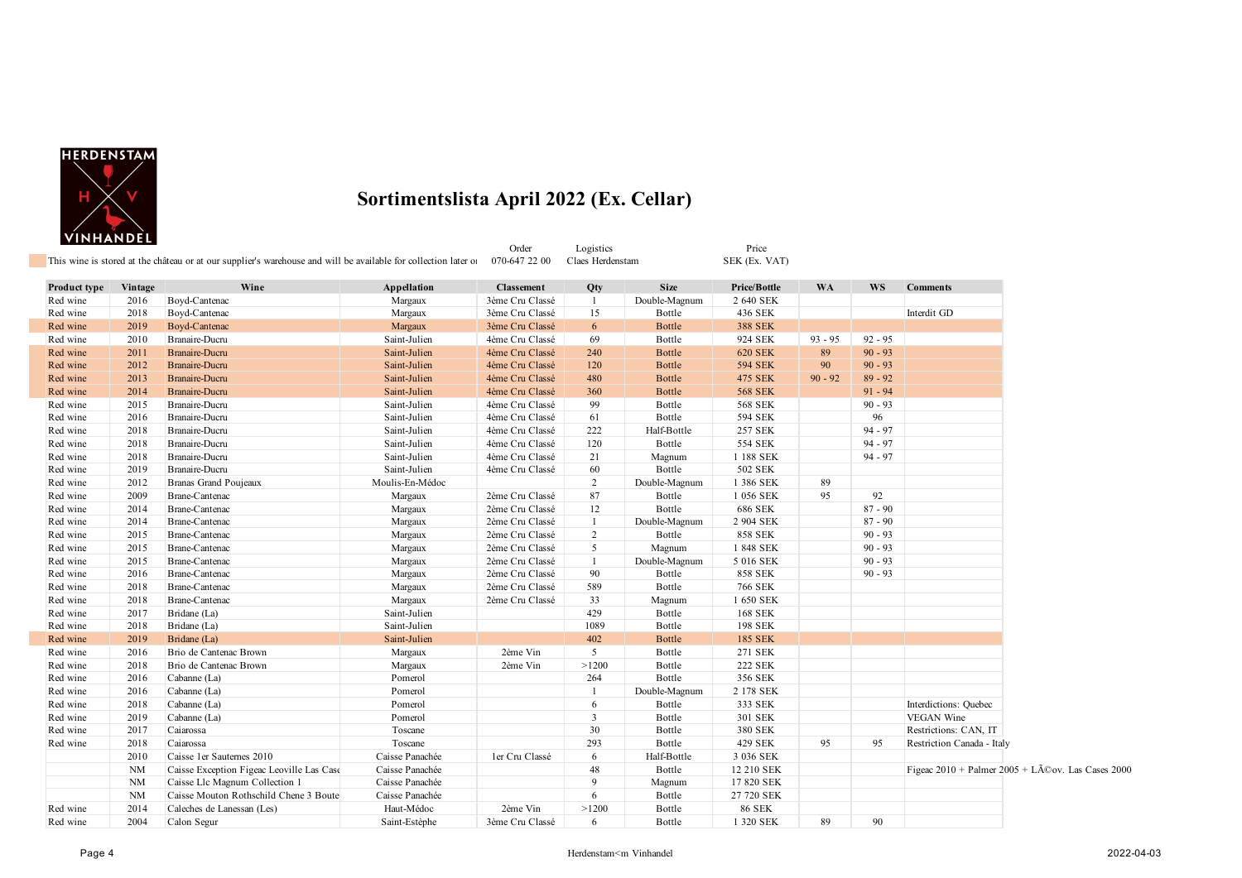

|              |           | This wine is stored at the château or at our supplier's warehouse and will be available for collection later of |                 | Order<br>070-647 22 00 | Logistics<br>Claes Herdenstam |               | Price<br>SEK (Ex. VAT) |           |           |                                                               |
|--------------|-----------|-----------------------------------------------------------------------------------------------------------------|-----------------|------------------------|-------------------------------|---------------|------------------------|-----------|-----------|---------------------------------------------------------------|
|              |           |                                                                                                                 |                 |                        |                               |               |                        |           |           |                                                               |
| Product type | Vintage   | Wine                                                                                                            | Appellation     | <b>Classement</b>      | Qty                           | <b>Size</b>   | Price/Bottle           | <b>WA</b> | <b>WS</b> | <b>Comments</b>                                               |
| Red wine     | 2016      | Boyd-Cantenac                                                                                                   | Margaux         | 3ème Cru Classé        | -1                            | Double-Magnum | 2 640 SEK              |           |           |                                                               |
| Red wine     | 2018      | Boyd-Cantenac                                                                                                   | Margaux         | 3ème Cru Classé        | 15                            | Bottle        | 436 SEK                |           |           | Interdit GD                                                   |
| Red wine     | 2019      | Boyd-Cantenac                                                                                                   | Margaux         | 3ème Cru Classé        | 6                             | Bottle        | <b>388 SEK</b>         |           |           |                                                               |
| Red wine     | 2010      | Branaire-Ducru                                                                                                  | Saint-Julien    | 4ème Cru Classé        | 69                            | Bottle        | 924 SEK                | $93 - 95$ | $92 - 95$ |                                                               |
| Red wine     | 2011      | Branaire-Ducru                                                                                                  | Saint-Julien    | 4ème Cru Classé        | 240                           | Bottle        | <b>620 SEK</b>         | 89        | $90 - 93$ |                                                               |
| Red wine     | 2012      | Branaire-Ducru                                                                                                  | Saint-Julien    | 4ème Cru Classé        | 120                           | <b>Bottle</b> | <b>594 SEK</b>         | 90        | $90 - 93$ |                                                               |
| Red wine     | 2013      | Branaire-Ducru                                                                                                  | Saint-Julien    | 4ème Cru Classé        | 480                           | <b>Bottle</b> | 475 SEK                | $90 - 92$ | $89 - 92$ |                                                               |
| Red wine     | 2014      | <b>Branaire-Ducru</b>                                                                                           | Saint-Julien    | 4ème Cru Classé        | 360                           | <b>Bottle</b> | <b>568 SEK</b>         |           | $91 - 94$ |                                                               |
| Red wine     | 2015      | Branaire-Ducru                                                                                                  | Saint-Julien    | 4ème Cru Classé        | 99                            | Bottle        | <b>568 SEK</b>         |           | $90 - 93$ |                                                               |
| Red wine     | 2016      | Branaire-Ducru                                                                                                  | Saint-Julien    | 4ème Cru Classé        | 61                            | Bottle        | 594 SEK                |           | 96        |                                                               |
| Red wine     | 2018      | Branaire-Ducru                                                                                                  | Saint-Julien    | 4ème Cru Classé        | 222                           | Half-Bottle   | 257 SEK                |           | $94 - 97$ |                                                               |
| Red wine     | 2018      | Branaire-Ducru                                                                                                  | Saint-Julien    | 4ème Cru Classé        | 120                           | Bottle        | 554 SEK                |           | $94 - 97$ |                                                               |
| Red wine     | 2018      | Branaire-Ducru                                                                                                  | Saint-Julien    | 4ème Cru Classé        | 21                            | Magnum        | 1 188 SEK              |           | $94 - 97$ |                                                               |
| Red wine     | 2019      | Branaire-Ducru                                                                                                  | Saint-Julien    | 4ème Cru Classé        | 60                            | Bottle        | 502 SEK                |           |           |                                                               |
| Red wine     | 2012      | Branas Grand Poujeaux                                                                                           | Moulis-En-Médoc |                        | 2                             | Double-Magnum | 1 386 SEK              | 89        |           |                                                               |
| Red wine     | 2009      | Brane-Cantenac                                                                                                  | Margaux         | 2ème Cru Classé        | 87                            | Bottle        | 1 056 SEK              | 95        | 92        |                                                               |
| Red wine     | 2014      | Brane-Cantenac                                                                                                  | Margaux         | 2ème Cru Classé        | 12                            | Bottle        | 686 SEK                |           | $87 - 90$ |                                                               |
| Red wine     | 2014      | Brane-Cantenac                                                                                                  | Margaux         | 2ème Cru Classé        | $\mathbf{1}$                  | Double-Magnum | 2 904 SEK              |           | $87 - 90$ |                                                               |
| Red wine     | 2015      | Brane-Cantenac                                                                                                  | Margaux         | 2ème Cru Classé        | $\overline{c}$                | Bottle        | <b>858 SEK</b>         |           | $90 - 93$ |                                                               |
| Red wine     | 2015      | Brane-Cantenac                                                                                                  | Margaux         | 2ème Cru Classé        | 5                             | Magnum        | 1848 SEK               |           | $90 - 93$ |                                                               |
| Red wine     | 2015      | Brane-Cantenac                                                                                                  | Margaux         | 2ème Cru Classé        | $\mathbf{1}$                  | Double-Magnum | 5 016 SEK              |           | $90 - 93$ |                                                               |
| Red wine     | 2016      | Brane-Cantenac                                                                                                  | Margaux         | 2ème Cru Classé        | 90                            | Bottle        | <b>858 SEK</b>         |           | $90 - 93$ |                                                               |
| Red wine     | 2018      | Brane-Cantenac                                                                                                  | Margaux         | 2ème Cru Classé        | 589                           | Bottle        | 766 SEK                |           |           |                                                               |
| Red wine     | 2018      | Brane-Cantenac                                                                                                  | Margaux         | 2ème Cru Classé        | 33                            | Magnum        | 1 650 SEK              |           |           |                                                               |
| Red wine     | 2017      | Bridane (La)                                                                                                    | Saint-Julien    |                        | 429                           | Bottle        | <b>168 SEK</b>         |           |           |                                                               |
| Red wine     | 2018      | Bridane (La)                                                                                                    | Saint-Julien    |                        | 1089                          | Bottle        | 198 SEK                |           |           |                                                               |
| Red wine     | 2019      | Bridane (La)                                                                                                    | Saint-Julien    |                        | 402                           | <b>Bottle</b> | 185 SEK                |           |           |                                                               |
| Red wine     | 2016      | Brio de Cantenac Brown                                                                                          | Margaux         | 2ème Vin               | 5                             | Bottle        | 271 SEK                |           |           |                                                               |
| Red wine     | 2018      | Brio de Cantenac Brown                                                                                          | Margaux         | 2ème Vin               | >1200                         | Bottle        | <b>222 SEK</b>         |           |           |                                                               |
| Red wine     | 2016      | Cabanne (La)                                                                                                    | Pomerol         |                        | 264                           | Bottle        | 356 SEK                |           |           |                                                               |
| Red wine     | 2016      | Cabanne (La)                                                                                                    | Pomerol         |                        | -1                            | Double-Magnum | 2 178 SEK              |           |           |                                                               |
| Red wine     | 2018      | Cabanne (La)                                                                                                    | Pomerol         |                        | 6                             | Bottle        | 333 SEK                |           |           | Interdictions: Quebec                                         |
| Red wine     | 2019      | Cabanne (La)                                                                                                    | Pomerol         |                        | $\mathbf{3}$                  | Bottle        | 301 SEK                |           |           | VEGAN Wine                                                    |
| Red wine     | 2017      | Caiarossa                                                                                                       | Toscane         |                        | 30                            | Bottle        | 380 SEK                |           |           | Restrictions: CAN, IT                                         |
| Red wine     | 2018      | Caiarossa                                                                                                       | Toscane         |                        | 293                           | Bottle        | 429 SEK                | 95        | 95        | Restriction Canada - Italy                                    |
|              | 2010      | Caisse 1er Sauternes 2010                                                                                       | Caisse Panachée | ler Cru Classé         | 6                             | Half-Bottle   | 3 036 SEK              |           |           |                                                               |
|              | <b>NM</b> | Caisse Exception Figeac Leoville Las Case                                                                       | Caisse Panachée |                        | 48                            | Bottle        | 12 210 SEK             |           |           | Figeac $2010 +$ Palmer $2005 +$ LÃ $\circ$ ov. Las Cases 2000 |
|              | <b>NM</b> | Caisse Llc Magnum Collection 1                                                                                  | Caisse Panachée |                        | 9                             | Magnum        | 17 820 SEK             |           |           |                                                               |
|              | <b>NM</b> | Caisse Mouton Rothschild Chene 3 Boute                                                                          | Caisse Panachée |                        | 6                             | Bottle        | 27 720 SEK             |           |           |                                                               |
| Red wine     | 2014      | Caleches de Lanessan (Les)                                                                                      | Haut-Médoc      | 2ème Vin               | >1200                         | Bottle        | <b>86 SEK</b>          |           |           |                                                               |
| Red wine     | 2004      | Calon Segur                                                                                                     | Saint-Estèphe   | 3ème Cru Classé        | 6                             | Bottle        | 1 320 SEK              | 89        | 90        |                                                               |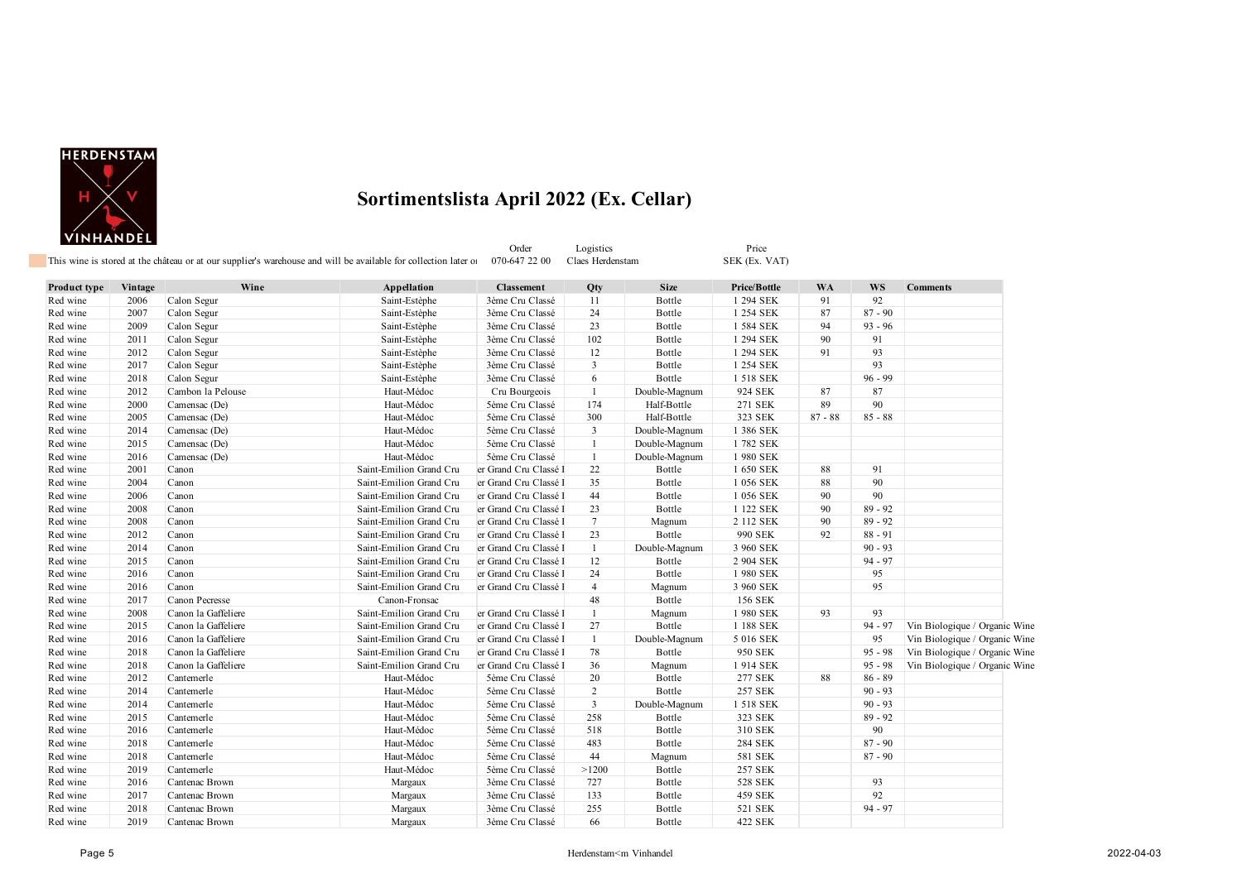

|                     |         |                     | This wine is stored at the château or at our supplier's warehouse and will be available for collection later of | Order<br>070-647 22 00 | Logistics<br>Claes Herdenstam |               | Price<br>SEK (Ex. VAT) |           |           |                               |
|---------------------|---------|---------------------|-----------------------------------------------------------------------------------------------------------------|------------------------|-------------------------------|---------------|------------------------|-----------|-----------|-------------------------------|
| <b>Product type</b> | Vintage | Wine                | Appellation                                                                                                     | <b>Classement</b>      | Qty                           | <b>Size</b>   | Price/Bottle           | <b>WA</b> | <b>WS</b> | <b>Comments</b>               |
| Red wine            | 2006    | Calon Segur         | Saint-Estèphe                                                                                                   | 3ème Cru Classé        | 11                            | Bottle        | 1 294 SEK              | 91        | 92        |                               |
| Red wine            | 2007    | Calon Segur         | Saint-Estèphe                                                                                                   | 3ème Cru Classé        | 24                            | Bottle        | 1 254 SEK              | 87        | $87 - 90$ |                               |
| Red wine            | 2009    | Calon Segur         | Saint-Estèphe                                                                                                   | 3ème Cru Classé        | 23                            | Bottle        | 1 584 SEK              | 94        | $93 - 96$ |                               |
| Red wine            | 2011    | Calon Segur         | Saint-Estèphe                                                                                                   | 3ème Cru Classé        | 102                           | Bottle        | 1 294 SEK              | 90        | 91        |                               |
| Red wine            | 2012    | Calon Segur         | Saint-Estèphe                                                                                                   | 3ème Cru Classé        | 12                            | Bottle        | 1 294 SEK              | 91        | 93        |                               |
| Red wine            | 2017    | Calon Segur         | Saint-Estèphe                                                                                                   | 3ème Cru Classé        | $\overline{3}$                | Bottle        | 1 254 SEK              |           | 93        |                               |
| Red wine            | 2018    | Calon Segur         | Saint-Estèphe                                                                                                   | 3ème Cru Classé        | 6                             | Bottle        | 1 518 SEK              |           | $96 - 99$ |                               |
| Red wine            | 2012    | Cambon la Pelouse   | Haut-Médoc                                                                                                      | Cru Bourgeois          | 1                             | Double-Magnum | 924 SEK                | 87        | 87        |                               |
| Red wine            | 2000    | Camensac (De)       | Haut-Médoc                                                                                                      | 5ème Cru Classé        | 174                           | Half-Bottle   | 271 SEK                | 89        | 90        |                               |
| Red wine            | 2005    | Camensac (De)       | Haut-Médoc                                                                                                      | 5ème Cru Classé        | 300                           | Half-Bottle   | 323 SEK                | $87 - 88$ | $85 - 88$ |                               |
| Red wine            | 2014    | Camensac (De)       | Haut-Médoc                                                                                                      | 5ème Cru Classé        | $\mathbf{3}$                  | Double-Magnum | 1 386 SEK              |           |           |                               |
| Red wine            | 2015    | Camensac (De)       | Haut-Médoc                                                                                                      | 5ème Cru Classé        | $\mathbf{1}$                  | Double-Magnum | 1782 SEK               |           |           |                               |
| Red wine            | 2016    | Camensac (De)       | Haut-Médoc                                                                                                      | 5ème Cru Classé        | $\mathbf{1}$                  | Double-Magnum | 1 980 SEK              |           |           |                               |
| Red wine            | 2001    | Canon               | Saint-Emilion Grand Cru                                                                                         | er Grand Cru Classé l  | 22                            | Bottle        | 1 650 SEK              | 88        | 91        |                               |
| Red wine            | 2004    | Canon               | Saint-Emilion Grand Cru                                                                                         | er Grand Cru Classé l  | 35                            | Bottle        | 1 056 SEK              | 88        | 90        |                               |
| Red wine            | 2006    | Canon               | Saint-Emilion Grand Cru                                                                                         | er Grand Cru Classé I  | 44                            | Bottle        | 1 056 SEK              | 90        | 90        |                               |
| Red wine            | 2008    | Canon               | Saint-Emilion Grand Cru                                                                                         | er Grand Cru Classé l  | 23                            | Bottle        | 1 122 SEK              | 90        | $89 - 92$ |                               |
| Red wine            | 2008    | Canon               | Saint-Emilion Grand Cru                                                                                         | er Grand Cru Classé l  | $7\phantom{.0}$               | Magnum        | 2 112 SEK              | 90        | $89 - 92$ |                               |
| Red wine            | 2012    | Canon               | Saint-Emilion Grand Cru                                                                                         | er Grand Cru Classé l  | 23                            | Bottle        | 990 SEK                | 92        | $88 - 91$ |                               |
| Red wine            | 2014    | Canon               | Saint-Emilion Grand Cru                                                                                         | er Grand Cru Classé l  | $\mathbf{1}$                  | Double-Magnum | 3 960 SEK              |           | $90 - 93$ |                               |
| Red wine            | 2015    | Canon               | Saint-Emilion Grand Cru                                                                                         | er Grand Cru Classé l  | 12                            | Bottle        | 2 904 SEK              |           | $94 - 97$ |                               |
| Red wine            | 2016    | Canon               | Saint-Emilion Grand Cru                                                                                         | er Grand Cru Classé I  | 24                            | Bottle        | 1980 SEK               |           | 95        |                               |
| Red wine            | 2016    | Canon               | Saint-Emilion Grand Cru                                                                                         | er Grand Cru Classé I  | $\overline{4}$                | Magnum        | 3 960 SEK              |           | 95        |                               |
| Red wine            | 2017    | Canon Pecresse      | Canon-Fronsac                                                                                                   |                        | 48                            | Bottle        | 156 SEK                |           |           |                               |
| Red wine            | 2008    | Canon la Gaffeliere | Saint-Emilion Grand Cru                                                                                         | er Grand Cru Classé l  | $\mathbf{1}$                  | Magnum        | 1 980 SEK              | 93        | 93        |                               |
| Red wine            | 2015    | Canon la Gaffeliere | Saint-Emilion Grand Cru                                                                                         | er Grand Cru Classé I  | 27                            | Bottle        | 1 188 SEK              |           | $94 - 97$ | Vin Biologique / Organic Wine |
| Red wine            | 2016    | Canon la Gaffeliere | Saint-Emilion Grand Cru                                                                                         | er Grand Cru Classé l  | $\mathbf{1}$                  | Double-Magnum | 5 016 SEK              |           | 95        | Vin Biologique / Organic Wine |
| Red wine            | 2018    | Canon la Gaffeliere | Saint-Emilion Grand Cru                                                                                         | er Grand Cru Classé l  | 78                            | Bottle        | 950 SEK                |           | $95 - 98$ | Vin Biologique / Organic Wine |
| Red wine            | 2018    | Canon la Gaffeliere | Saint-Emilion Grand Cru                                                                                         | er Grand Cru Classé l  | 36                            | Magnum        | 1914 SEK               |           | $95 - 98$ | Vin Biologique / Organic Wine |
| Red wine            | 2012    | Cantemerle          | Haut-Médoc                                                                                                      | 5ème Cru Classé        | 20                            | Bottle        | <b>277 SEK</b>         | 88        | $86 - 89$ |                               |
| Red wine            | 2014    | Cantemerle          | Haut-Médoc                                                                                                      | 5ème Cru Classé        | $\overline{2}$                | Bottle        | 257 SEK                |           | $90 - 93$ |                               |
| Red wine            | 2014    | Cantemerle          | Haut-Médoc                                                                                                      | 5ème Cru Classé        | $\mathbf{3}$                  | Double-Magnum | 1 518 SEK              |           | $90 - 93$ |                               |
| Red wine            | 2015    | Cantemerle          | Haut-Médoc                                                                                                      | 5ème Cru Classé        | 258                           | Bottle        | 323 SEK                |           | $89 - 92$ |                               |
| Red wine            | 2016    | Cantemerle          | Haut-Médoc                                                                                                      | 5ème Cru Classé        | 518                           | Bottle        | 310 SEK                |           | 90        |                               |
| Red wine            | 2018    | Cantemerle          | Haut-Médoc                                                                                                      | 5ème Cru Classé        | 483                           | Bottle        | <b>284 SEK</b>         |           | $87 - 90$ |                               |
| Red wine            | 2018    | Cantemerle          | Haut-Médoc                                                                                                      | 5ème Cru Classé        | 44                            | Magnum        | 581 SEK                |           | $87 - 90$ |                               |
| Red wine            | 2019    | Cantemerle          | Haut-Médoc                                                                                                      | 5ème Cru Classé        | >1200                         | Bottle        | 257 SEK                |           |           |                               |
| Red wine            | 2016    | Cantenac Brown      | Margaux                                                                                                         | 3ème Cru Classé        | 727                           | Bottle        | <b>528 SEK</b>         |           | 93        |                               |
| Red wine            | 2017    | Cantenac Brown      | Margaux                                                                                                         | 3ème Cru Classé        | 133                           | Bottle        | 459 SEK                |           | 92        |                               |
| Red wine            | 2018    | Cantenac Brown      | Margaux                                                                                                         | 3ème Cru Classé        | 255                           | Bottle        | 521 SEK                |           | $94 - 97$ |                               |
| Red wine            | 2019    | Cantenac Brown      | Margaux                                                                                                         | 3ème Cru Classé        | 66                            | Bottle        | 422 SEK                |           |           |                               |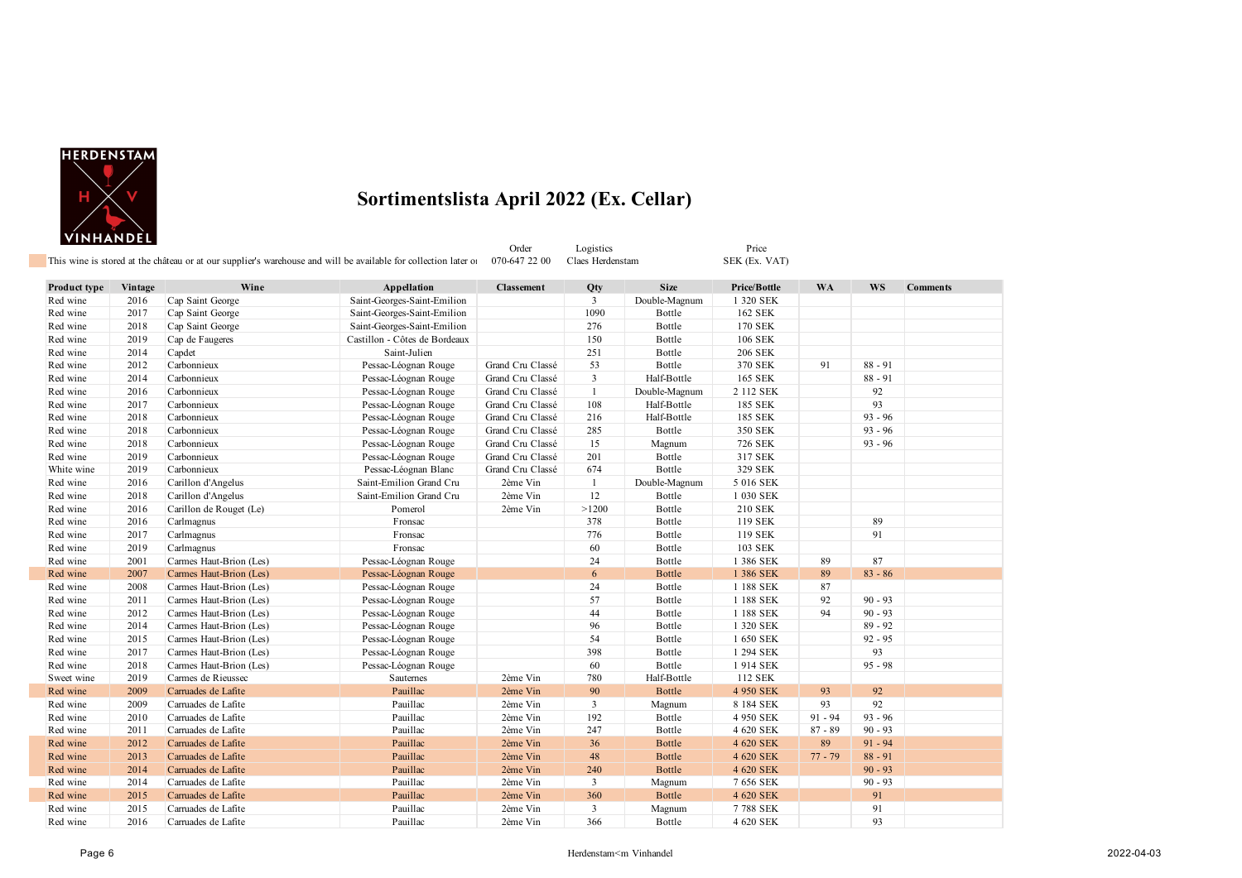

Order Logistics Price Price<br>
070-647 22 00 Claes Herdenstam SEK (Ex. VAT) This wine is stored at the château or at our supplier's warehouse and will be available for collection later of

**Product type Vintage Wine Appellation Classement Qty Size Price/Bottle WA WS Comments** Red wine 2016 Cap Saint George Saint-Georges-Saint-Emilion 3 Double-Magnum 1 320 SEK Red wine 2017 Cap Saint George Saint-Georges-Saint-Emilion 1090 Bottle 162 SEK Red wine 2018 Cap Saint George Saint-Georges-Saint-Emilion 276 Bottle 170 SEK Red wine 2019 Cap de Faugeres Castillon - Côtes de Bordeaux 150 Bottle 106 SEK Red wine 2014 Capdet 200 Saint-Julien 2016 Saint-Julien 2015 251 Bottle 206 SEK Red wine 2012 Carbonnieux Pessac-Léognan Rouge Grand Cru Classé 53 Bottle 370 SEK 91 88 - 91 88 - 91 Red wine 2014 Carbonnieux 2016 Pessac-Léognan Rouge Grand Cru Classé 3 Half-Bottle 165 SEK 88 - 91<br>Red wine 2016 Carbonnieux Pessac-Léognan Rouge Grand Cru Classé 1 Double-Magnum 2 112 SEK 92 Red wine 2016 Carbonnieux Pessac-Léognan Rouge Grand Cru Classé 1 Double-Magnum 2 112 SEK 92 Red wine 2017 Carbonnieux Pessac-Léognan Rouge Grand Cru Classé 108 Half-Bottle 185 SEK 93 Red wine 2018 Carbonnieux Pessac-Léognan Rouge Grand Cru Classé 216 Half-Bottle 185 SEK 93 - 96 Red wine 2018 Carbonnieux Pessac-Léognan Rouge Grand Cru Classé 285 Bottle 350 SEK 93 - 96 Red wine 2018 Carbonnieux **Pessac-Léognan Rouge Grand Cru Classé** 15 Magnum 726 SEK 93 - 96 Red wine 2019 Carbonnieux Pessac-Léognan Rouge Grand Cru Classé 201 Bottle 317 SEK White wine 2019 Carbonnieux Pessac-Léognan Blanc Grand Cru Classé 674 Bottle 329 SEK Red wine 2016 Carillon d'Angelus Saint-Emilion Grand Cru 2ème Vin 1 Double-Magnum 5 016 SEK<br>
Red wine 2018 Carillon d'Angelus Saint-Emilion Grand Cru 2ème Vin 12 Bottle 1 030 SEK 2018 Carillon d'Angelus Saint-Emilion Grand Cru 2ème Vin 12 Bottle Red wine 2016 Carillon de Rouget (Le) Pomerol 2ème Vin >1200 Bottle 210 SEK Red wine 2016 Carlmagnus 378 Bottle 119 SEK 89 Red wine 2017 Carlmagnus **Reduces 2017 Carlmagnus** 776 Bottle 119 SEK 91 Red wine 2019 Carlmagnus **Fronsac** 60 Bottle 103 SEK Red wine 2001 Carmes Haut-Brion (Les) Pessac-Léognan Rouge 24 Bottle 1 386 SEK 89 87 Red wine 2007 Carmes Haut-Brion (Les) Pessac-Léognan Rouge 6 Bottle 1 386 SEK 89 83 - 86

| Red wine   | 2008 | Carmes Haut-Brion (Les) | Pessac-Léognan Rouge |          | 24  | Bottle      | 1 188 SEK | 87        |           |  |
|------------|------|-------------------------|----------------------|----------|-----|-------------|-----------|-----------|-----------|--|
| Red wine   | 2011 | Carmes Haut-Brion (Les) | Pessac-Léognan Rouge |          | 57  | Bottle      | 1 188 SEK | 92        | $90 - 93$ |  |
| Red wine   | 2012 | Carmes Haut-Brion (Les) | Pessac-Léognan Rouge |          | 44  | Bottle      | 1 188 SEK | 94        | $90 - 93$ |  |
| Red wine   | 2014 | Carmes Haut-Brion (Les) | Pessac-Léognan Rouge |          | 96  | Bottle      | 1 320 SEK |           | $89 - 92$ |  |
| Red wine   | 2015 | Carmes Haut-Brion (Les) | Pessac-Léognan Rouge |          | 54  | Bottle      | 1 650 SEK |           | $92 - 95$ |  |
| Red wine   | 2017 | Carmes Haut-Brion (Les) | Pessac-Léognan Rouge |          | 398 | Bottle      | 1 294 SEK |           | 93        |  |
| Red wine   | 2018 | Carmes Haut-Brion (Les) | Pessac-Léognan Rouge |          | 60  | Bottle      | 1 914 SEK |           | $95 - 98$ |  |
| Sweet wine | 2019 | Carmes de Rieussec      | <b>Sautemes</b>      | 2ème Vin | 780 | Half-Bottle | 112 SEK   |           |           |  |
| Red wine   | 2009 | Carruades de Lafite     | Pauillac             | 2ème Vin | 90  | Bottle      | 4 950 SEK | 93        | 92        |  |
| Red wine   | 2009 | Carruades de Lafite     | Pauillac             | 2ème Vin | 3   | Magnum      | 8 184 SEK | 93        | 92        |  |
| Red wine   | 2010 | Carruades de Lafite     | Pauillac             | 2ème Vin | 192 | Bottle      | 4 950 SEK | $91 - 94$ | $93 - 96$ |  |
| Red wine   | 2011 | Carruades de Lafite     | Pauillac             | 2ème Vin | 247 | Bottle      | 4 620 SEK | $87 - 89$ | $90 - 93$ |  |
| Red wine   | 2012 | Carruades de Lafite     | Pauillac             | 2ème Vin | 36  | Bottle      | 4 620 SEK | 89        | $91 - 94$ |  |
| Red wine   | 2013 | Carruades de Lafite     | Pauillac             | 2ème Vin | 48  | Bottle      | 4 620 SEK | $77 - 79$ | $88 - 91$ |  |
| Red wine   | 2014 | Carruades de Lafite     | Pauillac             | 2ème Vin | 240 | Bottle      | 4 620 SEK |           | $90 - 93$ |  |
| Red wine   | 2014 | Carruades de Lafite     | Pauillac             | 2ème Vin | 3   | Magnum      | 7 656 SEK |           | $90 - 93$ |  |
| Red wine   | 2015 | Carruades de Lafite     | Pauillac             | 2ème Vin | 360 | Bottle      | 4 620 SEK |           | 91        |  |
| Red wine   | 2015 | Carruades de Lafite     | Pauillac             | 2ème Vin | 3   | Magnum      | 7788 SEK  |           | 91        |  |
| Red wine   | 2016 | Carruades de Lafite     | Pauillac             | 2ème Vin | 366 | Bottle      | 4 620 SEK |           | 93        |  |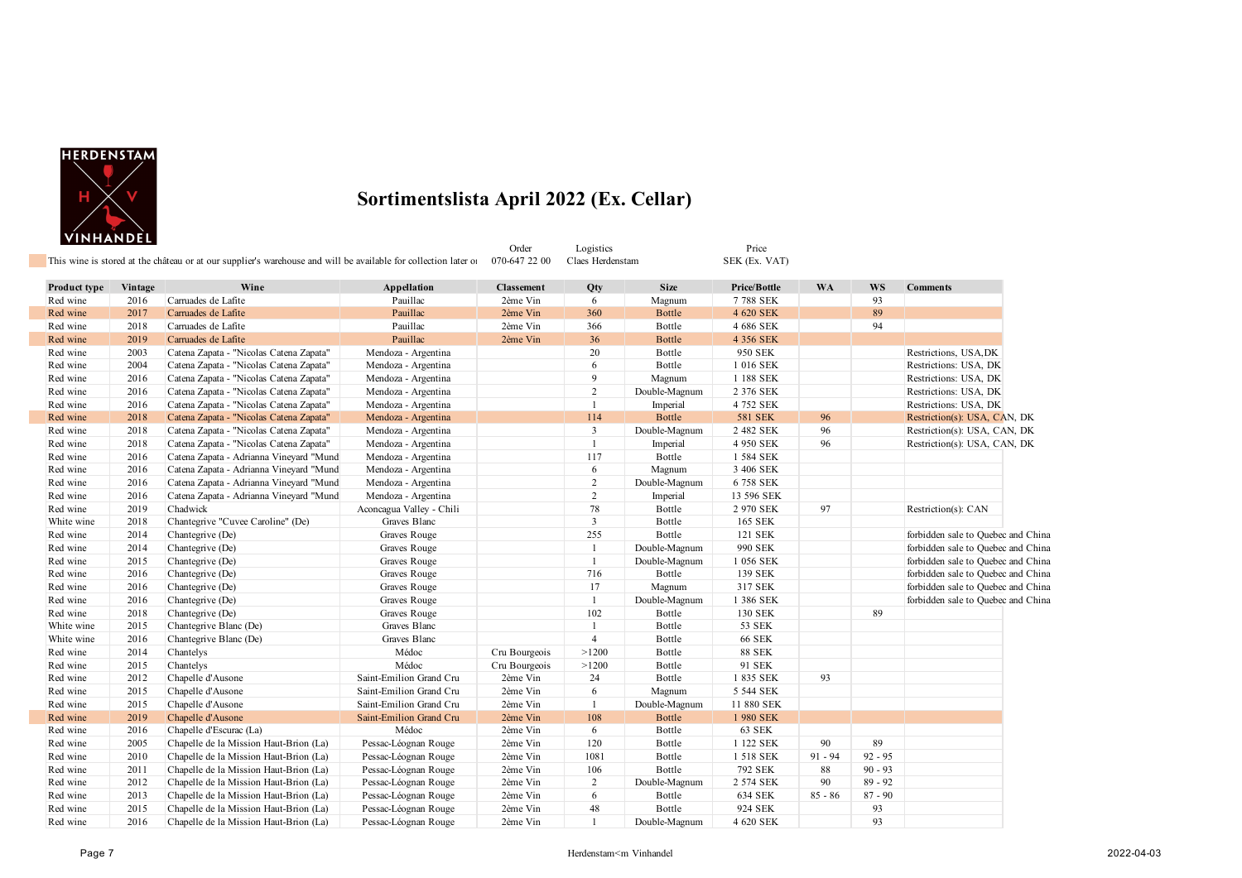

|              |         | This wine is stored at the château or at our supplier's warehouse and will be available for collection later of |                          | Order<br>070-647 22 00 | Logistics<br>Claes Herdenstam |               | Price<br>SEK (Ex. VAT) |           |           |                                    |
|--------------|---------|-----------------------------------------------------------------------------------------------------------------|--------------------------|------------------------|-------------------------------|---------------|------------------------|-----------|-----------|------------------------------------|
|              |         |                                                                                                                 |                          |                        |                               |               |                        |           |           |                                    |
| Product type | Vintage | Wine                                                                                                            | Appellation              | <b>Classement</b>      | Qty                           | <b>Size</b>   | Price/Bottle           | <b>WA</b> | <b>WS</b> | <b>Comments</b>                    |
| Red wine     | 2016    | Carruades de Lafite                                                                                             | Pauillac                 | 2ème Vin               | 6                             | Magnum        | 7788 SEK               |           | 93        |                                    |
| Red wine     | 2017    | Carruades de Lafite                                                                                             | Pauillac                 | 2ème Vin               | 360                           | <b>Bottle</b> | 4 620 SEK              |           | 89        |                                    |
| Red wine     | 2018    | Carruades de Lafite                                                                                             | Pauillac                 | 2ème Vin               | 366                           | Bottle        | 4 686 SEK              |           | 94        |                                    |
| Red wine     | 2019    | Carruades de Lafite                                                                                             | Pauillac                 | 2ème Vin               | 36                            | <b>Bottle</b> | 4 356 SEK              |           |           |                                    |
| Red wine     | 2003    | Catena Zapata - "Nicolas Catena Zapata"                                                                         | Mendoza - Argentina      |                        | 20                            | Bottle        | 950 SEK                |           |           | Restrictions, USA, DK              |
| Red wine     | 2004    | Catena Zapata - "Nicolas Catena Zapata"                                                                         | Mendoza - Argentina      |                        | 6                             | Bottle        | 1 016 SEK              |           |           | Restrictions: USA, DK              |
| Red wine     | 2016    | Catena Zapata - "Nicolas Catena Zapata"                                                                         | Mendoza - Argentina      |                        | 9                             | Magnum        | 1 188 SEK              |           |           | Restrictions: USA, DK              |
| Red wine     | 2016    | Catena Zapata - "Nicolas Catena Zapata"                                                                         | Mendoza - Argentina      |                        | $\overline{c}$                | Double-Magnum | 2 376 SEK              |           |           | Restrictions: USA, DK              |
| Red wine     | 2016    | Catena Zapata - "Nicolas Catena Zapata"                                                                         | Mendoza - Argentina      |                        | $\overline{1}$                | Imperial      | 4 752 SEK              |           |           | Restrictions: USA, DK              |
| Red wine     | 2018    | Catena Zapata - "Nicolas Catena Zapata"                                                                         | Mendoza - Argentina      |                        | 114                           | Bottle        | <b>581 SEK</b>         | 96        |           | Restriction(s): USA, CAN, DK       |
| Red wine     | 2018    | Catena Zapata - "Nicolas Catena Zapata"                                                                         | Mendoza - Argentina      |                        | 3                             | Double-Magnum | 2 482 SEK              | 96        |           | Restriction(s): USA, CAN, DK       |
| Red wine     | 2018    | Catena Zapata - "Nicolas Catena Zapata"                                                                         | Mendoza - Argentina      |                        | $\mathbf{1}$                  | Imperial      | 4 950 SEK              | 96        |           | Restriction(s): USA, CAN, DK       |
| Red wine     | 2016    | Catena Zapata - Adrianna Vineyard "Mund                                                                         | Mendoza - Argentina      |                        | 117                           | Bottle        | 1 584 SEK              |           |           |                                    |
| Red wine     | 2016    | Catena Zapata - Adrianna Vineyard "Mund                                                                         | Mendoza - Argentina      |                        | 6                             | Magnum        | 3 406 SEK              |           |           |                                    |
| Red wine     | 2016    | Catena Zapata - Adrianna Vineyard "Mund                                                                         | Mendoza - Argentina      |                        | $\overline{c}$                | Double-Magnum | 6758 SEK               |           |           |                                    |
| Red wine     | 2016    | Catena Zapata - Adrianna Vineyard "Mund                                                                         | Mendoza - Argentina      |                        | $\overline{c}$                | Imperial      | 13 596 SEK             |           |           |                                    |
| Red wine     | 2019    | Chadwick                                                                                                        | Aconcagua Valley - Chili |                        | 78                            | Bottle        | 2 970 SEK              | 97        |           | Restriction(s): CAN                |
| White wine   | 2018    | Chantegrive "Cuvee Caroline" (De)                                                                               | Graves Blanc             |                        | 3                             | Bottle        | 165 SEK                |           |           |                                    |
| Red wine     | 2014    | Chantegrive (De)                                                                                                | Graves Rouge             |                        | 255                           | Bottle        | 121 SEK                |           |           | forbidden sale to Quebec and China |
| Red wine     | 2014    | Chantegrive (De)                                                                                                | Graves Rouge             |                        | $\mathbf{1}$                  | Double-Magnum | 990 SEK                |           |           | forbidden sale to Quebec and China |
| Red wine     | 2015    | Chantegrive (De)                                                                                                | Graves Rouge             |                        | $\mathbf{1}$                  | Double-Magnum | 1 056 SEK              |           |           | forbidden sale to Quebec and China |
| Red wine     | 2016    | Chantegrive (De)                                                                                                | Graves Rouge             |                        | 716                           | Bottle        | 139 SEK                |           |           | forbidden sale to Quebec and China |
| Red wine     | 2016    | Chantegrive (De)                                                                                                | Graves Rouge             |                        | 17                            | Magnum        | 317 SEK                |           |           | forbidden sale to Quebec and China |
| Red wine     | 2016    | Chantegrive (De)                                                                                                | Graves Rouge             |                        | -1                            | Double-Magnum | 1 386 SEK              |           |           | forbidden sale to Quebec and China |
| Red wine     | 2018    | Chantegrive (De)                                                                                                | Graves Rouge             |                        | 102                           | Bottle        | 130 SEK                |           | 89        |                                    |
| White wine   | 2015    | Chantegrive Blanc (De)                                                                                          | Graves Blanc             |                        | $\mathbf{1}$                  | Bottle        | 53 SEK                 |           |           |                                    |
| White wine   | 2016    | Chantegrive Blanc (De)                                                                                          | Graves Blanc             |                        | $\overline{4}$                | Bottle        | <b>66 SEK</b>          |           |           |                                    |
| Red wine     | 2014    | Chantelys                                                                                                       | Médoc                    | Cru Bourgeois          | >1200                         | Bottle        | <b>88 SEK</b>          |           |           |                                    |
| Red wine     | 2015    | Chantelys                                                                                                       | Médoc                    | Cru Bourgeois          | >1200                         | Bottle        | 91 SEK                 |           |           |                                    |
| Red wine     | 2012    | Chapelle d'Ausone                                                                                               | Saint-Emilion Grand Cru  | 2ème Vin               | 24                            | Bottle        | 1 835 SEK              | 93        |           |                                    |
| Red wine     | 2015    | Chapelle d'Ausone                                                                                               | Saint-Emilion Grand Cru  | 2ème Vin               | 6                             | Magnum        | 5 544 SEK              |           |           |                                    |
| Red wine     | 2015    | Chapelle d'Ausone                                                                                               | Saint-Emilion Grand Cru  | 2ème Vin               | $\mathbf{1}$                  | Double-Magnum | 11 880 SEK             |           |           |                                    |
| Red wine     | 2019    | Chapelle d'Ausone                                                                                               | Saint-Emilion Grand Cru  | 2ème Vin               | 108                           | <b>Bottle</b> | 1 980 SEK              |           |           |                                    |
| Red wine     | 2016    | Chapelle d'Escurac (La)                                                                                         | Médoc                    | 2ème Vin               | 6                             | Bottle        | 63 SEK                 |           |           |                                    |
| Red wine     | 2005    | Chapelle de la Mission Haut-Brion (La)                                                                          | Pessac-Léognan Rouge     | 2ème Vin               | 120                           | Bottle        | 1 122 SEK              | 90        | 89        |                                    |
| Red wine     | 2010    | Chapelle de la Mission Haut-Brion (La)                                                                          | Pessac-Léognan Rouge     | 2ème Vin               | 1081                          | Bottle        | 1 518 SEK              | $91 - 94$ | $92 - 95$ |                                    |
| Red wine     | 2011    | Chapelle de la Mission Haut-Brion (La)                                                                          | Pessac-Léognan Rouge     | 2ème Vin               | 106                           | Bottle        | 792 SEK                | 88        | $90 - 93$ |                                    |
| Red wine     | 2012    | Chapelle de la Mission Haut-Brion (La)                                                                          | Pessac-Léognan Rouge     | 2ème Vin               | 2                             | Double-Magnum | 2 574 SEK              | 90        | $89 - 92$ |                                    |
| Red wine     | 2013    | Chapelle de la Mission Haut-Brion (La)                                                                          | Pessac-Léognan Rouge     | 2ème Vin               | 6                             | Bottle        | 634 SEK                | $85 - 86$ | $87 - 90$ |                                    |
| Red wine     | 2015    | Chapelle de la Mission Haut-Brion (La)                                                                          | Pessac-Léognan Rouge     | 2ème Vin               | 48                            | Bottle        | 924 SEK                |           | 93        |                                    |
| Red wine     | 2016    | Chapelle de la Mission Haut-Brion (La)                                                                          | Pessac-Léognan Rouge     | 2ème Vin               | $\mathbf{1}$                  | Double-Magnum | 4 620 SEK              |           | 93        |                                    |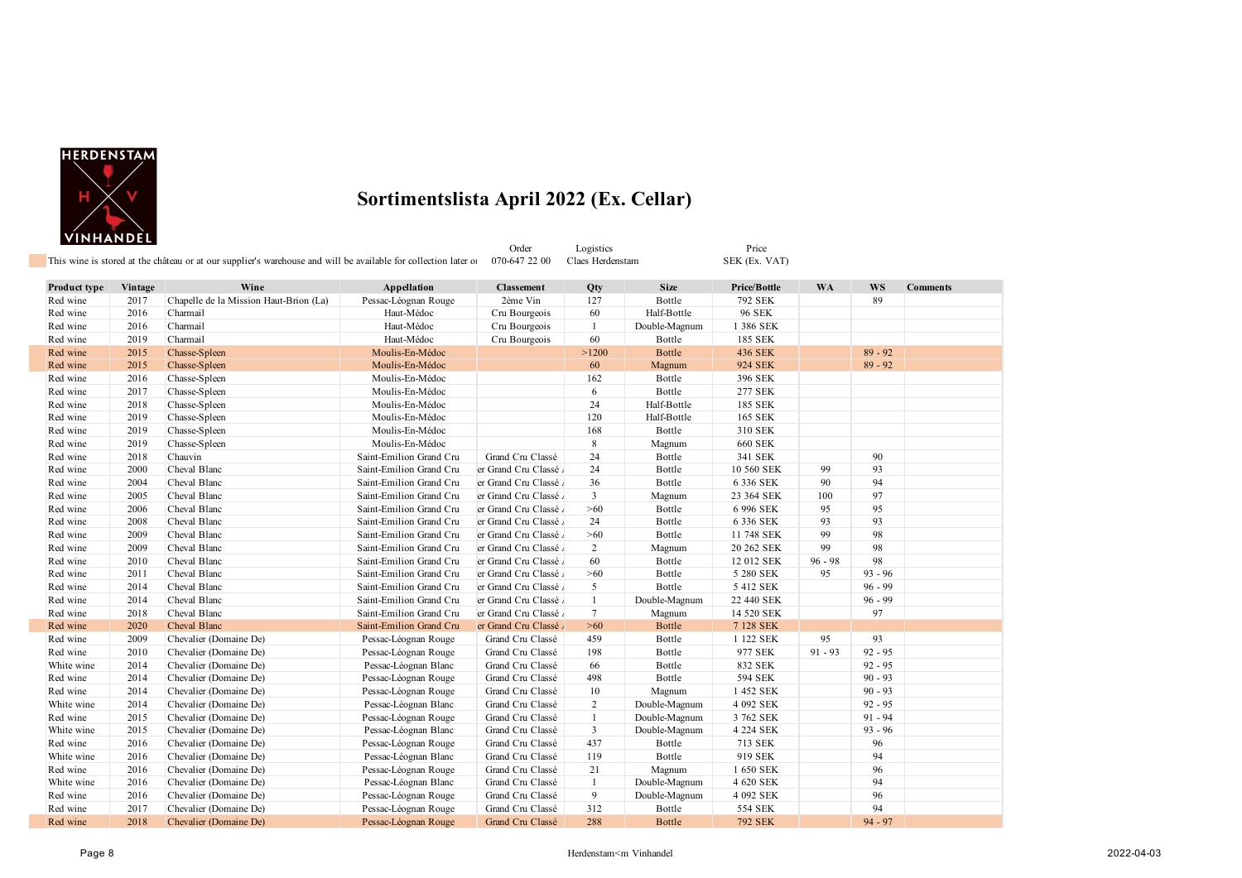

#### **Sortimentslista April 2022 (Ex. Cellar)**

| VINHANDEL    |         | This wine is stored at the château or at our supplier's warehouse and will be available for collection later of |                         | Order<br>070-647 22 00 | Logistics<br>Claes Herdenstam |               | Price<br>SEK (Ex. VAT) |           |           |                 |
|--------------|---------|-----------------------------------------------------------------------------------------------------------------|-------------------------|------------------------|-------------------------------|---------------|------------------------|-----------|-----------|-----------------|
| Product type | Vintage | Wine                                                                                                            | Appellation             | <b>Classement</b>      | Qty                           | <b>Size</b>   | Price/Bottle           | <b>WA</b> | <b>WS</b> | <b>Comments</b> |
| Red wine     | 2017    | Chapelle de la Mission Haut-Brion (La)                                                                          | Pessac-Léognan Rouge    | 2ème Vin               | 127                           | Bottle        | 792 SEK                |           | 89        |                 |
| Red wine     | 2016    | Charmail                                                                                                        | Haut-Médoc              | Cru Bourgeois          | 60                            | Half-Bottle   | <b>96 SEK</b>          |           |           |                 |
| Red wine     | 2016    | Charmail                                                                                                        | Haut-Médoc              | Cru Bourgeois          | 1                             | Double-Magnum | 1 386 SEK              |           |           |                 |
| Red wine     | 2019    | Charmail                                                                                                        | Haut-Médoc              | Cru Bourgeois          | 60                            | Bottle        | 185 SEK                |           |           |                 |
| Red wine     | 2015    | Chasse-Spleen                                                                                                   | Moulis-En-Médoc         |                        | >1200                         | <b>Bottle</b> | 436 SEK                |           | $89 - 92$ |                 |
| Red wine     | 2015    | Chasse-Spleen                                                                                                   | Moulis-En-Médoc         |                        | 60                            | Magnum        | 924 SEK                |           | $89 - 92$ |                 |
| Red wine     | 2016    | Chasse-Spleen                                                                                                   | Moulis-En-Médoc         |                        | 162                           | Bottle        | 396 SEK                |           |           |                 |
| Red wine     | 2017    | Chasse-Spleen                                                                                                   | Moulis-En-Médoc         |                        | 6                             | Bottle        | 277 SEK                |           |           |                 |
| Red wine     | 2018    | Chasse-Spleen                                                                                                   | Moulis-En-Médoc         |                        | 24                            | Half-Bottle   | 185 SEK                |           |           |                 |
| Red wine     | 2019    | Chasse-Spleen                                                                                                   | Moulis-En-Médoc         |                        | 120                           | Half-Bottle   | 165 SEK                |           |           |                 |
| Red wine     | 2019    | Chasse-Spleen                                                                                                   | Moulis-En-Médoc         |                        | 168                           | Bottle        | 310 SEK                |           |           |                 |
| Red wine     | 2019    | Chasse-Spleen                                                                                                   | Moulis-En-Médoc         |                        | 8                             | Magnum        | <b>660 SEK</b>         |           |           |                 |
| Red wine     | 2018    | Chauvin                                                                                                         | Saint-Emilion Grand Cru | Grand Cru Classé       | 24                            | Bottle        | 341 SEK                |           | 90        |                 |
| Red wine     | 2000    | Cheval Blanc                                                                                                    | Saint-Emilion Grand Cru | er Grand Cru Classé    | 24                            | Bottle        | 10 560 SEK             | 99        | 93        |                 |
| Red wine     | 2004    | Cheval Blanc                                                                                                    | Saint-Emilion Grand Cru | er Grand Cru Classé    | 36                            | Bottle        | 6 336 SEK              | 90        | 94        |                 |
| Red wine     | 2005    | Cheval Blanc                                                                                                    | Saint-Emilion Grand Cru | er Grand Cru Classé    | $\overline{3}$                | Magnum        | 23 364 SEK             | 100       | 97        |                 |
| Red wine     | 2006    | Cheval Blanc                                                                                                    | Saint-Emilion Grand Cru | er Grand Cru Classé    | $>60$                         | Bottle        | 6 996 SEK              | 95        | 95        |                 |
| Red wine     | 2008    | Cheval Blanc                                                                                                    | Saint-Emilion Grand Cru | er Grand Cru Classé    | 24                            | Bottle        | 6 336 SEK              | 93        | 93        |                 |
| Red wine     | 2009    | Cheval Blanc                                                                                                    | Saint-Emilion Grand Cru | er Grand Cru Classé    | $>60$                         | Bottle        | 11 748 SEK             | 99        | 98        |                 |
| Red wine     | 2009    | Cheval Blanc                                                                                                    | Saint-Emilion Grand Cru | er Grand Cru Classé    | 2                             | Magnum        | 20 262 SEK             | 99        | 98        |                 |
| Red wine     | 2010    | Cheval Blanc                                                                                                    | Saint-Emilion Grand Cru | er Grand Cru Classé    | 60                            | Bottle        | 12 012 SEK             | $96 - 98$ | 98        |                 |
| Red wine     | 2011    | Cheval Blanc                                                                                                    | Saint-Emilion Grand Cru | er Grand Cru Classé    | >60                           | Bottle        | 5 280 SEK              | 95        | $93 - 96$ |                 |
| Red wine     | 2014    | Cheval Blanc                                                                                                    | Saint-Emilion Grand Cru | er Grand Cru Classé    | 5                             | Bottle        | 5 412 SEK              |           | $96 - 99$ |                 |
| Red wine     | 2014    | Cheval Blanc                                                                                                    | Saint-Emilion Grand Cru | er Grand Cru Classé    | $\mathbf{1}$                  | Double-Magnum | 22 440 SEK             |           | $96 - 99$ |                 |
| Red wine     | 2018    | Cheval Blanc                                                                                                    | Saint-Emilion Grand Cru | er Grand Cru Classé    | $7\phantom{.0}$               | Magnum        | 14 520 SEK             |           | 97        |                 |
| Red wine     | 2020    | Cheval Blanc                                                                                                    | Saint-Emilion Grand Cru | er Grand Cru Classé    | $>60$                         | <b>Bottle</b> | 7 128 SEK              |           |           |                 |
| Red wine     | 2009    | Chevalier (Domaine De)                                                                                          | Pessac-Léognan Rouge    | Grand Cru Classé       | 459                           | Bottle        | 1 122 SEK              | 95        | 93        |                 |
| Red wine     | 2010    | Chevalier (Domaine De)                                                                                          | Pessac-Léognan Rouge    | Grand Cru Classé       | 198                           | Bottle        | 977 SEK                | $91 - 93$ | $92 - 95$ |                 |
| White wine   | 2014    | Chevalier (Domaine De)                                                                                          | Pessac-Léognan Blanc    | Grand Cru Classé       | 66                            | Bottle        | 832 SEK                |           | $92 - 95$ |                 |
| Red wine     | 2014    | Chevalier (Domaine De)                                                                                          | Pessac-Léognan Rouge    | Grand Cru Classé       | 498                           | Bottle        | 594 SEK                |           | $90 - 93$ |                 |
| Red wine     | 2014    | Chevalier (Domaine De)                                                                                          | Pessac-Léognan Rouge    | Grand Cru Classé       | 10                            | Magnum        | 1 452 SEK              |           | $90 - 93$ |                 |
| White wine   | 2014    | Chevalier (Domaine De)                                                                                          | Pessac-Léognan Blanc    | Grand Cru Classé       | 2                             | Double-Magnum | 4 092 SEK              |           | $92 - 95$ |                 |
| Red wine     | 2015    | Chevalier (Domaine De)                                                                                          | Pessac-Léognan Rouge    | Grand Cru Classé       | 1                             | Double-Magnum | 3 762 SEK              |           | $91 - 94$ |                 |
| White wine   | 2015    | Chevalier (Domaine De)                                                                                          | Pessac-Léognan Blanc    | Grand Cru Classé       | 3                             | Double-Magnum | 4 224 SEK              |           | $93 - 96$ |                 |
| Red wine     | 2016    | Chevalier (Domaine De)                                                                                          | Pessac-Léognan Rouge    | Grand Cru Classé       | 437                           | Bottle        | 713 SEK                |           | 96        |                 |
| White wine   | 2016    | Chevalier (Domaine De)                                                                                          | Pessac-Léognan Blanc    | Grand Cru Classé       | 119                           | Bottle        | 919 SEK                |           | 94        |                 |
| Red wine     | 2016    | Chevalier (Domaine De)                                                                                          | Pessac-Léognan Rouge    | Grand Cru Classé       | 21                            | Magnum        | 1 650 SEK              |           | 96        |                 |
| White wine   | 2016    | Chevalier (Domaine De)                                                                                          | Pessac-Léognan Blanc    | Grand Cru Classé       | 1                             | Double-Magnum | 4 620 SEK              |           | 94        |                 |

Red wine 2016 Chevalier (Domaine De) Pessac-Léognan Rouge Grand Cru Classé 9 Double-Magnum 4 092 SEK 96 Red wine 2017 Chevalier (Domaine De) Pessac-Léognan Rouge Grand Cru Classé 312 Bottle 554 SEK 94 94<br>1929 Red wine 2018 Chevalier (Domaine De) Pessac-Léognan Rouge Grand Cru Classé 288 Bottle 792 SEK 94 - 97

**Chevalier (Domaine De)**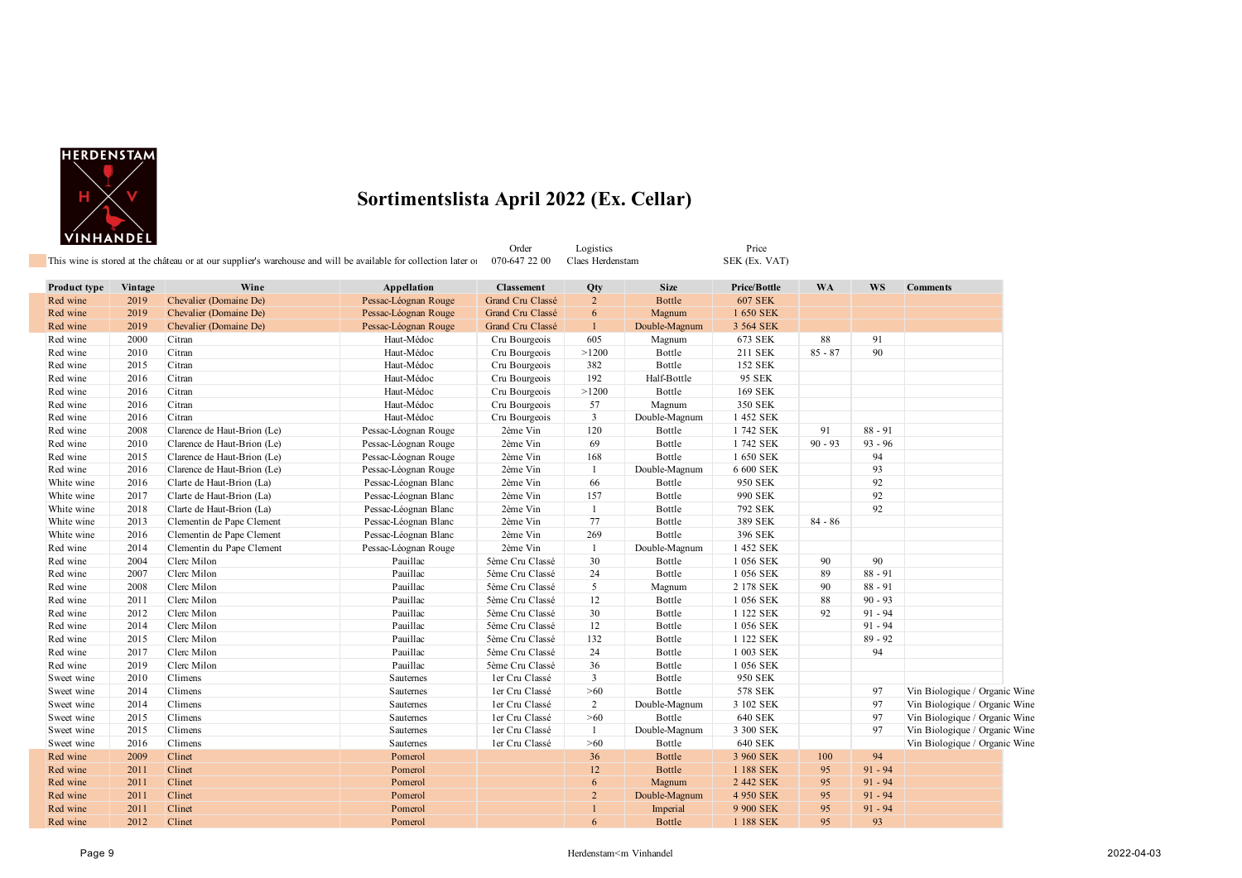

П

#### **Sortimentslista April 2022 (Ex. Cellar)**

|                     |         | This wine is stored at the château or at our supplier's warehouse and will be available for collection later of |                      | 070-647 22 00     | Claes Herdenstam |               | SEK (Ex. VAT)  |           |           |                 |
|---------------------|---------|-----------------------------------------------------------------------------------------------------------------|----------------------|-------------------|------------------|---------------|----------------|-----------|-----------|-----------------|
| <b>Product type</b> | Vintage | Wine                                                                                                            | Appellation          | <b>Classement</b> | Qty              | <b>Size</b>   | Price/Bottle   | <b>WA</b> | <b>WS</b> | <b>Comments</b> |
| Red wine            | 2019    | Chevalier (Domaine De)                                                                                          | Pessac-Léognan Rouge | Grand Cru Classé  | $\overline{2}$   | Bottle        | <b>607 SEK</b> |           |           |                 |
| Red wine            | 2019    | Chevalier (Domaine De)                                                                                          | Pessac-Léognan Rouge | Grand Cru Classé  | 6                | Magnum        | 1 650 SEK      |           |           |                 |
| Red wine            | 2019    | Chevalier (Domaine De)                                                                                          | Pessac-Léognan Rouge | Grand Cru Classé  |                  | Double-Magnum | 3 564 SEK      |           |           |                 |
| Red wine            | 2000    | Citran                                                                                                          | Haut-Médoc           | Cru Bourgeois     | 605              | Magnum        | 673 SEK        | 88        | 91        |                 |
| Red wine            | 2010    | Citran                                                                                                          | Haut-Médoc           | Cru Bourgeois     | >1200            | Bottle        | 211 SEK        | $85 - 87$ | 90        |                 |
| Red wine            | 2015    | Citran                                                                                                          | Haut-Médoc           | Cru Bourgeois     | 382              | Bottle        | 152 SEK        |           |           |                 |
| Red wine            | 2016    | Citran                                                                                                          | Haut-Médoc           | Cru Bourgeois     | 192              | Half-Bottle   | 95 SEK         |           |           |                 |
| Red wine            | 2016    | Citran                                                                                                          | Haut-Médoc           | Cru Bourgeois     | >1200            | Bottle        | 169 SEK        |           |           |                 |
| Red wine            | 2016    | Citran                                                                                                          | Haut-Médoc           | Cru Bourgeois     | 57               | Magnum        | 350 SEK        |           |           |                 |
| Red wine            | 2016    | Citran                                                                                                          | Haut-Médoc           | Cru Bourgeois     | 3                | Double-Magnum | 1 452 SEK      |           |           |                 |
| Red wine            | 2008    | Clarence de Haut-Brion (Le)                                                                                     | Pessac-Léognan Rouge | 2ème Vin          | 120              | Bottle        | 1742 SEK       | 91        | $88 - 91$ |                 |
| Red wine            | 2010    | Clarence de Haut-Brion (Le)                                                                                     | Pessac-Léognan Rouge | 2ème Vin          | 69               | Bottle        | 1 742 SEK      | $90 - 93$ | $93 - 96$ |                 |
| Red wine            | 2015    | Clarence de Haut-Brion (Le)                                                                                     | Pessac-Léognan Rouge | 2ème Vin          | 168              | Bottle        | 1 650 SEK      |           | 94        |                 |
| Red wine            | 2016    | Clarence de Haut-Brion (Le)                                                                                     | Pessac-Léognan Rouge | 2ème Vin          |                  | Double-Magnum | 6 600 SEK      |           | 93        |                 |
| White wine          | 2016    | Clarte de Haut-Brion (La)                                                                                       | Pessac-Léognan Blanc | 2ème Vin          | 66               | Bottle        | 950 SEK        |           | 92        |                 |
| White wine          | 2017    | Clarte de Haut-Brion (La)                                                                                       | Pessac-Léognan Blanc | 2ème Vin          | 157              | Bottle        | 990 SEK        |           | 92        |                 |
| White wine          | 2018    | Clarte de Haut-Brion (La)                                                                                       | Pessac-Léognan Blanc | 2ème Vin          |                  | Bottle        | 792 SEK        |           | 92        |                 |
| White wine          | 2013    | Clementin de Pape Clement                                                                                       | Pessac-Léognan Blanc | 2ème Vin          | 77               | Bottle        | 389 SEK        | $84 - 86$ |           |                 |
| White wine          | 2016    | Clementin de Pape Clement                                                                                       | Pessac-Léognan Blanc | 2ème Vin          | 269              | Bottle        | 396 SEK        |           |           |                 |
| Red wine            | 2014    | Clementin du Pape Clement                                                                                       | Pessac-Léognan Rouge | 2ème Vin          |                  | Double-Magnum | 1 452 SEK      |           |           |                 |
| Red wine            | 2004    | Clerc Milon                                                                                                     | Pauillac             | 5ème Cru Classé   | 30               | Bottle        | 1 056 SEK      | 90        | 90        |                 |
| Red wine            | 2007    | Clerc Milon                                                                                                     | Pauillac             | 5ème Cru Classé   | 24               | Bottle        | 1 056 SEK      | 89        | $88 - 91$ |                 |
| Red wine            | 2008    | Clerc Milon                                                                                                     | Pauillac             | 5ème Cru Classé   | 5                | Magnum        | 2 178 SEK      | 90        | $88 - 91$ |                 |
| Red wine            | 2011    | Clerc Milon                                                                                                     | Pauillac             | 5ème Cru Classé   | 12               | Bottle        | 1 056 SEK      | 88        | $90 - 93$ |                 |
|                     |         |                                                                                                                 |                      |                   |                  |               |                |           |           |                 |

| White wine | 2016 | Clementin de Pape Clement | Pessac-Léognan Blanc | 2ème Vin        | 269               | Bottle        | 396 SEK   |     |           |                               |
|------------|------|---------------------------|----------------------|-----------------|-------------------|---------------|-----------|-----|-----------|-------------------------------|
| Red wine   | 2014 | Clementin du Pape Clement | Pessac-Léognan Rouge | 2ème Vin        |                   | Double-Magnum | 1 452 SEK |     |           |                               |
| Red wine   | 2004 | Clerc Milon               | Pauillac             | 5ème Cru Classé | 30                | Bottle        | 1 056 SEK | 90  | 90        |                               |
| Red wine   | 2007 | Clerc Milon               | Pauillac             | 5ème Cru Classé | 24                | Bottle        | 1 056 SEK | 89  | $88 - 91$ |                               |
| Red wine   | 2008 | Clerc Milon               | Pauillac             | 5ème Cru Classé | 5                 | Magnum        | 2 178 SEK | 90  | $88 - 91$ |                               |
| Red wine   | 2011 | Clerc Milon               | Pauillac             | 5ème Cru Classé | $12 \overline{ }$ | Bottle        | 1 056 SEK | 88  | $90 - 93$ |                               |
| Red wine   | 2012 | Clerc Milon               | Pauillac             | 5ème Cru Classé | 30                | Bottle        | 1 122 SEK | 92  | $91 - 94$ |                               |
| Red wine   | 2014 | Clerc Milon               | Pauillac             | 5ème Cru Classé | $12 \overline{ }$ | Bottle        | 1 056 SEK |     | $91 - 94$ |                               |
| Red wine   | 2015 | Clerc Milon               | Pauillac             | 5ème Cru Classé | 132               | Bottle        | 1 122 SEK |     | $89 - 92$ |                               |
| Red wine   | 2017 | Clerc Milon               | Pauillac             | 5ème Cru Classé | 24                | Bottle        | 003 SEK   |     | 94        |                               |
| Red wine   | 2019 | Clerc Milon               | Pauillac             | 5ème Cru Classé | 36                | Bottle        | 1 056 SEK |     |           |                               |
| Sweet wine | 2010 | Climens                   | Sauternes            | ler Cru Classé  | 3                 | Bottle        | 950 SEK   |     |           |                               |
| Sweet wine | 2014 | Climens                   | Sauternes            | ler Cru Classé  | >60               | Bottle        | 578 SEK   |     | 97        | Vin Biologique / Organic Wine |
| Sweet wine | 2014 | Climens                   | Sauternes            | ler Cru Classé  | $\overline{2}$    | Double-Magnum | 3 102 SEK |     | 97        | Vin Biologique / Organic Wine |
| Sweet wine | 2015 | Climens                   | Sauternes            | ler Cru Classé  | >60               | Bottle        | 640 SEK   |     | 97        | Vin Biologique / Organic Wine |
| Sweet wine | 2015 | Climens                   | Sauternes            | ler Cru Classé  |                   | Double-Magnum | 3 300 SEK |     | 97        | Vin Biologique / Organic Wine |
| Sweet wine | 2016 | Climens                   | Sauternes            | ler Cru Classé  | >60               | Bottle        | 640 SEK   |     |           | Vin Biologique / Organic Wine |
| Red wine   | 2009 | Clinet                    | Pomerol              |                 | 36                | Bottle        | 3 960 SEK | 100 | 94        |                               |
| Red wine   | 2011 | Clinet                    | Pomerol              |                 | 12                | Bottle        | 1 188 SEK | 95  | $91 - 94$ |                               |
| Red wine   | 2011 | Clinet                    | Pomerol              |                 | 6                 | Magnum        | 2 442 SEK | 95  | $91 - 94$ |                               |
| Red wine   | 2011 | Clinet                    | Pomerol              |                 |                   | Double-Magnum | 4 950 SEK | 95  | $91 - 94$ |                               |
| Red wine   | 2011 | <b>Clinet</b>             | Pomerol              |                 |                   | Imperial      | 9 900 SEK | 95  | $91 - 94$ |                               |
|            |      |                           |                      |                 |                   |               |           |     |           |                               |

Red wine 2012 Clinet 2002 Clinet Clinet Clinet Archives and Democratic Pomerol 2007 10 Bottle 1 188 SEK 95 93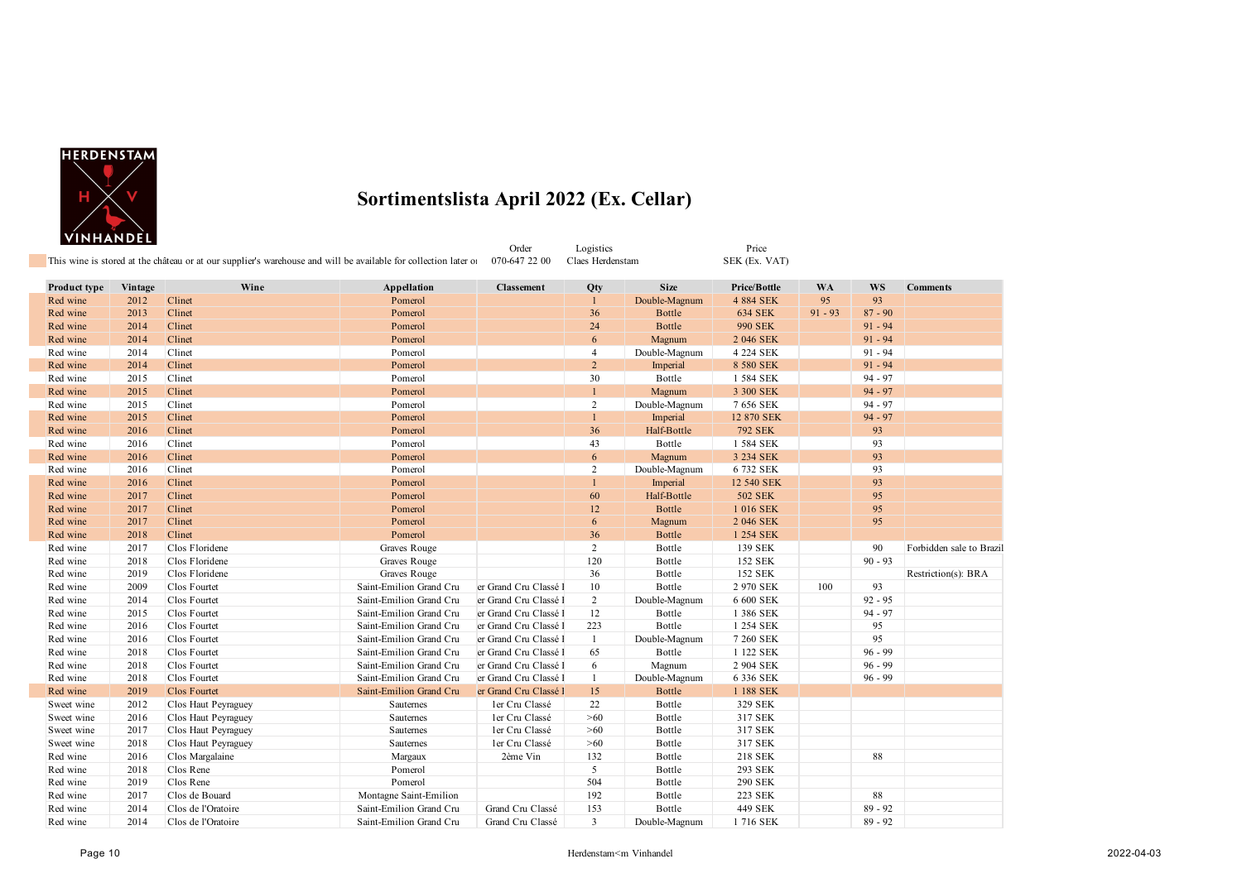

Order Logistics Price

| Product type | Vintage | Wine                | Appellation             | <b>Classement</b>     | Qty            | <b>Size</b>   | <b>Price/Bottle</b> | <b>WA</b> | WS        | <b>Comments</b>          |
|--------------|---------|---------------------|-------------------------|-----------------------|----------------|---------------|---------------------|-----------|-----------|--------------------------|
| Red wine     | 2012    | Clinet              | Pomerol                 |                       | $\mathbf{1}$   | Double-Magnum | 4 884 SEK           | 95        | 93        |                          |
| Red wine     | 2013    | Clinet              | Pomerol                 |                       | 36             | <b>Bottle</b> | <b>634 SEK</b>      | $91 - 93$ | $87 - 90$ |                          |
| Red wine     | 2014    | Clinet              | Pomerol                 |                       | 24             | Bottle        | <b>990 SEK</b>      |           | $91 - 94$ |                          |
| Red wine     | 2014    | Clinet              | Pomerol                 |                       | 6              | Magnum        | 2 046 SEK           |           | $91 - 94$ |                          |
| Red wine     | 2014    | Clinet              | Pomerol                 |                       | $\overline{4}$ | Double-Magnum | 4 224 SEK           |           | $91 - 94$ |                          |
| Red wine     | 2014    | Clinet              | Pomerol                 |                       | $\overline{2}$ | Imperial      | 8 580 SEK           |           | $91 - 94$ |                          |
| Red wine     | 2015    | Clinet              | Pomerol                 |                       | 30             | Bottle        | 1 584 SEK           |           | $94 - 97$ |                          |
| Red wine     | 2015    | Clinet              | Pomerol                 |                       | $\mathbf{1}$   | Magnum        | 3 300 SEK           |           | $94 - 97$ |                          |
| Red wine     | 2015    | Clinet              | Pomerol                 |                       | $\overline{c}$ | Double-Magnum | 7 656 SEK           |           | $94 - 97$ |                          |
| Red wine     | 2015    | Clinet              | Pomerol                 |                       | $\mathbf{1}$   | Imperial      | 12 870 SEK          |           | $94 - 97$ |                          |
| Red wine     | 2016    | Clinet              | Pomerol                 |                       | 36             | Half-Bottle   | <b>792 SEK</b>      |           | 93        |                          |
| Red wine     | 2016    | Clinet              | Pomerol                 |                       | 43             | Bottle        | 1 584 SEK           |           | 93        |                          |
| Red wine     | 2016    | Clinet              | Pomerol                 |                       | 6              | Magnum        | 3 234 SEK           |           | 93        |                          |
| Red wine     | 2016    | Clinet              | Pomerol                 |                       | 2              | Double-Magnum | 6 732 SEK           |           | 93        |                          |
| Red wine     | 2016    | Clinet              | Pomerol                 |                       |                | Imperial      | 12 540 SEK          |           | 93        |                          |
| Red wine     | 2017    | Clinet              | Pomerol                 |                       | 60             | Half-Bottle   | <b>502 SEK</b>      |           | 95        |                          |
| Red wine     | 2017    | Clinet              | Pomerol                 |                       | 12             | <b>Bottle</b> | 1 016 SEK           |           | 95        |                          |
| Red wine     | 2017    | Clinet              | Pomerol                 |                       | 6              | Magnum        | 2 046 SEK           |           | 95        |                          |
| Red wine     | 2018    | Clinet              | Pomerol                 |                       | 36             | <b>Bottle</b> | 1 254 SEK           |           |           |                          |
| Red wine     | 2017    | Clos Floridene      | Graves Rouge            |                       | $\overline{2}$ | Bottle        | 139 SEK             |           | 90        | Forbidden sale to Brazil |
| Red wine     | 2018    | Clos Floridene      | Graves Rouge            |                       | 120            | Bottle        | 152 SEK             |           | $90 - 93$ |                          |
| Red wine     | 2019    | Clos Floridene      | Graves Rouge            |                       | 36             | Bottle        | 152 SEK             |           |           | Restriction(s): BRA      |
| Red wine     | 2009    | Clos Fourtet        | Saint-Emilion Grand Cru | er Grand Cru Classé l | 10             | Bottle        | 2 970 SEK           | 100       | 93        |                          |
| Red wine     | 2014    | Clos Fourtet        | Saint-Emilion Grand Cru | er Grand Cru Classé l | $\overline{2}$ | Double-Magnum | 6 600 SEK           |           | $92 - 95$ |                          |
| Red wine     | 2015    | Clos Fourtet        | Saint-Emilion Grand Cru | er Grand Cru Classé l | 12             | Bottle        | 1 386 SEK           |           | $94 - 97$ |                          |
| Red wine     | 2016    | Clos Fourtet        | Saint-Emilion Grand Cru | er Grand Cru Classé l | 223            | Bottle        | 1 254 SEK           |           | 95        |                          |
| Red wine     | 2016    | Clos Fourtet        | Saint-Emilion Grand Cru | er Grand Cru Classé l | -1             | Double-Magnum | 7 260 SEK           |           | 95        |                          |
| Red wine     | 2018    | Clos Fourtet        | Saint-Emilion Grand Cru | er Grand Cru Classé I | 65             | Bottle        | 1 122 SEK           |           | $96 - 99$ |                          |
| Red wine     | 2018    | Clos Fourtet        | Saint-Emilion Grand Cru | er Grand Cru Classé l | 6              | Magnum        | 2 904 SEK           |           | $96 - 99$ |                          |
| Red wine     | 2018    | Clos Fourtet        | Saint-Emilion Grand Cru | er Grand Cru Classé l | 1              | Double-Magnum | 6 336 SEK           |           | $96 - 99$ |                          |
| Red wine     | 2019    | Clos Fourtet        | Saint-Emilion Grand Cru | er Grand Cru Classé l | 15             | <b>Bottle</b> | 1 188 SEK           |           |           |                          |
| Sweet wine   | 2012    | Clos Haut Peyraguey | Sauternes               | ler Cru Classé        | 22             | Bottle        | 329 SEK             |           |           |                          |
| Sweet wine   | 2016    | Clos Haut Peyraguey | Sauternes               | ler Cru Classé        | >60            | Bottle        | 317 SEK             |           |           |                          |
| Sweet wine   | 2017    | Clos Haut Peyraguey | Sauternes               | ler Cru Classé        | >60            | Bottle        | 317 SEK             |           |           |                          |
| Sweet wine   | 2018    | Clos Haut Peyraguey | Sauternes               | ler Cru Classé        | >60            | Bottle        | 317 SEK             |           |           |                          |
| Red wine     | 2016    | Clos Margalaine     | Margaux                 | 2ème Vin              | 132            | Bottle        | 218 SEK             |           | 88        |                          |
| Red wine     | 2018    | Clos Rene           | Pomerol                 |                       | 5              | Bottle        | 293 SEK             |           |           |                          |
| Red wine     | 2019    | Clos Rene           | Pomerol                 |                       | 504            | Bottle        | 290 SEK             |           |           |                          |
| Red wine     | 2017    | Clos de Bouard      | Montagne Saint-Emilion  |                       | 192            | Bottle        | 223 SEK             |           | 88        |                          |
| Red wine     | 2014    | Clos de l'Oratoire  | Saint-Emilion Grand Cru | Grand Cru Classé      | 153            | Bottle        | 449 SEK             |           | $89 - 92$ |                          |
| Red wine     | 2014    | Clos de l'Oratoire  | Saint-Emilion Grand Cru | Grand Cru Classé      | 3              | Double-Magnum | 1716 SEK            |           | $89 - 92$ |                          |
|              |         |                     |                         |                       |                |               |                     |           |           |                          |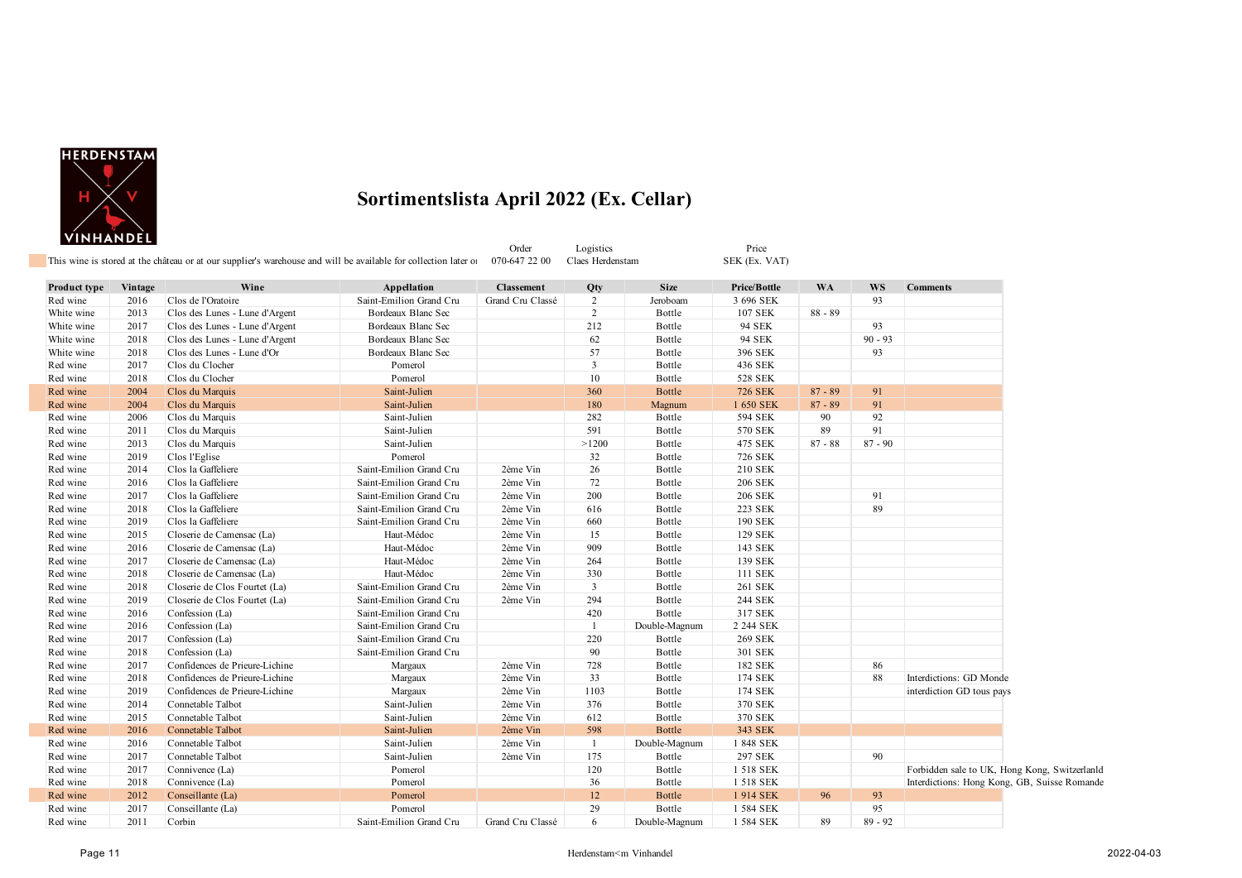

 $\mathbb{R}^n$ 

| I VINHANDEL I                                                                                                                                  | Order | Logistics | $P$ rice      |
|------------------------------------------------------------------------------------------------------------------------------------------------|-------|-----------|---------------|
| This wine is stored at the château or at our supplier's warehouse and will be available for collection later of 070-647 22 00 Claes Herdenstam |       |           | SEK (Ex. VAT) |

| Product type | Vintage | Wine                           | Appellation             | <b>Classement</b> | Qty            | <b>Size</b>   | <b>Price/Bottle</b> | <b>WA</b> | <b>WS</b> | <b>Comments</b>                               |
|--------------|---------|--------------------------------|-------------------------|-------------------|----------------|---------------|---------------------|-----------|-----------|-----------------------------------------------|
| Red wine     | 2016    | Clos de l'Oratoire             | Saint-Emilion Grand Cru | Grand Cru Classé  | 2              | Jeroboam      | 3 696 SEK           |           | 93        |                                               |
| White wine   | 2013    | Clos des Lunes - Lune d'Argent | Bordeaux Blanc Sec      |                   | 2              | Bottle        | 107 SEK             | $88 - 89$ |           |                                               |
| White wine   | 2017    | Clos des Lunes - Lune d'Argent | Bordeaux Blanc Sec      |                   | 212            | Bottle        | 94 SEK              |           | 93        |                                               |
| White wine   | 2018    | Clos des Lunes - Lune d'Argent | Bordeaux Blanc Sec      |                   | 62             | Bottle        | 94 SEK              |           | $90 - 93$ |                                               |
| White wine   | 2018    | Clos des Lunes - Lune d'Or     | Bordeaux Blanc Sec      |                   | 57             | Bottle        | 396 SEK             |           | 93        |                                               |
| Red wine     | 2017    | Clos du Clocher                | Pomerol                 |                   | $\overline{3}$ | Bottle        | 436 SEK             |           |           |                                               |
| Red wine     | 2018    | Clos du Clocher                | Pomerol                 |                   | 10             | Bottle        | 528 SEK             |           |           |                                               |
| Red wine     | 2004    | Clos du Marquis                | Saint-Julien            |                   | 360            | Bottle        | <b>726 SEK</b>      | $87 - 89$ | 91        |                                               |
| Red wine     | 2004    | Clos du Marquis                | Saint-Julien            |                   | 180            | Magnum        | 1 650 SEK           | $87 - 89$ | 91        |                                               |
| Red wine     | 2006    | Clos du Marquis                | Saint-Julien            |                   | 282            | Bottle        | 594 SEK             | 90        | 92        |                                               |
| Red wine     | 2011    | Clos du Marquis                | Saint-Julien            |                   | 591            | Bottle        | 570 SEK             | 89        | 91        |                                               |
| Red wine     | 2013    | Clos du Marquis                | Saint-Julien            |                   | >1200          | Bottle        | 475 SEK             | $87 - 88$ | $87 - 90$ |                                               |
| Red wine     | 2019    | Clos l'Eglise                  | Pomerol                 |                   | 32             | Bottle        | 726 SEK             |           |           |                                               |
| Red wine     | 2014    | Clos la Gaffeliere             | Saint-Emilion Grand Cru | 2ème Vin          | 26             | Bottle        | 210 SEK             |           |           |                                               |
| Red wine     | 2016    | Clos la Gaffeliere             | Saint-Emilion Grand Cru | 2ème Vin          | 72             | Bottle        | <b>206 SEK</b>      |           |           |                                               |
| Red wine     | 2017    | Clos la Gaffeliere             | Saint-Emilion Grand Cru | 2ème Vin          | 200            | Bottle        | <b>206 SEK</b>      |           | 91        |                                               |
| Red wine     | 2018    | Clos la Gaffeliere             | Saint-Emilion Grand Cru | 2ème Vin          | 616            | Bottle        | 223 SEK             |           | 89        |                                               |
| Red wine     | 2019    | Clos la Gaffeliere             | Saint-Emilion Grand Cru | 2ème Vin          | 660            | Bottle        | 190 SEK             |           |           |                                               |
| Red wine     | 2015    | Closerie de Camensac (La)      | Haut-Médoc              | 2ème Vin          | 15             | Bottle        | 129 SEK             |           |           |                                               |
| Red wine     | 2016    | Closerie de Camensac (La)      | Haut-Médoc              | 2ème Vin          | 909            | Bottle        | 143 SEK             |           |           |                                               |
| Red wine     | 2017    | Closerie de Camensac (La)      | Haut-Médoc              | 2ème Vin          | 264            | Bottle        | 139 SEK             |           |           |                                               |
| Red wine     | 2018    | Closerie de Camensac (La)      | Haut-Médoc              | 2ème Vin          | 330            | Bottle        | 111 SEK             |           |           |                                               |
| Red wine     | 2018    | Closerie de Clos Fourtet (La)  | Saint-Emilion Grand Cru | 2ème Vin          | $\overline{3}$ | Bottle        | 261 SEK             |           |           |                                               |
| Red wine     | 2019    | Closerie de Clos Fourtet (La)  | Saint-Emilion Grand Cru | 2ème Vin          | 294            | Bottle        | 244 SEK             |           |           |                                               |
| Red wine     | 2016    | Confession (La)                | Saint-Emilion Grand Cru |                   | 420            | Bottle        | 317 SEK             |           |           |                                               |
| Red wine     | 2016    | Confession (La)                | Saint-Emilion Grand Cru |                   | $\overline{1}$ | Double-Magnum | 2 244 SEK           |           |           |                                               |
| Red wine     | 2017    | Confession (La)                | Saint-Emilion Grand Cru |                   | 220            | Bottle        | 269 SEK             |           |           |                                               |
| Red wine     | 2018    | Confession (La)                | Saint-Emilion Grand Cru |                   | 90             | Bottle        | 301 SEK             |           |           |                                               |
| Red wine     | 2017    | Confidences de Prieure-Lichine | Margaux                 | 2ème Vin          | 728            | Bottle        | 182 SEK             |           | 86        |                                               |
| Red wine     | 2018    | Confidences de Prieure-Lichine | Margaux                 | 2ème Vin          | 33             | Bottle        | 174 SEK             |           | 88        | Interdictions: GD Monde                       |
| Red wine     | 2019    | Confidences de Prieure-Lichine | Margaux                 | 2ème Vin          | 1103           | Bottle        | 174 SEK             |           |           | interdiction GD tous pays                     |
| Red wine     | 2014    | Connetable Talbot              | Saint-Julien            | 2ème Vin          | 376            | Bottle        | 370 SEK             |           |           |                                               |
| Red wine     | 2015    | Connetable Talbot              | Saint-Julien            | 2ème Vin          | 612            | Bottle        | 370 SEK             |           |           |                                               |
| Red wine     | 2016    | Connetable Talbot              | Saint-Julien            | 2ème Vin          | 598            | <b>Bottle</b> | 343 SEK             |           |           |                                               |
| Red wine     | 2016    | Connetable Talbot              | Saint-Julien            | 2ème Vin          | $\overline{1}$ | Double-Magnum | 1 848 SEK           |           |           |                                               |
| Red wine     | 2017    | Connetable Talbot              | Saint-Julien            | 2ème Vin          | 175            | Bottle        | 297 SEK             |           | 90        |                                               |
| Red wine     | 2017    | Connivence (La)                | Pomerol                 |                   | 120            | Bottle        | 1 518 SEK           |           |           | Forbidden sale to UK, Hong Kong, Switzerlanld |
| Red wine     | 2018    | Connivence (La)                | Pomerol                 |                   | 36             | Bottle        | 1 518 SEK           |           |           | Interdictions: Hong Kong, GB, Suisse Romande  |
| Red wine     | 2012    | Conseillante (La)              | Pomerol                 |                   | 12             | <b>Bottle</b> | 1914 SEK            | 96        | 93        |                                               |
| Red wine     | 2017    | Conseillante (La)              | Pomerol                 |                   | 29             | Bottle        | 1 584 SEK           |           | 95        |                                               |
| Red wine     | 2011    | Corbin                         | Saint-Emilion Grand Cru | Grand Cru Classé  | 6              | Double-Magnum | 1 584 SEK           | 89        | $89 - 92$ |                                               |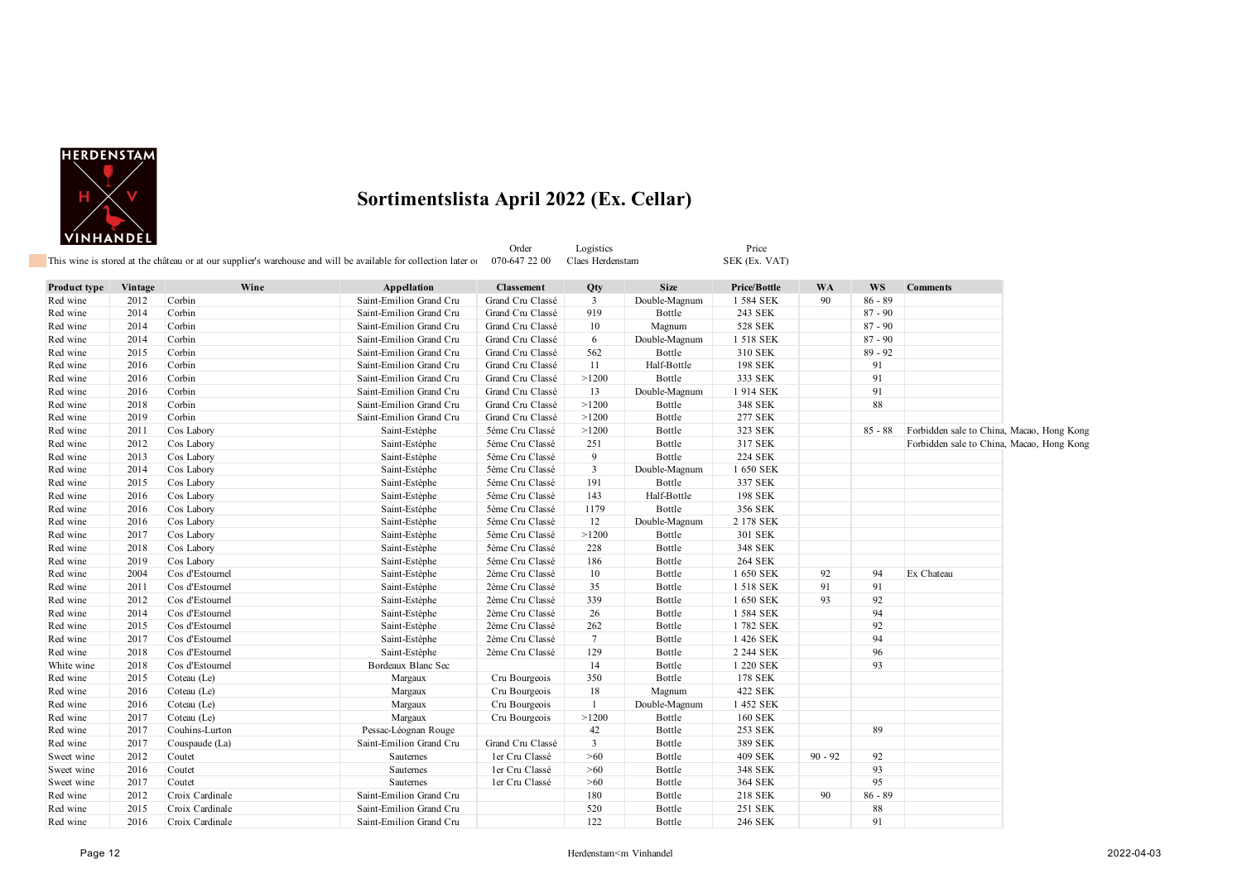

|              |         |                          | This wine is stored at the château or at our supplier's warehouse and will be available for collection later of | Order<br>070-647 22 00 | Logistics<br>Claes Herdenstam |               | Price<br>SEK (Ex. VAT) |           |           |                                           |  |
|--------------|---------|--------------------------|-----------------------------------------------------------------------------------------------------------------|------------------------|-------------------------------|---------------|------------------------|-----------|-----------|-------------------------------------------|--|
|              |         |                          |                                                                                                                 |                        |                               |               |                        |           |           |                                           |  |
| Product type | Vintage | Wine                     | Appellation                                                                                                     | <b>Classement</b>      | Qty                           | <b>Size</b>   | Price/Bottle           | <b>WA</b> | <b>WS</b> | <b>Comments</b>                           |  |
| Red wine     | 2012    | Corbin                   | Saint-Emilion Grand Cru                                                                                         | Grand Cru Classé       | $\mathbf{3}$                  | Double-Magnum | 1 584 SEK              | 90        | $86 - 89$ |                                           |  |
| Red wine     | 2014    | Corbin                   | Saint-Emilion Grand Cru                                                                                         | Grand Cru Classé       | 919                           | Bottle        | 243 SEK                |           | $87 - 90$ |                                           |  |
| Red wine     | 2014    | Corbin                   | Saint-Emilion Grand Cru                                                                                         | Grand Cru Classé       | 10                            | Magnum        | <b>528 SEK</b>         |           | $87 - 90$ |                                           |  |
| Red wine     | 2014    | Corbin                   | Saint-Emilion Grand Cru                                                                                         | Grand Cru Classé       | 6                             | Double-Magnum | 1 518 SEK              |           | $87 - 90$ |                                           |  |
| Red wine     | 2015    | Corbin                   | Saint-Emilion Grand Cru                                                                                         | Grand Cru Classé       | 562                           | Bottle        | 310 SEK                |           | $89 - 92$ |                                           |  |
| Red wine     | 2016    | Corbin                   | Saint-Emilion Grand Cru                                                                                         | Grand Cru Classé       | 11                            | Half-Bottle   | 198 SEK                |           | 91        |                                           |  |
| Red wine     | 2016    | Corbin                   | Saint-Emilion Grand Cru                                                                                         | Grand Cru Classé       | >1200                         | Bottle        | 333 SEK                |           | 91        |                                           |  |
| Red wine     | 2016    | Corbin                   | Saint-Emilion Grand Cru                                                                                         | Grand Cru Classé       | 13                            | Double-Magnum | 1914 SEK               |           | 91        |                                           |  |
| Red wine     | 2018    | Corbin                   | Saint-Emilion Grand Cru                                                                                         | Grand Cru Classé       | >1200                         | Bottle        | 348 SEK                |           | 88        |                                           |  |
| Red wine     | 2019    | Corbin                   | Saint-Emilion Grand Cru                                                                                         | Grand Cru Classé       | >1200                         | Bottle        | 277 SEK                |           |           |                                           |  |
| Red wine     | 2011    | Cos Labory               | Saint-Estèphe                                                                                                   | 5ème Cru Classé        | >1200                         | Bottle        | 323 SEK                |           | $85 - 88$ | Forbidden sale to China, Macao, Hong Kong |  |
| Red wine     | 2012    | Cos Labory               | Saint-Estèphe                                                                                                   | 5ème Cru Classé        | 251                           | Bottle        | 317 SEK                |           |           | Forbidden sale to China, Macao, Hong Kong |  |
| Red wine     | 2013    | Cos Labory               | Saint-Estèphe                                                                                                   | 5ème Cru Classé        | 9                             | Bottle        | <b>224 SEK</b>         |           |           |                                           |  |
| Red wine     | 2014    | Cos Labory               | Saint-Estèphe                                                                                                   | 5ème Cru Classé        | $\mathbf{3}$                  | Double-Magnum | 1 650 SEK              |           |           |                                           |  |
| Red wine     | 2015    | Cos Labory               | Saint-Estèphe                                                                                                   | 5ème Cru Classé        | 191                           | Bottle        | 337 SEK                |           |           |                                           |  |
| Red wine     | 2016    | Cos Labory               | Saint-Estèphe                                                                                                   | 5ème Cru Classé        | 143                           | Half-Bottle   | 198 SEK                |           |           |                                           |  |
| Red wine     | 2016    | Cos Labory               | Saint-Estèphe                                                                                                   | 5ème Cru Classé        | 1179                          | Bottle        | 356 SEK                |           |           |                                           |  |
| Red wine     | 2016    | Cos Labory               | Saint-Estèphe                                                                                                   | 5ème Cru Classé        | 12                            | Double-Magnum | 2 178 SEK              |           |           |                                           |  |
| Red wine     | 2017    | Cos Labory               | Saint-Estèphe                                                                                                   | 5ème Cru Classé        | >1200                         | Bottle        | 301 SEK                |           |           |                                           |  |
| Red wine     | 2018    | Cos Labory               | Saint-Estèphe                                                                                                   | 5ème Cru Classé        | 228                           | Bottle        | 348 SEK                |           |           |                                           |  |
| Red wine     | 2019    | Cos Labory               | Saint-Estèphe                                                                                                   | 5ème Cru Classé        | 186                           | Bottle        | <b>264 SEK</b>         |           |           |                                           |  |
| Red wine     | 2004    | Cos d'Estournel          | Saint-Estèphe                                                                                                   | 2ème Cru Classé        | 10                            | Bottle        | 1 650 SEK              | 92        | 94        | Ex Chateau                                |  |
| Red wine     | 2011    | Cos d'Estournel          | Saint-Estèphe                                                                                                   | 2ème Cru Classé        | 35                            | Bottle        | 1 518 SEK              | 91        | 91        |                                           |  |
| Red wine     | 2012    | Cos d'Estournel          | Saint-Estèphe                                                                                                   | 2ème Cru Classé        | 339                           | Bottle        | 1 650 SEK              | 93        | 92        |                                           |  |
| Red wine     | 2014    | Cos d'Estournel          | Saint-Estèphe                                                                                                   | 2ème Cru Classé        | 26                            | Bottle        | 1 584 SEK              |           | 94        |                                           |  |
| Red wine     | 2015    | Cos d'Estournel          | Saint-Estèphe                                                                                                   | 2ème Cru Classé        | 262                           | Bottle        | 1782 SEK               |           | 92        |                                           |  |
| Red wine     | 2017    | Cos d'Estournel          | Saint-Estèphe                                                                                                   | 2ème Cru Classé        | $7\phantom{.0}$               | Bottle        | 1 426 SEK              |           | 94        |                                           |  |
| Red wine     | 2018    | Cos d'Estournel          | Saint-Estèphe                                                                                                   | 2ème Cru Classé        | 129                           | Bottle        | 2 244 SEK              |           | 96        |                                           |  |
| White wine   | 2018    | Cos d'Estournel          | Bordeaux Blanc Sec                                                                                              |                        | 14                            | Bottle        | 1 220 SEK              |           | 93        |                                           |  |
| Red wine     | 2015    | Coteau (Le)              | Margaux                                                                                                         | Cru Bourgeois          | 350                           | Bottle        | 178 SEK                |           |           |                                           |  |
| Red wine     | 2016    | Coteau (Le)              | Margaux                                                                                                         | Cru Bourgeois          | 18                            | Magnum        | 422 SEK                |           |           |                                           |  |
| Red wine     | 2016    | Coteau (Le)              | Margaux                                                                                                         | Cru Bourgeois          | $\mathbf{1}$                  | Double-Magnum | 1 452 SEK              |           |           |                                           |  |
| Red wine     | 2017    | Coteau (Le)              | Margaux                                                                                                         | Cru Bourgeois          | >1200                         | Bottle        | <b>160 SEK</b>         |           |           |                                           |  |
| Red wine     | 2017    | Couhins-Lurton           | Pessac-Léognan Rouge                                                                                            |                        | 42                            | Bottle        | 253 SEK                |           | 89        |                                           |  |
| Red wine     | 2017    |                          | Saint-Emilion Grand Cru                                                                                         | Grand Cru Classé       | 3                             | Bottle        | 389 SEK                |           |           |                                           |  |
|              | 2012    | Couspaude (La)<br>Coutet | Sauternes                                                                                                       | ler Cru Classé         | $>60$                         | Bottle        | 409 SEK                | $90 - 92$ | 92        |                                           |  |
| Sweet wine   | 2016    |                          |                                                                                                                 |                        |                               |               |                        |           |           |                                           |  |
| Sweet wine   |         | Coutet                   | Sauternes                                                                                                       | ler Cru Classé         | >60                           | Bottle        | 348 SEK                |           | 93<br>95  |                                           |  |
| Sweet wine   | 2017    | Coutet                   | Sauternes                                                                                                       | ler Cru Classé         | >60                           | Bottle        | 364 SEK                |           |           |                                           |  |
| Red wine     | 2012    | Croix Cardinale          | Saint-Emilion Grand Cru                                                                                         |                        | 180                           | Bottle        | 218 SEK                | 90        | $86 - 89$ |                                           |  |
| Red wine     | 2015    | Croix Cardinale          | Saint-Emilion Grand Cru                                                                                         |                        | 520                           | Bottle        | 251 SEK                |           | 88        |                                           |  |
| Red wine     | 2016    | Croix Cardinale          | Saint-Emilion Grand Cru                                                                                         |                        | 122                           | Bottle        | 246 SEK                |           | 91        |                                           |  |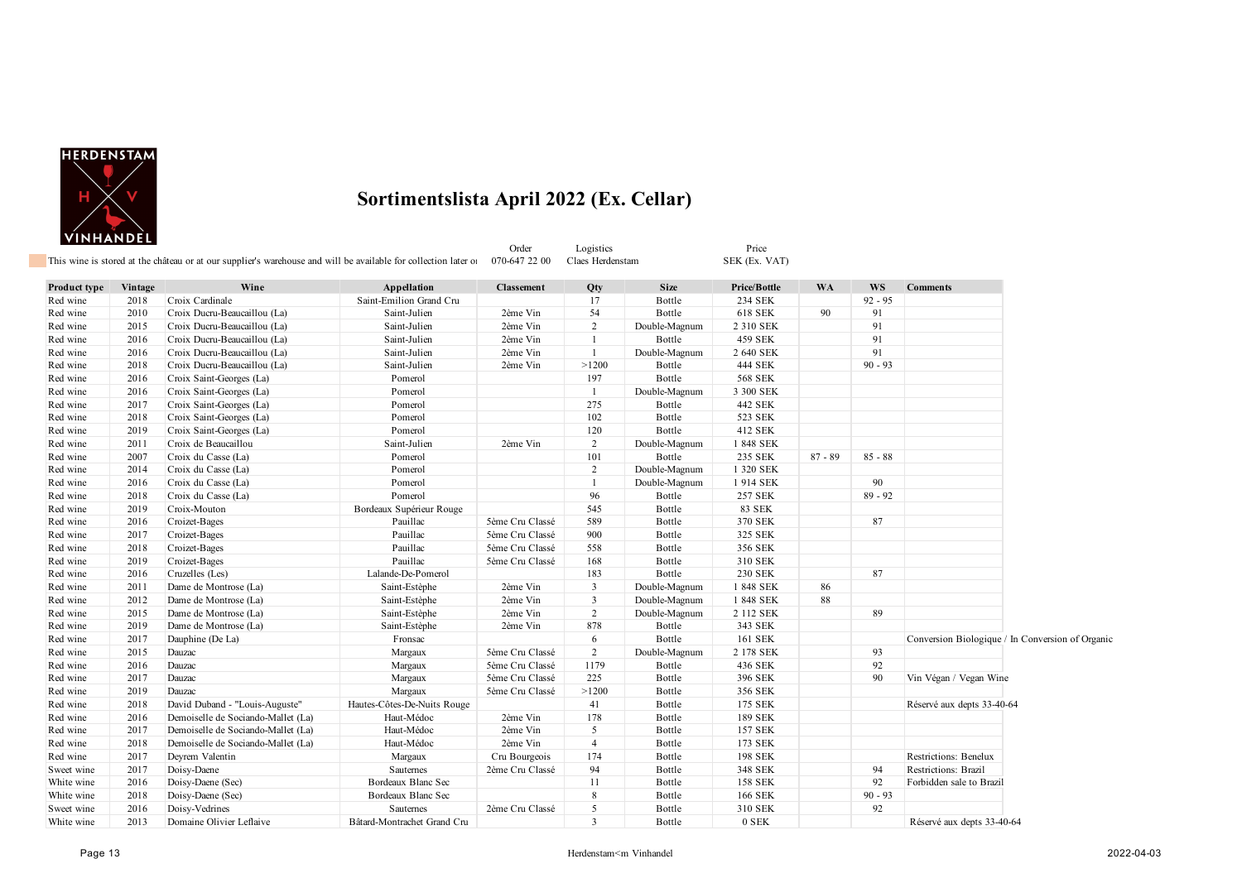

| Product type | Vintage | Wine                               | Appellation                 | <b>Classement</b> | Qty            | <b>Size</b>   | <b>Price/Bottle</b> | <b>WA</b> | <b>WS</b> | <b>Comments</b>                                  |
|--------------|---------|------------------------------------|-----------------------------|-------------------|----------------|---------------|---------------------|-----------|-----------|--------------------------------------------------|
| Red wine     | 2018    | Croix Cardinale                    | Saint-Emilion Grand Cru     |                   | 17             | Bottle        | 234 SEK             |           | $92 - 95$ |                                                  |
| Red wine     | 2010    | Croix Ducru-Beaucaillou (La)       | Saint-Julien                | 2ème Vin          | 54             | Bottle        | 618 SEK             | 90        | 91        |                                                  |
| Red wine     | 2015    | Croix Ducru-Beaucaillou (La)       | Saint-Julien                | 2ème Vin          | $\overline{2}$ | Double-Magnum | 2 310 SEK           |           | 91        |                                                  |
| Red wine     | 2016    | Croix Ducru-Beaucaillou (La)       | Saint-Julien                | 2ème Vin          | $\mathbf{1}$   | Bottle        | 459 SEK             |           | 91        |                                                  |
| Red wine     | 2016    | Croix Ducru-Beaucaillou (La)       | Saint-Julien                | 2ème Vin          | $\mathbf{1}$   | Double-Magnum | 2 640 SEK           |           | 91        |                                                  |
| Red wine     | 2018    | Croix Ducru-Beaucaillou (La)       | Saint-Julien                | 2ème Vin          | >1200          | Bottle        | 444 SEK             |           | $90 - 93$ |                                                  |
| Red wine     | 2016    | Croix Saint-Georges (La)           | Pomerol                     |                   | 197            | Bottle        | <b>568 SEK</b>      |           |           |                                                  |
| Red wine     | 2016    | Croix Saint-Georges (La)           | Pomerol                     |                   | $\mathbf{1}$   | Double-Magnum | 3 300 SEK           |           |           |                                                  |
| Red wine     | 2017    | Croix Saint-Georges (La)           | Pomerol                     |                   | 275            | Bottle        | 442 SEK             |           |           |                                                  |
| Red wine     | 2018    | Croix Saint-Georges (La)           | Pomerol                     |                   | 102            | Bottle        | 523 SEK             |           |           |                                                  |
| Red wine     | 2019    | Croix Saint-Georges (La)           | Pomerol                     |                   | 120            | Bottle        | 412 SEK             |           |           |                                                  |
| Red wine     | 2011    | Croix de Beaucaillou               | Saint-Julien                | 2ème Vin          | $\overline{2}$ | Double-Magnum | 1 848 SEK           |           |           |                                                  |
| Red wine     | 2007    | Croix du Casse (La)                | Pomerol                     |                   | 101            | Bottle        | 235 SEK             | $87 - 89$ | $85 - 88$ |                                                  |
| Red wine     | 2014    | Croix du Casse (La)                | Pomerol                     |                   | $\overline{2}$ | Double-Magnum | 1 320 SEK           |           |           |                                                  |
| Red wine     | 2016    | Croix du Casse (La)                | Pomerol                     |                   | $\mathbf{1}$   | Double-Magnum | 1914 SEK            |           | 90        |                                                  |
| Red wine     | 2018    | Croix du Casse (La)                | Pomerol                     |                   | 96             | Bottle        | <b>257 SEK</b>      |           | $89 - 92$ |                                                  |
| Red wine     | 2019    | Croix-Mouton                       | Bordeaux Supérieur Rouge    |                   | 545            | Bottle        | <b>83 SEK</b>       |           |           |                                                  |
| Red wine     | 2016    | Croizet-Bages                      | Pauillac                    | 5ème Cru Classé   | 589            | Bottle        | 370 SEK             |           | 87        |                                                  |
| Red wine     | 2017    | Croizet-Bages                      | Pauillac                    | 5ème Cru Classé   | 900            | Bottle        | 325 SEK             |           |           |                                                  |
| Red wine     | 2018    | Croizet-Bages                      | Pauillac                    | 5ème Cru Classé   | 558            | Bottle        | 356 SEK             |           |           |                                                  |
| Red wine     | 2019    | Croizet-Bages                      | Pauillac                    | 5ème Cru Classé   | 168            | Bottle        | 310 SEK             |           |           |                                                  |
| Red wine     | 2016    | Cruzelles (Les)                    | Lalande-De-Pomerol          |                   | 183            | Bottle        | 230 SEK             |           | 87        |                                                  |
| Red wine     | 2011    | Dame de Montrose (La)              | Saint-Estèphe               | 2ème Vin          | 3              | Double-Magnum | 1 848 SEK           | 86        |           |                                                  |
| Red wine     | 2012    | Dame de Montrose (La)              | Saint-Estèphe               | 2ème Vin          | $\mathbf{3}$   | Double-Magnum | 1 848 SEK           | 88        |           |                                                  |
| Red wine     | 2015    | Dame de Montrose (La)              | Saint-Estèphe               | 2ème Vin          | $\overline{2}$ | Double-Magnum | 2 112 SEK           |           | 89        |                                                  |
| Red wine     | 2019    | Dame de Montrose (La)              | Saint-Estèphe               | 2ème Vin          | 878            | Bottle        | 343 SEK             |           |           |                                                  |
| Red wine     | 2017    | Dauphine (De La)                   | Fronsac                     |                   | 6              | Bottle        | 161 SEK             |           |           | Conversion Biologique / In Conversion of Organic |
| Red wine     | 2015    | Dauzac                             | Margaux                     | 5ème Cru Classé   | $\overline{2}$ | Double-Magnum | 2 178 SEK           |           | 93        |                                                  |
| Red wine     | 2016    | Dauzac                             | Margaux                     | 5ème Cru Classé   | 1179           | Bottle        | 436 SEK             |           | 92        |                                                  |
| Red wine     | 2017    | Dauzac                             | Margaux                     | 5ème Cru Classé   | 225            | Bottle        | 396 SEK             |           | 90        | Vin Végan / Vegan Wine                           |
| Red wine     | 2019    | Dauzac                             | Margaux                     | 5ème Cru Classé   | >1200          | Bottle        | 356 SEK             |           |           |                                                  |
| Red wine     | 2018    | David Duband - "Louis-Auguste"     | Hautes-Côtes-De-Nuits Rouge |                   | 41             | Bottle        | 175 SEK             |           |           | Réservé aux depts 33-40-64                       |
| Red wine     | 2016    | Demoiselle de Sociando-Mallet (La) | Haut-Médoc                  | 2ème Vin          | 178            | Bottle        | 189 SEK             |           |           |                                                  |
| Red wine     | 2017    | Demoiselle de Sociando-Mallet (La) | Haut-Médoc                  | 2ème Vin          | 5              | Bottle        | 157 SEK             |           |           |                                                  |
| Red wine     | 2018    | Demoiselle de Sociando-Mallet (La) | Haut-Médoc                  | 2ème Vin          | $\overline{4}$ | Bottle        | 173 SEK             |           |           |                                                  |
| Red wine     | 2017    | Deyrem Valentin                    | Margaux                     | Cru Bourgeois     | 174            | Bottle        | 198 SEK             |           |           | Restrictions: Benelux                            |
| Sweet wine   | 2017    | Doisy-Daene                        | <b>Sauternes</b>            | 2ème Cru Classé   | 94             | Bottle        | 348 SEK             |           | 94        | Restrictions: Brazil                             |
| White wine   | 2016    | Doisy-Daene (Sec)                  | Bordeaux Blanc Sec          |                   | 11             | Bottle        | <b>158 SEK</b>      |           | 92        | Forbidden sale to Brazil                         |
| White wine   | 2018    | Doisy-Daene (Sec)                  | Bordeaux Blanc Sec          |                   | 8              | Bottle        | 166 SEK             |           | $90 - 93$ |                                                  |
| Sweet wine   | 2016    | Doisy-Vedrines                     | Sauternes                   | 2ème Cru Classé   | 5              | Bottle        | 310 SEK             |           | 92        |                                                  |
| White wine   | 2013    | Domaine Olivier Leflaive           | Bâtard-Montrachet Grand Cru |                   | $\overline{3}$ | Bottle        | 0 SEK               |           |           | Réservé aux depts 33-40-64                       |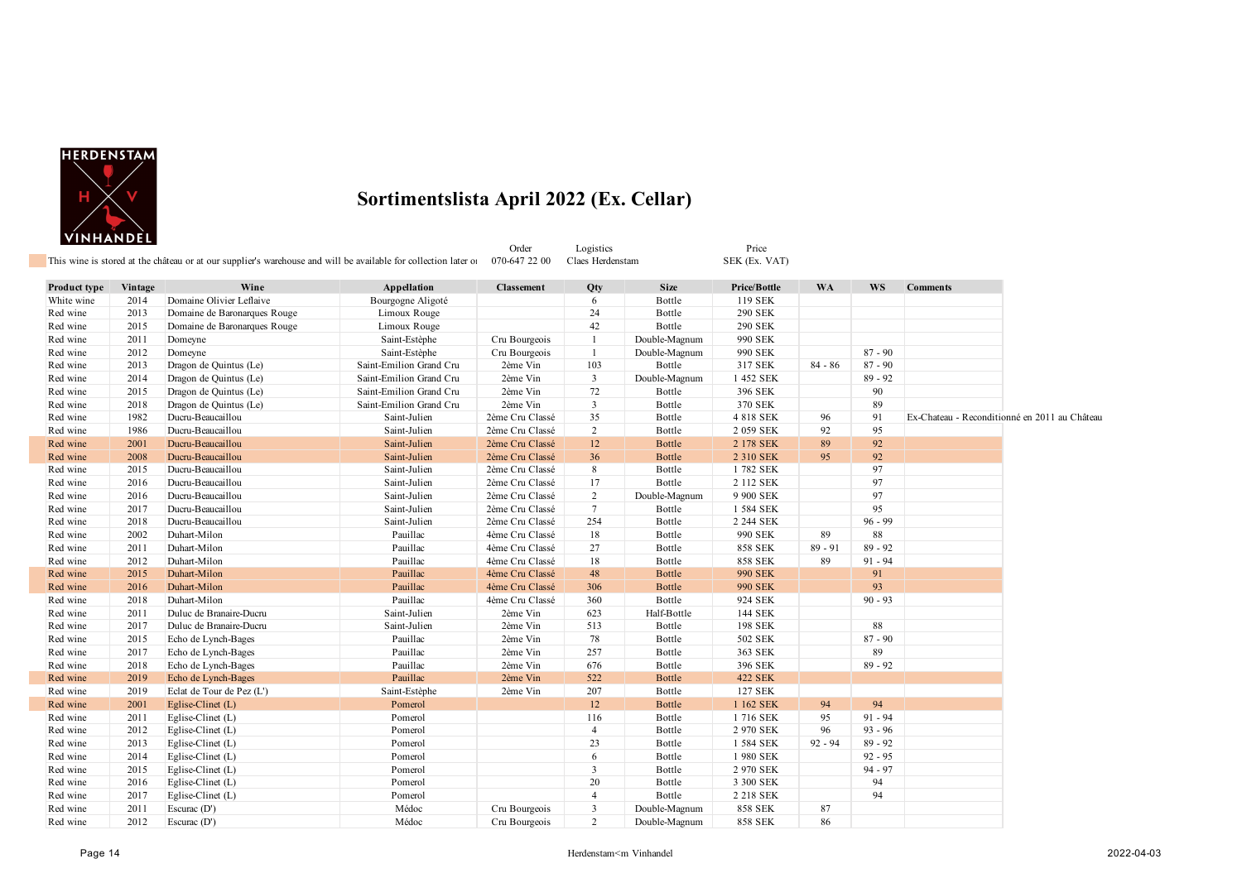

|              |         | This wine is stored at the château or at our supplier's warehouse and will be available for collection later of |                         | Order<br>070-647 22 00 | Logistics<br>Claes Herdenstam |               | Price<br>SEK (Ex. VAT) |           |           |                                               |  |
|--------------|---------|-----------------------------------------------------------------------------------------------------------------|-------------------------|------------------------|-------------------------------|---------------|------------------------|-----------|-----------|-----------------------------------------------|--|
|              |         |                                                                                                                 |                         |                        |                               |               |                        |           |           |                                               |  |
| Product type | Vintage | Wine                                                                                                            | Appellation             | <b>Classement</b>      | Qty                           | <b>Size</b>   | Price/Bottle           | <b>WA</b> | <b>WS</b> | <b>Comments</b>                               |  |
| White wine   | 2014    | Domaine Olivier Leflaive                                                                                        | Bourgogne Aligoté       |                        | 6                             | Bottle        | 119 SEK                |           |           |                                               |  |
| Red wine     | 2013    | Domaine de Baronarques Rouge                                                                                    | Limoux Rouge            |                        | 24                            | Bottle        | 290 SEK                |           |           |                                               |  |
| Red wine     | 2015    | Domaine de Baronarques Rouge                                                                                    | Limoux Rouge            |                        | 42                            | Bottle        | <b>290 SEK</b>         |           |           |                                               |  |
| Red wine     | 2011    | Domeyne                                                                                                         | Saint-Estèphe           | Cru Bourgeois          | $\overline{1}$                | Double-Magnum | 990 SEK                |           |           |                                               |  |
| Red wine     | 2012    | Domeyne                                                                                                         | Saint-Estèphe           | Cru Bourgeois          | $\mathbf{1}$                  | Double-Magnum | 990 SEK                |           | $87 - 90$ |                                               |  |
| Red wine     | 2013    | Dragon de Quintus (Le)                                                                                          | Saint-Emilion Grand Cru | 2ème Vin               | 103                           | Bottle        | 317 SEK                | $84 - 86$ | $87 - 90$ |                                               |  |
| Red wine     | 2014    | Dragon de Quintus (Le)                                                                                          | Saint-Emilion Grand Cru | 2ème Vin               | 3                             | Double-Magnum | 1 452 SEK              |           | $89 - 92$ |                                               |  |
| Red wine     | 2015    | Dragon de Quintus (Le)                                                                                          | Saint-Emilion Grand Cru | 2ème Vin               | 72                            | Bottle        | 396 SEK                |           | 90        |                                               |  |
| Red wine     | 2018    | Dragon de Quintus (Le)                                                                                          | Saint-Emilion Grand Cru | 2ème Vin               | $\mathbf{3}$                  | Bottle        | 370 SEK                |           | 89        |                                               |  |
| Red wine     | 1982    | Ducru-Beaucaillou                                                                                               | Saint-Julien            | 2ème Cru Classé        | 35                            | Bottle        | 4 818 SEK              | 96        | 91        | Ex-Chateau - Reconditionné en 2011 au Château |  |
| Red wine     | 1986    | Ducru-Beaucaillou                                                                                               | Saint-Julien            | 2ème Cru Classé        | $\overline{2}$                | Bottle        | 2 059 SEK              | 92        | 95        |                                               |  |
| Red wine     | 2001    | Ducru-Beaucaillou                                                                                               | Saint-Julien            | 2ème Cru Classé        | 12                            | Bottle        | 2 178 SEK              | 89        | 92        |                                               |  |
| Red wine     | 2008    | Ducru-Beaucaillou                                                                                               | Saint-Julien            | 2ème Cru Classé        | 36                            | <b>Bottle</b> | 2 310 SEK              | 95        | 92        |                                               |  |
| Red wine     | 2015    | Ducru-Beaucaillou                                                                                               | Saint-Julien            | 2ème Cru Classé        | 8                             | Bottle        | 1782 SEK               |           | 97        |                                               |  |
| Red wine     | 2016    | Ducru-Beaucaillou                                                                                               | Saint-Julien            | 2ème Cru Classé        | 17                            | Bottle        | 2 112 SEK              |           | 97        |                                               |  |
| Red wine     | 2016    | Ducru-Beaucaillou                                                                                               | Saint-Julien            | 2ème Cru Classé        | 2                             | Double-Magnum | 9 900 SEK              |           | 97        |                                               |  |
| Red wine     | 2017    | Ducru-Beaucaillou                                                                                               | Saint-Julien            | 2ème Cru Classé        | $\tau$                        | Bottle        | 1 584 SEK              |           | 95        |                                               |  |
| Red wine     | 2018    | Ducru-Beaucaillou                                                                                               | Saint-Julien            | 2ème Cru Classé        | 254                           | Bottle        | 2 244 SEK              |           | $96 - 99$ |                                               |  |
| Red wine     | 2002    | Duhart-Milon                                                                                                    | Pauillac                | 4ème Cru Classé        | 18                            | Bottle        | 990 SEK                | 89        | 88        |                                               |  |
| Red wine     | 2011    | Duhart-Milon                                                                                                    | Pauillac                | 4ème Cru Classé        | 27                            | Bottle        | <b>858 SEK</b>         | $89 - 91$ | $89 - 92$ |                                               |  |
| Red wine     | 2012    | Duhart-Milon                                                                                                    | Pauillac                | 4ème Cru Classé        | 18                            | Bottle        | <b>858 SEK</b>         | 89        | $91 - 94$ |                                               |  |
| Red wine     | 2015    | Duhart-Milon                                                                                                    | Pauillac                | 4ème Cru Classé        | 48                            | <b>Bottle</b> | <b>990 SEK</b>         |           | 91        |                                               |  |
| Red wine     | 2016    | Duhart-Milon                                                                                                    | Pauillac                | 4ème Cru Classé        | 306                           | Bottle        | <b>990 SEK</b>         |           | 93        |                                               |  |
| Red wine     | 2018    | Duhart-Milon                                                                                                    | Pauillac                | 4ème Cru Classé        | 360                           | Bottle        | 924 SEK                |           | $90 - 93$ |                                               |  |
| Red wine     | 2011    | Duluc de Branaire-Ducru                                                                                         | Saint-Julien            | 2ème Vin               | 623                           | Half-Bottle   | 144 SEK                |           |           |                                               |  |
| Red wine     | 2017    | Duluc de Branaire-Ducru                                                                                         | Saint-Julien            | 2ème Vin               | 513                           | Bottle        | 198 SEK                |           | 88        |                                               |  |
| Red wine     | 2015    | Echo de Lynch-Bages                                                                                             | Pauillac                | 2ème Vin               | 78                            | Bottle        | 502 SEK                |           | $87 - 90$ |                                               |  |
| Red wine     | 2017    | Echo de Lynch-Bages                                                                                             | Pauillac                | 2ème Vin               | 257                           | Bottle        | 363 SEK                |           | 89        |                                               |  |
| Red wine     | 2018    | Echo de Lynch-Bages                                                                                             | Pauillac                | 2ème Vin               | 676                           | Bottle        | 396 SEK                |           | $89 - 92$ |                                               |  |
| Red wine     | 2019    | Echo de Lynch-Bages                                                                                             | Pauillac                | 2ème Vin               | 522                           | <b>Bottle</b> | <b>422 SEK</b>         |           |           |                                               |  |
| Red wine     | 2019    | Eclat de Tour de Pez (L')                                                                                       | Saint-Estèphe           | 2ème Vin               | 207                           | Bottle        | 127 SEK                |           |           |                                               |  |
| Red wine     | 2001    | Eglise-Clinet $(L)$                                                                                             | Pomerol                 |                        | 12                            | <b>Bottle</b> | 1 162 SEK              | 94        | 94        |                                               |  |
| Red wine     | 2011    | Eglise-Clinet (L)                                                                                               | Pomerol                 |                        | 116                           | Bottle        | 1716 SEK               | 95        | $91 - 94$ |                                               |  |
| Red wine     | 2012    | Eglise-Clinet (L)                                                                                               | Pomerol                 |                        | $\overline{4}$                | Bottle        | 2 970 SEK              | 96        | $93 - 96$ |                                               |  |
| Red wine     | 2013    | Eglise-Clinet (L)                                                                                               | Pomerol                 |                        | 23                            | Bottle        | 1 584 SEK              | $92 - 94$ | $89 - 92$ |                                               |  |
| Red wine     | 2014    | Eglise-Clinet (L)                                                                                               | Pomerol                 |                        | 6                             | Bottle        | 1 980 SEK              |           | $92 - 95$ |                                               |  |
| Red wine     | 2015    | Eglise-Clinet (L)                                                                                               | Pomerol                 |                        | $\overline{3}$                | Bottle        | 2 970 SEK              |           | $94 - 97$ |                                               |  |
| Red wine     | 2016    | Eglise-Clinet (L)                                                                                               | Pomerol                 |                        | 20                            | Bottle        | 3 300 SEK              |           | 94        |                                               |  |
| Red wine     | 2017    | Eglise-Clinet (L)                                                                                               | Pomerol                 |                        | $\overline{4}$                | Bottle        | 2 218 SEK              |           | 94        |                                               |  |
| Red wine     | 2011    | Escurac (D')                                                                                                    | Médoc                   | Cru Bourgeois          | $\overline{\mathbf{3}}$       | Double-Magnum | <b>858 SEK</b>         | 87        |           |                                               |  |
| Red wine     | 2012    | Escurac $(D')$                                                                                                  | Médoc                   | Cru Bourgeois          | 2                             | Double-Magnum | <b>858 SEK</b>         | 86        |           |                                               |  |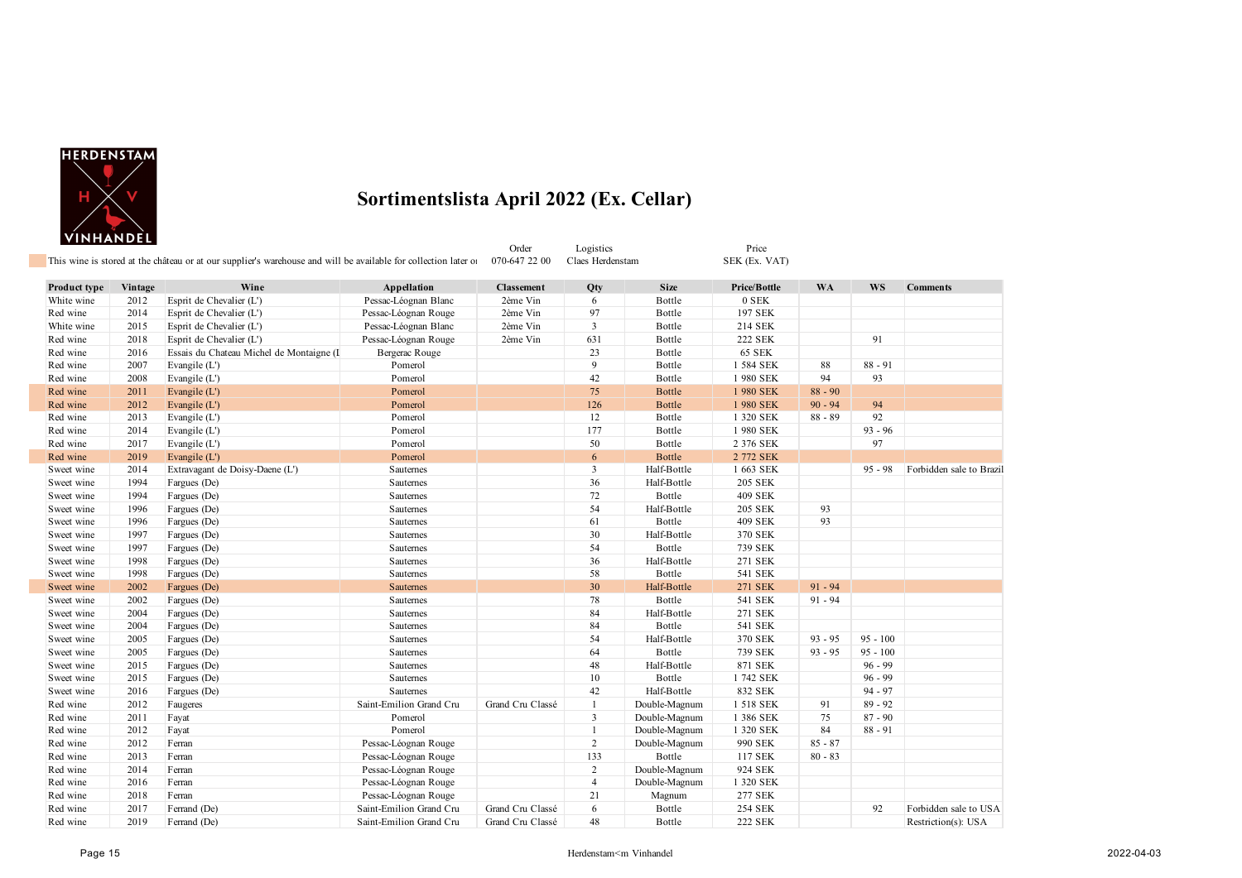

|              |         | This wine is stored at the château or at our supplier's warehouse and will be available for collection later of |                         | Order<br>070-647 22 00 | Logistics<br>Claes Herdenstam |               | Price<br>SEK (Ex. VAT) |           |            |                          |
|--------------|---------|-----------------------------------------------------------------------------------------------------------------|-------------------------|------------------------|-------------------------------|---------------|------------------------|-----------|------------|--------------------------|
| Product type | Vintage | Wine                                                                                                            | Appellation             | <b>Classement</b>      | Qty                           | <b>Size</b>   | Price/Bottle           | <b>WA</b> | <b>WS</b>  | <b>Comments</b>          |
| White wine   | 2012    | Esprit de Chevalier (L')                                                                                        | Pessac-Léognan Blanc    | 2ème Vin               | 6                             | Bottle        | 0 SEK                  |           |            |                          |
| Red wine     | 2014    | Esprit de Chevalier (L')                                                                                        | Pessac-Léognan Rouge    | 2ème Vin               | 97                            | Bottle        | 197 SEK                |           |            |                          |
| White wine   | 2015    | Esprit de Chevalier (L')                                                                                        | Pessac-Léognan Blanc    | 2ème Vin               | $\overline{3}$                | Bottle        | 214 SEK                |           |            |                          |
| Red wine     | 2018    | Esprit de Chevalier (L')                                                                                        | Pessac-Léognan Rouge    | 2ème Vin               | 631                           | Bottle        | <b>222 SEK</b>         |           | 91         |                          |
| Red wine     | 2016    | Essais du Chateau Michel de Montaigne (I                                                                        | Bergerac Rouge          |                        | 23                            | Bottle        | <b>65 SEK</b>          |           |            |                          |
| Red wine     | 2007    | Evangile (L')                                                                                                   | Pomerol                 |                        | $\overline{9}$                | Bottle        | 1 584 SEK              | 88        | $88 - 91$  |                          |
| Red wine     | 2008    | Evangile (L')                                                                                                   | Pomerol                 |                        | 42                            | Bottle        | 1 980 SEK              | 94        | 93         |                          |
| Red wine     | 2011    | Evangile $(L')$                                                                                                 | Pomerol                 |                        | 75                            | <b>Bottle</b> | 1980 SEK               | $88 - 90$ |            |                          |
| Red wine     | 2012    | Evangile (L')                                                                                                   | Pomerol                 |                        | 126                           | <b>Bottle</b> | 1 980 SEK              | $90 - 94$ | 94         |                          |
| Red wine     | 2013    | Evangile (L')                                                                                                   | Pomerol                 |                        | 12                            | Bottle        | 1 320 SEK              | $88 - 89$ | 92         |                          |
| Red wine     | 2014    | Evangile (L')                                                                                                   | Pomerol                 |                        | 177                           | Bottle        | 1980 SEK               |           | $93 - 96$  |                          |
| Red wine     | 2017    | Evangile (L')                                                                                                   | Pomerol                 |                        | 50                            | Bottle        | 2 376 SEK              |           | 97         |                          |
| Red wine     | 2019    | Evangile (L')                                                                                                   | Pomerol                 |                        | 6                             | <b>Bottle</b> | 2 772 SEK              |           |            |                          |
| Sweet wine   | 2014    | Extravagant de Doisy-Daene (L')                                                                                 | Sauternes               |                        | $\overline{3}$                | Half-Bottle   | 1 663 SEK              |           | $95 - 98$  | Forbidden sale to Brazil |
| Sweet wine   | 1994    | Fargues (De)                                                                                                    | Sauternes               |                        | 36                            | Half-Bottle   | <b>205 SEK</b>         |           |            |                          |
| Sweet wine   | 1994    | Fargues (De)                                                                                                    | Sauternes               |                        | 72                            | Bottle        | <b>409 SEK</b>         |           |            |                          |
| Sweet wine   | 1996    | Fargues (De)                                                                                                    | Sauternes               |                        | 54                            | Half-Bottle   | 205 SEK                | 93        |            |                          |
| Sweet wine   | 1996    | Fargues (De)                                                                                                    | Sauternes               |                        | 61                            | Bottle        | <b>409 SEK</b>         | 93        |            |                          |
| Sweet wine   | 1997    | Fargues (De)                                                                                                    | Sauternes               |                        | 30                            | Half-Bottle   | 370 SEK                |           |            |                          |
| Sweet wine   | 1997    | Fargues (De)                                                                                                    | Sauternes               |                        | 54                            | Bottle        | 739 SEK                |           |            |                          |
| Sweet wine   | 1998    | Fargues (De)                                                                                                    | Sauternes               |                        | 36                            | Half-Bottle   | 271 SEK                |           |            |                          |
| Sweet wine   | 1998    | Fargues (De)                                                                                                    | Sauternes               |                        | 58                            | Bottle        | 541 SEK                |           |            |                          |
| Sweet wine   | 2002    | Fargues (De)                                                                                                    | <b>Sauternes</b>        |                        | 30                            | Half-Bottle   | <b>271 SEK</b>         | $91 - 94$ |            |                          |
| Sweet wine   | 2002    | Fargues (De)                                                                                                    | Sauternes               |                        | 78                            | Bottle        | 541 SEK                | $91 - 94$ |            |                          |
| Sweet wine   | 2004    | Fargues (De)                                                                                                    | Sauternes               |                        | 84                            | Half-Bottle   | 271 SEK                |           |            |                          |
| Sweet wine   | 2004    | Fargues (De)                                                                                                    | Sauternes               |                        | 84                            | Bottle        | 541 SEK                |           |            |                          |
| Sweet wine   | 2005    | Fargues (De)                                                                                                    | Sauternes               |                        | 54                            | Half-Bottle   | 370 SEK                | $93 - 95$ | $95 - 100$ |                          |
| Sweet wine   | 2005    | Fargues (De)                                                                                                    | Sauternes               |                        | 64                            | Bottle        | 739 SEK                | $93 - 95$ | $95 - 100$ |                          |
| Sweet wine   | 2015    | Fargues (De)                                                                                                    | Sauternes               |                        | 48                            | Half-Bottle   | 871 SEK                |           | $96 - 99$  |                          |
| Sweet wine   | 2015    | Fargues (De)                                                                                                    | Sauternes               |                        | 10                            | Bottle        | 1 742 SEK              |           | $96 - 99$  |                          |
| Sweet wine   | 2016    | Fargues (De)                                                                                                    | Sauternes               |                        | 42                            | Half-Bottle   | 832 SEK                |           | $94 - 97$  |                          |
| Red wine     | 2012    | Faugeres                                                                                                        | Saint-Emilion Grand Cru | Grand Cru Classé       | 1                             | Double-Magnum | 1 518 SEK              | 91        | $89 - 92$  |                          |
| Red wine     | 2011    | Fayat                                                                                                           | Pomerol                 |                        | $\overline{3}$                | Double-Magnum | 1 386 SEK              | 75        | $87 - 90$  |                          |
| Red wine     | 2012    | Fayat                                                                                                           | Pomerol                 |                        | $\mathbf{1}$                  | Double-Magnum | 1 320 SEK              | 84        | $88 - 91$  |                          |
| Red wine     | 2012    | Ferran                                                                                                          | Pessac-Léognan Rouge    |                        | $\overline{c}$                | Double-Magnum | 990 SEK                | $85 - 87$ |            |                          |
| Red wine     | 2013    | Ferran                                                                                                          | Pessac-Léognan Rouge    |                        | 133                           | Bottle        | 117 SEK                | $80 - 83$ |            |                          |
| Red wine     | 2014    | Ferran                                                                                                          | Pessac-Léognan Rouge    |                        | $\overline{c}$                | Double-Magnum | 924 SEK                |           |            |                          |
| Red wine     | 2016    | Ferran                                                                                                          | Pessac-Léognan Rouge    |                        | $\overline{4}$                | Double-Magnum | 1 320 SEK              |           |            |                          |
| Red wine     | 2018    | Ferran                                                                                                          | Pessac-Léognan Rouge    |                        | 21                            | Magnum        | 277 SEK                |           |            |                          |
| Red wine     | 2017    | Ferrand (De)                                                                                                    | Saint-Emilion Grand Cru | Grand Cru Classé       | 6                             | Bottle        | <b>254 SEK</b>         |           | 92         | Forbidden sale to USA    |
| Red wine     | 2019    | Ferrand (De)                                                                                                    | Saint-Emilion Grand Cru | Grand Cru Classé       | 48                            | Bottle        | <b>222 SEK</b>         |           |            | Restriction(s): USA      |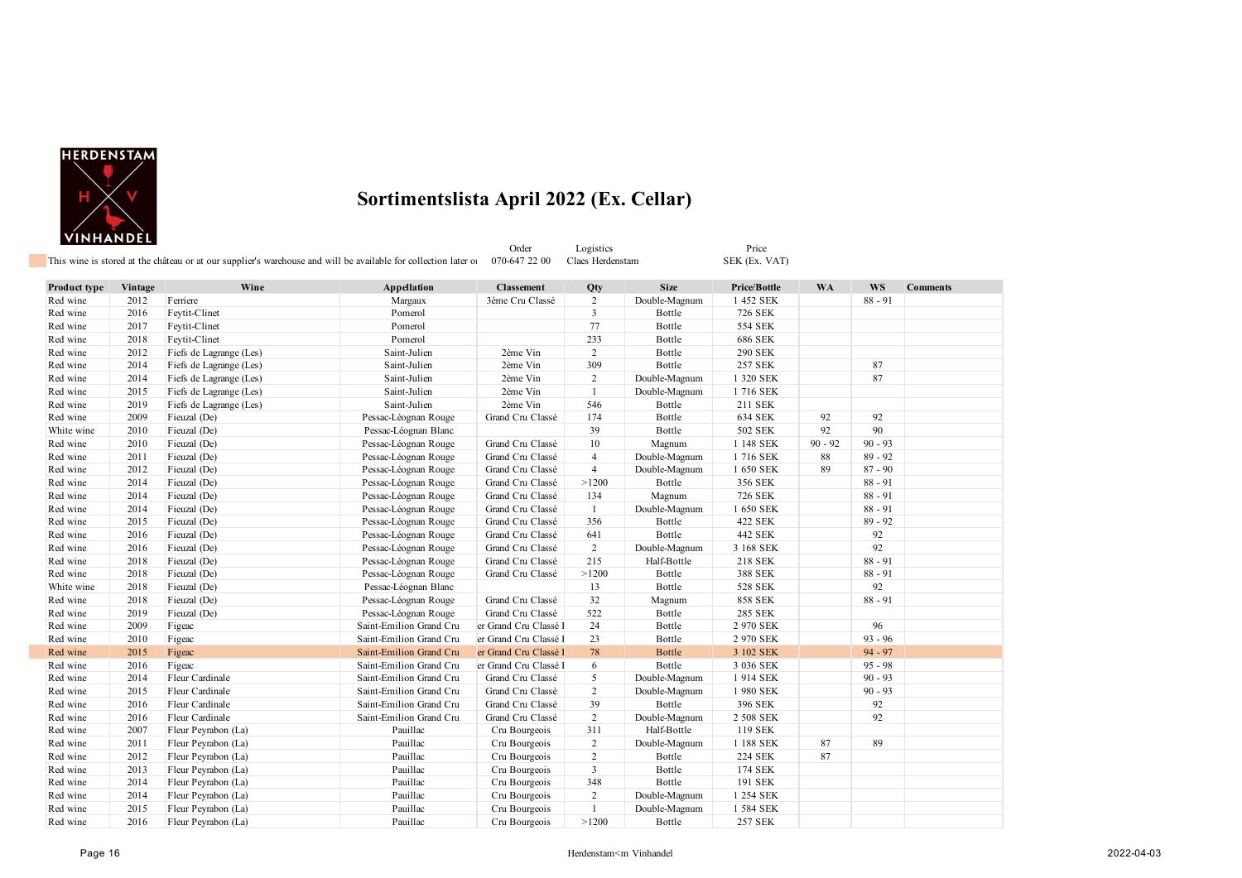

Order Logistics Price Price<br>
070-647 22 00 Claes Herdenstam SEK (Ex. VAT) This wine is stored at the château or at our supplier's warehouse and will be available for collection later of

**Product type Vintage Wine Appellation Classement Qty Size Price/Bottle WA WS Comments** Red wine 2012 Ferriere 2012 Ferriere 28 - 91 Margaux 3ème Cru Classé 2 Double-Magnum 1 452 SEK 88 - 91 Red wine 2016 Feytit-Clinet 2016 Feytit-Clinet 2016 Pomerol 2016 Pomerol 3 Bottle 726 SEK Red wine 2017 Feytit-Clinet 2017 Feytit-Clinet 2017 Feytit-Clinet 2017 Route 2017 Pomerol 2017 Pomerol 2017 Bottle Red wine 2018 Feytit-Clinet 2008 Feytit-Clinet 2018 Red wine 233 Bottle 686 SEK Red wine 2012 Fiefs de Lagrange (Les) Saint-Julien 2ème Vin 2 Bottle 290 SEK Red wine 2014 Fiefs de Lagrange (Les) Saint-Julien 2ème Vin 309 Bottle 257 SEK 87 Red wine 2014 Fiefs de Lagrange (Les) Saint-Julien 2ème Vin 2 Double-Magnum 1 320 SEK 87 Red wine 2015 Fiefs de Lagrange (Les) Saint-Julien 2ème Vin 1 Double-Magnum 1 716 SEK Red wine 2019 Fiefs de Lagrange (Les) Saint-Julien 2ème Vin 546 Bottle 211 SEK Red wine 2009 Fieuzal (De) Pessac-Léognan Rouge Grand Cru Classé 174 Bottle 634 SEK 92 92 White wine 2010 Fieuzal (De) Pessac-Léognan Blanc 39 Bottle 502 SEK 92 90 Red wine 2010 Fieuzal (De) Pessac-Léognan Rouge Grand Cru Classé 10 Magnum 1 148 SEK 90 - 92 90 - 93 Red wine 2011 Fieuzal (De) Pessac-Léognan Rouge Grand Cru Classé 4 Double-Magnum 1 716 SEK 88 89 - 92 Red wine 2012 Fieuzal (De) Pessac-Léognan Rouge Grand Cru Classé 4 Double-Magnum 1 650 SEK 89 87 - 90 Red wine 2014 Fieuzal (De) Pessac-Léognan Rouge Grand Cru Classé >1200 Bottle 356 SEK 88 - 91<br>Red wine 2014 Fieuzal (De) Pessac-Léognan Rouge Grand Cru Classé 134 Magnum 726 SEK 88 - 91 Red wine 2014 Fieuzal (De) Pessac-Léognan Rouge Grand Cru Classé 134 Magnum 726 SEK 88 - 91 Red wine 2014 Fieuzal (De) Pessac-Léognan Rouge Grand Cru Classé 1 Double-Magnum 1 650 SEK 88 - 91 Red wine 2015 Fieuzal (De) Pessac-Léognan Rouge Grand Cru Classé 356 Bottle 422 SEK 89 - 92 Red wine 2016 Fieuzal (De) Pessac-Léognan Rouge Grand Cru Classé 641 Bottle 442 SEK 92 Red wine 2016 Fieuzal (De) Pessac-Léognan Rouge Grand Cru Classé 2 Double-Magnum 3 168 SEK 92 Red wine 2018 Fieuzal (De) Pessac-Léognan Rouge Grand Cru Classé 215 Half-Bottle 218 SEK 88 - 91 Red wine 2018 Fieuzal (De) Pessac-Léognan Rouge Grand Cru Classé >1200 Bottle 388 SEK 88 - 91 White wine 2018 Fieuzal (De) Pessac-Léognan Blanc 13 Bottle 528 SEK 92 Red wine 2018 Fieuzal (De) Pessac-Léognan Rouge Grand Cru Classé 32 Magnum 858 SEK 88 - 91 Red wine 2019 Fieuzal (De) Pessac-Léognan Rouge Grand Cru Classé 522 Bottle 285 SEK Red wine 2009 Figeac Saint-Emilion Grand Cru er Grand Cru Classé 24 Bottle 2 970 SEK 96 Red wine 2010 Figeac Saint-Emilion Grand Cru er Grand Cru 23 Bottle 2970 SEK 93 - 96 Red wine 2015 Figeac Saint-Emilion Grand Cru Classé 1 78 Bottle 3 102 SEK 94 - 97 Red wine 2016 Figeac Saint-Emilion Grand Cru er Grand Cru 1er Grand Cru Classé 1 6 Bottle 3 036 SEK 95 - 98 Red wine 2014 Fleur Cardinale Saint-Emilion Grand Cru Grand Cru Classé 5 Double-Magnum 1 914 SEK 90 - 93 Red wine 2015 Fleur Cardinale Saint-Emilion Grand Cru Grand Cru Classé 2 Double-Magnum 1 980 SEK 90 - 93<br>Red wine 2016 Fleur Cardinale Saint-Emilion Grand Cru Grand Cru Classé 39 Bottle 396 SEK 92 Red wine 2016 Fleur Cardinale Saint-Emilion Grand Cru Grand Cru Classé 39 Bottle 396 SEK 92 Red wine 2016 Fleur Cardinale Saint-Emilion Grand Cru Grand Cru Classé 2 Double-Magnum 2508 SEK 92 Red wine 2007 Fleur Peyrabon (La) 2007 Pauillac Cru Bourgeois 311 Half-Bottle 119 SEK Red wine 2011 Fleur Peyrabon (La) Pauillac Cru Bourgeois 2 Double-Magnum 1188 SEK 87 89 Red wine 2012 Fleur Peyrabon (La) Pauillac Cru Bourgeois 2 Bottle 224 SEK 87 Red wine 2013 Fleur Peyrabon (La) Pauillac Cru Bourgeois 3 Bottle 174 SEK Red wine 2014 Fleur Peyrabon (La) Pauillac Cru Bourgeois 348 Bottle 191 SEK Red wine 2014 Fleur Peyrabon (La) Pauillac Cru Bourgeois 2 Double-Magnum 1 254 SEK

Red wine 2015 Fleur Peyrabon (La) Pauillac Cru Bourgeois 1 Double-Magnum 1 584 SEK Red wine 2016 Fleur Peyrabon (La) Pauillac Cru Bourgeois >1200 Bottle 257 SEK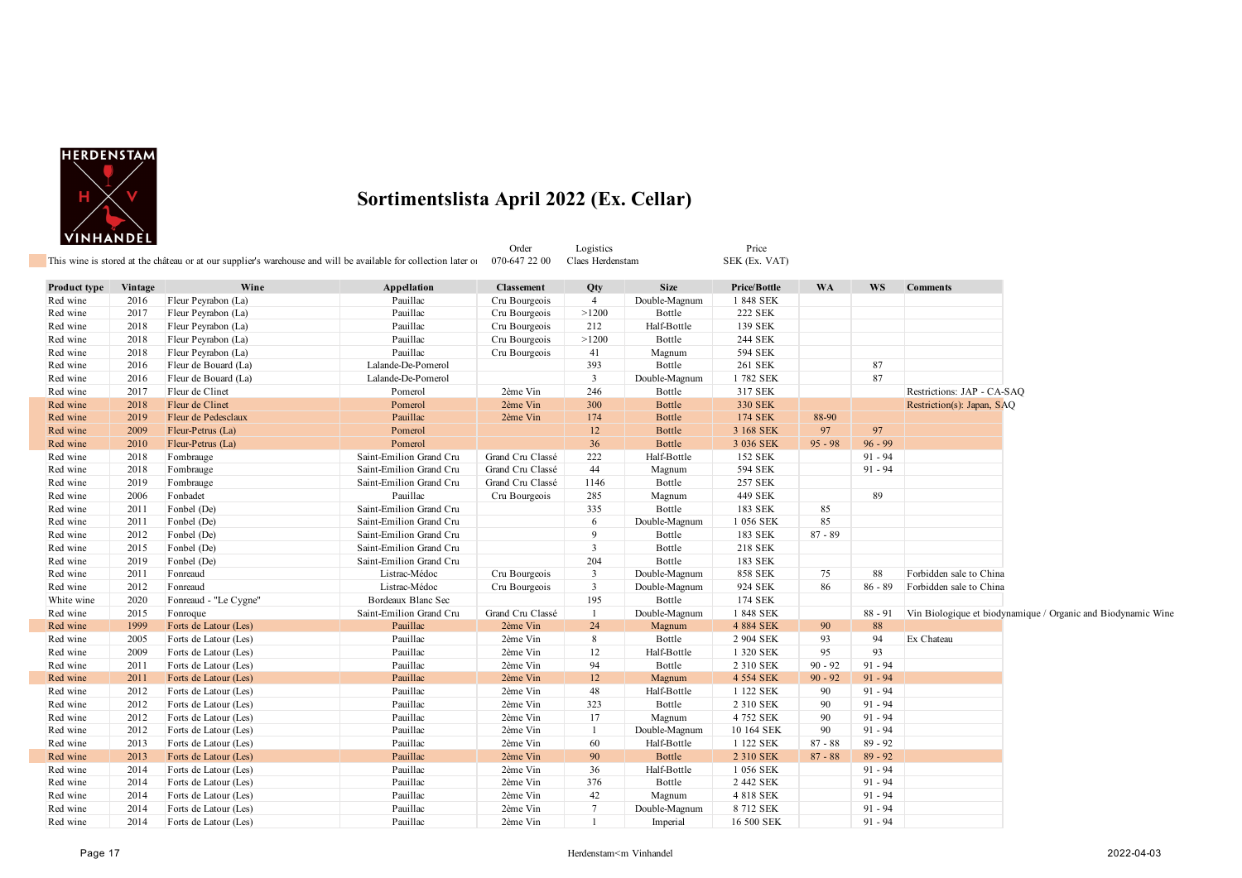

|              | <u>, ,,,,,,,,,,,,,</u> |                       | This wine is stored at the château or at our supplier's warehouse and will be available for collection later of | Order<br>070-647 22 00 | Logistics<br>Claes Herdenstam |               | Price<br>SEK (Ex. VAT) |           |           |                                                              |
|--------------|------------------------|-----------------------|-----------------------------------------------------------------------------------------------------------------|------------------------|-------------------------------|---------------|------------------------|-----------|-----------|--------------------------------------------------------------|
|              |                        |                       |                                                                                                                 |                        |                               |               |                        |           |           |                                                              |
| Product type | Vintage                | Wine                  | Appellation                                                                                                     | <b>Classement</b>      | Qty                           | <b>Size</b>   | Price/Bottle           | <b>WA</b> | <b>WS</b> | <b>Comments</b>                                              |
| Red wine     | 2016                   | Fleur Peyrabon (La)   | Pauillac                                                                                                        | Cru Bourgeois          | $\overline{4}$                | Double-Magnum | 1 848 SEK              |           |           |                                                              |
| Red wine     | 2017                   | Fleur Peyrabon (La)   | Pauillac                                                                                                        | Cru Bourgeois          | >1200                         | Bottle        | <b>222 SEK</b>         |           |           |                                                              |
| Red wine     | 2018                   | Fleur Peyrabon (La)   | Pauillac                                                                                                        | Cru Bourgeois          | 212                           | Half-Bottle   | 139 SEK                |           |           |                                                              |
| Red wine     | 2018                   | Fleur Peyrabon (La)   | Pauillac                                                                                                        | Cru Bourgeois          | >1200                         | Bottle        | 244 SEK                |           |           |                                                              |
| Red wine     | 2018                   | Fleur Peyrabon (La)   | Pauillac                                                                                                        | Cru Bourgeois          | 41                            | Magnum        | 594 SEK                |           |           |                                                              |
| Red wine     | 2016                   | Fleur de Bouard (La)  | Lalande-De-Pomerol                                                                                              |                        | 393                           | Bottle        | 261 SEK                |           | 87        |                                                              |
| Red wine     | 2016                   | Fleur de Bouard (La)  | Lalande-De-Pomerol                                                                                              |                        | $\mathbf{3}$                  | Double-Magnum | 1782 SEK               |           | 87        |                                                              |
| Red wine     | 2017                   | Fleur de Clinet       | Pomerol                                                                                                         | 2ème Vin               | 246                           | Bottle        | 317 SEK                |           |           | Restrictions: JAP - CA-SAQ                                   |
| Red wine     | 2018                   | Fleur de Clinet       | Pomerol                                                                                                         | 2ème Vin               | 300                           | <b>Bottle</b> | 330 SEK                |           |           | Restriction(s): Japan, SAQ                                   |
| Red wine     | 2019                   | Fleur de Pedesclaux   | Pauillac                                                                                                        | 2ème Vin               | 174                           | <b>Bottle</b> | <b>174 SEK</b>         | 88-90     |           |                                                              |
| Red wine     | 2009                   | Fleur-Petrus (La)     | Pomerol                                                                                                         |                        | $12 \,$                       | <b>Bottle</b> | 3 168 SEK              | 97        | 97        |                                                              |
| Red wine     | 2010                   | Fleur-Petrus (La)     | Pomerol                                                                                                         |                        | 36                            | <b>Bottle</b> | 3 036 SEK              | $95 - 98$ | $96 - 99$ |                                                              |
| Red wine     | 2018                   | Fombrauge             | Saint-Emilion Grand Cru                                                                                         | Grand Cru Classé       | 222                           | Half-Bottle   | 152 SEK                |           | $91 - 94$ |                                                              |
| Red wine     | 2018                   | Fombrauge             | Saint-Emilion Grand Cru                                                                                         | Grand Cru Classé       | 44                            | Magnum        | 594 SEK                |           | $91 - 94$ |                                                              |
| Red wine     | 2019                   | Fombrauge             | Saint-Emilion Grand Cru                                                                                         | Grand Cru Classé       | 1146                          | Bottle        | <b>257 SEK</b>         |           |           |                                                              |
| Red wine     | 2006                   | Fonbadet              | Pauillac                                                                                                        | Cru Bourgeois          | 285                           | Magnum        | 449 SEK                |           | 89        |                                                              |
| Red wine     | 2011                   | Fonbel (De)           | Saint-Emilion Grand Cru                                                                                         |                        | 335                           | Bottle        | 183 SEK                | 85        |           |                                                              |
| Red wine     | 2011                   | Fonbel (De)           | Saint-Emilion Grand Cru                                                                                         |                        | 6                             | Double-Magnum | 1 056 SEK              | 85        |           |                                                              |
| Red wine     | 2012                   | Fonbel (De)           | Saint-Emilion Grand Cru                                                                                         |                        | 9                             | Bottle        | 183 SEK                | $87 - 89$ |           |                                                              |
| Red wine     | 2015                   | Fonbel (De)           | Saint-Emilion Grand Cru                                                                                         |                        | $\overline{3}$                | Bottle        | 218 SEK                |           |           |                                                              |
| Red wine     | 2019                   | Fonbel (De)           | Saint-Emilion Grand Cru                                                                                         |                        | 204                           | Bottle        | 183 SEK                |           |           |                                                              |
| Red wine     | 2011                   | Fonreaud              | Listrac-Médoc                                                                                                   | Cru Bourgeois          | $\mathbf{3}$                  | Double-Magnum | <b>858 SEK</b>         | 75        | 88        | Forbidden sale to China                                      |
| Red wine     | 2012                   | Fonreaud              | Listrac-Médoc                                                                                                   | Cru Bourgeois          | $\mathbf{3}$                  | Double-Magnum | 924 SEK                | 86        | $86 - 89$ | Forbidden sale to China                                      |
| White wine   | 2020                   | Fonreaud - "Le Cygne" | Bordeaux Blanc Sec                                                                                              |                        | 195                           | Bottle        | 174 SEK                |           |           |                                                              |
| Red wine     | 2015                   | Fonroque              | Saint-Emilion Grand Cru                                                                                         | Grand Cru Classé       | $\mathbf{1}$                  | Double-Magnum | 1848 SEK               |           | $88 - 91$ | Vin Biologique et biodynamique / Organic and Biodynamic Wine |
| Red wine     | 1999                   | Forts de Latour (Les) | Pauillac                                                                                                        | 2ème Vin               | 24                            | Magnum        | 4 884 SEK              | 90        | 88        |                                                              |
| Red wine     | 2005                   | Forts de Latour (Les) | Pauillac                                                                                                        | 2ème Vin               | 8                             | Bottle        | 2 904 SEK              | 93        | 94        | Ex Chateau                                                   |
| Red wine     | 2009                   | Forts de Latour (Les) | Pauillac                                                                                                        | 2ème Vin               | 12                            | Half-Bottle   | 1 320 SEK              | 95        | 93        |                                                              |
| Red wine     | 2011                   | Forts de Latour (Les) | Pauillac                                                                                                        | 2ème Vin               | 94                            | Bottle        | 2 310 SEK              | $90 - 92$ | $91 - 94$ |                                                              |
| Red wine     | 2011                   | Forts de Latour (Les) | Pauillac                                                                                                        | 2ème Vin               | 12                            | Magnum        | 4 554 SEK              | $90 - 92$ | $91 - 94$ |                                                              |
| Red wine     | 2012                   | Forts de Latour (Les) | Pauillac                                                                                                        | 2ème Vin               | 48                            | Half-Bottle   | 1 122 SEK              | 90        | $91 - 94$ |                                                              |
| Red wine     | 2012                   | Forts de Latour (Les) | Pauillac                                                                                                        | 2ème Vin               | 323                           | Bottle        | 2 310 SEK              | 90        | $91 - 94$ |                                                              |
| Red wine     | 2012                   | Forts de Latour (Les) | Pauillac                                                                                                        | 2ème Vin               | 17                            | Magnum        | 4 752 SEK              | 90        | $91 - 94$ |                                                              |
| Red wine     | 2012                   | Forts de Latour (Les) | Pauillac                                                                                                        | 2ème Vin               | $\mathbf{1}$                  | Double-Magnum | 10 164 SEK             | 90        | $91 - 94$ |                                                              |
| Red wine     | 2013                   | Forts de Latour (Les) | Pauillac                                                                                                        | 2ème Vin               | 60                            | Half-Bottle   | 1 122 SEK              | $87 - 88$ | $89 - 92$ |                                                              |
| Red wine     | 2013                   | Forts de Latour (Les) | Pauillac                                                                                                        | 2ème Vin               | 90                            | Bottle        | 2 310 SEK              | $87 - 88$ | $89 - 92$ |                                                              |
| Red wine     | 2014                   | Forts de Latour (Les) | Pauillac                                                                                                        | 2ème Vin               | 36                            | Half-Bottle   | 1 056 SEK              |           | $91 - 94$ |                                                              |
| Red wine     | 2014                   | Forts de Latour (Les) | Pauillac                                                                                                        | 2ème Vin               | 376                           | Bottle        | 2 442 SEK              |           | $91 - 94$ |                                                              |
| Red wine     | 2014                   | Forts de Latour (Les) | Pauillac                                                                                                        | 2ème Vin               | 42                            | Magnum        | 4 818 SEK              |           | $91 - 94$ |                                                              |
| Red wine     | 2014                   | Forts de Latour (Les) | Pauillac                                                                                                        | 2ème Vin               | $7\phantom{.0}$               | Double-Magnum | 8 712 SEK              |           | $91 - 94$ |                                                              |
| Red wine     | 2014                   | Forts de Latour (Les) | Pauillac                                                                                                        | 2ème Vin               | $\mathbf{1}$                  | Imperial      | 16 500 SEK             |           | $91 - 94$ |                                                              |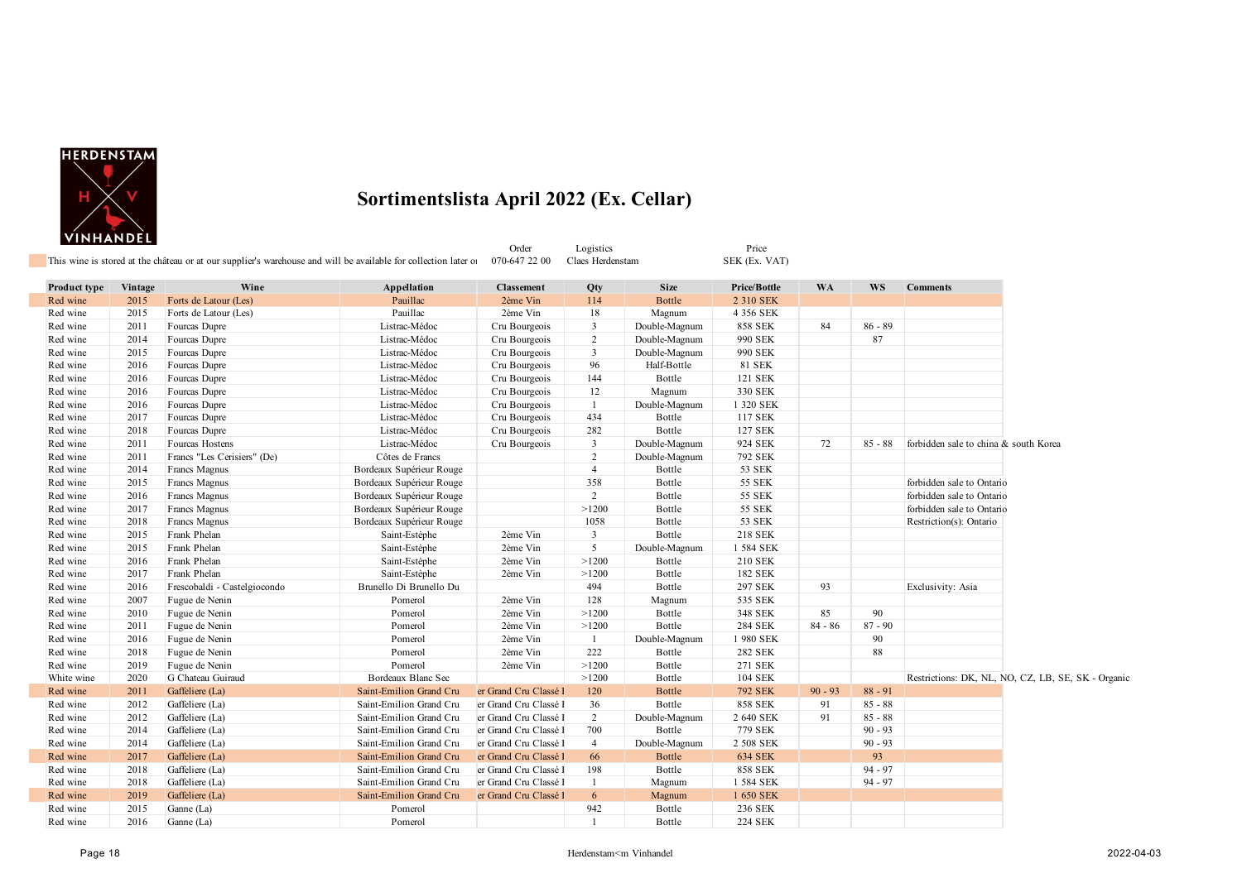

|              | <u>VIINILANDLL</u> | This wine is stored at the château or at our supplier's warehouse and will be available for collection later of |                          | Order<br>070-647 22 00 | Logistics<br>Claes Herdenstam |               | Price<br>SEK (Ex. VAT) |           |           |                                                    |
|--------------|--------------------|-----------------------------------------------------------------------------------------------------------------|--------------------------|------------------------|-------------------------------|---------------|------------------------|-----------|-----------|----------------------------------------------------|
|              |                    |                                                                                                                 |                          |                        |                               |               |                        |           |           |                                                    |
| Product type | Vintage            | Wine                                                                                                            | Appellation              | <b>Classement</b>      | Qty                           | <b>Size</b>   | Price/Bottle           | <b>WA</b> | <b>WS</b> | <b>Comments</b>                                    |
| Red wine     | 2015               | Forts de Latour (Les)                                                                                           | Pauillac                 | 2ème Vin               | 114                           | <b>Bottle</b> | 2 310 SEK              |           |           |                                                    |
| Red wine     | 2015               | Forts de Latour (Les)                                                                                           | Pauillac                 | 2ème Vin               | 18                            | Magnum        | 4 356 SEK              |           |           |                                                    |
| Red wine     | 2011               | Fourcas Dupre                                                                                                   | Listrac-Médoc            | Cru Bourgeois          | 3                             | Double-Magnum | <b>858 SEK</b>         | 84        | $86 - 89$ |                                                    |
| Red wine     | 2014               | Fourcas Dupre                                                                                                   | Listrac-Médoc            | Cru Bourgeois          | $\overline{2}$                | Double-Magnum | 990 SEK                |           | 87        |                                                    |
| Red wine     | 2015               | Fourcas Dupre                                                                                                   | Listrac-Médoc            | Cru Bourgeois          | 3                             | Double-Magnum | 990 SEK                |           |           |                                                    |
| Red wine     | 2016               | Fourcas Dupre                                                                                                   | Listrac-Médoc            | Cru Bourgeois          | 96                            | Half-Bottle   | <b>81 SEK</b>          |           |           |                                                    |
| Red wine     | 2016               | Fourcas Dupre                                                                                                   | Listrac-Médoc            | Cru Bourgeois          | 144                           | Bottle        | 121 SEK                |           |           |                                                    |
| Red wine     | 2016               | Fourcas Dupre                                                                                                   | Listrac-Médoc            | Cru Bourgeois          | 12                            | Magnum        | 330 SEK                |           |           |                                                    |
| Red wine     | 2016               | Fourcas Dupre                                                                                                   | Listrac-Médoc            | Cru Bourgeois          | -1                            | Double-Magnum | 1 320 SEK              |           |           |                                                    |
| Red wine     | 2017               | Fourcas Dupre                                                                                                   | Listrac-Médoc            | Cru Bourgeois          | 434                           | Bottle        | 117 SEK                |           |           |                                                    |
| Red wine     | 2018               | Fourcas Dupre                                                                                                   | Listrac-Médoc            | Cru Bourgeois          | 282                           | Bottle        | 127 SEK                |           |           |                                                    |
| Red wine     | 2011               | Fourcas Hostens                                                                                                 | Listrac-Médoc            | Cru Bourgeois          | 3                             | Double-Magnum | 924 SEK                | 72        | $85 - 88$ | forbidden sale to china & south Korea              |
| Red wine     | 2011               | Francs "Les Cerisiers" (De)                                                                                     | Côtes de Francs          |                        | $\overline{2}$                | Double-Magnum | 792 SEK                |           |           |                                                    |
| Red wine     | 2014               | Francs Magnus                                                                                                   | Bordeaux Supérieur Rouge |                        | $\overline{4}$                | Bottle        | 53 SEK                 |           |           |                                                    |
| Red wine     | 2015               | Francs Magnus                                                                                                   | Bordeaux Supérieur Rouge |                        | 358                           | Bottle        | 55 SEK                 |           |           | forbidden sale to Ontario                          |
| Red wine     | 2016               | Francs Magnus                                                                                                   | Bordeaux Supérieur Rouge |                        | 2                             | Bottle        | 55 SEK                 |           |           | forbidden sale to Ontario                          |
| Red wine     | 2017               | Francs Magnus                                                                                                   | Bordeaux Supérieur Rouge |                        | >1200                         | Bottle        | <b>55 SEK</b>          |           |           | forbidden sale to Ontario                          |
| Red wine     | 2018               | Francs Magnus                                                                                                   | Bordeaux Supérieur Rouge |                        | 1058                          | Bottle        | 53 SEK                 |           |           | Restriction(s): Ontario                            |
| Red wine     | 2015               | Frank Phelan                                                                                                    | Saint-Estèphe            | 2ème Vin               | $\overline{\mathbf{3}}$       | Bottle        | <b>218 SEK</b>         |           |           |                                                    |
| Red wine     | 2015               | Frank Phelan                                                                                                    | Saint-Estèphe            | 2ème Vin               | 5                             | Double-Magnum | 1 584 SEK              |           |           |                                                    |
| Red wine     | 2016               | Frank Phelan                                                                                                    | Saint-Estèphe            | 2ème Vin               | >1200                         | Bottle        | 210 SEK                |           |           |                                                    |
| Red wine     | 2017               | Frank Phelan                                                                                                    | Saint-Estèphe            | 2ème Vin               | >1200                         | Bottle        | 182 SEK                |           |           |                                                    |
| Red wine     | 2016               | Frescobaldi - Castelgiocondo                                                                                    | Brunello Di Brunello Du  |                        | 494                           | Bottle        | 297 SEK                | 93        |           | Exclusivity: Asia                                  |
| Red wine     | 2007               | Fugue de Nenin                                                                                                  | Pomerol                  | 2ème Vin               | 128                           | Magnum        | 535 SEK                |           |           |                                                    |
| Red wine     | 2010               | Fugue de Nenin                                                                                                  | Pomerol                  | 2ème Vin               | >1200                         | Bottle        | 348 SEK                | 85        | 90        |                                                    |
| Red wine     | 2011               | Fugue de Nenin                                                                                                  | Pomerol                  | 2ème Vin               | >1200                         | Bottle        | <b>284 SEK</b>         | $84 - 86$ | $87 - 90$ |                                                    |
| Red wine     | 2016               | Fugue de Nenin                                                                                                  | Pomerol                  | 2ème Vin               | -1                            | Double-Magnum | 1 980 SEK              |           | 90        |                                                    |
| Red wine     | 2018               | Fugue de Nenin                                                                                                  | Pomerol                  | 2ème Vin               | 222                           | Bottle        | <b>282 SEK</b>         |           | 88        |                                                    |
| Red wine     | 2019               | Fugue de Nenin                                                                                                  | Pomerol                  | 2ème Vin               | >1200                         | Bottle        | 271 SEK                |           |           |                                                    |
| White wine   | 2020               | G Chateau Guiraud                                                                                               | Bordeaux Blanc Sec       |                        | >1200                         | Bottle        | 104 SEK                |           |           | Restrictions: DK, NL, NO, CZ, LB, SE, SK - Organic |
| Red wine     | 2011               | Gaffeliere (La)                                                                                                 | Saint-Emilion Grand Cru  | er Grand Cru Classé l  | 120                           | <b>Bottle</b> | <b>792 SEK</b>         | $90 - 93$ | $88 - 91$ |                                                    |
| Red wine     | 2012               | Gaffeliere (La)                                                                                                 | Saint-Emilion Grand Cru  | er Grand Cru Classé l  | 36                            | Bottle        | <b>858 SEK</b>         | 91        | $85 - 88$ |                                                    |
| Red wine     | 2012               | Gaffeliere (La)                                                                                                 | Saint-Emilion Grand Cru  | er Grand Cru Classé l  | $\overline{2}$                | Double-Magnum | 2 640 SEK              | 91        | $85 - 88$ |                                                    |
| Red wine     | 2014               | Gaffeliere (La)                                                                                                 | Saint-Emilion Grand Cru  | er Grand Cru Classé l  | 700                           | Bottle        | 779 SEK                |           | $90 - 93$ |                                                    |
| Red wine     | 2014               | Gaffeliere (La)                                                                                                 | Saint-Emilion Grand Cru  | er Grand Cru Classé l  | $\overline{4}$                | Double-Magnum | 2 508 SEK              |           | $90 - 93$ |                                                    |
| Red wine     | 2017               | Gaffeliere (La)                                                                                                 | Saint-Emilion Grand Cru  | er Grand Cru Classé l  | 66                            | Bottle        | <b>634 SEK</b>         |           | 93        |                                                    |
| Red wine     | 2018               | Gaffeliere (La)                                                                                                 | Saint-Emilion Grand Cru  | er Grand Cru Classé l  | 198                           | Bottle        | <b>858 SEK</b>         |           | $94 - 97$ |                                                    |
| Red wine     | 2018               | Gaffeliere (La)                                                                                                 | Saint-Emilion Grand Cru  | er Grand Cru Classé l  | -1                            | Magnum        | 1 584 SEK              |           | $94 - 97$ |                                                    |
| Red wine     | 2019               | Gaffeliere (La)                                                                                                 | Saint-Emilion Grand Cru  | er Grand Cru Classé l  | 6                             | Magnum        | 1 650 SEK              |           |           |                                                    |
| Red wine     | 2015               | Ganne (La)                                                                                                      | Pomerol                  |                        | 942                           | Bottle        | 236 SEK                |           |           |                                                    |
| Red wine     | 2016               | Ganne (La)                                                                                                      | Pomerol                  |                        | $\overline{1}$                | Bottle        | <b>224 SEK</b>         |           |           |                                                    |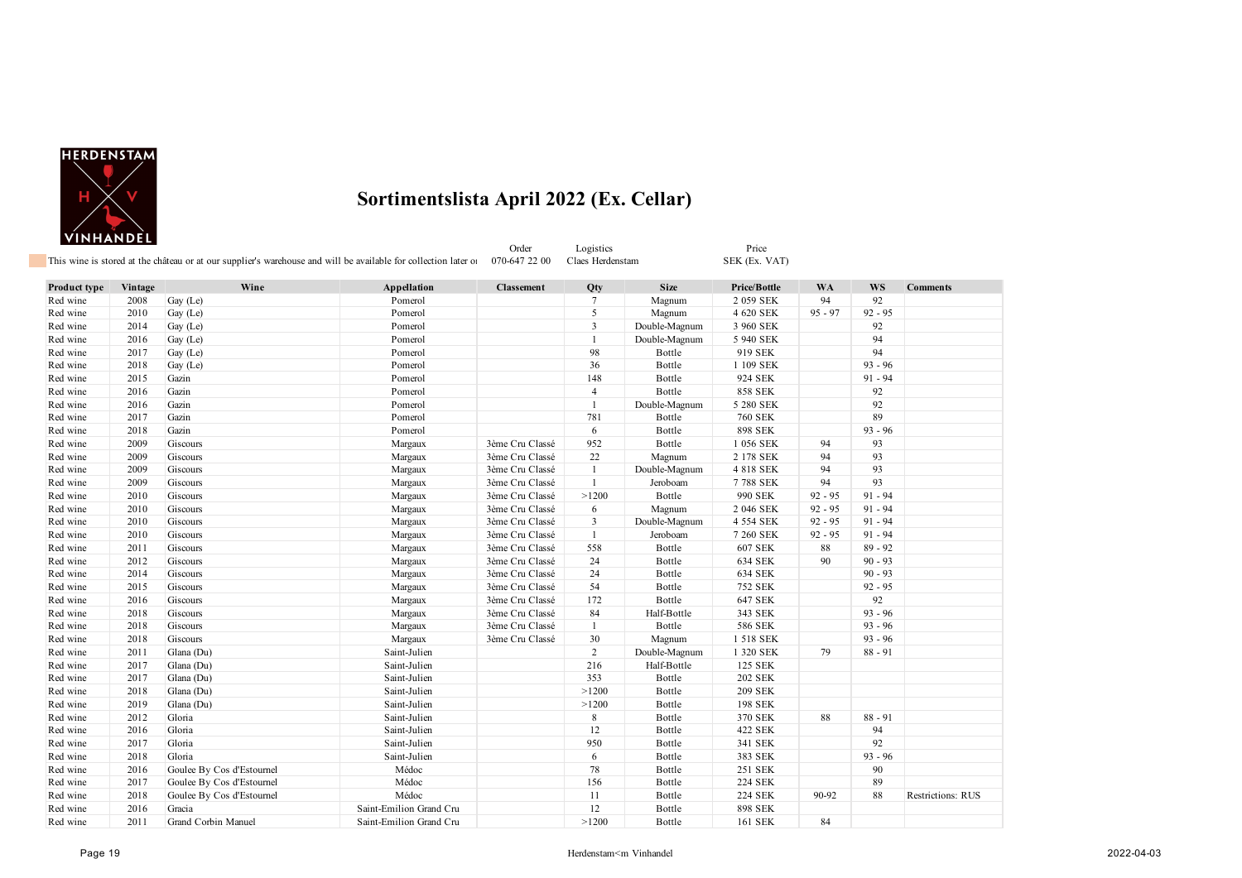

|              |         |                           | This wine is stored at the château or at our supplier's warehouse and will be available for collection later of | Order<br>070-647 22 00 | Logistics<br>Claes Herdenstam |               | Price<br>SEK (Ex. VAT) |           |           |                          |
|--------------|---------|---------------------------|-----------------------------------------------------------------------------------------------------------------|------------------------|-------------------------------|---------------|------------------------|-----------|-----------|--------------------------|
| Product type | Vintage | Wine                      | Appellation                                                                                                     | <b>Classement</b>      | Qty                           | <b>Size</b>   | Price/Bottle           | WA        | WS        | <b>Comments</b>          |
| Red wine     | 2008    | Gay (Le)                  | Pomerol                                                                                                         |                        | $\tau$                        | Magnum        | 2 059 SEK              | 94        | 92        |                          |
| Red wine     | 2010    | Gay (Le)                  | Pomerol                                                                                                         |                        | 5                             | Magnum        | 4 620 SEK              | $95 - 97$ | $92 - 95$ |                          |
| Red wine     | 2014    | Gay (Le)                  | Pomerol                                                                                                         |                        | $\mathbf{3}$                  | Double-Magnum | 3 960 SEK              |           | 92        |                          |
| Red wine     | 2016    | Gay (Le)                  | Pomerol                                                                                                         |                        | 1                             | Double-Magnum | 5 940 SEK              |           | 94        |                          |
| Red wine     | 2017    | Gay (Le)                  | Pomerol                                                                                                         |                        | 98                            | Bottle        | 919 SEK                |           | 94        |                          |
| Red wine     | 2018    | Gay (Le)                  | Pomerol                                                                                                         |                        | 36                            | Bottle        | 1 109 SEK              |           | $93 - 96$ |                          |
| Red wine     | 2015    | Gazin                     | Pomerol                                                                                                         |                        | 148                           | Bottle        | 924 SEK                |           | $91 - 94$ |                          |
| Red wine     | 2016    | Gazin                     | Pomerol                                                                                                         |                        | $\overline{4}$                | Bottle        | <b>858 SEK</b>         |           | 92        |                          |
| Red wine     | 2016    | Gazin                     | Pomerol                                                                                                         |                        | $\mathbf{1}$                  | Double-Magnum | 5 280 SEK              |           | 92        |                          |
| Red wine     | 2017    | Gazin                     | Pomerol                                                                                                         |                        | 781                           | Bottle        | <b>760 SEK</b>         |           | 89        |                          |
| Red wine     | 2018    | Gazin                     | Pomerol                                                                                                         |                        | 6                             | Bottle        | <b>898 SEK</b>         |           | $93 - 96$ |                          |
| Red wine     | 2009    | Giscours                  | Margaux                                                                                                         | 3ème Cru Classé        | 952                           | Bottle        | 1 056 SEK              | 94        | 93        |                          |
| Red wine     | 2009    | Giscours                  | Margaux                                                                                                         | 3ème Cru Classé        | 22                            | Magnum        | 2 178 SEK              | 94        | 93        |                          |
| Red wine     | 2009    | Giscours                  | Margaux                                                                                                         | 3ème Cru Classé        | $\mathbf{1}$                  | Double-Magnum | 4 818 SEK              | 94        | 93        |                          |
| Red wine     | 2009    | Giscours                  | Margaux                                                                                                         | 3ème Cru Classé        | $\mathbf{1}$                  | Jeroboam      | 7788 SEK               | 94        | 93        |                          |
| Red wine     | 2010    | Giscours                  | Margaux                                                                                                         | 3ème Cru Classé        | >1200                         | Bottle        | 990 SEK                | $92 - 95$ | $91 - 94$ |                          |
| Red wine     | 2010    | Giscours                  | Margaux                                                                                                         | 3ème Cru Classé        | 6                             | Magnum        | 2 046 SEK              | $92 - 95$ | $91 - 94$ |                          |
| Red wine     | 2010    | Giscours                  | Margaux                                                                                                         | 3ème Cru Classé        | $\mathbf{3}$                  | Double-Magnum | 4 554 SEK              | $92 - 95$ | $91 - 94$ |                          |
| Red wine     | 2010    | Giscours                  | Margaux                                                                                                         | 3ème Cru Classé        | $\mathbf{1}$                  | Jeroboam      | 7 260 SEK              | $92 - 95$ | $91 - 94$ |                          |
| Red wine     | 2011    | Giscours                  | Margaux                                                                                                         | 3ème Cru Classé        | 558                           | Bottle        | <b>607 SEK</b>         | 88        | $89 - 92$ |                          |
| Red wine     | 2012    | Giscours                  | Margaux                                                                                                         | 3ème Cru Classé        | 24                            | Bottle        | 634 SEK                | 90        | $90 - 93$ |                          |
| Red wine     | 2014    | Giscours                  | Margaux                                                                                                         | 3ème Cru Classé        | 24                            | Bottle        | 634 SEK                |           | $90 - 93$ |                          |
| Red wine     | 2015    | Giscours                  | Margaux                                                                                                         | 3ème Cru Classé        | 54                            | Bottle        | <b>752 SEK</b>         |           | $92 - 95$ |                          |
| Red wine     | 2016    | Giscours                  | Margaux                                                                                                         | 3ème Cru Classé        | 172                           | Bottle        | 647 SEK                |           | 92        |                          |
| Red wine     | 2018    | Giscours                  | Margaux                                                                                                         | 3ème Cru Classé        | 84                            | Half-Bottle   | 343 SEK                |           | $93 - 96$ |                          |
| Red wine     | 2018    | Giscours                  | Margaux                                                                                                         | 3ème Cru Classé        | $\mathbf{1}$                  | Bottle        | 586 SEK                |           | $93 - 96$ |                          |
| Red wine     | 2018    | Giscours                  | Margaux                                                                                                         | 3ème Cru Classé        | 30                            | Magnum        | 1 518 SEK              |           | $93 - 96$ |                          |
| Red wine     | 2011    | Glana (Du)                | Saint-Julien                                                                                                    |                        | $\overline{2}$                | Double-Magnum | 1 320 SEK              | 79        | $88 - 91$ |                          |
| Red wine     | 2017    | Glana (Du)                | Saint-Julien                                                                                                    |                        | 216                           | Half-Bottle   | 125 SEK                |           |           |                          |
| Red wine     | 2017    | Glana (Du)                | Saint-Julien                                                                                                    |                        | 353                           | Bottle        | <b>202 SEK</b>         |           |           |                          |
| Red wine     | 2018    | Glana (Du)                | Saint-Julien                                                                                                    |                        | >1200                         | Bottle        | <b>209 SEK</b>         |           |           |                          |
| Red wine     | 2019    | Glana (Du)                | Saint-Julien                                                                                                    |                        | >1200                         | Bottle        | 198 SEK                |           |           |                          |
| Red wine     | 2012    | Gloria                    | Saint-Julien                                                                                                    |                        | 8                             | Bottle        | 370 SEK                | 88        | $88 - 91$ |                          |
| Red wine     | 2016    | Gloria                    | Saint-Julien                                                                                                    |                        | 12                            | Bottle        | 422 SEK                |           | 94        |                          |
| Red wine     | 2017    | Gloria                    | Saint-Julien                                                                                                    |                        | 950                           | Bottle        | 341 SEK                |           | 92        |                          |
| Red wine     | 2018    | Gloria                    | Saint-Julien                                                                                                    |                        | 6                             | Bottle        | 383 SEK                |           | $93 - 96$ |                          |
| Red wine     | 2016    | Goulee By Cos d'Estournel | Médoc                                                                                                           |                        | 78                            | Bottle        | 251 SEK                |           | 90        |                          |
| Red wine     | 2017    | Goulee By Cos d'Estournel | Médoc                                                                                                           |                        | 156                           | Bottle        | <b>224 SEK</b>         |           | 89        |                          |
| Red wine     | 2018    | Goulee By Cos d'Estournel | Médoc                                                                                                           |                        | 11                            | Bottle        | <b>224 SEK</b>         | 90-92     | 88        | <b>Restrictions: RUS</b> |
| Red wine     | 2016    | Gracia                    | Saint-Emilion Grand Cru                                                                                         |                        | 12                            | Bottle        | <b>898 SEK</b>         |           |           |                          |
| Red wine     | 2011    | Grand Corbin Manuel       | Saint-Emilion Grand Cru                                                                                         |                        | >1200                         | Bottle        | 161 SEK                | 84        |           |                          |
|              |         |                           |                                                                                                                 |                        |                               |               |                        |           |           |                          |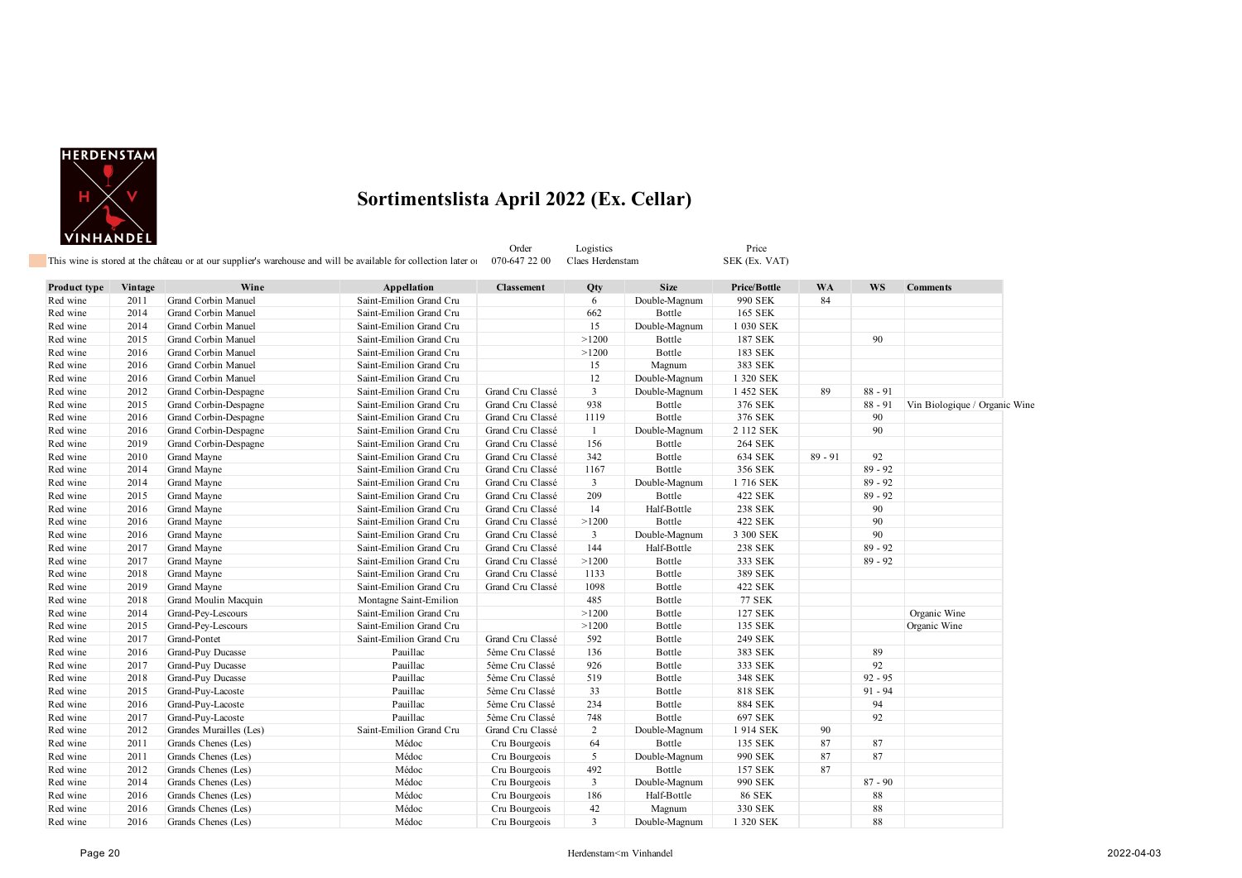

Order Logistics Price Price<br>
1992 - Price Claes Herdenstam SEK (Ex. VAT) This wine is stored at the château or at our supplier's warehouse and will be available for collection later on  $0.070-6472200$  Claes Herdenstam

| Product type | Vintage | Wine                    | Appellation             | <b>Classement</b> | Qty                     | <b>Size</b>   | Price/Bottle   | <b>WA</b> | WS        | <b>Comments</b>               |
|--------------|---------|-------------------------|-------------------------|-------------------|-------------------------|---------------|----------------|-----------|-----------|-------------------------------|
| Red wine     | 2011    | Grand Corbin Manuel     | Saint-Emilion Grand Cru |                   | 6                       | Double-Magnum | 990 SEK        | 84        |           |                               |
| Red wine     | 2014    | Grand Corbin Manuel     | Saint-Emilion Grand Cru |                   | 662                     | Bottle        | 165 SEK        |           |           |                               |
| Red wine     | 2014    | Grand Corbin Manuel     | Saint-Emilion Grand Cru |                   | 15                      | Double-Magnum | 1 030 SEK      |           |           |                               |
| Red wine     | 2015    | Grand Corbin Manuel     | Saint-Emilion Grand Cru |                   | >1200                   | Bottle        | 187 SEK        |           | 90        |                               |
| Red wine     | 2016    | Grand Corbin Manuel     | Saint-Emilion Grand Cru |                   | >1200                   | Bottle        | 183 SEK        |           |           |                               |
| Red wine     | 2016    | Grand Corbin Manuel     | Saint-Emilion Grand Cru |                   | 15                      | Magnum        | 383 SEK        |           |           |                               |
| Red wine     | 2016    | Grand Corbin Manuel     | Saint-Emilion Grand Cru |                   | 12                      | Double-Magnum | 1 320 SEK      |           |           |                               |
| Red wine     | 2012    | Grand Corbin-Despagne   | Saint-Emilion Grand Cru | Grand Cru Classé  | $\overline{3}$          | Double-Magnum | 1 452 SEK      | 89        | $88 - 91$ |                               |
| Red wine     | 2015    | Grand Corbin-Despagne   | Saint-Emilion Grand Cru | Grand Cru Classé  | 938                     | Bottle        | 376 SEK        |           | $88 - 91$ | Vin Biologique / Organic Wine |
| Red wine     | 2016    | Grand Corbin-Despagne   | Saint-Emilion Grand Cru | Grand Cru Classé  | 1119                    | Bottle        | 376 SEK        |           | 90        |                               |
| Red wine     | 2016    | Grand Corbin-Despagne   | Saint-Emilion Grand Cru | Grand Cru Classé  | 1                       | Double-Magnum | 2 112 SEK      |           | 90        |                               |
| Red wine     | 2019    | Grand Corbin-Despagne   | Saint-Emilion Grand Cru | Grand Cru Classé  | 156                     | Bottle        | <b>264 SEK</b> |           |           |                               |
| Red wine     | 2010    | Grand Mayne             | Saint-Emilion Grand Cru | Grand Cru Classé  | 342                     | Bottle        | 634 SEK        | $89 - 91$ | 92        |                               |
| Red wine     | 2014    | Grand Mayne             | Saint-Emilion Grand Cru | Grand Cru Classé  | 1167                    | Bottle        | 356 SEK        |           | $89 - 92$ |                               |
| Red wine     | 2014    | Grand Mayne             | Saint-Emilion Grand Cru | Grand Cru Classé  | 3                       | Double-Magnum | 1716 SEK       |           | $89 - 92$ |                               |
| Red wine     | 2015    | Grand Mayne             | Saint-Emilion Grand Cru | Grand Cru Classé  | 209                     | Bottle        | 422 SEK        |           | $89 - 92$ |                               |
| Red wine     | 2016    | Grand Mayne             | Saint-Emilion Grand Cru | Grand Cru Classé  | 14                      | Half-Bottle   | <b>238 SEK</b> |           | 90        |                               |
| Red wine     | 2016    | Grand Mayne             | Saint-Emilion Grand Cru | Grand Cru Classé  | >1200                   | Bottle        | 422 SEK        |           | 90        |                               |
| Red wine     | 2016    | Grand Mayne             | Saint-Emilion Grand Cru | Grand Cru Classé  | $\overline{\mathbf{3}}$ | Double-Magnum | 3 300 SEK      |           | 90        |                               |
| Red wine     | 2017    | Grand Mayne             | Saint-Emilion Grand Cru | Grand Cru Classé  | 144                     | Half-Bottle   | 238 SEK        |           | $89 - 92$ |                               |
| Red wine     | 2017    | Grand Mayne             | Saint-Emilion Grand Cru | Grand Cru Classé  | >1200                   | Bottle        | 333 SEK        |           | $89 - 92$ |                               |
| Red wine     | 2018    | Grand Mayne             | Saint-Emilion Grand Cru | Grand Cru Classé  | 1133                    | Bottle        | 389 SEK        |           |           |                               |
| Red wine     | 2019    | Grand Mayne             | Saint-Emilion Grand Cru | Grand Cru Classé  | 1098                    | Bottle        | 422 SEK        |           |           |                               |
| Red wine     | 2018    | Grand Moulin Macquin    | Montagne Saint-Emilion  |                   | 485                     | Bottle        | <b>77 SEK</b>  |           |           |                               |
| Red wine     | 2014    | Grand-Pey-Lescours      | Saint-Emilion Grand Cru |                   | >1200                   | Bottle        | 127 SEK        |           |           | Organic Wine                  |
| Red wine     | 2015    | Grand-Pey-Lescours      | Saint-Emilion Grand Cru |                   | >1200                   | Bottle        | 135 SEK        |           |           | Organic Wine                  |
| Red wine     | 2017    | Grand-Pontet            | Saint-Emilion Grand Cru | Grand Cru Classé  | 592                     | Bottle        | 249 SEK        |           |           |                               |
| Red wine     | 2016    | Grand-Puy Ducasse       | Pauillac                | 5ème Cru Classé   | 136                     | Bottle        | 383 SEK        |           | 89        |                               |
| Red wine     | 2017    | Grand-Puy Ducasse       | Pauillac                | 5ème Cru Classé   | 926                     | Bottle        | 333 SEK        |           | 92        |                               |
| Red wine     | 2018    | Grand-Puy Ducasse       | Pauillac                | 5ème Cru Classé   | 519                     | Bottle        | 348 SEK        |           | $92 - 95$ |                               |
| Red wine     | 2015    | Grand-Puy-Lacoste       | Pauillac                | 5ème Cru Classé   | 33                      | Bottle        | 818 SEK        |           | $91 - 94$ |                               |
| Red wine     | 2016    | Grand-Puy-Lacoste       | Pauillac                | 5ème Cru Classé   | 234                     | Bottle        | <b>884 SEK</b> |           | 94        |                               |
| Red wine     | 2017    | Grand-Puy-Lacoste       | Pauillac                | 5ème Cru Classé   | 748                     | Bottle        | 697 SEK        |           | 92        |                               |
| Red wine     | 2012    | Grandes Murailles (Les) | Saint-Emilion Grand Cru | Grand Cru Classé  | $\overline{2}$          | Double-Magnum | 1914 SEK       | 90        |           |                               |
| Red wine     | 2011    | Grands Chenes (Les)     | Médoc                   | Cru Bourgeois     | 64                      | Bottle        | 135 SEK        | 87        | 87        |                               |
| Red wine     | 2011    | Grands Chenes (Les)     | Médoc                   | Cru Bourgeois     | 5                       | Double-Magnum | 990 SEK        | 87        | 87        |                               |
| Red wine     | 2012    | Grands Chenes (Les)     | Médoc                   | Cru Bourgeois     | 492                     | Bottle        | 157 SEK        | 87        |           |                               |
| Red wine     | 2014    | Grands Chenes (Les)     | Médoc                   | Cru Bourgeois     | 3                       | Double-Magnum | 990 SEK        |           | $87 - 90$ |                               |
| Red wine     | 2016    | Grands Chenes (Les)     | Médoc                   | Cru Bourgeois     | 186                     | Half-Bottle   | <b>86 SEK</b>  |           | 88        |                               |
| Red wine     | 2016    | Grands Chenes (Les)     | Médoc                   | Cru Bourgeois     | 42                      | Magnum        | 330 SEK        |           | 88        |                               |
| Red wine     | 2016    | Grands Chenes (Les)     | Médoc                   | Cru Bourgeois     | 3                       | Double-Magnum | 1 320 SEK      |           | 88        |                               |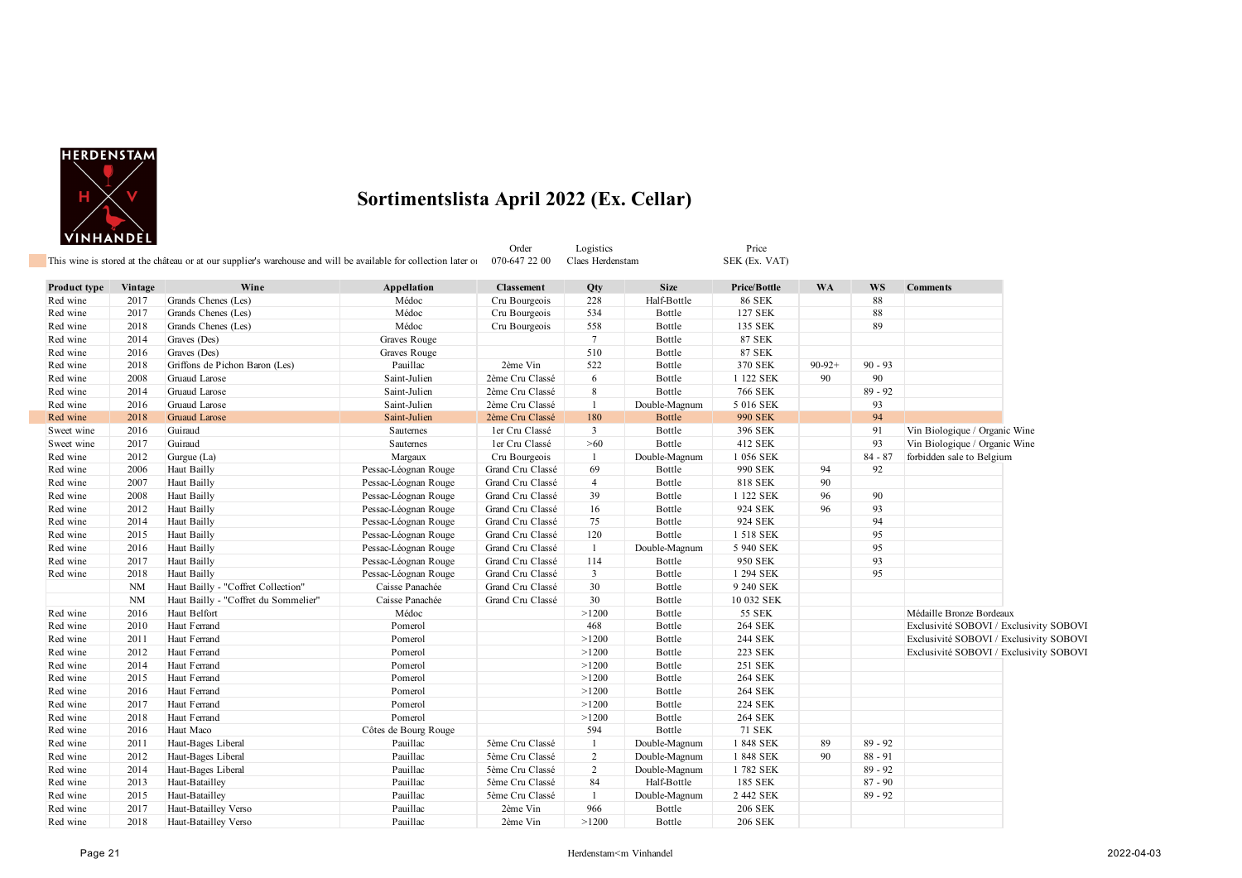

|              | ********** <del>**</del> | This wine is stored at the château or at our supplier's warehouse and will be available for collection later of |                      | Order<br>070-647 22 00 | Logistics<br>Claes Herdenstam |               | Price<br>SEK (Ex. VAT) |           |           |                                         |  |
|--------------|--------------------------|-----------------------------------------------------------------------------------------------------------------|----------------------|------------------------|-------------------------------|---------------|------------------------|-----------|-----------|-----------------------------------------|--|
|              |                          |                                                                                                                 |                      |                        |                               |               |                        |           |           |                                         |  |
| Product type | Vintage                  | Wine                                                                                                            | Appellation          | <b>Classement</b>      | Qty                           | <b>Size</b>   | Price/Bottle           | <b>WA</b> | <b>WS</b> | <b>Comments</b>                         |  |
| Red wine     | 2017                     | Grands Chenes (Les)                                                                                             | Médoc                | Cru Bourgeois          | 228                           | Half-Bottle   | <b>86 SEK</b>          |           | 88        |                                         |  |
| Red wine     | 2017                     | Grands Chenes (Les)                                                                                             | Médoc                | Cru Bourgeois          | 534                           | Bottle        | 127 SEK                |           | 88        |                                         |  |
| Red wine     | 2018                     | Grands Chenes (Les)                                                                                             | Médoc                | Cru Bourgeois          | 558                           | Bottle        | 135 SEK                |           | 89        |                                         |  |
| Red wine     | 2014                     | Graves (Des)                                                                                                    | Graves Rouge         |                        | $7\phantom{.0}$               | Bottle        | <b>87 SEK</b>          |           |           |                                         |  |
| Red wine     | 2016                     | Graves (Des)                                                                                                    | Graves Rouge         |                        | 510                           | Bottle        | <b>87 SEK</b>          |           |           |                                         |  |
| Red wine     | 2018                     | Griffons de Pichon Baron (Les)                                                                                  | Pauillac             | 2ème Vin               | 522                           | Bottle        | 370 SEK                | $90-92+$  | $90 - 93$ |                                         |  |
| Red wine     | 2008                     | Gruaud Larose                                                                                                   | Saint-Julien         | 2ème Cru Classé        | 6                             | Bottle        | 1 122 SEK              | 90        | 90        |                                         |  |
| Red wine     | 2014                     | Gruaud Larose                                                                                                   | Saint-Julien         | 2ème Cru Classé        | $\,8\,$                       | Bottle        | 766 SEK                |           | $89 - 92$ |                                         |  |
| Red wine     | 2016                     | Gruaud Larose                                                                                                   | Saint-Julien         | 2ème Cru Classé        | $\mathbf{1}$                  | Double-Magnum | 5 016 SEK              |           | 93        |                                         |  |
| Red wine     | 2018                     | Gruaud Larose                                                                                                   | Saint-Julien         | 2ème Cru Classé        | 180                           | <b>Bottle</b> | <b>990 SEK</b>         |           | 94        |                                         |  |
| Sweet wine   | 2016                     | Guiraud                                                                                                         | Sauternes            | ler Cru Classé         | $\mathbf{3}$                  | Bottle        | 396 SEK                |           | 91        | Vin Biologique / Organic Wine           |  |
| Sweet wine   | 2017                     | Guiraud                                                                                                         | Sauternes            | ler Cru Classé         | $>60$                         | Bottle        | 412 SEK                |           | 93        | Vin Biologique / Organic Wine           |  |
| Red wine     | 2012                     | Gurgue (La)                                                                                                     | Margaux              | Cru Bourgeois          | $\mathbf{1}$                  | Double-Magnum | 1 056 SEK              |           | $84 - 87$ | forbidden sale to Belgium               |  |
| Red wine     | 2006                     | Haut Bailly                                                                                                     | Pessac-Léognan Rouge | Grand Cru Classé       | 69                            | Bottle        | 990 SEK                | 94        | 92        |                                         |  |
| Red wine     | 2007                     | Haut Bailly                                                                                                     | Pessac-Léognan Rouge | Grand Cru Classé       | $\overline{4}$                | Bottle        | 818 SEK                | 90        |           |                                         |  |
| Red wine     | 2008                     | Haut Bailly                                                                                                     | Pessac-Léognan Rouge | Grand Cru Classé       | 39                            | Bottle        | 1 122 SEK              | 96        | 90        |                                         |  |
| Red wine     | 2012                     | Haut Bailly                                                                                                     | Pessac-Léognan Rouge | Grand Cru Classé       | 16                            | Bottle        | 924 SEK                | 96        | 93        |                                         |  |
| Red wine     | 2014                     | Haut Bailly                                                                                                     | Pessac-Léognan Rouge | Grand Cru Classé       | 75                            | Bottle        | 924 SEK                |           | 94        |                                         |  |
| Red wine     | 2015                     | Haut Bailly                                                                                                     | Pessac-Léognan Rouge | Grand Cru Classé       | 120                           | Bottle        | 1 518 SEK              |           | 95        |                                         |  |
| Red wine     | 2016                     | Haut Bailly                                                                                                     | Pessac-Léognan Rouge | Grand Cru Classé       | $\mathbf{1}$                  | Double-Magnum | 5 940 SEK              |           | 95        |                                         |  |
| Red wine     | 2017                     | Haut Bailly                                                                                                     | Pessac-Léognan Rouge | Grand Cru Classé       | 114                           | Bottle        | 950 SEK                |           | 93        |                                         |  |
| Red wine     | 2018                     | Haut Bailly                                                                                                     | Pessac-Léognan Rouge | Grand Cru Classé       | $\mathbf{3}$                  | Bottle        | 1 294 SEK              |           | 95        |                                         |  |
|              | <b>NM</b>                | Haut Bailly - "Coffret Collection"                                                                              | Caisse Panachée      | Grand Cru Classé       | 30                            | Bottle        | 9 240 SEK              |           |           |                                         |  |
|              | <b>NM</b>                | Haut Bailly - "Coffret du Sommelier"                                                                            | Caisse Panachée      | Grand Cru Classé       | 30                            | Bottle        | 10 032 SEK             |           |           |                                         |  |
| Red wine     | 2016                     | Haut Belfort                                                                                                    | Médoc                |                        | >1200                         | Bottle        | 55 SEK                 |           |           | Médaille Bronze Bordeaux                |  |
| Red wine     | 2010                     | Haut Ferrand                                                                                                    | Pomerol              |                        | 468                           | Bottle        | <b>264 SEK</b>         |           |           | Exclusivité SOBOVI / Exclusivity SOBOVI |  |
| Red wine     | 2011                     | Haut Ferrand                                                                                                    | Pomerol              |                        | >1200                         | Bottle        | 244 SEK                |           |           | Exclusivité SOBOVI / Exclusivity SOBOVI |  |
| Red wine     | 2012                     | Haut Ferrand                                                                                                    | Pomerol              |                        | >1200                         | Bottle        | 223 SEK                |           |           | Exclusivité SOBOVI / Exclusivity SOBOVI |  |
| Red wine     | 2014                     | Haut Ferrand                                                                                                    | Pomerol              |                        | >1200                         | Bottle        | 251 SEK                |           |           |                                         |  |
| Red wine     | 2015                     | Haut Ferrand                                                                                                    | Pomerol              |                        | >1200                         | Bottle        | <b>264 SEK</b>         |           |           |                                         |  |
| Red wine     | 2016                     | Haut Ferrand                                                                                                    | Pomerol              |                        | >1200                         | Bottle        | <b>264 SEK</b>         |           |           |                                         |  |
| Red wine     | 2017                     | Haut Ferrand                                                                                                    | Pomerol              |                        | >1200                         | Bottle        | <b>224 SEK</b>         |           |           |                                         |  |
| Red wine     | 2018                     | Haut Ferrand                                                                                                    | Pomerol              |                        | >1200                         | Bottle        | <b>264 SEK</b>         |           |           |                                         |  |
| Red wine     | 2016                     | Haut Maco                                                                                                       | Côtes de Bourg Rouge |                        | 594                           | Bottle        | <b>71 SEK</b>          |           |           |                                         |  |
| Red wine     | 2011                     | Haut-Bages Liberal                                                                                              | Pauillac             | 5ème Cru Classé        | 1                             | Double-Magnum | 1 848 SEK              | 89        | $89 - 92$ |                                         |  |
| Red wine     | 2012                     | Haut-Bages Liberal                                                                                              | Pauillac             | 5ème Cru Classé        | $\overline{2}$                | Double-Magnum | 1 848 SEK              | 90        | $88 - 91$ |                                         |  |
| Red wine     | 2014                     | Haut-Bages Liberal                                                                                              | Pauillac             | 5ème Cru Classé        | $\overline{2}$                | Double-Magnum | 1782 SEK               |           | $89 - 92$ |                                         |  |
| Red wine     | 2013                     | Haut-Batailley                                                                                                  | Pauillac             | 5ème Cru Classé        | 84                            | Half-Bottle   | 185 SEK                |           | $87 - 90$ |                                         |  |
| Red wine     | 2015                     | Haut-Batailley                                                                                                  | Pauillac             | 5ème Cru Classé        | $\mathbf{1}$                  | Double-Magnum | 2 442 SEK              |           | $89 - 92$ |                                         |  |
| Red wine     | 2017                     | Haut-Batailley Verso                                                                                            | Pauillac             | 2ème Vin               | 966                           | Bottle        | <b>206 SEK</b>         |           |           |                                         |  |
| Red wine     | 2018                     | Haut-Batailley Verso                                                                                            | Pauillac             | 2ème Vin               | >1200                         | Bottle        | <b>206 SEK</b>         |           |           |                                         |  |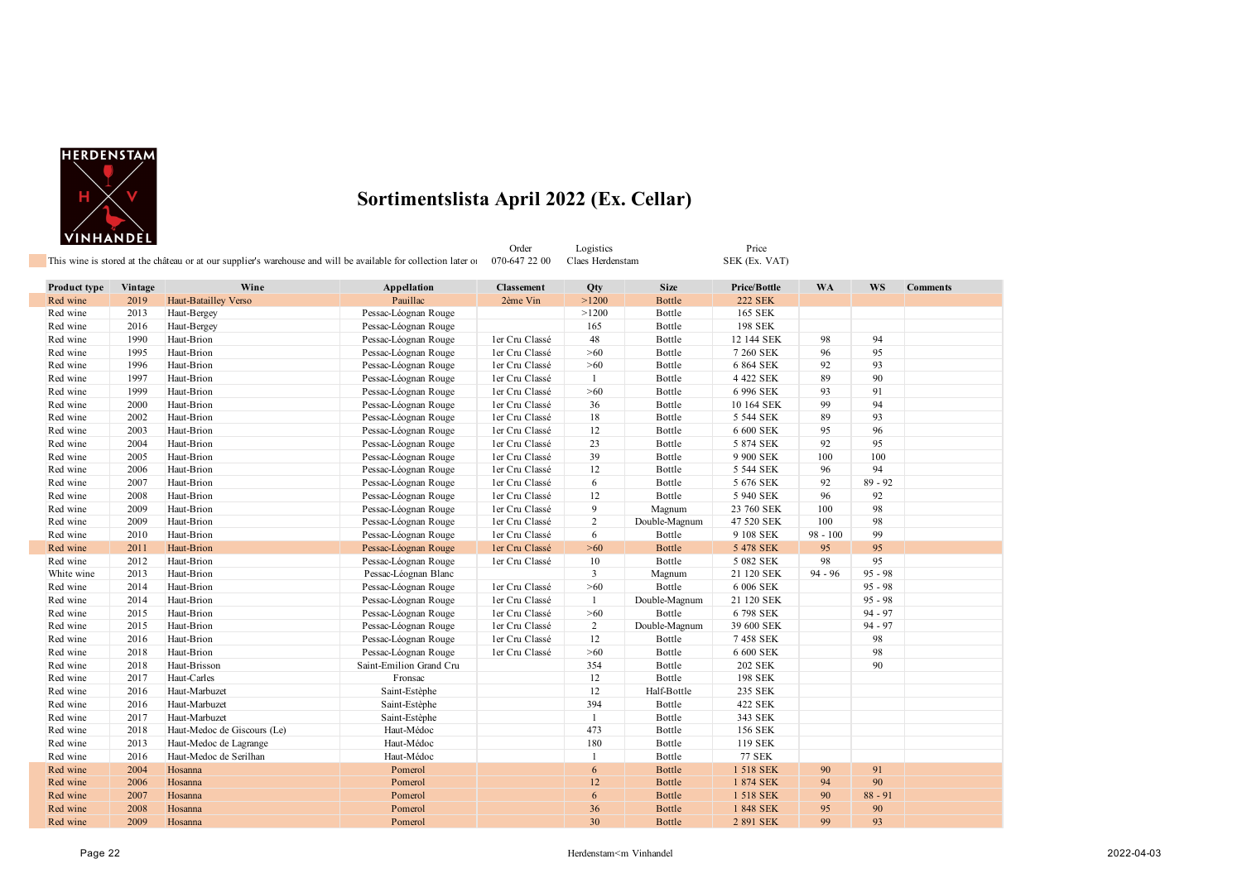

| _____________       |         | This wine is stored at the château or at our supplier's warehouse and will be available for collection later of 070-647 22 00 |             | Order      | Logistics<br>Claes Herdenstam |             | Price<br>SEK (Ex. VAT) |           |           |                 |
|---------------------|---------|-------------------------------------------------------------------------------------------------------------------------------|-------------|------------|-------------------------------|-------------|------------------------|-----------|-----------|-----------------|
| <b>Product type</b> | Vintage | Wine                                                                                                                          | Appellation | Classement | Qty                           | <b>Size</b> | <b>Price/Bottle</b>    | <b>WA</b> | <b>WS</b> | <b>Comments</b> |
| Red wine            | 2019    | Haut-Batailley Verso                                                                                                          | Pauillac    | 2ème Vin   | >1200                         | Bottle      | <b>222 SEK</b>         |           |           |                 |

| Red wine   | 2019 | Haut-Batailley Verso        | Pauillac                | 2ème Vin       | >1200          | Bottle        | 222 SEK        |            |           |  |
|------------|------|-----------------------------|-------------------------|----------------|----------------|---------------|----------------|------------|-----------|--|
| Red wine   | 2013 | Haut-Bergey                 | Pessac-Léognan Rouge    |                | >1200          | Bottle        | 165 SEK        |            |           |  |
| Red wine   | 2016 | Haut-Bergey                 | Pessac-Léognan Rouge    |                | 165            | Bottle        | 198 SEK        |            |           |  |
| Red wine   | 1990 | Haut-Brion                  | Pessac-Léognan Rouge    | ler Cru Classé | 48             | Bottle        | 12 144 SEK     | 98         | 94        |  |
| Red wine   | 1995 | Haut-Brion                  | Pessac-Léognan Rouge    | ler Cru Classé | >60            | Bottle        | 7 260 SEK      | 96         | 95        |  |
| Red wine   | 1996 | Haut-Brion                  | Pessac-Léognan Rouge    | ler Cru Classé | $>60$          | Bottle        | 6 864 SEK      | 92         | 93        |  |
| Red wine   | 1997 | Haut-Brion                  | Pessac-Léognan Rouge    | ler Cru Classé | 1              | Bottle        | 4 422 SEK      | 89         | 90        |  |
| Red wine   | 1999 | Haut-Brion                  | Pessac-Léognan Rouge    | ler Cru Classé | $>60$          | Bottle        | 6 996 SEK      | 93         | 91        |  |
| Red wine   | 2000 | Haut-Brion                  | Pessac-Léognan Rouge    | ler Cru Classé | 36             | Bottle        | 10 164 SEK     | 99         | 94        |  |
| Red wine   | 2002 | Haut-Brion                  | Pessac-Léognan Rouge    | ler Cru Classé | 18             | Bottle        | 5 544 SEK      | 89         | 93        |  |
| Red wine   | 2003 | Haut-Brion                  | Pessac-Léognan Rouge    | ler Cru Classé | 12             | Bottle        | 6 600 SEK      | 95         | 96        |  |
| Red wine   | 2004 | Haut-Brion                  | Pessac-Léognan Rouge    | ler Cru Classé | 23             | Bottle        | 5 874 SEK      | 92         | 95        |  |
| Red wine   | 2005 | Haut-Brion                  | Pessac-Léognan Rouge    | ler Cru Classé | 39             | Bottle        | 9 900 SEK      | 100        | 100       |  |
| Red wine   | 2006 | Haut-Brion                  | Pessac-Léognan Rouge    | ler Cru Classé | 12             | Bottle        | 5 544 SEK      | 96         | 94        |  |
| Red wine   | 2007 | Haut-Brion                  | Pessac-Léognan Rouge    | ler Cru Classé | 6              | Bottle        | 5 676 SEK      | 92         | $89 - 92$ |  |
| Red wine   | 2008 | Haut-Brion                  | Pessac-Léognan Rouge    | ler Cru Classé | 12             | Bottle        | 5 940 SEK      | 96         | 92        |  |
| Red wine   | 2009 | Haut-Brion                  | Pessac-Léognan Rouge    | ler Cru Classé | 9              | Magnum        | 23 760 SEK     | 100        | 98        |  |
| Red wine   | 2009 | Haut-Brion                  | Pessac-Léognan Rouge    | ler Cru Classé | 2              | Double-Magnum | 47 520 SEK     | 100        | 98        |  |
| Red wine   | 2010 | Haut-Brion                  | Pessac-Léognan Rouge    | ler Cru Classé | 6              | Bottle        | 9 108 SEK      | $98 - 100$ | 99        |  |
| Red wine   | 2011 | Haut-Brion                  | Pessac-Léognan Rouge    | ler Cru Classé | $>60$          | <b>Bottle</b> | 5 478 SEK      | 95         | 95        |  |
| Red wine   | 2012 | Haut-Brion                  | Pessac-Léognan Rouge    | ler Cru Classé | 10             | Bottle        | 5 082 SEK      | 98         | 95        |  |
| White wine | 2013 | Haut-Brion                  | Pessac-Léognan Blanc    |                | $\overline{3}$ | Magnum        | 21 120 SEK     | $94 - 96$  | $95 - 98$ |  |
| Red wine   | 2014 | Haut-Brion                  | Pessac-Léognan Rouge    | ler Cru Classé | $>60$          | Bottle        | 6 006 SEK      |            | $95 - 98$ |  |
| Red wine   | 2014 | Haut-Brion                  | Pessac-Léognan Rouge    | ler Cru Classé | 1              | Double-Magnum | 21 120 SEK     |            | $95 - 98$ |  |
| Red wine   | 2015 | Haut-Brion                  | Pessac-Léognan Rouge    | ler Cru Classé | $>60$          | Bottle        | 6798 SEK       |            | $94 - 97$ |  |
| Red wine   | 2015 | Haut-Brion                  | Pessac-Léognan Rouge    | ler Cru Classé | $\overline{2}$ | Double-Magnum | 39 600 SEK     |            | $94 - 97$ |  |
| Red wine   | 2016 | Haut-Brion                  | Pessac-Léognan Rouge    | ler Cru Classé | 12             | Bottle        | 7458 SEK       |            | 98        |  |
| Red wine   | 2018 | Haut-Brion                  | Pessac-Léognan Rouge    | ler Cru Classé | $>60$          | Bottle        | 6 600 SEK      |            | 98        |  |
| Red wine   | 2018 | Haut-Brisson                | Saint-Emilion Grand Cru |                | 354            | Bottle        | <b>202 SEK</b> |            | 90        |  |
| Red wine   | 2017 | Haut-Carles                 | Fronsac                 |                | 12             | Bottle        | 198 SEK        |            |           |  |
| Red wine   | 2016 | Haut-Marbuzet               | Saint-Estèphe           |                | 12             | Half-Bottle   | 235 SEK        |            |           |  |
| Red wine   | 2016 | Haut-Marbuzet               | Saint-Estèphe           |                | 394            | Bottle        | 422 SEK        |            |           |  |
| Red wine   | 2017 | Haut-Marbuzet               | Saint-Estèphe           |                | $\mathbf{1}$   | Bottle        | 343 SEK        |            |           |  |
| Red wine   | 2018 | Haut-Medoc de Giscours (Le) | Haut-Médoc              |                | 473            | Bottle        | 156 SEK        |            |           |  |
| Red wine   | 2013 | Haut-Medoc de Lagrange      | Haut-Médoc              |                | 180            | Bottle        | 119 SEK        |            |           |  |
| Red wine   | 2016 | Haut-Medoc de Serilhan      | Haut-Médoc              |                | $\overline{1}$ | Bottle        | <b>77 SEK</b>  |            |           |  |
| Red wine   | 2004 | Hosanna                     | Pomerol                 |                | 6              | <b>Bottle</b> | 1 518 SEK      | 90         | 91        |  |
| Red wine   | 2006 | Hosanna                     | Pomerol                 |                | 12             | <b>Bottle</b> | 1 874 SEK      | 94         | 90        |  |
| Red wine   | 2007 | Hosanna                     | Pomerol                 |                | 6              | <b>Bottle</b> | 1 518 SEK      | 90         | $88 - 91$ |  |
| Red wine   | 2008 | Hosanna                     | Pomerol                 |                | 36             | <b>Bottle</b> | 1 848 SEK      | 95         | 90        |  |
| Red wine   | 2009 | Hosanna                     | Pomerol                 |                | 30             | <b>Bottle</b> | 2 891 SEK      | 99         | 93        |  |
|            |      |                             |                         |                |                |               |                |            |           |  |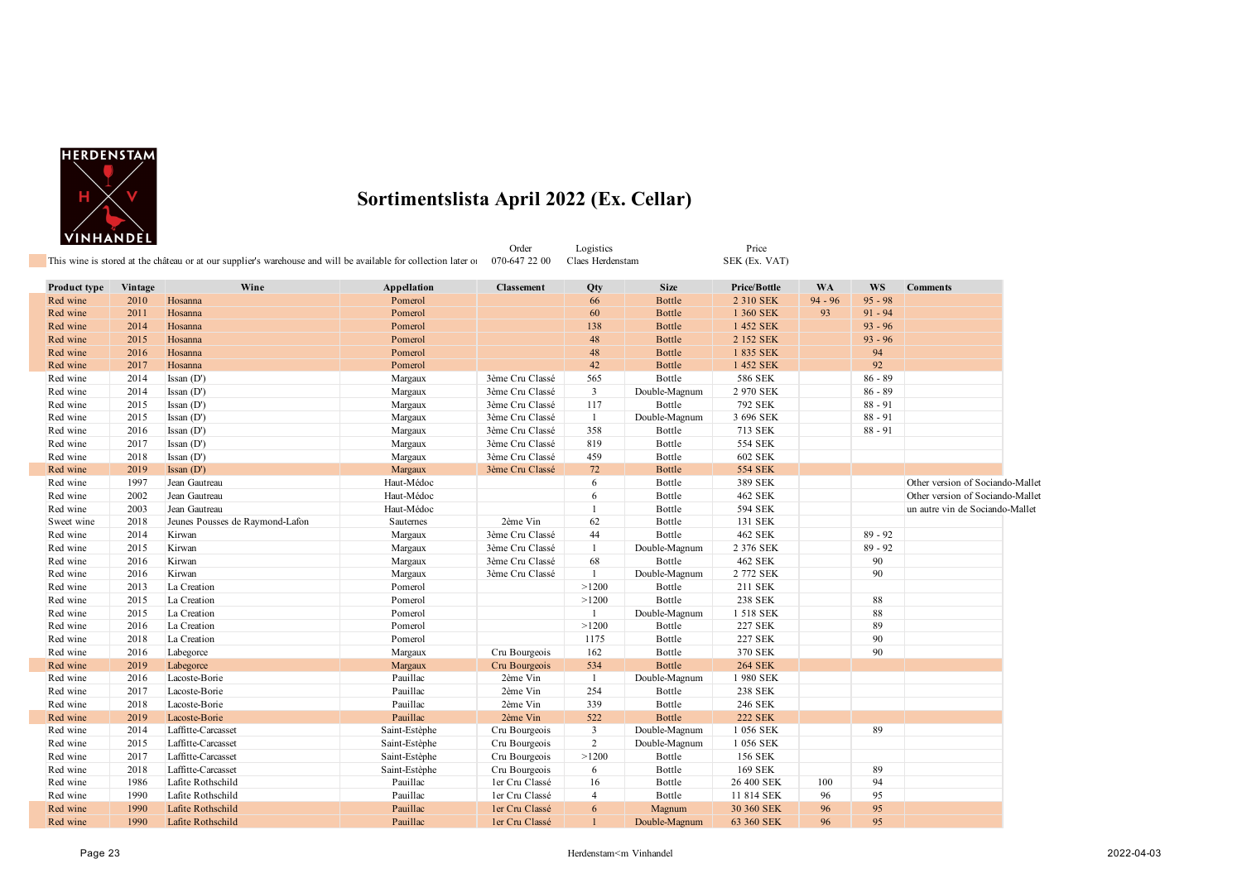

|              |         | This wine is stored at the château or at our supplier's warehouse and will be available for collection later of |               | Order<br>070-647 22 00 | Logistics<br>Claes Herdenstam |               | Price<br>SEK (Ex. VAT) |           |           |                                  |
|--------------|---------|-----------------------------------------------------------------------------------------------------------------|---------------|------------------------|-------------------------------|---------------|------------------------|-----------|-----------|----------------------------------|
| Product type | Vintage | Wine                                                                                                            | Appellation   | <b>Classement</b>      | Qty                           | <b>Size</b>   | <b>Price/Bottle</b>    | <b>WA</b> | <b>WS</b> | <b>Comments</b>                  |
| Red wine     | 2010    | Hosanna                                                                                                         | Pomerol       |                        | 66                            | <b>Bottle</b> | 2 310 SEK              | $94 - 96$ | $95 - 98$ |                                  |
| Red wine     | 2011    | Hosanna                                                                                                         | Pomerol       |                        | 60                            | <b>Bottle</b> | 1 360 SEK              | 93        | $91 - 94$ |                                  |
| Red wine     | 2014    | Hosanna                                                                                                         | Pomerol       |                        | 138                           | <b>Bottle</b> | 1 452 SEK              |           | $93 - 96$ |                                  |
| Red wine     | 2015    | Hosanna                                                                                                         | Pomerol       |                        | 48                            | <b>Bottle</b> | 2 152 SEK              |           | $93 - 96$ |                                  |
| Red wine     | 2016    | Hosanna                                                                                                         | Pomerol       |                        | 48                            | <b>Bottle</b> | 1 835 SEK              |           | 94        |                                  |
| Red wine     | 2017    | Hosanna                                                                                                         | Pomerol       |                        | 42                            | <b>Bottle</b> | 1 452 SEK              |           | 92        |                                  |
| Red wine     | 2014    | $\[ Issan (D')$                                                                                                 | Margaux       | 3ème Cru Classé        | 565                           | Bottle        | 586 SEK                |           | $86 - 89$ |                                  |
| Red wine     | 2014    | $\[ Issan (D')$                                                                                                 | Margaux       | 3ème Cru Classé        | $\mathbf{3}$                  | Double-Magnum | 2 970 SEK              |           | $86 - 89$ |                                  |
| Red wine     | 2015    | Issan $(D')$                                                                                                    | Margaux       | 3ème Cru Classé        | 117                           | Bottle        | 792 SEK                |           | $88 - 91$ |                                  |
| Red wine     | 2015    | $\[ Issan (D')$                                                                                                 | Margaux       | 3ème Cru Classé        | -1                            | Double-Magnum | 3 696 SEK              |           | $88 - 91$ |                                  |
| Red wine     | 2016    | $\[ Issan (D')$                                                                                                 | Margaux       | 3ème Cru Classé        | 358                           | Bottle        | 713 SEK                |           | $88 - 91$ |                                  |
| Red wine     | 2017    | Issan $(D')$                                                                                                    | Margaux       | 3ème Cru Classé        | 819                           | Bottle        | 554 SEK                |           |           |                                  |
| Red wine     | 2018    | Issan $(D')$                                                                                                    | Margaux       | 3ème Cru Classé        | 459                           | Bottle        | 602 SEK                |           |           |                                  |
| Red wine     | 2019    | Issan $(D')$                                                                                                    | Margaux       | 3ème Cru Classé        | 72                            | Bottle        | <b>554 SEK</b>         |           |           |                                  |
| Red wine     | 1997    | Jean Gautreau                                                                                                   | Haut-Médoc    |                        | 6                             | Bottle        | 389 SEK                |           |           | Other version of Sociando-Mallet |
| Red wine     | 2002    | Jean Gautreau                                                                                                   | Haut-Médoc    |                        | 6                             | Bottle        | 462 SEK                |           |           | Other version of Sociando-Mallet |
| Red wine     | 2003    | Jean Gautreau                                                                                                   | Haut-Médoc    |                        | $\overline{1}$                | Bottle        | 594 SEK                |           |           | un autre vin de Sociando-Mallet  |
| Sweet wine   | 2018    | Jeunes Pousses de Raymond-Lafon                                                                                 | Sauternes     | 2ème Vin               | 62                            | Bottle        | 131 SEK                |           |           |                                  |
| Red wine     | 2014    | Kirwan                                                                                                          | Margaux       | 3ème Cru Classé        | 44                            | Bottle        | 462 SEK                |           | $89 - 92$ |                                  |
| Red wine     | 2015    | Kirwan                                                                                                          | Margaux       | 3ème Cru Classé        | -1                            | Double-Magnum | 2 376 SEK              |           | $89 - 92$ |                                  |
| Red wine     | 2016    | Kirwan                                                                                                          | Margaux       | 3ème Cru Classé        | 68                            | Bottle        | 462 SEK                |           | 90        |                                  |
| Red wine     | 2016    | Kirwan                                                                                                          | Margaux       | 3ème Cru Classé        | $\mathbf{1}$                  | Double-Magnum | 2 772 SEK              |           | 90        |                                  |
| Red wine     | 2013    | La Creation                                                                                                     | Pomerol       |                        | >1200                         | Bottle        | 211 SEK                |           |           |                                  |
| Red wine     | 2015    | La Creation                                                                                                     | Pomerol       |                        | >1200                         | Bottle        | <b>238 SEK</b>         |           | 88        |                                  |
| Red wine     | 2015    | La Creation                                                                                                     | Pomerol       |                        | -1                            | Double-Magnum | 1 518 SEK              |           | 88        |                                  |
| Red wine     | 2016    | La Creation                                                                                                     | Pomerol       |                        | >1200                         | Bottle        | 227 SEK                |           | 89        |                                  |
| Red wine     | 2018    | La Creation                                                                                                     | Pomerol       |                        | 1175                          | Bottle        | <b>227 SEK</b>         |           | 90        |                                  |
| Red wine     | 2016    | Labegorce                                                                                                       | Margaux       | Cru Bourgeois          | 162                           | Bottle        | 370 SEK                |           | 90        |                                  |
| Red wine     | 2019    | Labegorce                                                                                                       | Margaux       | Cru Bourgeois          | 534                           | <b>Bottle</b> | <b>264 SEK</b>         |           |           |                                  |
| Red wine     | 2016    | Lacoste-Borie                                                                                                   | Pauillac      | 2ème Vin               | $\overline{1}$                | Double-Magnum | 1980 SEK               |           |           |                                  |
| Red wine     | 2017    | Lacoste-Borie                                                                                                   | Pauillac      | 2ème Vin               | 254                           | Bottle        | <b>238 SEK</b>         |           |           |                                  |
| Red wine     | 2018    | Lacoste-Borie                                                                                                   | Pauillac      | 2ème Vin               | 339                           | Bottle        | 246 SEK                |           |           |                                  |
| Red wine     | 2019    | Lacoste-Borie                                                                                                   | Pauillac      | 2ème Vin               | 522                           | <b>Bottle</b> | <b>222 SEK</b>         |           |           |                                  |
| Red wine     | 2014    | Laffitte-Carcasset                                                                                              | Saint-Estèphe | Cru Bourgeois          | $\overline{\mathbf{3}}$       | Double-Magnum | 1 056 SEK              |           | 89        |                                  |
| Red wine     | 2015    | Laffitte-Carcasset                                                                                              | Saint-Estèphe | Cru Bourgeois          | 2                             | Double-Magnum | 1 056 SEK              |           |           |                                  |
| Red wine     | 2017    | Laffitte-Carcasset                                                                                              | Saint-Estèphe | Cru Bourgeois          | >1200                         | Bottle        | 156 SEK                |           |           |                                  |
| Red wine     | 2018    | Laffitte-Carcasset                                                                                              | Saint-Estèphe | Cru Bourgeois          | 6                             | Bottle        | 169 SEK                |           | 89        |                                  |
| Red wine     | 1986    | Lafite Rothschild                                                                                               | Pauillac      | ler Cru Classé         | 16                            | Bottle        | 26 400 SEK             | 100       | 94        |                                  |
| Red wine     | 1990    | Lafite Rothschild                                                                                               | Pauillac      | ler Cru Classé         | $\overline{4}$                | Bottle        | 11 814 SEK             | 96        | 95        |                                  |
| Red wine     | 1990    | Lafite Rothschild                                                                                               | Pauillac      | ler Cru Classé         | 6                             | Magnum        | 30 360 SEK             | 96        | 95        |                                  |
| Red wine     | 1990    | Lafite Rothschild                                                                                               | Pauillac      | ler Cru Classé         |                               | Double-Magnum | 63 360 SEK             | 96        | 95        |                                  |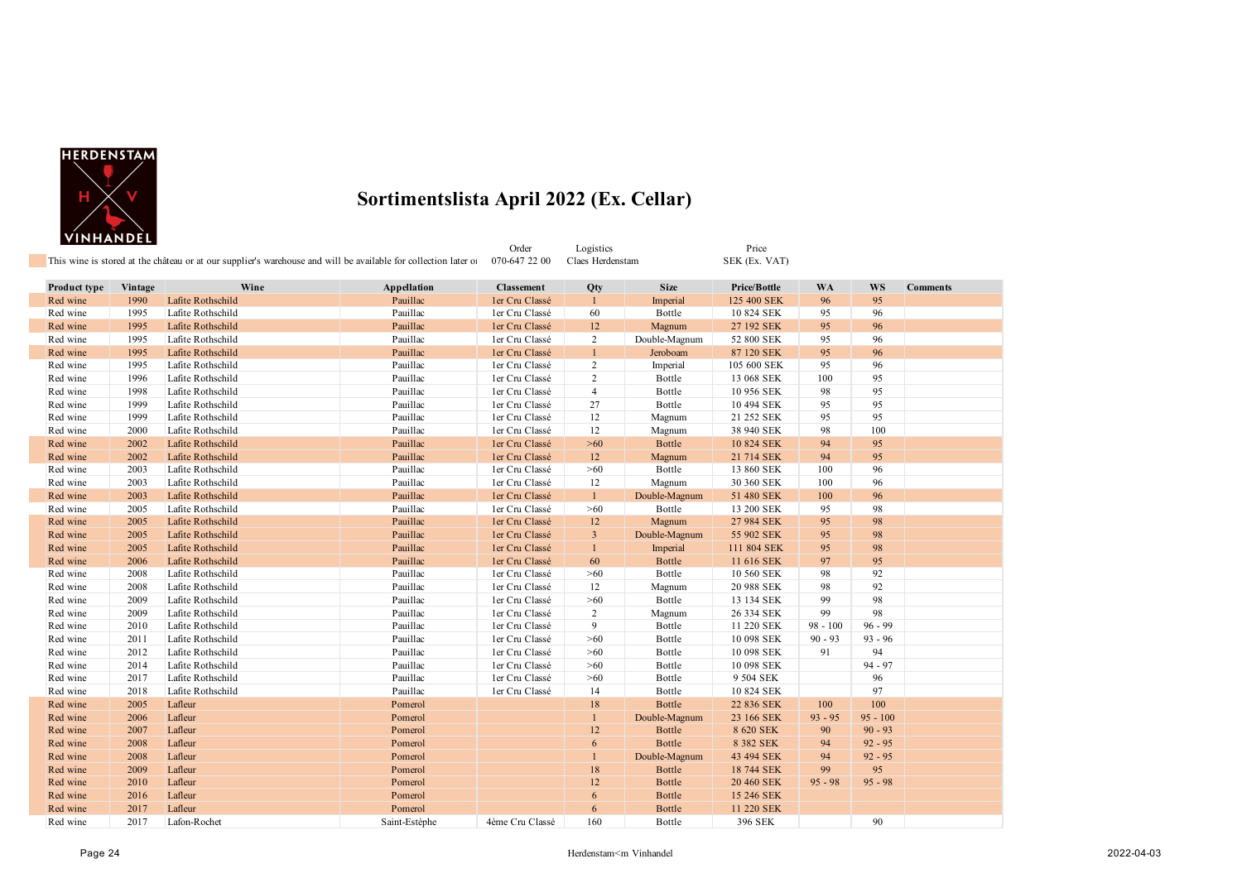

|                     | <u></u> |                                                                                                                 |               | Order             | Logistics        |               | Price               |            |            |                 |
|---------------------|---------|-----------------------------------------------------------------------------------------------------------------|---------------|-------------------|------------------|---------------|---------------------|------------|------------|-----------------|
|                     |         | This wine is stored at the château or at our supplier's warehouse and will be available for collection later of |               | 070-647 22 00     | Claes Herdenstam |               | SEK (Ex. VAT)       |            |            |                 |
| <b>Product type</b> | Vintage | Wine                                                                                                            | Appellation   | <b>Classement</b> | Qty              | <b>Size</b>   | <b>Price/Bottle</b> | <b>WA</b>  | <b>WS</b>  | <b>Comments</b> |
| Red wine            | 1990    | Lafite Rothschild                                                                                               | Pauillac      | ler Cru Classé    | $\mathbf{1}$     | Imperial      | 125 400 SEK         | 96         | 95         |                 |
| Red wine            | 1995    | Lafite Rothschild                                                                                               | Pauillac      | ler Cru Classé    | 60               | Bottle        | 10 824 SEK          | 95         | 96         |                 |
| Red wine            | 1995    | Lafite Rothschild                                                                                               | Pauillac      | ler Cru Classé    | 12               | Magnum        | 27 192 SEK          | 95         | 96         |                 |
| Red wine            | 1995    | Lafite Rothschild                                                                                               | Pauillac      | ler Cru Classé    | 2                | Double-Magnum | 52 800 SEK          | 95         | 96         |                 |
| Red wine            | 1995    | Lafite Rothschild                                                                                               | Pauillac      | ler Cru Classé    | $\mathbf{1}$     | Jeroboam      | 87 120 SEK          | 95         | 96         |                 |
| Red wine            | 1995    | Lafite Rothschild                                                                                               | Pauillac      | ler Cru Classé    | 2                | Imperial      | 105 600 SEK         | 95         | 96         |                 |
| Red wine            | 1996    | Lafite Rothschild                                                                                               | Pauillac      | ler Cru Classé    | 2                | Bottle        | 13 068 SEK          | 100        | 95         |                 |
| Red wine            | 1998    | Lafite Rothschild                                                                                               | Pauillac      | ler Cru Classé    | $\overline{4}$   | Bottle        | 10 956 SEK          | 98         | 95         |                 |
| Red wine            | 1999    | Lafite Rothschild                                                                                               | Pauillac      | ler Cru Classé    | 27               | Bottle        | 10 494 SEK          | 95         | 95         |                 |
| Red wine            | 1999    | Lafite Rothschild                                                                                               | Pauillac      | ler Cru Classé    | 12               | Magnum        | 21 252 SEK          | 95         | 95         |                 |
| Red wine            | 2000    | Lafite Rothschild                                                                                               | Pauillac      | ler Cru Classé    | 12               | Magnum        | 38 940 SEK          | 98         | 100        |                 |
| Red wine            | 2002    | Lafite Rothschild                                                                                               | Pauillac      | ler Cru Classé    | >60              | Bottle        | 10 824 SEK          | 94         | 95         |                 |
| Red wine            | 2002    | Lafite Rothschild                                                                                               | Pauillac      | ler Cru Classé    | 12               | Magnum        | 21 714 SEK          | 94         | 95         |                 |
| Red wine            | 2003    | Lafite Rothschild                                                                                               | Pauillac      | ler Cru Classé    | >60              | Bottle        | 13 860 SEK          | 100        | 96         |                 |
| Red wine            | 2003    | Lafite Rothschild                                                                                               | Pauillac      | ler Cru Classé    | 12               | Magnum        | 30 360 SEK          | 100        | 96         |                 |
| Red wine            | 2003    | Lafite Rothschild                                                                                               | Pauillac      | ler Cru Classé    | $\mathbf{1}$     | Double-Magnum | 51 480 SEK          | 100        | 96         |                 |
| Red wine            | 2005    | Lafite Rothschild                                                                                               | Pauillac      | ler Cru Classé    | >60              | Bottle        | 13 200 SEK          | 95         | 98         |                 |
| Red wine            | 2005    | Lafite Rothschild                                                                                               | Pauillac      | ler Cru Classé    | 12               | Magnum        | 27 984 SEK          | 95         | 98         |                 |
| Red wine            | 2005    | Lafite Rothschild                                                                                               | Pauillac      | ler Cru Classé    | $\mathbf{3}$     | Double-Magnum | 55 902 SEK          | 95         | 98         |                 |
| Red wine            | 2005    | Lafite Rothschild                                                                                               | Pauillac      | ler Cru Classé    | 1                | Imperial      | 111 804 SEK         | 95         | 98         |                 |
| Red wine            | 2006    | Lafite Rothschild                                                                                               | Pauillac      | ler Cru Classé    | 60               | Bottle        | 11 616 SEK          | 97         | 95         |                 |
| Red wine            | 2008    | Lafite Rothschild                                                                                               | Pauillac      | ler Cru Classé    | >60              | Bottle        | 10 560 SEK          | 98         | 92         |                 |
| Red wine            | 2008    | Lafite Rothschild                                                                                               | Pauillac      | ler Cru Classé    | 12               | Magnum        | 20 988 SEK          | 98         | 92         |                 |
| Red wine            | 2009    | Lafite Rothschild                                                                                               | Pauillac      | ler Cru Classé    | >60              | Bottle        | 13 134 SEK          | 99         | 98         |                 |
| Red wine            | 2009    | Lafite Rothschild                                                                                               | Pauillac      | ler Cru Classé    | 2                | Magnum        | 26 334 SEK          | 99         | 98         |                 |
| Red wine            | 2010    | Lafite Rothschild                                                                                               | Pauillac      | ler Cru Classé    | 9                | Bottle        | 11 220 SEK          | $98 - 100$ | $96 - 99$  |                 |
| Red wine            | 2011    | Lafite Rothschild                                                                                               | Pauillac      | ler Cru Classé    | >60              | Bottle        | 10 098 SEK          | $90 - 93$  | $93 - 96$  |                 |
| Red wine            | 2012    | Lafite Rothschild                                                                                               | Pauillac      | ler Cru Classé    | >60              | Bottle        | 10 098 SEK          | 91         | 94         |                 |
| Red wine            | 2014    | Lafite Rothschild                                                                                               | Pauillac      | ler Cru Classé    | >60              | Bottle        | 10 098 SEK          |            | $94 - 97$  |                 |
| Red wine            | 2017    | Lafite Rothschild                                                                                               | Pauillac      | ler Cru Classé    | >60              | Bottle        | 9 504 SEK           |            | 96         |                 |
| Red wine            | 2018    | Lafite Rothschild                                                                                               | Pauillac      | ler Cru Classé    | 14               | Bottle        | 10 824 SEK          |            | 97         |                 |
| Red wine            | 2005    | Lafleur                                                                                                         | Pomerol       |                   | 18               | <b>Bottle</b> | 22 836 SEK          | 100        | 100        |                 |
| Red wine            | 2006    | Lafleur                                                                                                         | Pomerol       |                   | $\mathbf{1}$     | Double-Magnum | 23 166 SEK          | $93 - 95$  | $95 - 100$ |                 |
| Red wine            | 2007    | Lafleur                                                                                                         | Pomerol       |                   | 12               | <b>Bottle</b> | 8 620 SEK           | 90         | $90 - 93$  |                 |
| Red wine            | 2008    | Lafleur                                                                                                         | Pomerol       |                   | 6                | <b>Bottle</b> | 8 382 SEK           | 94         | $92 - 95$  |                 |
| Red wine            | 2008    | Lafleur                                                                                                         | Pomerol       |                   | 1                | Double-Magnum | 43 494 SEK          | 94         | $92 - 95$  |                 |
| Red wine            | 2009    | Lafleur                                                                                                         | Pomerol       |                   | 18               | Bottle        | 18 744 SEK          | 99         | 95         |                 |
| Red wine            | 2010    | Lafleur                                                                                                         | Pomerol       |                   | 12               | <b>Bottle</b> | 20 460 SEK          | $95 - 98$  | $95 - 98$  |                 |
| Red wine            | 2016    | Lafleur                                                                                                         | Pomerol       |                   | 6                | <b>Bottle</b> | 15 246 SEK          |            |            |                 |
| Red wine            | 2017    | Lafleur                                                                                                         | Pomerol       |                   | 6                | <b>Bottle</b> | 11 220 SEK          |            |            |                 |
| Red wine            | 2017    | Lafon-Rochet                                                                                                    | Saint-Estèphe | 4ème Cru Classé   | 160              | Bottle        | 396 SEK             |            | 90         |                 |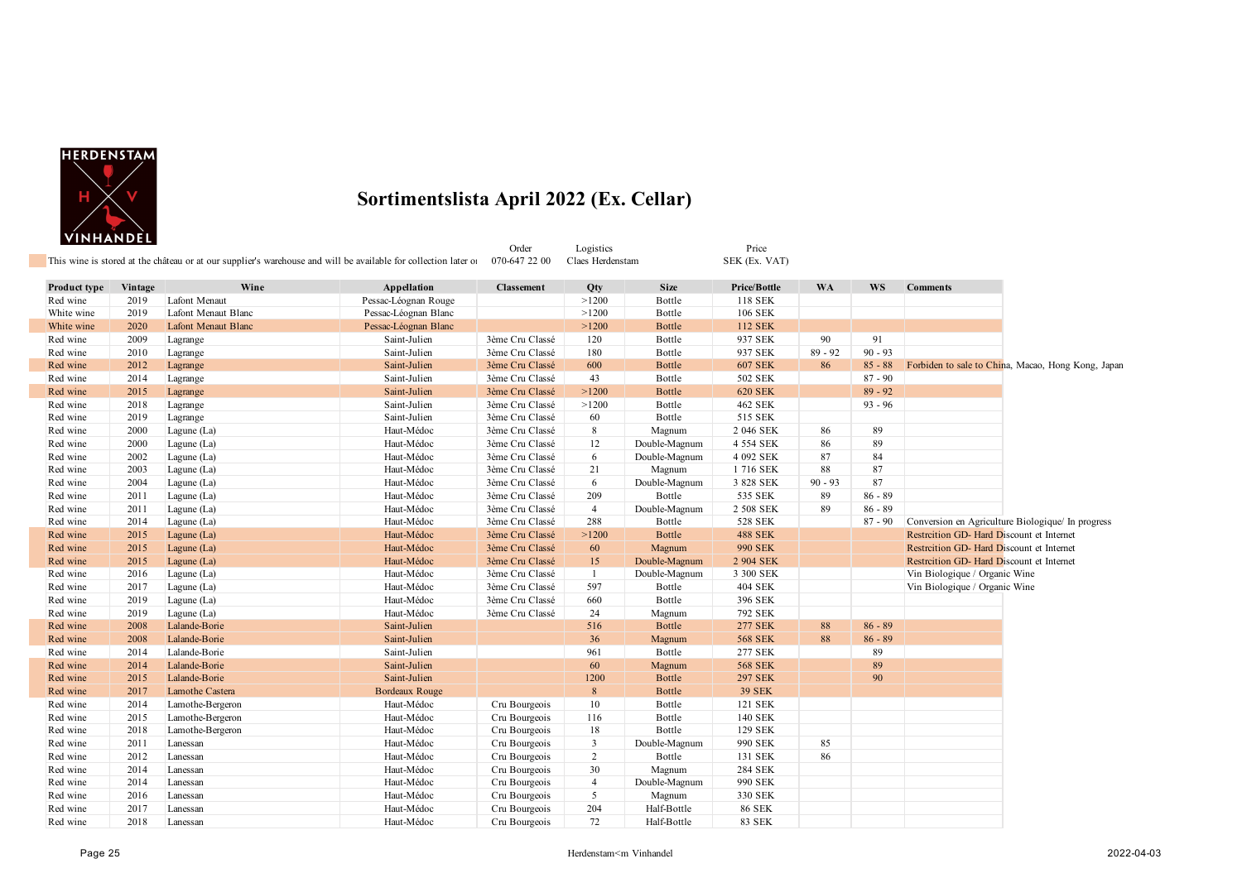

|              |         |                            | This wine is stored at the château or at our supplier's warehouse and will be available for collection later of | Order<br>070-647 22 00 | Logistics<br>Claes Herdenstam |               | Price<br>SEK (Ex. VAT) |           |           |                                                    |
|--------------|---------|----------------------------|-----------------------------------------------------------------------------------------------------------------|------------------------|-------------------------------|---------------|------------------------|-----------|-----------|----------------------------------------------------|
| Product type | Vintage | Wine                       | Appellation                                                                                                     | <b>Classement</b>      | Qty                           | <b>Size</b>   | Price/Bottle           | <b>WA</b> | <b>WS</b> | <b>Comments</b>                                    |
| Red wine     | 2019    | Lafont Menaut              | Pessac-Léognan Rouge                                                                                            |                        | >1200                         | Bottle        | 118 SEK                |           |           |                                                    |
| White wine   | 2019    | Lafont Menaut Blanc        | Pessac-Léognan Blanc                                                                                            |                        | >1200                         | Bottle        | 106 SEK                |           |           |                                                    |
| White wine   | 2020    | <b>Lafont Menaut Blanc</b> | Pessac-Léognan Blanc                                                                                            |                        | >1200                         | <b>Bottle</b> | 112 SEK                |           |           |                                                    |
| Red wine     | 2009    | Lagrange                   | Saint-Julien                                                                                                    | 3ème Cru Classé        | 120                           | Bottle        | 937 SEK                | 90        | 91        |                                                    |
| Red wine     | 2010    | Lagrange                   | Saint-Julien                                                                                                    | 3ème Cru Classé        | 180                           | Bottle        | 937 SEK                | $89 - 92$ | $90 - 93$ |                                                    |
| Red wine     | 2012    | Lagrange                   | Saint-Julien                                                                                                    | 3ème Cru Classé        | 600                           | <b>Bottle</b> | <b>607 SEK</b>         | 86        | $85 - 88$ | Forbiden to sale to China, Macao, Hong Kong, Japan |
| Red wine     | 2014    | Lagrange                   | Saint-Julien                                                                                                    | 3ème Cru Classé        | 43                            | Bottle        | 502 SEK                |           | $87 - 90$ |                                                    |
| Red wine     | 2015    | Lagrange                   | Saint-Julien                                                                                                    | 3ème Cru Classé        | >1200                         | <b>Bottle</b> | <b>620 SEK</b>         |           | $89 - 92$ |                                                    |
| Red wine     | 2018    | Lagrange                   | Saint-Julien                                                                                                    | 3ème Cru Classé        | >1200                         | Bottle        | 462 SEK                |           | $93 - 96$ |                                                    |
| Red wine     | 2019    | Lagrange                   | Saint-Julien                                                                                                    | 3ème Cru Classé        | 60                            | Bottle        | 515 SEK                |           |           |                                                    |
| Red wine     | 2000    | Lagune (La)                | Haut-Médoc                                                                                                      | 3ème Cru Classé        | 8                             | Magnum        | 2 046 SEK              | 86        | 89        |                                                    |
| Red wine     | 2000    | Lagune (La)                | Haut-Médoc                                                                                                      | 3ème Cru Classé        | 12                            | Double-Magnum | 4 554 SEK              | 86        | 89        |                                                    |
| Red wine     | 2002    | Lagune (La)                | Haut-Médoc                                                                                                      | 3ème Cru Classé        | 6                             | Double-Magnum | 4 092 SEK              | 87        | 84        |                                                    |
| Red wine     | 2003    | Lagune (La)                | Haut-Médoc                                                                                                      | 3ème Cru Classé        | 21                            | Magnum        | 1716 SEK               | 88        | 87        |                                                    |
| Red wine     | 2004    | Lagune (La)                | Haut-Médoc                                                                                                      | 3ème Cru Classé        | 6                             | Double-Magnum | 3 828 SEK              | $90 - 93$ | 87        |                                                    |
| Red wine     | 2011    | Lagune (La)                | Haut-Médoc                                                                                                      | 3ème Cru Classé        | 209                           | Bottle        | 535 SEK                | 89        | $86 - 89$ |                                                    |
| Red wine     | 2011    | Lagune (La)                | Haut-Médoc                                                                                                      | 3ème Cru Classé        | $\overline{4}$                | Double-Magnum | 2 508 SEK              | 89        | $86 - 89$ |                                                    |
| Red wine     | 2014    | Lagune (La)                | Haut-Médoc                                                                                                      | 3ème Cru Classé        | 288                           | Bottle        | 528 SEK                |           | $87 - 90$ | Conversion en Agriculture Biologique/ In progress  |
| Red wine     | 2015    | Lagune (La)                | Haut-Médoc                                                                                                      | 3ème Cru Classé        | >1200                         | <b>Bottle</b> | <b>488 SEK</b>         |           |           | Restrcition GD- Hard Discount et Internet          |
| Red wine     | 2015    | Lagune (La)                | Haut-Médoc                                                                                                      | 3ème Cru Classé        | 60                            | Magnum        | <b>990 SEK</b>         |           |           | Restrcition GD- Hard Discount et Internet          |
| Red wine     | 2015    | Lagune (La)                | Haut-Médoc                                                                                                      | 3ème Cru Classé        | 15                            | Double-Magnum | 2 904 SEK              |           |           | Restrcition GD- Hard Discount et Internet          |
| Red wine     | 2016    | Lagune (La)                | Haut-Médoc                                                                                                      | 3ème Cru Classé        | -1                            | Double-Magnum | 3 300 SEK              |           |           | Vin Biologique / Organic Wine                      |
| Red wine     | 2017    | Lagune (La)                | Haut-Médoc                                                                                                      | 3ème Cru Classé        | 597                           | Bottle        | 404 SEK                |           |           | Vin Biologique / Organic Wine                      |
| Red wine     | 2019    | Lagune (La)                | Haut-Médoc                                                                                                      | 3ème Cru Classé        | 660                           | Bottle        | 396 SEK                |           |           |                                                    |
| Red wine     | 2019    | Lagune (La)                | Haut-Médoc                                                                                                      | 3ème Cru Classé        | 24                            | Magnum        | 792 SEK                |           |           |                                                    |
| Red wine     | 2008    | Lalande-Borie              | Saint-Julien                                                                                                    |                        | 516                           | Bottle        | <b>277 SEK</b>         | 88        | $86 - 89$ |                                                    |
| Red wine     | 2008    | Lalande-Borie              | Saint-Julien                                                                                                    |                        | 36                            | Magnum        | <b>568 SEK</b>         | 88        | $86 - 89$ |                                                    |
| Red wine     | 2014    | Lalande-Borie              | Saint-Julien                                                                                                    |                        | 961                           | Bottle        | 277 SEK                |           | 89        |                                                    |
| Red wine     | 2014    | Lalande-Borie              | Saint-Julien                                                                                                    |                        | 60                            | Magnum        | <b>568 SEK</b>         |           | 89        |                                                    |
| Red wine     | 2015    | Lalande-Borie              | Saint-Julien                                                                                                    |                        | 1200                          | <b>Bottle</b> | <b>297 SEK</b>         |           | 90        |                                                    |
| Red wine     | 2017    | Lamothe Castera            | <b>Bordeaux Rouge</b>                                                                                           |                        | $8\phantom{.}$                | <b>Bottle</b> | <b>39 SEK</b>          |           |           |                                                    |
| Red wine     | 2014    | Lamothe-Bergeron           | Haut-Médoc                                                                                                      | Cru Bourgeois          | 10                            | Bottle        | 121 SEK                |           |           |                                                    |
| Red wine     | 2015    | Lamothe-Bergeron           | Haut-Médoc                                                                                                      | Cru Bourgeois          | 116                           | Bottle        | 140 SEK                |           |           |                                                    |
| Red wine     | 2018    | Lamothe-Bergeron           | Haut-Médoc                                                                                                      | Cru Bourgeois          | 18                            | Bottle        | 129 SEK                |           |           |                                                    |
| Red wine     | 2011    | Lanessan                   | Haut-Médoc                                                                                                      | Cru Bourgeois          | $\mathbf{3}$                  | Double-Magnum | 990 SEK                | 85        |           |                                                    |
| Red wine     | 2012    | Lanessan                   | Haut-Médoc                                                                                                      | Cru Bourgeois          | $\overline{2}$                | Bottle        | 131 SEK                | 86        |           |                                                    |
| Red wine     | 2014    | Lanessan                   | Haut-Médoc                                                                                                      | Cru Bourgeois          | 30                            | Magnum        | <b>284 SEK</b>         |           |           |                                                    |
| Red wine     | 2014    | Lanessan                   | Haut-Médoc                                                                                                      | Cru Bourgeois          | $\overline{4}$                | Double-Magnum | 990 SEK                |           |           |                                                    |
| Red wine     | 2016    | Lanessan                   | Haut-Médoc                                                                                                      | Cru Bourgeois          | 5                             | Magnum        | 330 SEK                |           |           |                                                    |
| Red wine     | 2017    | Lanessan                   | Haut-Médoc                                                                                                      | Cru Bourgeois          | 204                           | Half-Bottle   | <b>86 SEK</b>          |           |           |                                                    |
| Red wine     | 2018    | Lanessan                   | Haut-Médoc                                                                                                      | Cru Bourgeois          | 72                            | Half-Bottle   | 83 SEK                 |           |           |                                                    |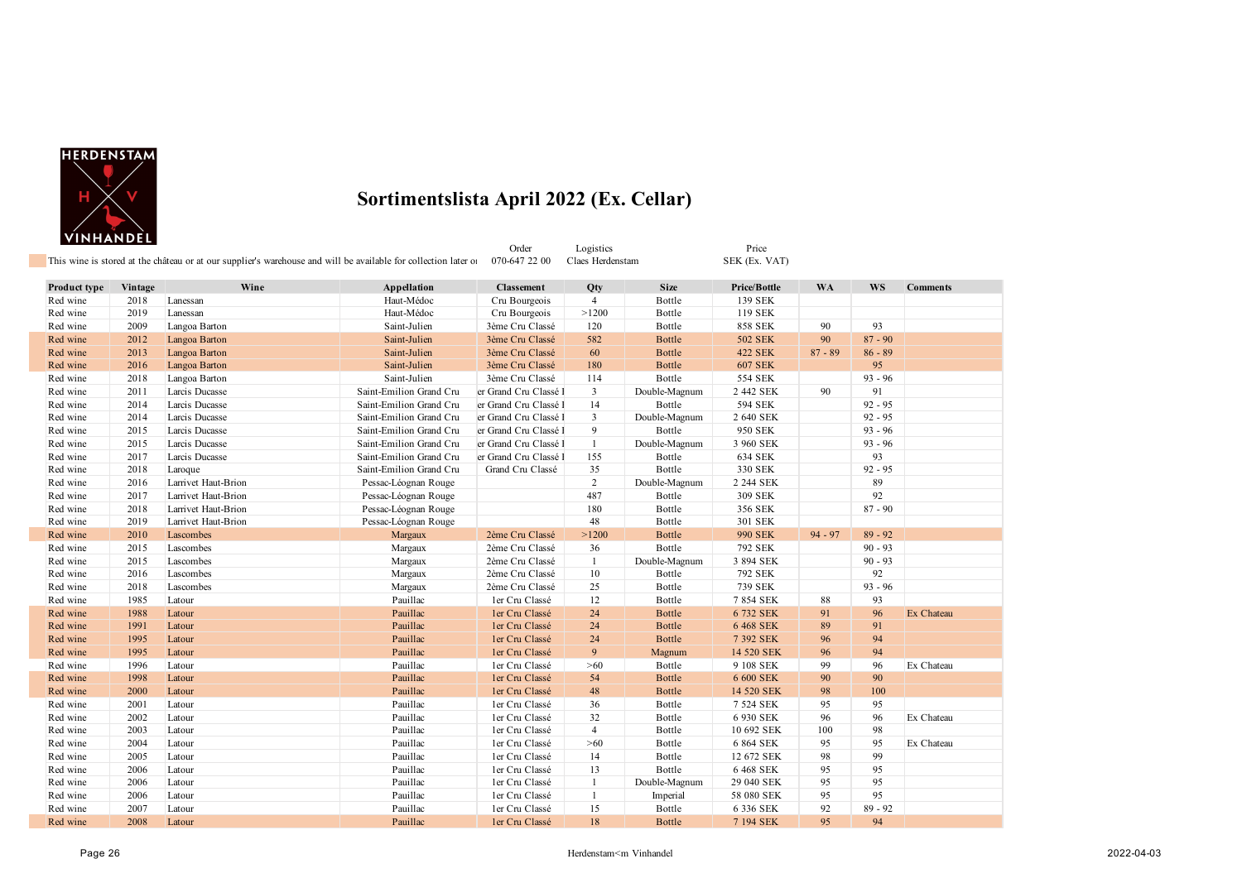

Order Logistics Price

| Product type | Vintage | Wine                | <b>Appellation</b>      | <b>Classement</b>     | Qty              | <b>Size</b>   | Price/Bottle   | <b>WA</b> | WS        | <b>Comments</b> |
|--------------|---------|---------------------|-------------------------|-----------------------|------------------|---------------|----------------|-----------|-----------|-----------------|
| Red wine     | 2018    | Lanessan            | Haut-Médoc              | Cru Bourgeois         | $\overline{4}$   | Bottle        | 139 SEK        |           |           |                 |
| Red wine     | 2019    | Lanessan            | Haut-Médoc              | Cru Bourgeois         | >1200            | Bottle        | 119 SEK        |           |           |                 |
| Red wine     | 2009    | Langoa Barton       | Saint-Julien            | 3ème Cru Classé       | 120              | Bottle        | <b>858 SEK</b> | 90        | 93        |                 |
| Red wine     | 2012    | Langoa Barton       | Saint-Julien            | 3ème Cru Classé       | 582              | <b>Bottle</b> | <b>502 SEK</b> | 90        | $87 - 90$ |                 |
| Red wine     | 2013    | Langoa Barton       | Saint-Julien            | 3ème Cru Classé       | 60               | <b>Bottle</b> | <b>422 SEK</b> | $87 - 89$ | $86 - 89$ |                 |
| Red wine     | 2016    | Langoa Barton       | Saint-Julien            | 3ème Cru Classé       | 180              | <b>Bottle</b> | <b>607 SEK</b> |           | 95        |                 |
| Red wine     | 2018    | Langoa Barton       | Saint-Julien            | 3ème Cru Classé       | 114              | Bottle        | 554 SEK        |           | $93 - 96$ |                 |
| Red wine     | 2011    | Larcis Ducasse      | Saint-Emilion Grand Cru | er Grand Cru Classé l | $\mathbf{3}$     | Double-Magnum | 2 442 SEK      | 90        | 91        |                 |
| Red wine     | 2014    | Larcis Ducasse      | Saint-Emilion Grand Cru | er Grand Cru Classé   | 14               | Bottle        | 594 SEK        |           | $92 - 95$ |                 |
| Red wine     | 2014    | Larcis Ducasse      | Saint-Emilion Grand Cru | er Grand Cru Classé l | $\mathbf{3}$     | Double-Magnum | 2 640 SEK      |           | $92 - 95$ |                 |
| Red wine     | 2015    | Larcis Ducasse      | Saint-Emilion Grand Cru | er Grand Cru Classé l | 9                | Bottle        | 950 SEK        |           | $93 - 96$ |                 |
| Red wine     | 2015    | Larcis Ducasse      | Saint-Emilion Grand Cru | er Grand Cru Classé l | $\mathbf{1}$     | Double-Magnum | 3 960 SEK      |           | $93 - 96$ |                 |
| Red wine     | 2017    | Larcis Ducasse      | Saint-Emilion Grand Cru | er Grand Cru Classé l | 155              | Bottle        | <b>634 SEK</b> |           | 93        |                 |
| Red wine     | 2018    | Laroque             | Saint-Emilion Grand Cru | Grand Cru Classé      | 35               | Bottle        | 330 SEK        |           | $92 - 95$ |                 |
| Red wine     | 2016    | Larrivet Haut-Brion | Pessac-Léognan Rouge    |                       | $\overline{2}$   | Double-Magnum | 2 244 SEK      |           | 89        |                 |
| Red wine     | 2017    | Larrivet Haut-Brion | Pessac-Léognan Rouge    |                       | 487              | Bottle        | 309 SEK        |           | 92        |                 |
| Red wine     | 2018    | Larrivet Haut-Brion | Pessac-Léognan Rouge    |                       | 180              | Bottle        | 356 SEK        |           | $87 - 90$ |                 |
| Red wine     | 2019    | Larrivet Haut-Brion | Pessac-Léognan Rouge    |                       | 48               | Bottle        | 301 SEK        |           |           |                 |
| Red wine     | 2010    | Lascombes           | Margaux                 | 2ème Cru Classé       | >1200            | Bottle        | <b>990 SEK</b> | $94 - 97$ | $89 - 92$ |                 |
| Red wine     | 2015    | Lascombes           | Margaux                 | 2ème Cru Classé       | 36               | Bottle        | 792 SEK        |           | $90 - 93$ |                 |
| Red wine     | 2015    | Lascombes           | Margaux                 | 2ème Cru Classé       | 1                | Double-Magnum | 3 894 SEK      |           | $90 - 93$ |                 |
| Red wine     | 2016    | Lascombes           | Margaux                 | 2ème Cru Classé       | 10               | Bottle        | 792 SEK        |           | 92        |                 |
| Red wine     | 2018    | Lascombes           | Margaux                 | 2ème Cru Classé       | 25               | Bottle        | 739 SEK        |           | $93 - 96$ |                 |
| Red wine     | 1985    | Latour              | Pauillac                | ler Cru Classé        | 12               | Bottle        | 7 854 SEK      | 88        | 93        |                 |
| Red wine     | 1988    | Latour              | Pauillac                | ler Cru Classé        | 24               | <b>Bottle</b> | 6 732 SEK      | 91        | 96        | Ex Chateau      |
| Red wine     | 1991    | Latour              | Pauillac                | ler Cru Classé        | 24               | <b>Bottle</b> | 6 468 SEK      | 89        | 91        |                 |
| Red wine     | 1995    | Latour              | Pauillac                | ler Cru Classé        | 24               | <b>Bottle</b> | 7 392 SEK      | 96        | 94        |                 |
| Red wine     | 1995    | Latour              | Pauillac                | ler Cru Classé        | $\boldsymbol{9}$ | Magnum        | 14 520 SEK     | 96        | 94        |                 |
| Red wine     | 1996    | Latour              | Pauillac                | ler Cru Classé        | $>60$            | Bottle        | 9 108 SEK      | 99        | 96        | Ex Chateau      |
| Red wine     | 1998    | Latour              | Pauillac                | ler Cru Classé        | 54               | <b>Bottle</b> | 6 600 SEK      | 90        | 90        |                 |
| Red wine     | 2000    | Latour              | Pauillac                | ler Cru Classé        | 48               | <b>Bottle</b> | 14 520 SEK     | 98        | 100       |                 |
| Red wine     | 2001    | Latour              | Pauillac                | ler Cru Classé        | 36               | Bottle        | 7 524 SEK      | 95        | 95        |                 |
| Red wine     | 2002    | Latour              | Pauillac                | ler Cru Classé        | 32               | Bottle        | 6 930 SEK      | 96        | 96        | Ex Chateau      |
| Red wine     | 2003    | Latour              | Pauillac                | ler Cru Classé        | $\overline{4}$   | Bottle        | 10 692 SEK     | 100       | 98        |                 |
| Red wine     | 2004    | Latour              | Pauillac                | ler Cru Classé        | $>60$            | Bottle        | 6 864 SEK      | 95        | 95        | Ex Chateau      |
| Red wine     | 2005    | Latour              | Pauillac                | ler Cru Classé        | 14               | Bottle        | 12 672 SEK     | 98        | 99        |                 |
| Red wine     | 2006    | Latour              | Pauillac                | ler Cru Classé        | 13               | Bottle        | 6 468 SEK      | 95        | 95        |                 |
| Red wine     | 2006    | Latour              | Pauillac                | ler Cru Classé        | 1                | Double-Magnum | 29 040 SEK     | 95        | 95        |                 |
| Red wine     | 2006    | Latour              | Pauillac                | ler Cru Classé        | $\mathbf{1}$     | Imperial      | 58 080 SEK     | 95        | 95        |                 |
| Red wine     | 2007    | Latour              | Pauillac                | ler Cru Classé        | 15               | Bottle        | 6 336 SEK      | 92        | $89 - 92$ |                 |
| Red wine     | 2008    | Latour              | Pauillac                | ler Cru Classé        | $18\,$           | Bottle        | 7 194 SEK      | 95        | 94        |                 |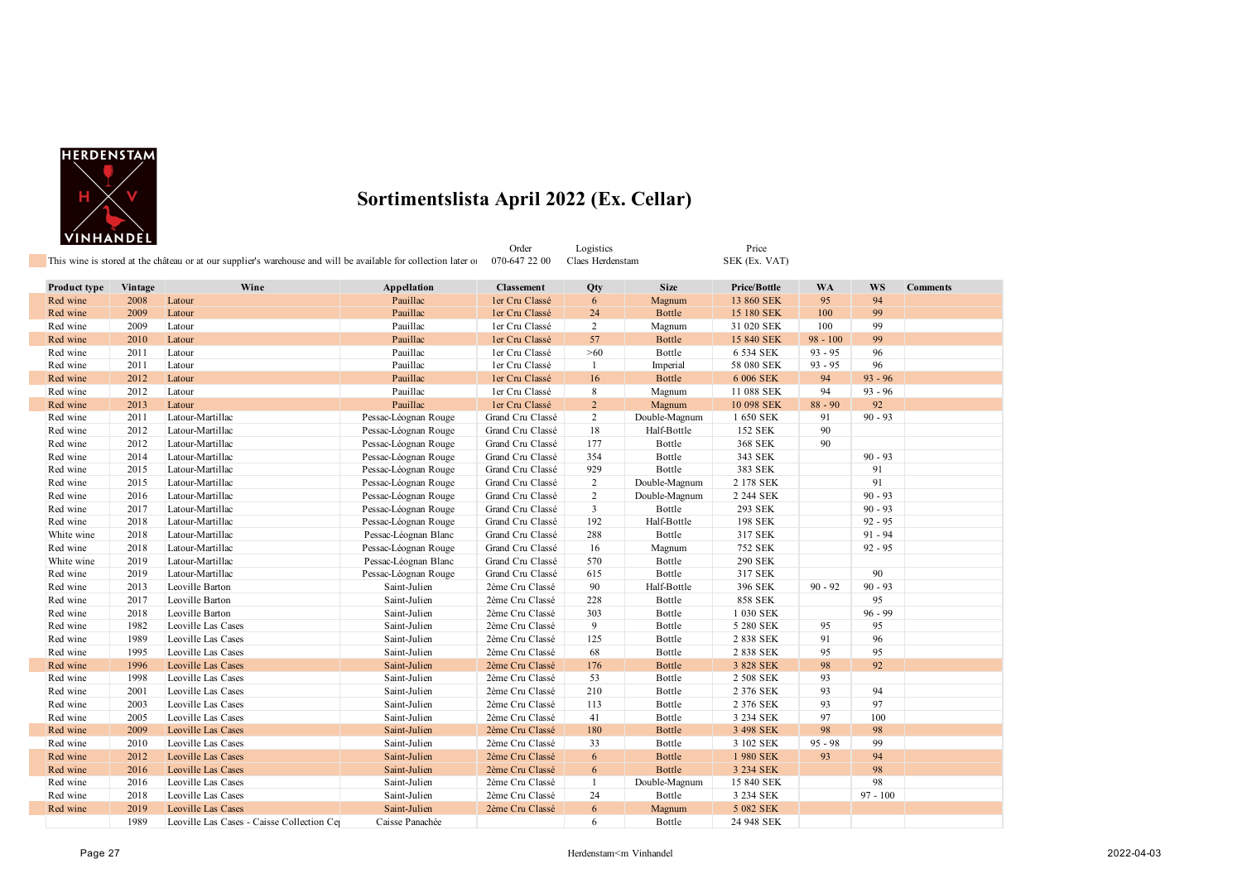

|                                 | <u></u>      | This wine is stored at the château or at our supplier's warehouse and will be available for collection later of |                         | Order<br>070-647 22 00              | Logistics<br>Claes Herdenstam |                         | Price<br>SEK (Ex. VAT)            |                 |            |                 |
|---------------------------------|--------------|-----------------------------------------------------------------------------------------------------------------|-------------------------|-------------------------------------|-------------------------------|-------------------------|-----------------------------------|-----------------|------------|-----------------|
|                                 |              |                                                                                                                 |                         |                                     |                               |                         |                                   |                 | WS         |                 |
| <b>Product type</b><br>Red wine | Vintage      | Wine                                                                                                            | Appellation<br>Pauillac | <b>Classement</b><br>ler Cru Classé | Qty                           | <b>Size</b>             | <b>Price/Bottle</b><br>13 860 SEK | <b>WA</b><br>95 | 94         | <b>Comments</b> |
| Red wine                        | 2008<br>2009 | Latour                                                                                                          | Pauillac                |                                     | 6<br>24                       | Magnum<br><b>Bottle</b> |                                   | 100             | 99         |                 |
| Red wine                        | 2009         | Latour<br>Latour                                                                                                | Pauillac                | ler Cru Classé<br>ler Cru Classé    | $\overline{2}$                |                         | 15 180 SEK<br>31 020 SEK          | 100             | 99         |                 |
| Red wine                        | 2010         | Latour                                                                                                          | Pauillac                | ler Cru Classé                      | 57                            | Magnum<br>Bottle        | 15 840 SEK                        | $98 - 100$      | 99         |                 |
| Red wine                        | 2011         | Latour                                                                                                          | Pauillac                | ler Cru Classé                      | $>60$                         | Bottle                  | 6 534 SEK                         | $93 - 95$       | 96         |                 |
| Red wine                        | 2011         | Latour                                                                                                          | Pauillac                | ler Cru Classé                      | -1                            | Imperial                | 58 080 SEK                        | $93 - 95$       | 96         |                 |
| Red wine                        | 2012         | Latour                                                                                                          | Pauillac                | ler Cru Classé                      | 16                            | Bottle                  | 6 006 SEK                         | 94              | $93 - 96$  |                 |
| Red wine                        | 2012         | Latour                                                                                                          | Pauillac                | ler Cru Classé                      | 8                             | Magnum                  | 11 088 SEK                        | 94              | $93 - 96$  |                 |
| Red wine                        | 2013         | Latour                                                                                                          | Pauillac                | ler Cru Classé                      | $\overline{2}$                | Magnum                  | 10 098 SEK                        | $88 - 90$       | 92         |                 |
| Red wine                        | 2011         | Latour-Martillac                                                                                                | Pessac-Léognan Rouge    | Grand Cru Classé                    | $\overline{2}$                | Double-Magnum           | 1 650 SEK                         | 91              | $90 - 93$  |                 |
| Red wine                        | 2012         | Latour-Martillac                                                                                                | Pessac-Léognan Rouge    | Grand Cru Classé                    | 18                            | Half-Bottle             | 152 SEK                           | 90              |            |                 |
| Red wine                        | 2012         | Latour-Martillac                                                                                                | Pessac-Léognan Rouge    | Grand Cru Classé                    | 177                           | Bottle                  | 368 SEK                           | 90              |            |                 |
| Red wine                        | 2014         | Latour-Martillac                                                                                                | Pessac-Léognan Rouge    | Grand Cru Classé                    | 354                           | Bottle                  | 343 SEK                           |                 | $90 - 93$  |                 |
| Red wine                        | 2015         | Latour-Martillac                                                                                                | Pessac-Léognan Rouge    | Grand Cru Classé                    | 929                           | Bottle                  | 383 SEK                           |                 | 91         |                 |
| Red wine                        | 2015         | Latour-Martillac                                                                                                | Pessac-Léognan Rouge    | Grand Cru Classé                    | $\overline{2}$                | Double-Magnum           | 2 178 SEK                         |                 | 91         |                 |
| Red wine                        | 2016         | Latour-Martillac                                                                                                | Pessac-Léognan Rouge    | Grand Cru Classé                    | $\overline{2}$                | Double-Magnum           | 2 244 SEK                         |                 | $90 - 93$  |                 |
| Red wine                        | 2017         | Latour-Martillac                                                                                                | Pessac-Léognan Rouge    | Grand Cru Classé                    | $\mathbf{3}$                  | Bottle                  | 293 SEK                           |                 | $90 - 93$  |                 |
| Red wine                        | 2018         | Latour-Martillac                                                                                                | Pessac-Léognan Rouge    | Grand Cru Classé                    | 192                           | Half-Bottle             | 198 SEK                           |                 | $92 - 95$  |                 |
| White wine                      | 2018         | Latour-Martillac                                                                                                | Pessac-Léognan Blanc    | Grand Cru Classé                    | 288                           | Bottle                  | 317 SEK                           |                 | $91 - 94$  |                 |
| Red wine                        | 2018         | Latour-Martillac                                                                                                | Pessac-Léognan Rouge    | Grand Cru Classé                    | 16                            | Magnum                  | 752 SEK                           |                 | $92 - 95$  |                 |
| White wine                      | 2019         | Latour-Martillac                                                                                                | Pessac-Léognan Blanc    | Grand Cru Classé                    | 570                           | Bottle                  | <b>290 SEK</b>                    |                 |            |                 |
| Red wine                        | 2019         | Latour-Martillac                                                                                                | Pessac-Léognan Rouge    | Grand Cru Classé                    | 615                           | Bottle                  | 317 SEK                           |                 | 90         |                 |
| Red wine                        | 2013         | Leoville Barton                                                                                                 | Saint-Julien            | 2ème Cru Classé                     | 90                            | Half-Bottle             | 396 SEK                           | $90 - 92$       | $90 - 93$  |                 |
| Red wine                        | 2017         | Leoville Barton                                                                                                 | Saint-Julien            | 2ème Cru Classé                     | 228                           | Bottle                  | <b>858 SEK</b>                    |                 | 95         |                 |
| Red wine                        | 2018         | Leoville Barton                                                                                                 | Saint-Julien            | 2ème Cru Classé                     | 303                           | Bottle                  | 1 030 SEK                         |                 | $96 - 99$  |                 |
| Red wine                        | 1982         | Leoville Las Cases                                                                                              | Saint-Julien            | 2ème Cru Classé                     | 9                             | Bottle                  | 5 280 SEK                         | 95              | 95         |                 |
| Red wine                        | 1989         | Leoville Las Cases                                                                                              | Saint-Julien            | 2ème Cru Classé                     | 125                           | Bottle                  | 2 838 SEK                         | 91              | 96         |                 |
| Red wine                        | 1995         | Leoville Las Cases                                                                                              | Saint-Julien            | 2ème Cru Classé                     | 68                            | Bottle                  | 2 838 SEK                         | 95              | 95         |                 |
| Red wine                        | 1996         | Leoville Las Cases                                                                                              | Saint-Julien            | 2ème Cru Classé                     | 176                           | <b>Bottle</b>           | 3 828 SEK                         | 98              | 92         |                 |
| Red wine                        | 1998         | Leoville Las Cases                                                                                              | Saint-Julien            | 2ème Cru Classé                     | 53                            | Bottle                  | 2 508 SEK                         | 93              |            |                 |
| Red wine                        | 2001         | Leoville Las Cases                                                                                              | Saint-Julien            | 2ème Cru Classé                     | 210                           | Bottle                  | 2 376 SEK                         | 93              | 94         |                 |
| Red wine                        | 2003         | Leoville Las Cases                                                                                              | Saint-Julien            | 2ème Cru Classé                     | 113                           | Bottle                  | 2 376 SEK                         | 93              | 97         |                 |
| Red wine                        | 2005         | Leoville Las Cases                                                                                              | Saint-Julien            | 2ème Cru Classé                     | 41                            | Bottle                  | 3 234 SEK                         | 97              | 100        |                 |
| Red wine                        | 2009         | Leoville Las Cases                                                                                              | Saint-Julien            | 2ème Cru Classé                     | 180                           | Bottle                  | 3 498 SEK                         | 98              | 98         |                 |
| Red wine                        | 2010         | Leoville Las Cases                                                                                              | Saint-Julien            | 2ème Cru Classé                     | 33                            | Bottle                  | 3 102 SEK                         | $95 - 98$       | 99         |                 |
| Red wine                        | 2012         | Leoville Las Cases                                                                                              | Saint-Julien            | 2ème Cru Classé                     | 6                             | <b>Bottle</b>           | 1 980 SEK                         | 93              | 94         |                 |
| Red wine                        | 2016         | Leoville Las Cases                                                                                              | Saint-Julien            | 2ème Cru Classé                     | 6                             | <b>Bottle</b>           | 3 234 SEK                         |                 | 98         |                 |
| Red wine                        | 2016         | Leoville Las Cases                                                                                              | Saint-Julien            | 2ème Cru Classé                     | -1                            | Double-Magnum           | 15 840 SEK                        |                 | 98         |                 |
| Red wine                        | 2018         | Leoville Las Cases                                                                                              | Saint-Julien            | 2ème Cru Classé                     | 24                            | Bottle                  | 3 234 SEK                         |                 | $97 - 100$ |                 |
| Red wine                        | 2019         | Leoville Las Cases                                                                                              | Saint-Julien            | 2ème Cru Classé                     | 6                             | Magnum                  | 5 082 SEK                         |                 |            |                 |
|                                 | 1989         | Leoville Las Cases - Caisse Collection Ce                                                                       | Caisse Panachée         |                                     | 6                             | Bottle                  | 24 948 SEK                        |                 |            |                 |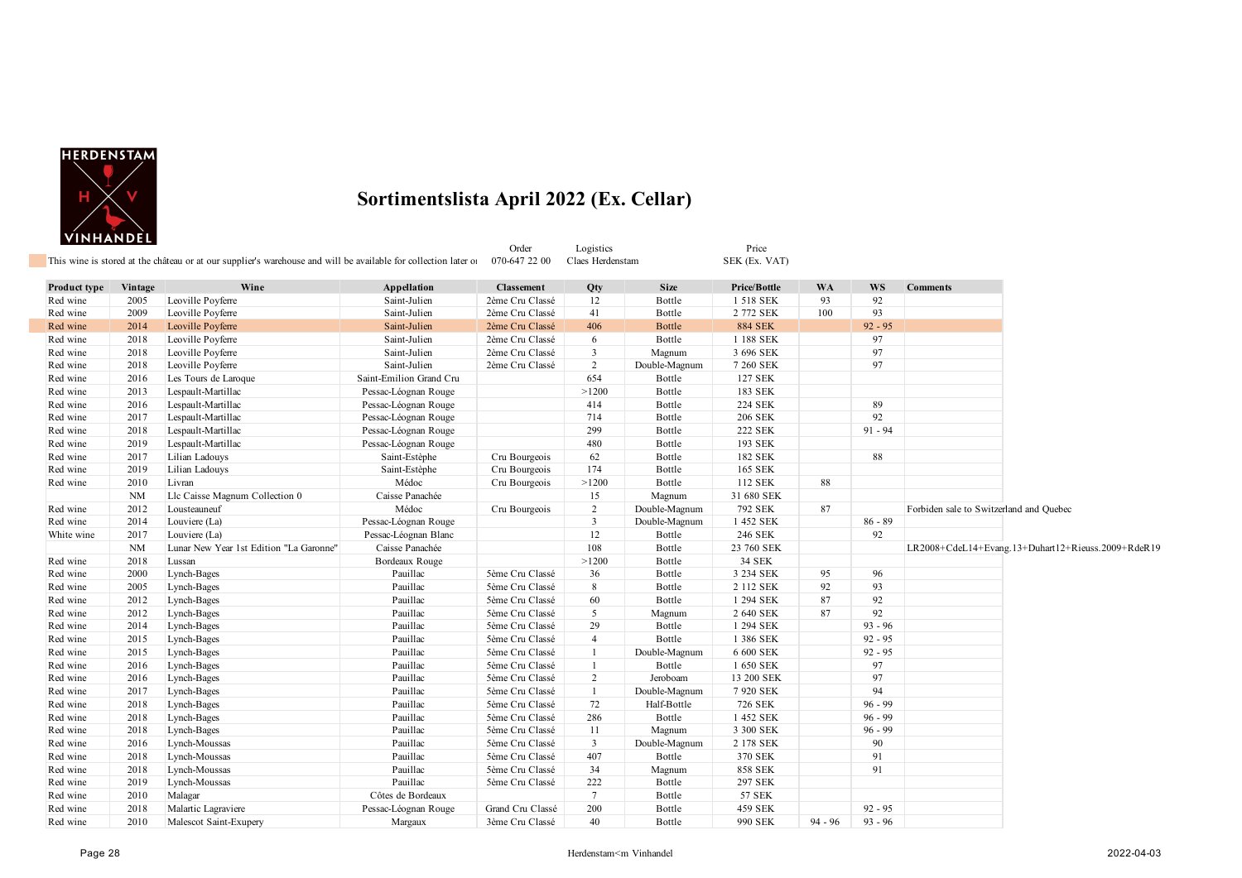

| Product type | Vintage   | Wine                                    | Appellation             | <b>Classement</b> | Qty            | <b>Size</b>   | Price/Bottle   | <b>WA</b> | <b>WS</b> | <b>Comments</b>                                    |
|--------------|-----------|-----------------------------------------|-------------------------|-------------------|----------------|---------------|----------------|-----------|-----------|----------------------------------------------------|
| Red wine     | 2005      | Leoville Poyferre                       | Saint-Julien            | 2ème Cru Classé   | 12             | Bottle        | 1 518 SEK      | 93        | 92        |                                                    |
| Red wine     | 2009      | Leoville Poyferre                       | Saint-Julien            | 2ème Cru Classé   | 41             | Bottle        | 2 772 SEK      | 100       | 93        |                                                    |
| Red wine     | 2014      | Leoville Poyferre                       | Saint-Julien            | 2ème Cru Classé   | 406            | Bottle        | <b>884 SEK</b> |           | $92 - 95$ |                                                    |
| Red wine     | 2018      | Leoville Poyferre                       | Saint-Julien            | 2ème Cru Classé   | 6              | Bottle        | 1 188 SEK      |           | 97        |                                                    |
| Red wine     | 2018      | Leoville Poyferre                       | Saint-Julien            | 2ème Cru Classé   | 3              | Magnum        | 3 696 SEK      |           | 97        |                                                    |
| Red wine     | 2018      | Leoville Poyferre                       | Saint-Julien            | 2ème Cru Classé   | $\sqrt{2}$     | Double-Magnum | 7 260 SEK      |           | 97        |                                                    |
| Red wine     | 2016      | Les Tours de Laroque                    | Saint-Emilion Grand Cru |                   | 654            | Bottle        | 127 SEK        |           |           |                                                    |
| Red wine     | 2013      | Lespault-Martillac                      | Pessac-Léognan Rouge    |                   | >1200          | Bottle        | 183 SEK        |           |           |                                                    |
| Red wine     | 2016      | Lespault-Martillac                      | Pessac-Léognan Rouge    |                   | 414            | Bottle        | <b>224 SEK</b> |           | 89        |                                                    |
| Red wine     | 2017      | Lespault-Martillac                      | Pessac-Léognan Rouge    |                   | 714            | Bottle        | 206 SEK        |           | 92        |                                                    |
| Red wine     | 2018      | Lespault-Martillac                      | Pessac-Léognan Rouge    |                   | 299            | Bottle        | <b>222 SEK</b> |           | $91 - 94$ |                                                    |
| Red wine     | 2019      | Lespault-Martillac                      | Pessac-Léognan Rouge    |                   | 480            | Bottle        | 193 SEK        |           |           |                                                    |
| Red wine     | 2017      | Lilian Ladouys                          | Saint-Estèphe           | Cru Bourgeois     | 62             | Bottle        | 182 SEK        |           | 88        |                                                    |
| Red wine     | 2019      | Lilian Ladouys                          | Saint-Estèphe           | Cru Bourgeois     | 174            | Bottle        | 165 SEK        |           |           |                                                    |
| Red wine     | 2010      | Livran                                  | Médoc                   | Cru Bourgeois     | >1200          | Bottle        | 112 SEK        | 88        |           |                                                    |
|              | <b>NM</b> | Llc Caisse Magnum Collection 0          | Caisse Panachée         |                   | 15             | Magnum        | 31 680 SEK     |           |           |                                                    |
| Red wine     | 2012      | Lousteauneuf                            | Médoc                   | Cru Bourgeois     | $\overline{c}$ | Double-Magnum | 792 SEK        | 87        |           | Forbiden sale to Switzerland and Quebec            |
| Red wine     | 2014      | Louviere (La)                           | Pessac-Léognan Rouge    |                   | 3              | Double-Magnum | 1 452 SEK      |           | $86 - 89$ |                                                    |
| White wine   | 2017      | Louviere (La)                           | Pessac-Léognan Blanc    |                   | 12             | Bottle        | 246 SEK        |           | 92        |                                                    |
|              | <b>NM</b> | Lunar New Year 1st Edition "La Garonne" | Caisse Panachée         |                   | 108            | Bottle        | 23 760 SEK     |           |           | LR2008+CdeL14+Evang.13+Duhart12+Rieuss.2009+RdeR19 |
| Red wine     | 2018      | Lussan                                  | Bordeaux Rouge          |                   | >1200          | Bottle        | 34 SEK         |           |           |                                                    |
| Red wine     | 2000      | Lynch-Bages                             | Pauillac                | 5ème Cru Classé   | 36             | Bottle        | 3 234 SEK      | 95        | 96        |                                                    |
| Red wine     | 2005      | Lynch-Bages                             | Pauillac                | 5ème Cru Classé   | 8              | Bottle        | 2 112 SEK      | 92        | 93        |                                                    |
| Red wine     | 2012      | Lynch-Bages                             | Pauillac                | 5ème Cru Classé   | 60             | Bottle        | 1 294 SEK      | 87        | 92        |                                                    |
| Red wine     | 2012      | Lynch-Bages                             | Pauillac                | 5ème Cru Classé   | 5              | Magnum        | 2 640 SEK      | 87        | 92        |                                                    |
| Red wine     | 2014      | Lynch-Bages                             | Pauillac                | 5ème Cru Classé   | 29             | Bottle        | 1 294 SEK      |           | $93 - 96$ |                                                    |
| Red wine     | 2015      | Lynch-Bages                             | Pauillac                | 5ème Cru Classé   | $\overline{4}$ | Bottle        | 1 386 SEK      |           | $92 - 95$ |                                                    |
| Red wine     | 2015      | Lynch-Bages                             | Pauillac                | 5ème Cru Classé   | $\mathbf{1}$   | Double-Magnum | 6 600 SEK      |           | $92 - 95$ |                                                    |
| Red wine     | 2016      | Lynch-Bages                             | Pauillac                | 5ème Cru Classé   | 1              | Bottle        | 1 650 SEK      |           | 97        |                                                    |
| Red wine     | 2016      | Lynch-Bages                             | Pauillac                | 5ème Cru Classé   | $\overline{2}$ | Jeroboam      | 13 200 SEK     |           | 97        |                                                    |
| Red wine     | 2017      | Lynch-Bages                             | Pauillac                | 5ème Cru Classé   | $\mathbf{1}$   | Double-Magnum | 7 920 SEK      |           | 94        |                                                    |
| Red wine     | 2018      | Lynch-Bages                             | Pauillac                | 5ème Cru Classé   | 72             | Half-Bottle   | 726 SEK        |           | $96 - 99$ |                                                    |
| Red wine     | 2018      | Lynch-Bages                             | Pauillac                | 5ème Cru Classé   | 286            | Bottle        | 1 452 SEK      |           | $96 - 99$ |                                                    |
| Red wine     | 2018      | Lynch-Bages                             | Pauillac                | 5ème Cru Classé   | 11             | Magnum        | 3 300 SEK      |           | $96 - 99$ |                                                    |
| Red wine     | 2016      | Lynch-Moussas                           | Pauillac                | 5ème Cru Classé   | 3              | Double-Magnum | 2 178 SEK      |           | 90        |                                                    |
| Red wine     | 2018      | Lynch-Moussas                           | Pauillac                | 5ème Cru Classé   | 407            | Bottle        | 370 SEK        |           | 91        |                                                    |
| Red wine     | 2018      | Lynch-Moussas                           | Pauillac                | 5ème Cru Classé   | 34             | Magnum        | <b>858 SEK</b> |           | 91        |                                                    |
| Red wine     | 2019      | Lynch-Moussas                           | Pauillac                | 5ème Cru Classé   | 222            | Bottle        | 297 SEK        |           |           |                                                    |
| Red wine     | 2010      | Malagar                                 | Côtes de Bordeaux       |                   | 7              | Bottle        | 57 SEK         |           |           |                                                    |
| Red wine     | 2018      | Malartic Lagraviere                     | Pessac-Léognan Rouge    | Grand Cru Classé  | 200            | Bottle        | 459 SEK        |           | $92 - 95$ |                                                    |
| Red wine     | 2010      | Malescot Saint-Exupery                  | Margaux                 | 3ème Cru Classé   | 40             | Bottle        | 990 SEK        | $94 - 96$ | $93 - 96$ |                                                    |

Order Logistics Price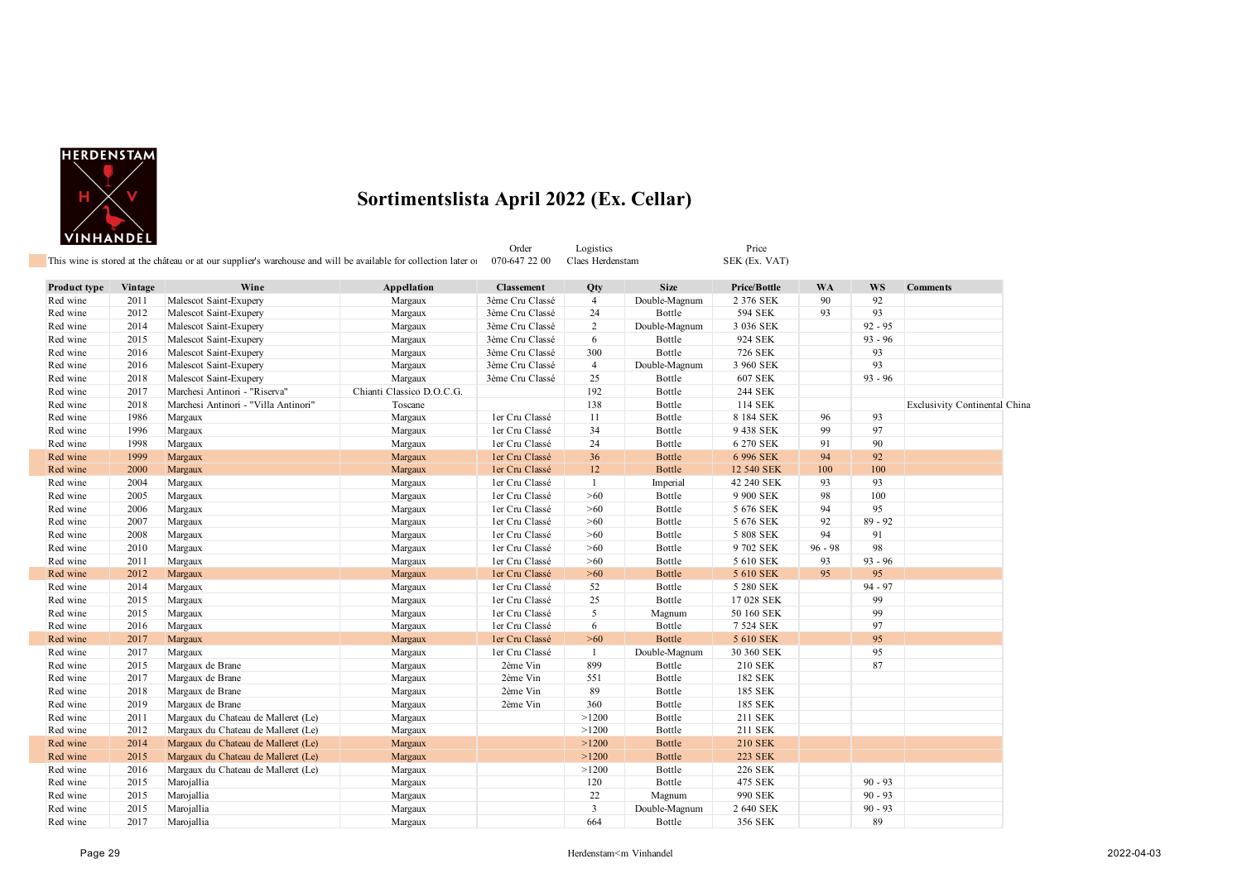

Order Logistics Price

| Product type | Vintage | Wine                                 | Appellation               | <b>Classement</b> | Qty            | Size          | Price/Bottle   | <b>WA</b> | <b>WS</b> | <b>Comments</b>               |
|--------------|---------|--------------------------------------|---------------------------|-------------------|----------------|---------------|----------------|-----------|-----------|-------------------------------|
| Red wine     | 2011    | Malescot Saint-Exupery               | Margaux                   | 3ème Cru Classé   | $\overline{4}$ | Double-Magnum | 2 376 SEK      | 90        | 92        |                               |
| Red wine     | 2012    | Malescot Saint-Exupery               | Margaux                   | 3ème Cru Classé   | 24             | Bottle        | 594 SEK        | 93        | 93        |                               |
| Red wine     | 2014    | Malescot Saint-Exupery               | Margaux                   | 3ème Cru Classé   | $\overline{2}$ | Double-Magnum | 3 036 SEK      |           | $92 - 95$ |                               |
| Red wine     | 2015    | Malescot Saint-Exupery               | Margaux                   | 3ème Cru Classé   | 6              | Bottle        | 924 SEK        |           | $93 - 96$ |                               |
| Red wine     | 2016    | Malescot Saint-Exupery               | Margaux                   | 3ème Cru Classé   | 300            | Bottle        | 726 SEK        |           | 93        |                               |
| Red wine     | 2016    | Malescot Saint-Exupery               | Margaux                   | 3ème Cru Classé   | $\overline{4}$ | Double-Magnum | 3 960 SEK      |           | 93        |                               |
| Red wine     | 2018    | Malescot Saint-Exupery               | Margaux                   | 3ème Cru Classé   | 25             | Bottle        | 607 SEK        |           | $93 - 96$ |                               |
| Red wine     | 2017    | Marchesi Antinori - "Riserva"        | Chianti Classico D.O.C.G. |                   | 192            | Bottle        | 244 SEK        |           |           |                               |
| Red wine     | 2018    | Marchesi Antinori - "Villa Antinori" | Toscane                   |                   | 138            | Bottle        | 114 SEK        |           |           | Exclusivity Continental China |
| Red wine     | 1986    | Margaux                              | Margaux                   | ler Cru Classé    | 11             | Bottle        | 8 184 SEK      | 96        | 93        |                               |
| Red wine     | 1996    | Margaux                              | Margaux                   | ler Cru Classé    | 34             | Bottle        | 9 438 SEK      | 99        | 97        |                               |
| Red wine     | 1998    | Margaux                              | Margaux                   | ler Cru Classé    | 24             | Bottle        | 6 270 SEK      | 91        | 90        |                               |
| Red wine     | 1999    | Margaux                              | Margaux                   | ler Cru Classé    | 36             | Bottle        | 6 996 SEK      | 94        | 92        |                               |
| Red wine     | 2000    | Margaux                              | Margaux                   | ler Cru Classé    | 12             | Bottle        | 12 540 SEK     | 100       | 100       |                               |
| Red wine     | 2004    | Margaux                              | Margaux                   | ler Cru Classé    | 1              | Imperial      | 42 240 SEK     | 93        | 93        |                               |
| Red wine     | 2005    | Margaux                              | Margaux                   | ler Cru Classé    | $>60$          | Bottle        | 9 900 SEK      | 98        | 100       |                               |
| Red wine     | 2006    | Margaux                              | Margaux                   | ler Cru Classé    | >60            | Bottle        | 5 676 SEK      | 94        | 95        |                               |
| Red wine     | 2007    | Margaux                              | Margaux                   | ler Cru Classé    | >60            | Bottle        | 5 676 SEK      | 92        | $89 - 92$ |                               |
| Red wine     | 2008    | Margaux                              | Margaux                   | ler Cru Classé    | >60            | Bottle        | 5 808 SEK      | 94        | 91        |                               |
| Red wine     | 2010    | Margaux                              | Margaux                   | ler Cru Classé    | >60            | Bottle        | 9 702 SEK      | $96 - 98$ | 98        |                               |
| Red wine     | 2011    | Margaux                              | Margaux                   | ler Cru Classé    | >60            | Bottle        | 5 610 SEK      | 93        | $93 - 96$ |                               |
| Red wine     | 2012    | Margaux                              | Margaux                   | ler Cru Classé    | $>60$          | <b>Bottle</b> | 5 610 SEK      | 95        | 95        |                               |
| Red wine     | 2014    | Margaux                              | Margaux                   | ler Cru Classé    | 52             | Bottle        | 5 280 SEK      |           | $94 - 97$ |                               |
| Red wine     | 2015    | Margaux                              | Margaux                   | ler Cru Classé    | 25             | Bottle        | 17 028 SEK     |           | 99        |                               |
| Red wine     | 2015    | Margaux                              | Margaux                   | ler Cru Classé    | 5              | Magnum        | 50 160 SEK     |           | 99        |                               |
| Red wine     | 2016    | Margaux                              | Margaux                   | ler Cru Classé    | 6              | Bottle        | 7 524 SEK      |           | 97        |                               |
| Red wine     | 2017    | Margaux                              | Margaux                   | ler Cru Classé    | $>60$          | <b>Bottle</b> | 5 610 SEK      |           | 95        |                               |
| Red wine     | 2017    | Margaux                              | Margaux                   | ler Cru Classé    | 1              | Double-Magnum | 30 360 SEK     |           | 95        |                               |
| Red wine     | 2015    | Margaux de Brane                     | Margaux                   | 2ème Vin          | 899            | Bottle        | 210 SEK        |           | 87        |                               |
| Red wine     | 2017    | Margaux de Brane                     | Margaux                   | 2ème Vin          | 551            | Bottle        | 182 SEK        |           |           |                               |
| Red wine     | 2018    | Margaux de Brane                     | Margaux                   | 2ème Vin          | 89             | Bottle        | 185 SEK        |           |           |                               |
| Red wine     | 2019    | Margaux de Brane                     | Margaux                   | 2ème Vin          | 360            | Bottle        | 185 SEK        |           |           |                               |
| Red wine     | 2011    | Margaux du Chateau de Malleret (Le)  | Margaux                   |                   | >1200          | Bottle        | 211 SEK        |           |           |                               |
| Red wine     | 2012    | Margaux du Chateau de Malleret (Le)  | Margaux                   |                   | >1200          | Bottle        | 211 SEK        |           |           |                               |
| Red wine     | 2014    | Margaux du Chateau de Malleret (Le)  | Margaux                   |                   | >1200          | <b>Bottle</b> | <b>210 SEK</b> |           |           |                               |
| Red wine     | 2015    | Margaux du Chateau de Malleret (Le)  | Margaux                   |                   | >1200          | <b>Bottle</b> | <b>223 SEK</b> |           |           |                               |
| Red wine     | 2016    | Margaux du Chateau de Malleret (Le)  | Margaux                   |                   | >1200          | Bottle        | 226 SEK        |           |           |                               |
| Red wine     | 2015    | Marojallia                           | Margaux                   |                   | 120            | Bottle        | 475 SEK        |           | $90 - 93$ |                               |
| Red wine     | 2015    | Marojallia                           | Margaux                   |                   | 22             | Magnum        | 990 SEK        |           | $90 - 93$ |                               |
| Red wine     | 2015    | Marojallia                           | Margaux                   |                   | 3              | Double-Magnum | 2 640 SEK      |           | $90 - 93$ |                               |
| Red wine     | 2017    | Marojallia                           | Margaux                   |                   | 664            | Bottle        | 356 SEK        |           | 89        |                               |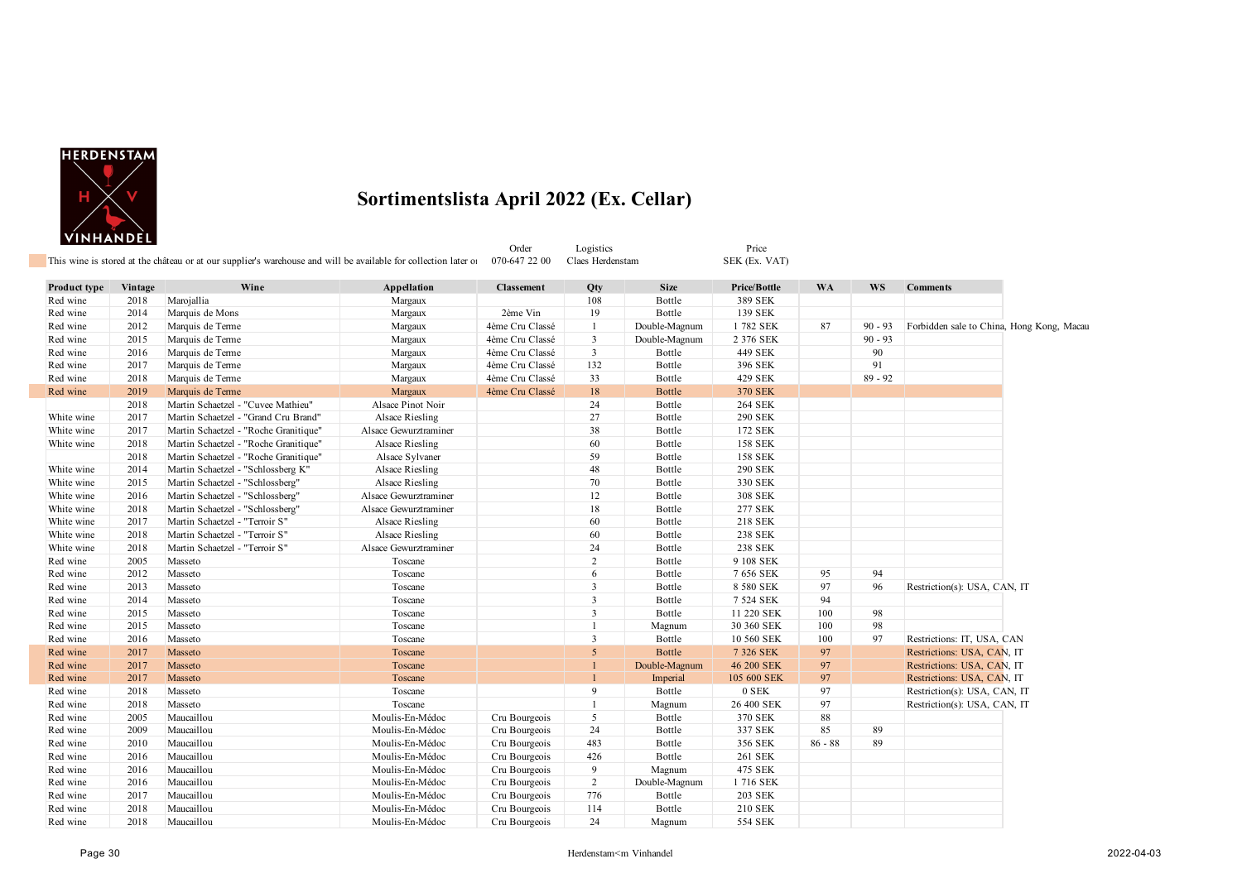

|              |         | This wine is stored at the château or at our supplier's warehouse and will be available for collection later of |                       | Order<br>070-647 22 00 | Logistics<br>Claes Herdenstam |               | Price<br>SEK (Ex. VAT) |           |           |                                           |  |
|--------------|---------|-----------------------------------------------------------------------------------------------------------------|-----------------------|------------------------|-------------------------------|---------------|------------------------|-----------|-----------|-------------------------------------------|--|
|              |         |                                                                                                                 |                       |                        |                               |               |                        |           |           |                                           |  |
| Product type | Vintage | Wine                                                                                                            | Appellation           | <b>Classement</b>      | Qty                           | <b>Size</b>   | Price/Bottle           | <b>WA</b> | <b>WS</b> | <b>Comments</b>                           |  |
| Red wine     | 2018    | Marojallia                                                                                                      | Margaux               |                        | 108                           | Bottle        | 389 SEK                |           |           |                                           |  |
| Red wine     | 2014    | Marquis de Mons                                                                                                 | Margaux               | 2ème Vin               | 19                            | Bottle        | 139 SEK                |           |           |                                           |  |
| Red wine     | 2012    | Marquis de Terme                                                                                                | Margaux               | 4ème Cru Classé        | $\mathbf{1}$                  | Double-Magnum | 1782 SEK               | 87        | $90 - 93$ | Forbidden sale to China, Hong Kong, Macau |  |
| Red wine     | 2015    | Marquis de Terme                                                                                                | Margaux               | 4ème Cru Classé        | 3                             | Double-Magnum | 2 376 SEK              |           | $90 - 93$ |                                           |  |
| Red wine     | 2016    | Marquis de Terme                                                                                                | Margaux               | 4ème Cru Classé        | $\mathbf{3}$                  | Bottle        | 449 SEK                |           | 90        |                                           |  |
| Red wine     | 2017    | Marquis de Terme                                                                                                | Margaux               | 4ème Cru Classé        | 132                           | Bottle        | 396 SEK                |           | 91        |                                           |  |
| Red wine     | 2018    | Marquis de Terme                                                                                                | Margaux               | 4ème Cru Classé        | 33                            | Bottle        | 429 SEK                |           | $89 - 92$ |                                           |  |
| Red wine     | 2019    | Marquis de Terme                                                                                                | Margaux               | 4ème Cru Classé        | $18\,$                        | Bottle        | <b>370 SEK</b>         |           |           |                                           |  |
|              | 2018    | Martin Schaetzel - "Cuvee Mathieu"                                                                              | Alsace Pinot Noir     |                        | 24                            | Bottle        | <b>264 SEK</b>         |           |           |                                           |  |
| White wine   | 2017    | Martin Schaetzel - "Grand Cru Brand"                                                                            | Alsace Riesling       |                        | 27                            | Bottle        | 290 SEK                |           |           |                                           |  |
| White wine   | 2017    | Martin Schaetzel - "Roche Granitique"                                                                           | Alsace Gewurztraminer |                        | 38                            | Bottle        | 172 SEK                |           |           |                                           |  |
| White wine   | 2018    | Martin Schaetzel - "Roche Granitique"                                                                           | Alsace Riesling       |                        | 60                            | Bottle        | <b>158 SEK</b>         |           |           |                                           |  |
|              | 2018    | Martin Schaetzel - "Roche Granitique"                                                                           | Alsace Sylvaner       |                        | 59                            | Bottle        | <b>158 SEK</b>         |           |           |                                           |  |
| White wine   | 2014    | Martin Schaetzel - "Schlossberg K"                                                                              | Alsace Riesling       |                        | 48                            | Bottle        | <b>290 SEK</b>         |           |           |                                           |  |
| White wine   | 2015    | Martin Schaetzel - "Schlossberg"                                                                                | Alsace Riesling       |                        | 70                            | Bottle        | 330 SEK                |           |           |                                           |  |
| White wine   | 2016    | Martin Schaetzel - "Schlossberg"                                                                                | Alsace Gewurztraminer |                        | 12                            | Bottle        | 308 SEK                |           |           |                                           |  |
| White wine   | 2018    | Martin Schaetzel - "Schlossberg"                                                                                | Alsace Gewurztraminer |                        | 18                            | Bottle        | 277 SEK                |           |           |                                           |  |
| White wine   | 2017    | Martin Schaetzel - "Terroir S"                                                                                  | Alsace Riesling       |                        | 60                            | Bottle        | 218 SEK                |           |           |                                           |  |
| White wine   | 2018    | Martin Schaetzel - "Terroir S"                                                                                  | Alsace Riesling       |                        | 60                            | Bottle        | 238 SEK                |           |           |                                           |  |
| White wine   | 2018    | Martin Schaetzel - "Terroir S"                                                                                  | Alsace Gewurztraminer |                        | 24                            | Bottle        | 238 SEK                |           |           |                                           |  |
| Red wine     | 2005    | Masseto                                                                                                         | Toscane               |                        | 2                             | Bottle        | 9 108 SEK              |           |           |                                           |  |
| Red wine     | 2012    | Masseto                                                                                                         | Toscane               |                        | 6                             | Bottle        | 7 656 SEK              | 95        | 94        |                                           |  |
| Red wine     | 2013    | Masseto                                                                                                         | Toscane               |                        | 3                             | Bottle        | 8 580 SEK              | 97        | 96        | Restriction(s): USA, CAN, IT              |  |
| Red wine     | 2014    | Masseto                                                                                                         | Toscane               |                        | $\overline{3}$                | Bottle        | 7 524 SEK              | 94        |           |                                           |  |
| Red wine     | 2015    | Masseto                                                                                                         | Toscane               |                        | 3                             | Bottle        | 11 220 SEK             | 100       | 98        |                                           |  |
| Red wine     | 2015    | Masseto                                                                                                         | Toscane               |                        | -1                            | Magnum        | 30 360 SEK             | 100       | 98        |                                           |  |
| Red wine     | 2016    | Masseto                                                                                                         | Toscane               |                        | $\overline{3}$                | Bottle        | 10 560 SEK             | 100       | 97        | Restrictions: IT, USA, CAN                |  |
| Red wine     | 2017    | Masseto                                                                                                         | Toscane               |                        | 5                             | Bottle        | 7 326 SEK              | 97        |           | Restrictions: USA, CAN, IT                |  |
| Red wine     | 2017    | Masseto                                                                                                         | Toscane               |                        |                               | Double-Magnum | 46 200 SEK             | 97        |           | Restrictions: USA, CAN, IT                |  |
| Red wine     | 2017    | Masseto                                                                                                         | Toscane               |                        |                               | Imperial      | 105 600 SEK            | 97        |           | Restrictions: USA, CAN, IT                |  |
| Red wine     | 2018    | Masseto                                                                                                         | Toscane               |                        | 9                             | Bottle        | 0 SEK                  | 97        |           | Restriction(s): USA, CAN, IT              |  |
| Red wine     | 2018    | Masseto                                                                                                         | Toscane               |                        | $\mathbf{1}$                  | Magnum        | 26 400 SEK             | 97        |           | Restriction(s): USA, CAN, IT              |  |
| Red wine     | 2005    | Maucaillou                                                                                                      | Moulis-En-Médoc       | Cru Bourgeois          | 5                             | Bottle        | 370 SEK                | 88        |           |                                           |  |
| Red wine     | 2009    | Maucaillou                                                                                                      | Moulis-En-Médoc       | Cru Bourgeois          | 24                            | Bottle        | 337 SEK                | 85        | 89        |                                           |  |
| Red wine     | 2010    | Maucaillou                                                                                                      | Moulis-En-Médoc       | Cru Bourgeois          | 483                           | Bottle        | 356 SEK                | $86 - 88$ | 89        |                                           |  |
| Red wine     | 2016    | Maucaillou                                                                                                      | Moulis-En-Médoc       | Cru Bourgeois          | 426                           | Bottle        | 261 SEK                |           |           |                                           |  |
| Red wine     | 2016    | Maucaillou                                                                                                      | Moulis-En-Médoc       | Cru Bourgeois          | 9                             | Magnum        | 475 SEK                |           |           |                                           |  |
| Red wine     | 2016    | Maucaillou                                                                                                      | Moulis-En-Médoc       | Cru Bourgeois          | $\overline{2}$                | Double-Magnum | 1716 SEK               |           |           |                                           |  |
| Red wine     | 2017    | Maucaillou                                                                                                      | Moulis-En-Médoc       | Cru Bourgeois          | 776                           | Bottle        | <b>203 SEK</b>         |           |           |                                           |  |
| Red wine     | 2018    | Maucaillou                                                                                                      | Moulis-En-Médoc       | Cru Bourgeois          | 114                           | Bottle        | 210 SEK                |           |           |                                           |  |
| Red wine     | 2018    | Maucaillou                                                                                                      | Moulis-En-Médoc       | Cru Bourgeois          | 24                            | Magnum        | 554 SEK                |           |           |                                           |  |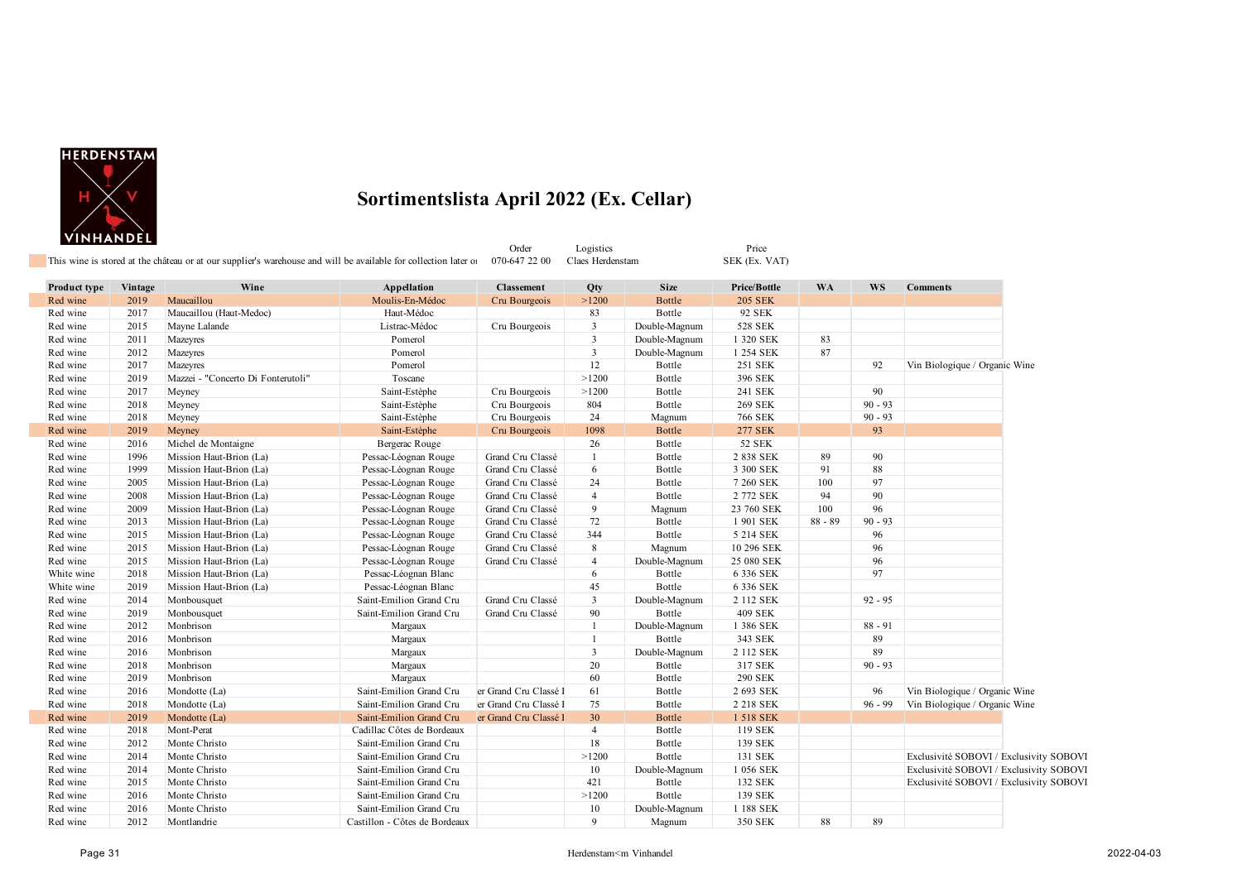

Order Logistics Price Price<br>-647 22 00 Claes Herdenstam SEK (Ex. VAT) This wine is stored at the château or at our supplier's warehouse and will be available for collection later on 070-647 22 00 **Product type Vintage Wine Appellation Classement Qty Size Price/Bottle WA WS Comments** Red wine 2019 Maucaillou 2005 Noulis-En-Médoc Cru Bourgeois >1200 Bottle 205 SEK Red wine 2017 Maucaillou (Haut-Medoc) Haut-Médoc 83 Bottle 92 SEK

| Red wine   | 2015 | Mayne Lalande                      | Listrac-Médoc                 | Cru Bourgeois         | 3              | Double-Magnum | 528 SEK        |           |           |                                         |  |
|------------|------|------------------------------------|-------------------------------|-----------------------|----------------|---------------|----------------|-----------|-----------|-----------------------------------------|--|
| Red wine   | 2011 | Mazeyres                           | Pomerol                       |                       | $\mathbf{3}$   | Double-Magnum | 1 320 SEK      | 83        |           |                                         |  |
| Red wine   | 2012 | Mazeyres                           | Pomerol                       |                       | $\mathbf{3}$   | Double-Magnum | 1 254 SEK      | 87        |           |                                         |  |
| Red wine   | 2017 | Mazeyres                           | Pomerol                       |                       | $12 \,$        | Bottle        | 251 SEK        |           | 92        | Vin Biologique / Organic Wine           |  |
| Red wine   | 2019 | Mazzei - "Concerto Di Fonterutoli" | Toscane                       |                       | >1200          | Bottle        | 396 SEK        |           |           |                                         |  |
| Red wine   | 2017 | Meyney                             | Saint-Estèphe                 | Cru Bourgeois         | >1200          | Bottle        | 241 SEK        |           | 90        |                                         |  |
| Red wine   | 2018 | Meyney                             | Saint-Estèphe                 | Cru Bourgeois         | 804            | Bottle        | <b>269 SEK</b> |           | $90 - 93$ |                                         |  |
| Red wine   | 2018 | Meyney                             | Saint-Estèphe                 | Cru Bourgeois         | 24             | Magnum        | <b>766 SEK</b> |           | $90 - 93$ |                                         |  |
| Red wine   | 2019 | Meyney                             | Saint-Estèphe                 | Cru Bourgeois         | 1098           | Bottle        | <b>277 SEK</b> |           | 93        |                                         |  |
| Red wine   | 2016 | Michel de Montaigne                | Bergerac Rouge                |                       | 26             | Bottle        | <b>52 SEK</b>  |           |           |                                         |  |
| Red wine   | 1996 | Mission Haut-Brion (La)            | Pessac-Léognan Rouge          | Grand Cru Classé      |                | Bottle        | 2 838 SEK      | 89        | 90        |                                         |  |
| Red wine   | 1999 | Mission Haut-Brion (La)            | Pessac-Léognan Rouge          | Grand Cru Classé      | 6              | Bottle        | 3 300 SEK      | 91        | 88        |                                         |  |
| Red wine   | 2005 | Mission Haut-Brion (La)            | Pessac-Léognan Rouge          | Grand Cru Classé      | 24             | Bottle        | 7 260 SEK      | 100       | 97        |                                         |  |
| Red wine   | 2008 | Mission Haut-Brion (La)            | Pessac-Léognan Rouge          | Grand Cru Classé      | $\overline{4}$ | Bottle        | 2 772 SEK      | 94        | 90        |                                         |  |
| Red wine   | 2009 | Mission Haut-Brion (La)            | Pessac-Léognan Rouge          | Grand Cru Classé      | 9              | Magnum        | 23 760 SEK     | 100       | 96        |                                         |  |
| Red wine   | 2013 | Mission Haut-Brion (La)            | Pessac-Léognan Rouge          | Grand Cru Classé      | 72             | Bottle        | 1 901 SEK      | $88 - 89$ | $90 - 93$ |                                         |  |
| Red wine   | 2015 | Mission Haut-Brion (La)            | Pessac-Léognan Rouge          | Grand Cru Classé      | 344            | Bottle        | 5 214 SEK      |           | 96        |                                         |  |
| Red wine   | 2015 | Mission Haut-Brion (La)            | Pessac-Léognan Rouge          | Grand Cru Classé      | 8              | Magnum        | 10 296 SEK     |           | 96        |                                         |  |
| Red wine   | 2015 | Mission Haut-Brion (La)            | Pessac-Léognan Rouge          | Grand Cru Classé      | $\overline{4}$ | Double-Magnum | 25 080 SEK     |           | 96        |                                         |  |
| White wine | 2018 | Mission Haut-Brion (La)            | Pessac-Léognan Blanc          |                       | 6              | Bottle        | 6 336 SEK      |           | 97        |                                         |  |
| White wine | 2019 | Mission Haut-Brion (La)            | Pessac-Léognan Blanc          |                       | 45             | Bottle        | 6 336 SEK      |           |           |                                         |  |
| Red wine   | 2014 | Monbousquet                        | Saint-Emilion Grand Cru       | Grand Cru Classé      | 3              | Double-Magnum | 2 112 SEK      |           | $92 - 95$ |                                         |  |
| Red wine   | 2019 | Monbousquet                        | Saint-Emilion Grand Cru       | Grand Cru Classé      | 90             | Bottle        | <b>409 SEK</b> |           |           |                                         |  |
| Red wine   | 2012 | Monbrison                          | Margaux                       |                       |                | Double-Magnum | 1 386 SEK      |           | $88 - 91$ |                                         |  |
| Red wine   | 2016 | Monbrison                          | Margaux                       |                       |                | Bottle        | 343 SEK        |           | 89        |                                         |  |
| Red wine   | 2016 | Monbrison                          | Margaux                       |                       | $\mathbf{3}$   | Double-Magnum | 2 112 SEK      |           | 89        |                                         |  |
| Red wine   | 2018 | Monbrison                          | Margaux                       |                       | 20             | Bottle        | 317 SEK        |           | $90 - 93$ |                                         |  |
| Red wine   | 2019 | Monbrison                          | Margaux                       |                       | 60             | Bottle        | <b>290 SEK</b> |           |           |                                         |  |
| Red wine   | 2016 | Mondotte (La)                      | Saint-Emilion Grand Cru       | er Grand Cru Classé l | 61             | Bottle        | 2 693 SEK      |           | 96        | Vin Biologique / Organic Wine           |  |
| Red wine   | 2018 | Mondotte (La)                      | Saint-Emilion Grand Cru       | er Grand Cru Classé l | 75             | Bottle        | 2 218 SEK      |           | $96 - 99$ | Vin Biologique / Organic Wine           |  |
| Red wine   | 2019 | Mondotte (La)                      | Saint-Emilion Grand Cru       | er Grand Cru Classé l | 30             | Bottle        | 1 518 SEK      |           |           |                                         |  |
| Red wine   | 2018 | Mont-Perat                         | Cadillac Côtes de Bordeaux    |                       | $\overline{4}$ | Bottle        | 119 SEK        |           |           |                                         |  |
| Red wine   | 2012 | Monte Christo                      | Saint-Emilion Grand Cru       |                       | 18             | Bottle        | 139 SEK        |           |           |                                         |  |
| Red wine   | 2014 | Monte Christo                      | Saint-Emilion Grand Cru       |                       | >1200          | Bottle        | 131 SEK        |           |           | Exclusivité SOBOVI / Exclusivity SOBOVI |  |
| Red wine   | 2014 | Monte Christo                      | Saint-Emilion Grand Cru       |                       | 10             | Double-Magnum | 1 056 SEK      |           |           | Exclusivité SOBOVI / Exclusivity SOBOVI |  |
| Red wine   | 2015 | Monte Christo                      | Saint-Emilion Grand Cru       |                       | 421            | Bottle        | 132 SEK        |           |           | Exclusivité SOBOVI / Exclusivity SOBOVI |  |
| Red wine   | 2016 | Monte Christo                      | Saint-Emilion Grand Cru       |                       | >1200          | Bottle        | 139 SEK        |           |           |                                         |  |
| Red wine   | 2016 | Monte Christo                      | Saint-Emilion Grand Cru       |                       | 10             | Double-Magnum | 1 188 SEK      |           |           |                                         |  |
| Red wine   | 2012 | Montlandrie                        | Castillon - Côtes de Bordeaux |                       | 9              | Magnum        | 350 SEK        | 88        | 89        |                                         |  |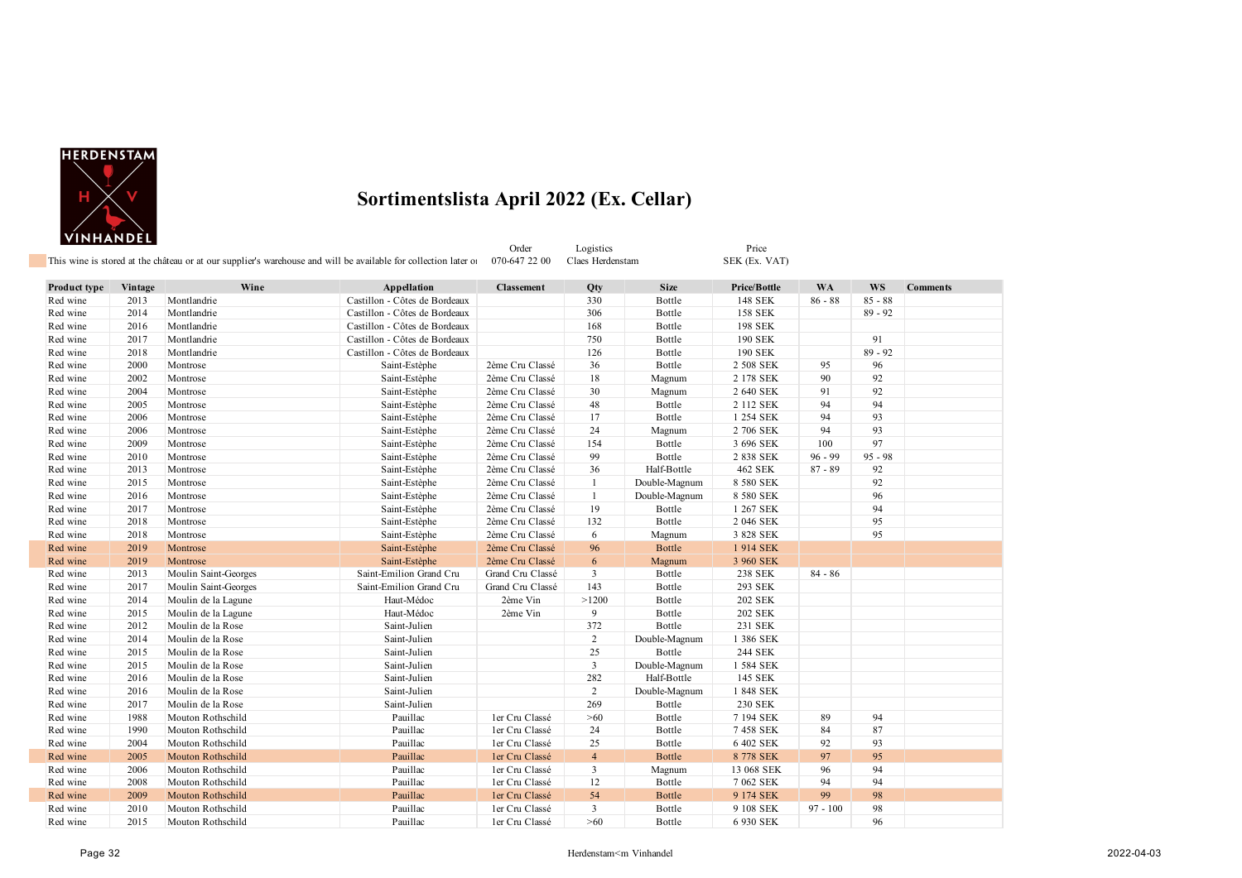

|              |         |                          | This wine is stored at the château or at our supplier's warehouse and will be available for collection later of | Order<br>070-647 22 00 | Logistics<br>Claes Herdenstam |               | Price<br>SEK (Ex. VAT) |            |           |                 |
|--------------|---------|--------------------------|-----------------------------------------------------------------------------------------------------------------|------------------------|-------------------------------|---------------|------------------------|------------|-----------|-----------------|
| Product type | Vintage | Wine                     | Appellation                                                                                                     | <b>Classement</b>      | Qty                           | <b>Size</b>   | Price/Bottle           | <b>WA</b>  | WS        | <b>Comments</b> |
| Red wine     | 2013    | Montlandrie              | Castillon - Côtes de Bordeaux                                                                                   |                        | 330                           | Bottle        | 148 SEK                | $86 - 88$  | $85 - 88$ |                 |
| Red wine     | 2014    | Montlandrie              | Castillon - Côtes de Bordeaux                                                                                   |                        | 306                           | Bottle        | <b>158 SEK</b>         |            | $89 - 92$ |                 |
| Red wine     | 2016    | Montlandrie              | Castillon - Côtes de Bordeaux                                                                                   |                        | 168                           | Bottle        | 198 SEK                |            |           |                 |
| Red wine     | 2017    | Montlandrie              | Castillon - Côtes de Bordeaux                                                                                   |                        | 750                           | Bottle        | 190 SEK                |            | 91        |                 |
| Red wine     | 2018    | Montlandrie              | Castillon - Côtes de Bordeaux                                                                                   |                        | 126                           | Bottle        | 190 SEK                |            | $89 - 92$ |                 |
| Red wine     | 2000    | Montrose                 | Saint-Estèphe                                                                                                   | 2ème Cru Classé        | 36                            | Bottle        | 2 508 SEK              | 95         | 96        |                 |
| Red wine     | 2002    | Montrose                 | Saint-Estèphe                                                                                                   | 2ème Cru Classé        | 18                            | Magnum        | 2 178 SEK              | 90         | 92        |                 |
| Red wine     | 2004    | Montrose                 | Saint-Estèphe                                                                                                   | 2ème Cru Classé        | 30                            | Magnum        | 2 640 SEK              | 91         | 92        |                 |
| Red wine     | 2005    | Montrose                 | Saint-Estèphe                                                                                                   | 2ème Cru Classé        | 48                            | Bottle        | 2 112 SEK              | 94         | 94        |                 |
| Red wine     | 2006    | Montrose                 | Saint-Estèphe                                                                                                   | 2ème Cru Classé        | 17                            | Bottle        | 1 254 SEK              | 94         | 93        |                 |
| Red wine     | 2006    | Montrose                 | Saint-Estèphe                                                                                                   | 2ème Cru Classé        | 24                            | Magnum        | 2 706 SEK              | 94         | 93        |                 |
| Red wine     | 2009    | Montrose                 | Saint-Estèphe                                                                                                   | 2ème Cru Classé        | 154                           | Bottle        | 3 696 SEK              | 100        | 97        |                 |
| Red wine     | 2010    | Montrose                 | Saint-Estèphe                                                                                                   | 2ème Cru Classé        | 99                            | Bottle        | 2 838 SEK              | $96 - 99$  | $95 - 98$ |                 |
| Red wine     | 2013    | Montrose                 | Saint-Estèphe                                                                                                   | 2ème Cru Classé        | 36                            | Half-Bottle   | 462 SEK                | $87 - 89$  | 92        |                 |
| Red wine     | 2015    | Montrose                 | Saint-Estèphe                                                                                                   | 2ème Cru Classé        | $\mathbf{1}$                  | Double-Magnum | 8 580 SEK              |            | 92        |                 |
| Red wine     | 2016    | Montrose                 | Saint-Estèphe                                                                                                   | 2ème Cru Classé        | 1                             | Double-Magnum | 8 580 SEK              |            | 96        |                 |
| Red wine     | 2017    | Montrose                 | Saint-Estèphe                                                                                                   | 2ème Cru Classé        | 19                            | Bottle        | 1 267 SEK              |            | 94        |                 |
| Red wine     | 2018    | Montrose                 | Saint-Estèphe                                                                                                   | 2ème Cru Classé        | 132                           | Bottle        | 2 046 SEK              |            | 95        |                 |
| Red wine     | 2018    | Montrose                 | Saint-Estèphe                                                                                                   | 2ème Cru Classé        | 6                             | Magnum        | 3 828 SEK              |            | 95        |                 |
| Red wine     | 2019    | Montrose                 | Saint-Estèphe                                                                                                   | 2ème Cru Classé        | 96                            | <b>Bottle</b> | 1914 SEK               |            |           |                 |
| Red wine     | 2019    | Montrose                 | Saint-Estèphe                                                                                                   | 2ème Cru Classé        | 6                             | Magnum        | 3 960 SEK              |            |           |                 |
| Red wine     | 2013    | Moulin Saint-Georges     | Saint-Emilion Grand Cru                                                                                         | Grand Cru Classé       | 3                             | Bottle        | 238 SEK                | $84 - 86$  |           |                 |
| Red wine     | 2017    | Moulin Saint-Georges     | Saint-Emilion Grand Cru                                                                                         | Grand Cru Classé       | 143                           | Bottle        | 293 SEK                |            |           |                 |
| Red wine     | 2014    | Moulin de la Lagune      | Haut-Médoc                                                                                                      | 2ème Vin               | >1200                         | Bottle        | <b>202 SEK</b>         |            |           |                 |
| Red wine     | 2015    | Moulin de la Lagune      | Haut-Médoc                                                                                                      | 2ème Vin               | 9                             | Bottle        | <b>202 SEK</b>         |            |           |                 |
| Red wine     | 2012    | Moulin de la Rose        | Saint-Julien                                                                                                    |                        | 372                           | Bottle        | 231 SEK                |            |           |                 |
| Red wine     | 2014    | Moulin de la Rose        | Saint-Julien                                                                                                    |                        | $\overline{2}$                | Double-Magnum | 1 386 SEK              |            |           |                 |
| Red wine     | 2015    | Moulin de la Rose        | Saint-Julien                                                                                                    |                        | 25                            | Bottle        | 244 SEK                |            |           |                 |
| Red wine     | 2015    | Moulin de la Rose        | Saint-Julien                                                                                                    |                        | $\mathbf{3}$                  | Double-Magnum | 1 584 SEK              |            |           |                 |
| Red wine     | 2016    | Moulin de la Rose        | Saint-Julien                                                                                                    |                        | 282                           | Half-Bottle   | 145 SEK                |            |           |                 |
| Red wine     | 2016    | Moulin de la Rose        | Saint-Julien                                                                                                    |                        | $\overline{2}$                | Double-Magnum | 1 848 SEK              |            |           |                 |
| Red wine     | 2017    | Moulin de la Rose        | Saint-Julien                                                                                                    |                        | 269                           | Bottle        | 230 SEK                |            |           |                 |
| Red wine     | 1988    | Mouton Rothschild        | Pauillac                                                                                                        | ler Cru Classé         | >60                           | Bottle        | 7 194 SEK              | 89         | 94        |                 |
| Red wine     | 1990    | Mouton Rothschild        | Pauillac                                                                                                        | ler Cru Classé         | 24                            | Bottle        | 7458 SEK               | 84         | 87        |                 |
| Red wine     | 2004    | Mouton Rothschild        | Pauillac                                                                                                        | ler Cru Classé         | 25                            | Bottle        | 6 402 SEK              | 92         | 93        |                 |
| Red wine     | 2005    | <b>Mouton Rothschild</b> | Pauillac                                                                                                        | ler Cru Classé         | $\overline{4}$                | Bottle        | 8 778 SEK              | 97         | 95        |                 |
| Red wine     | 2006    | Mouton Rothschild        | Pauillac                                                                                                        | ler Cru Classé         | 3                             | Magnum        | 13 068 SEK             | 96         | 94        |                 |
| Red wine     | 2008    | Mouton Rothschild        | Pauillac                                                                                                        | ler Cru Classé         | 12                            | Bottle        | 7 062 SEK              | 94         | 94        |                 |
| Red wine     | 2009    | <b>Mouton Rothschild</b> | Pauillac                                                                                                        | ler Cru Classé         | 54                            | <b>Bottle</b> | 9 174 SEK              | 99         | 98        |                 |
| Red wine     | 2010    | Mouton Rothschild        | Pauillac                                                                                                        | ler Cru Classé         | 3                             | Bottle        | 9 108 SEK              | $97 - 100$ | 98        |                 |
| Red wine     | 2015    | Mouton Rothschild        | Pauillac                                                                                                        | ler Cru Classé         | >60                           | Bottle        | 6 930 SEK              |            | 96        |                 |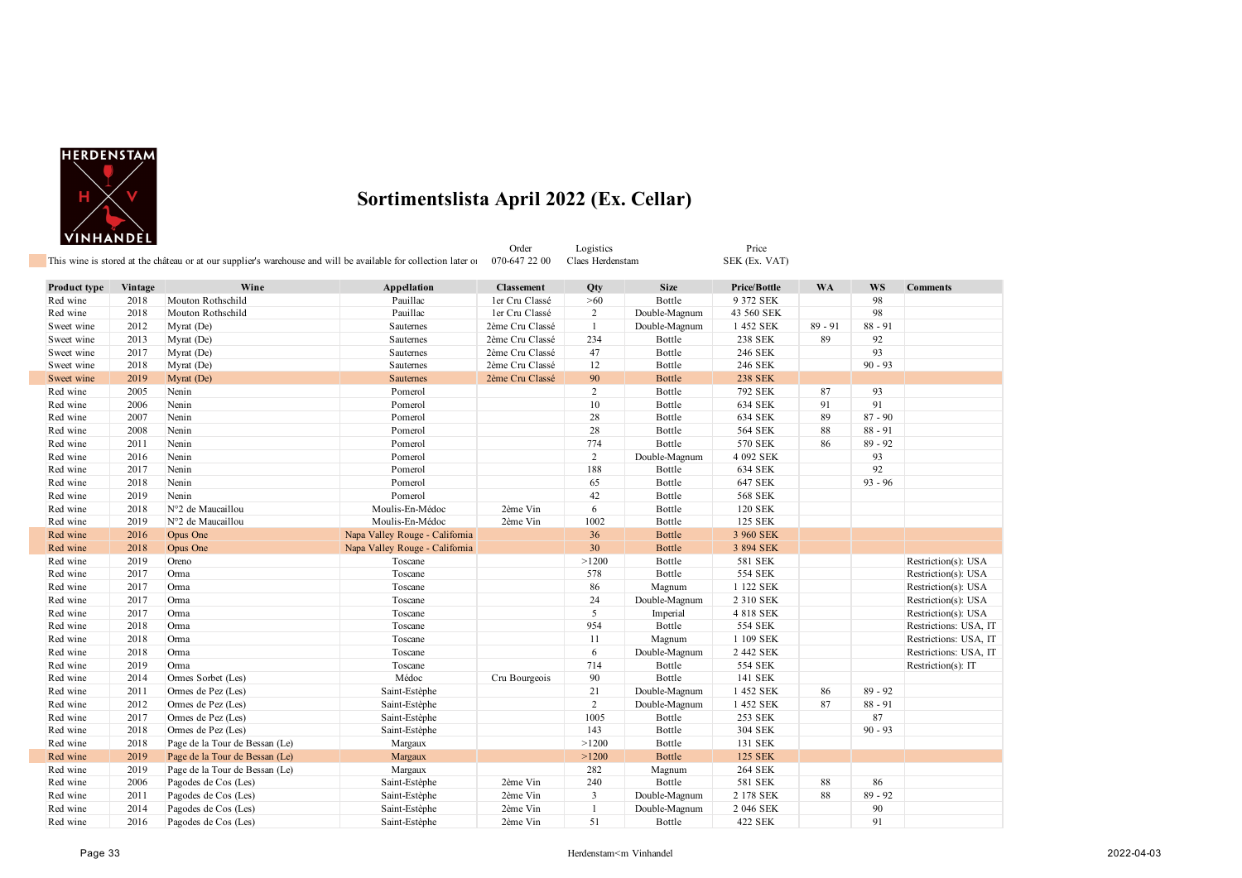

|              |         | This wine is stored at the château or at our supplier's warehouse and will be available for collection later of |                                | Order<br>070-647 22 00 | Logistics<br>Claes Herdenstam |               | Price<br>SEK (Ex. VAT) |           |           |                       |
|--------------|---------|-----------------------------------------------------------------------------------------------------------------|--------------------------------|------------------------|-------------------------------|---------------|------------------------|-----------|-----------|-----------------------|
| Product type | Vintage | Wine                                                                                                            | Appellation                    | <b>Classement</b>      | Qty                           | <b>Size</b>   | Price/Bottle           | <b>WA</b> | WS        | <b>Comments</b>       |
| Red wine     | 2018    | Mouton Rothschild                                                                                               | Pauillac                       | ler Cru Classé         | >60                           | Bottle        | 9 372 SEK              |           | 98        |                       |
| Red wine     | 2018    | Mouton Rothschild                                                                                               | Pauillac                       | ler Cru Classé         | 2                             | Double-Magnum | 43 560 SEK             |           | 98        |                       |
| Sweet wine   | 2012    | Myrat (De)                                                                                                      | Sauternes                      | 2ème Cru Classé        | $\mathbf{1}$                  | Double-Magnum | 1 452 SEK              | $89 - 91$ | $88 - 91$ |                       |
| Sweet wine   | 2013    | Myrat (De)                                                                                                      | Sauternes                      | 2ème Cru Classé        | 234                           | Bottle        | 238 SEK                | 89        | 92        |                       |
| Sweet wine   | 2017    | Myrat (De)                                                                                                      | Sauternes                      | 2ème Cru Classé        | 47                            | Bottle        | 246 SEK                |           | 93        |                       |
| Sweet wine   | 2018    | Myrat (De)                                                                                                      | Sauternes                      | 2ème Cru Classé        | 12                            | Bottle        | 246 SEK                |           | $90 - 93$ |                       |
| Sweet wine   | 2019    | Myrat (De)                                                                                                      | Sauternes                      | 2ème Cru Classé        | 90                            | <b>Bottle</b> | <b>238 SEK</b>         |           |           |                       |
| Red wine     | 2005    | Nenin                                                                                                           | Pomerol                        |                        | $\overline{c}$                | Bottle        | 792 SEK                | 87        | 93        |                       |
| Red wine     | 2006    | Nenin                                                                                                           | Pomerol                        |                        | 10                            | Bottle        | 634 SEK                | 91        | 91        |                       |
| Red wine     | 2007    | Nenin                                                                                                           | Pomerol                        |                        | 28                            | Bottle        | 634 SEK                | 89        | $87 - 90$ |                       |
| Red wine     | 2008    | Nenin                                                                                                           | Pomerol                        |                        | 28                            | Bottle        | 564 SEK                | 88        | $88 - 91$ |                       |
| Red wine     | 2011    | Nenin                                                                                                           | Pomerol                        |                        | 774                           | Bottle        | 570 SEK                | 86        | $89 - 92$ |                       |
| Red wine     | 2016    | Nenin                                                                                                           | Pomerol                        |                        | $\overline{2}$                | Double-Magnum | 4 092 SEK              |           | 93        |                       |
| Red wine     | 2017    | Nenin                                                                                                           | Pomerol                        |                        | 188                           | Bottle        | 634 SEK                |           | 92        |                       |
| Red wine     | 2018    | Nenin                                                                                                           | Pomerol                        |                        | 65                            | Bottle        | 647 SEK                |           | $93 - 96$ |                       |
| Red wine     | 2019    | Nenin                                                                                                           | Pomerol                        |                        | 42                            | Bottle        | <b>568 SEK</b>         |           |           |                       |
| Red wine     | 2018    | N°2 de Maucaillou                                                                                               | Moulis-En-Médoc                | 2ème Vin               | 6                             | Bottle        | 120 SEK                |           |           |                       |
| Red wine     | 2019    | N°2 de Maucaillou                                                                                               | Moulis-En-Médoc                | 2ème Vin               | 1002                          | Bottle        | 125 SEK                |           |           |                       |
| Red wine     | 2016    | Opus One                                                                                                        | Napa Valley Rouge - California |                        | 36                            | <b>Bottle</b> | 3 960 SEK              |           |           |                       |
| Red wine     | 2018    | Opus One                                                                                                        | Napa Valley Rouge - California |                        | 30                            | <b>Bottle</b> | 3 894 SEK              |           |           |                       |
| Red wine     | 2019    | Oreno                                                                                                           | Toscane                        |                        | >1200                         | Bottle        | 581 SEK                |           |           | Restriction(s): USA   |
| Red wine     | 2017    | Orma                                                                                                            | Toscane                        |                        | 578                           | Bottle        | 554 SEK                |           |           | Restriction(s): USA   |
| Red wine     | 2017    | Orma                                                                                                            | Toscane                        |                        | 86                            | Magnum        | 1 122 SEK              |           |           | Restriction(s): USA   |
| Red wine     | 2017    | Orma                                                                                                            | Toscane                        |                        | 24                            | Double-Magnum | 2 310 SEK              |           |           | Restriction(s): USA   |
| Red wine     | 2017    | Orma                                                                                                            | Toscane                        |                        | 5                             | Imperial      | 4 818 SEK              |           |           | Restriction(s): USA   |
| Red wine     | 2018    | Orma                                                                                                            | Toscane                        |                        | 954                           | Bottle        | 554 SEK                |           |           | Restrictions: USA, IT |
| Red wine     | 2018    | Orma                                                                                                            | Toscane                        |                        | 11                            | Magnum        | 1 109 SEK              |           |           | Restrictions: USA, IT |
| Red wine     | 2018    | Orma                                                                                                            | Toscane                        |                        | 6                             | Double-Magnum | 2 442 SEK              |           |           | Restrictions: USA, IT |
| Red wine     | 2019    | Orma                                                                                                            | Toscane                        |                        | 714                           | Bottle        | 554 SEK                |           |           | Restriction(s): IT    |
| Red wine     | 2014    | Ormes Sorbet (Les)                                                                                              | Médoc                          | Cru Bourgeois          | 90                            | Bottle        | 141 SEK                |           |           |                       |
| Red wine     | 2011    | Ormes de Pez (Les)                                                                                              | Saint-Estèphe                  |                        | 21                            | Double-Magnum | 1 452 SEK              | 86        | $89 - 92$ |                       |
| Red wine     | 2012    | Ormes de Pez (Les)                                                                                              | Saint-Estèphe                  |                        | 2                             | Double-Magnum | 1 452 SEK              | 87        | $88 - 91$ |                       |
| Red wine     | 2017    | Ormes de Pez (Les)                                                                                              | Saint-Estèphe                  |                        | 1005                          | Bottle        | 253 SEK                |           | 87        |                       |
| Red wine     | 2018    | Ormes de Pez (Les)                                                                                              | Saint-Estèphe                  |                        | 143                           | Bottle        | 304 SEK                |           | $90 - 93$ |                       |
| Red wine     | 2018    | Page de la Tour de Bessan (Le)                                                                                  | Margaux                        |                        | >1200                         | Bottle        | 131 SEK                |           |           |                       |
| Red wine     | 2019    | Page de la Tour de Bessan (Le)                                                                                  | Margaux                        |                        | >1200                         | <b>Bottle</b> | 125 SEK                |           |           |                       |
| Red wine     | 2019    | Page de la Tour de Bessan (Le)                                                                                  | Margaux                        |                        | 282                           | Magnum        | 264 SEK                |           |           |                       |
| Red wine     | 2006    | Pagodes de Cos (Les)                                                                                            | Saint-Estèphe                  | 2ème Vin               | 240                           | Bottle        | 581 SEK                | 88        | 86        |                       |
| Red wine     | 2011    | Pagodes de Cos (Les)                                                                                            | Saint-Estèphe                  | 2ème Vin               | $\overline{3}$                | Double-Magnum | 2 178 SEK              | 88        | $89 - 92$ |                       |
| Red wine     | 2014    | Pagodes de Cos (Les)                                                                                            | Saint-Estèphe                  | 2ème Vin               | $\mathbf{1}$                  | Double-Magnum | 2 046 SEK              |           | 90        |                       |
| Red wine     | 2016    | Pagodes de Cos (Les)                                                                                            | Saint-Estèphe                  | 2ème Vin               | 51                            | Bottle        | 422 SEK                |           | 91        |                       |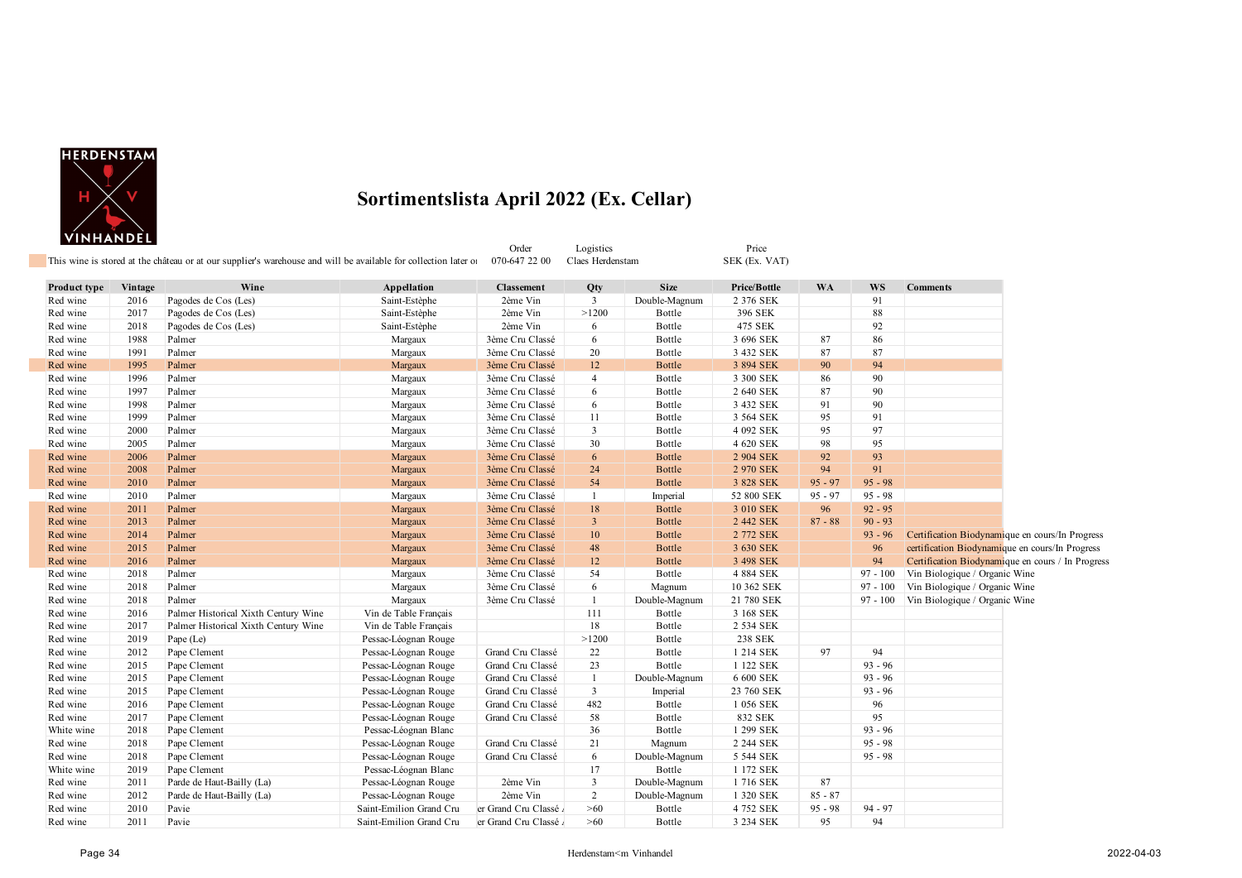

Order Logistics Price

| Product type         | Vintage      | Wine                                 | Appellation             | <b>Classement</b>                  | Qty                  | <b>Size</b>   | Price/Bottle           | <b>WA</b> | <b>WS</b>  | <b>Comments</b>                                   |
|----------------------|--------------|--------------------------------------|-------------------------|------------------------------------|----------------------|---------------|------------------------|-----------|------------|---------------------------------------------------|
| Red wine             | 2016         | Pagodes de Cos (Les)                 | Saint-Estèphe           | 2ème Vin                           | 3                    | Double-Magnum | 2 376 SEK              |           | 91         |                                                   |
| Red wine             | 2017         | Pagodes de Cos (Les)                 | Saint-Estèphe           | 2ème Vin                           | >1200                | Bottle        | 396 SEK                |           | 88         |                                                   |
| Red wine             | 2018         | Pagodes de Cos (Les)                 | Saint-Estèphe           | 2ème Vin                           | 6                    | Bottle        | 475 SEK                |           | 92         |                                                   |
| Red wine             | 1988         | Palmer                               | Margaux                 | 3ème Cru Classé                    | 6                    | Bottle        | 3 696 SEK              | 87        | 86         |                                                   |
| Red wine             | 1991         | Palmer                               | Margaux                 | 3ème Cru Classé                    | 20                   | Bottle        | 3 432 SEK              | 87        | 87         |                                                   |
|                      |              |                                      |                         |                                    |                      |               |                        |           | 94         |                                                   |
| Red wine<br>Red wine | 1995<br>1996 | Palmer<br>Palmer                     | Margaux                 | 3ème Cru Classé<br>3ème Cru Classé | 12<br>$\overline{4}$ | <b>Bottle</b> | 3 894 SEK<br>3 300 SEK | 90        | 90         |                                                   |
|                      | 1997         |                                      | Margaux                 |                                    | 6                    | Bottle        |                        | 86<br>87  | 90         |                                                   |
| Red wine             | 1998         | Palmer                               | Margaux                 | 3ème Cru Classé                    |                      | Bottle        | 2 640 SEK              | 91        | 90         |                                                   |
| Red wine             |              | Palmer                               | Margaux                 | 3ème Cru Classé                    | 6                    | Bottle        | 3 432 SEK              |           |            |                                                   |
| Red wine             | 1999         | Palmer                               | Margaux                 | 3ème Cru Classé                    | 11                   | Bottle        | 3 564 SEK              | 95        | 91         |                                                   |
| Red wine             | 2000         | Palmer                               | Margaux                 | 3ème Cru Classé                    | 3                    | Bottle        | 4 092 SEK              | 95        | 97         |                                                   |
| Red wine             | 2005         | Palmer                               | Margaux                 | 3ème Cru Classé                    | 30                   | Bottle        | 4 620 SEK              | 98        | 95         |                                                   |
| Red wine             | 2006         | Palmer                               | Margaux                 | 3ème Cru Classé                    | 6                    | <b>Bottle</b> | 2 904 SEK              | 92        | 93         |                                                   |
| Red wine             | 2008         | Palmer                               | Margaux                 | 3ème Cru Classé                    | 24                   | <b>Bottle</b> | 2 970 SEK              | 94        | 91         |                                                   |
| Red wine             | 2010         | Palmer                               | Margaux                 | 3ème Cru Classé                    | 54                   | <b>Bottle</b> | 3 828 SEK              | $95 - 97$ | $95 - 98$  |                                                   |
| Red wine             | 2010         | Palmer                               | Margaux                 | 3ème Cru Classé                    | 1                    | Imperial      | 52 800 SEK             | $95 - 97$ | $95 - 98$  |                                                   |
| Red wine             | 2011         | Palmer                               | Margaux                 | 3ème Cru Classé                    | 18                   | Bottle        | 3 010 SEK              | 96        | $92 - 95$  |                                                   |
| Red wine             | 2013         | Palmer                               | Margaux                 | 3ème Cru Classé                    | $\mathbf{3}$         | <b>Bottle</b> | 2 442 SEK              | $87 - 88$ | $90 - 93$  |                                                   |
| Red wine             | 2014         | Palmer                               | Margaux                 | 3ème Cru Classé                    | 10                   | <b>Bottle</b> | 2 772 SEK              |           | $93 - 96$  | Certification Biodynamique en cours/In Progress   |
| Red wine             | 2015         | Palmer                               | Margaux                 | 3ème Cru Classé                    | 48                   | <b>Bottle</b> | 3 630 SEK              |           | 96         | certification Biodynamique en cours/In Progress   |
| Red wine             | 2016         | Palmer                               | Margaux                 | 3ème Cru Classé                    | 12                   | <b>Bottle</b> | 3 498 SEK              |           | 94         | Certification Biodynamique en cours / In Progress |
| Red wine             | 2018         | Palmer                               | Margaux                 | 3ème Cru Classé                    | 54                   | Bottle        | 4 884 SEK              |           | $97 - 100$ | Vin Biologique / Organic Wine                     |
| Red wine             | 2018         | Palmer                               | Margaux                 | 3ème Cru Classé                    | 6                    | Magnum        | 10 362 SEK             |           | $97 - 100$ | Vin Biologique / Organic Wine                     |
| Red wine             | 2018         | Palmer                               | Margaux                 | 3ème Cru Classé                    | $\overline{1}$       | Double-Magnum | 21 780 SEK             |           |            | 97 - 100 Vin Biologique / Organic Wine            |
| Red wine             | 2016         | Palmer Historical Xixth Century Wine | Vin de Table Français   |                                    | 111                  | Bottle        | 3 168 SEK              |           |            |                                                   |
| Red wine             | 2017         | Palmer Historical Xixth Century Wine | Vin de Table Français   |                                    | 18                   | Bottle        | 2 534 SEK              |           |            |                                                   |
| Red wine             | 2019         | Pape (Le)                            | Pessac-Léognan Rouge    |                                    | >1200                | Bottle        | 238 SEK                |           |            |                                                   |
| Red wine             | 2012         | Pape Clement                         | Pessac-Léognan Rouge    | Grand Cru Classé                   | 22                   | Bottle        | 1 214 SEK              | 97        | 94         |                                                   |
| Red wine             | 2015         | Pape Clement                         | Pessac-Léognan Rouge    | Grand Cru Classé                   | 23                   | Bottle        | 1 122 SEK              |           | $93 - 96$  |                                                   |
| Red wine             | 2015         | Pape Clement                         | Pessac-Léognan Rouge    | Grand Cru Classé                   | $\mathbf{1}$         | Double-Magnum | 6 600 SEK              |           | $93 - 96$  |                                                   |
| Red wine             | 2015         | Pape Clement                         | Pessac-Léognan Rouge    | Grand Cru Classé                   | $\mathbf{3}$         | Imperial      | 23 760 SEK             |           | $93 - 96$  |                                                   |
| Red wine             | 2016         | Pape Clement                         | Pessac-Léognan Rouge    | Grand Cru Classé                   | 482                  | Bottle        | 1 056 SEK              |           | 96         |                                                   |
| Red wine             | 2017         | Pape Clement                         | Pessac-Léognan Rouge    | Grand Cru Classé                   | 58                   | Bottle        | 832 SEK                |           | 95         |                                                   |
| White wine           | 2018         | Pape Clement                         | Pessac-Léognan Blanc    |                                    | 36                   | Bottle        | 1 299 SEK              |           | $93 - 96$  |                                                   |
| Red wine             | 2018         | Pape Clement                         | Pessac-Léognan Rouge    | Grand Cru Classé                   | 21                   | Magnum        | 2 244 SEK              |           | $95 - 98$  |                                                   |
| Red wine             | 2018         | Pape Clement                         | Pessac-Léognan Rouge    | Grand Cru Classé                   | 6                    | Double-Magnum | 5 544 SEK              |           | $95 - 98$  |                                                   |
| White wine           | 2019         | Pape Clement                         | Pessac-Léognan Blanc    |                                    | 17                   | Bottle        | 1 172 SEK              |           |            |                                                   |
| Red wine             | 2011         | Parde de Haut-Bailly (La)            | Pessac-Léognan Rouge    | 2ème Vin                           | $\mathbf{3}$         | Double-Magnum | 1716 SEK               | 87        |            |                                                   |
| Red wine             | 2012         | Parde de Haut-Bailly (La)            | Pessac-Léognan Rouge    | 2ème Vin                           | $\overline{2}$       | Double-Magnum | 1 320 SEK              | $85 - 87$ |            |                                                   |
| Red wine             | 2010         | Pavie                                | Saint-Emilion Grand Cru | er Grand Cru Classé                | >60                  | Bottle        | 4 752 SEK              | $95 - 98$ | $94 - 97$  |                                                   |
| Red wine             | 2011         | Pavie                                | Saint-Emilion Grand Cru | er Grand Cru Classé                | >60                  | Bottle        | 3 234 SEK              | 95        | 94         |                                                   |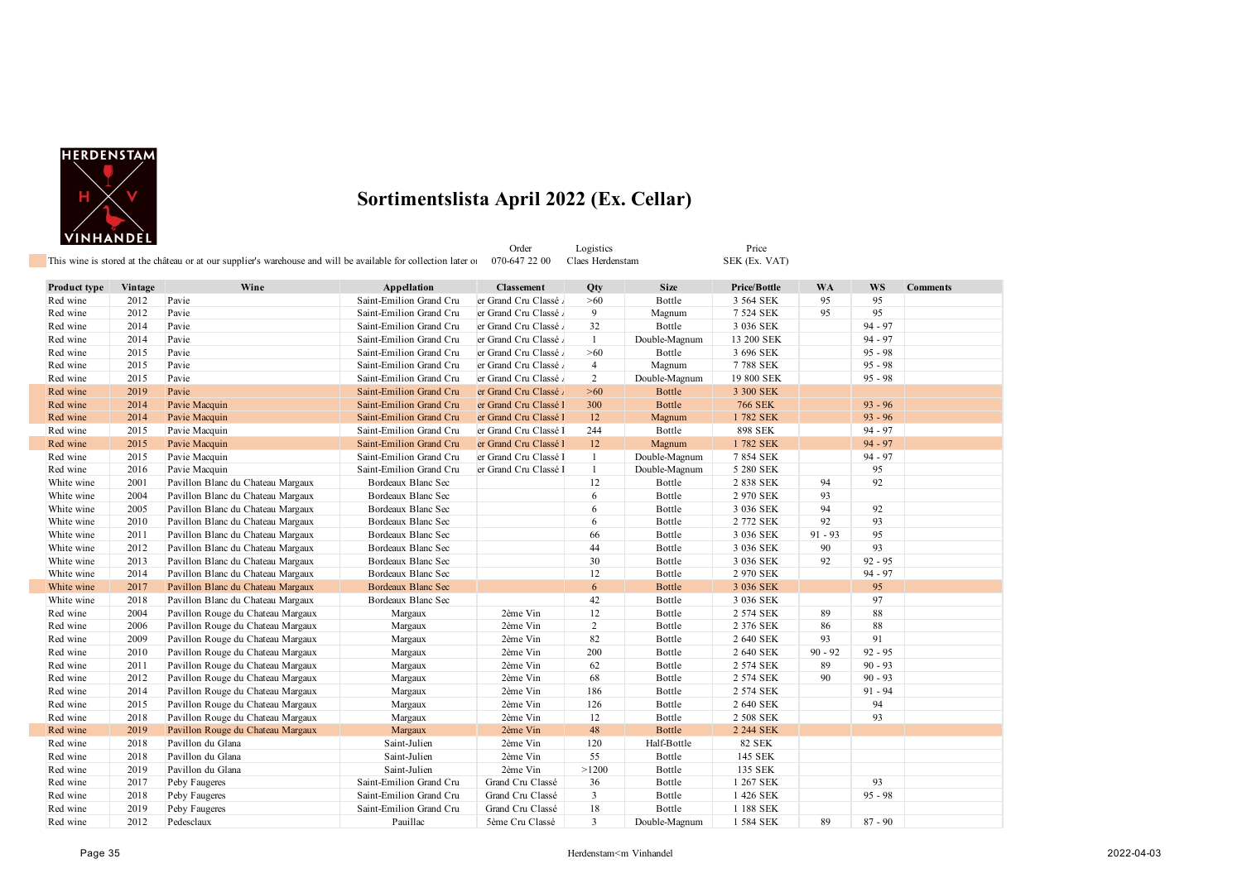

|              |         | This wine is stored at the château or at our supplier's warehouse and will be available for collection later of |                         | Order<br>070-647 22 00 | Logistics<br>Claes Herdenstam |               | Price<br>SEK (Ex. VAT) |           |           |                 |
|--------------|---------|-----------------------------------------------------------------------------------------------------------------|-------------------------|------------------------|-------------------------------|---------------|------------------------|-----------|-----------|-----------------|
| Product type | Vintage | Wine                                                                                                            | Appellation             | <b>Classement</b>      | Qty                           | <b>Size</b>   | Price/Bottle           | <b>WA</b> | <b>WS</b> | <b>Comments</b> |
| Red wine     | 2012    | Pavie                                                                                                           | Saint-Emilion Grand Cru | er Grand Cru Classé    | >60                           | Bottle        | 3 564 SEK              | 95        | 95        |                 |
| Red wine     | 2012    | Pavie                                                                                                           | Saint-Emilion Grand Cru | er Grand Cru Classé    | 9                             | Magnum        | 7 524 SEK              | 95        | 95        |                 |
| Red wine     | 2014    | Pavie                                                                                                           | Saint-Emilion Grand Cru | er Grand Cru Classé    | 32                            | Bottle        | 3 036 SEK              |           | $94 - 97$ |                 |
| Red wine     | 2014    | Pavie                                                                                                           | Saint-Emilion Grand Cru | er Grand Cru Classé    | $\mathbf{1}$                  | Double-Magnum | 13 200 SEK             |           | $94 - 97$ |                 |
| Red wine     | 2015    | Pavie                                                                                                           | Saint-Emilion Grand Cru | er Grand Cru Classé    | $>60$                         | Bottle        | 3 696 SEK              |           | $95 - 98$ |                 |
| Red wine     | 2015    | Pavie                                                                                                           | Saint-Emilion Grand Cru | er Grand Cru Classé    | $\overline{4}$                | Magnum        | 7788 SEK               |           | $95 - 98$ |                 |
| Red wine     | 2015    | Pavie                                                                                                           | Saint-Emilion Grand Cru | er Grand Cru Classé    | 2                             | Double-Magnum | 19 800 SEK             |           | $95 - 98$ |                 |
| Red wine     | 2019    | Pavie                                                                                                           | Saint-Emilion Grand Cru | er Grand Cru Classé    | $>60$                         | Bottle        | 3 300 SEK              |           |           |                 |
| Red wine     | 2014    | Pavie Macquin                                                                                                   | Saint-Emilion Grand Cru | er Grand Cru Classé l  | 300                           | <b>Bottle</b> | <b>766 SEK</b>         |           | $93 - 96$ |                 |
| Red wine     | 2014    | Pavie Macquin                                                                                                   | Saint-Emilion Grand Cru | er Grand Cru Classé l  | 12                            | Magnum        | 1782 SEK               |           | $93 - 96$ |                 |
| Red wine     | 2015    | Pavie Macquin                                                                                                   | Saint-Emilion Grand Cru | er Grand Cru Classé l  | 244                           | Bottle        | 898 SEK                |           | $94 - 97$ |                 |
| Red wine     | 2015    | Pavie Macquin                                                                                                   | Saint-Emilion Grand Cru | er Grand Cru Classé l  | 12                            | Magnum        | 1782 SEK               |           | $94 - 97$ |                 |
| Red wine     | 2015    | Pavie Macquin                                                                                                   | Saint-Emilion Grand Cru | er Grand Cru Classé l  | 1                             | Double-Magnum | 7 854 SEK              |           | $94 - 97$ |                 |
| Red wine     | 2016    | Pavie Macquin                                                                                                   | Saint-Emilion Grand Cru | er Grand Cru Classé l  | $\mathbf{1}$                  | Double-Magnum | 5 280 SEK              |           | 95        |                 |
| White wine   | 2001    | Pavillon Blanc du Chateau Margaux                                                                               | Bordeaux Blanc Sec      |                        | 12                            | Bottle        | 2 838 SEK              | 94        | 92        |                 |
| White wine   | 2004    | Pavillon Blanc du Chateau Margaux                                                                               | Bordeaux Blanc Sec      |                        | 6                             | Bottle        | 2 970 SEK              | 93        |           |                 |
| White wine   | 2005    | Pavillon Blanc du Chateau Margaux                                                                               | Bordeaux Blanc Sec      |                        | 6                             | Bottle        | 3 036 SEK              | 94        | 92        |                 |
| White wine   | 2010    | Pavillon Blanc du Chateau Margaux                                                                               | Bordeaux Blanc Sec      |                        | 6                             | Bottle        | 2 772 SEK              | 92        | 93        |                 |
| White wine   | 2011    | Pavillon Blanc du Chateau Margaux                                                                               | Bordeaux Blanc Sec      |                        | 66                            | Bottle        | 3 036 SEK              | $91 - 93$ | 95        |                 |
| White wine   | 2012    | Pavillon Blanc du Chateau Margaux                                                                               | Bordeaux Blanc Sec      |                        | 44                            | Bottle        | 3 036 SEK              | 90        | 93        |                 |
| White wine   | 2013    | Pavillon Blanc du Chateau Margaux                                                                               | Bordeaux Blanc Sec      |                        | 30                            | Bottle        | 3 036 SEK              | 92        | $92 - 95$ |                 |
| White wine   | 2014    | Pavillon Blanc du Chateau Margaux                                                                               | Bordeaux Blanc Sec      |                        | 12                            | Bottle        | 2 970 SEK              |           | $94 - 97$ |                 |
| White wine   | 2017    | Pavillon Blanc du Chateau Margaux                                                                               | Bordeaux Blanc Sec      |                        | 6                             | <b>Bottle</b> | 3 036 SEK              |           | 95        |                 |
| White wine   | 2018    | Pavillon Blanc du Chateau Margaux                                                                               | Bordeaux Blanc Sec      |                        | 42                            | Bottle        | 3 036 SEK              |           | 97        |                 |
| Red wine     | 2004    | Pavillon Rouge du Chateau Margaux                                                                               | Margaux                 | 2ème Vin               | 12                            | Bottle        | 2 574 SEK              | 89        | 88        |                 |
| Red wine     | 2006    | Pavillon Rouge du Chateau Margaux                                                                               | Margaux                 | 2ème Vin               | 2                             | Bottle        | 2 376 SEK              | 86        | 88        |                 |
| Red wine     | 2009    | Pavillon Rouge du Chateau Margaux                                                                               | Margaux                 | 2ème Vin               | 82                            | Bottle        | 2 640 SEK              | 93        | 91        |                 |
| Red wine     | 2010    | Pavillon Rouge du Chateau Margaux                                                                               | Margaux                 | 2ème Vin               | 200                           | Bottle        | 2 640 SEK              | $90 - 92$ | $92 - 95$ |                 |
| Red wine     | 2011    | Pavillon Rouge du Chateau Margaux                                                                               | Margaux                 | 2ème Vin               | 62                            | Bottle        | 2 574 SEK              | 89        | $90 - 93$ |                 |
| Red wine     | 2012    | Pavillon Rouge du Chateau Margaux                                                                               | Margaux                 | 2ème Vin               | 68                            | Bottle        | 2 574 SEK              | 90        | $90 - 93$ |                 |
| Red wine     | 2014    | Pavillon Rouge du Chateau Margaux                                                                               | Margaux                 | 2ème Vin               | 186                           | Bottle        | 2 574 SEK              |           | $91 - 94$ |                 |
| Red wine     | 2015    | Pavillon Rouge du Chateau Margaux                                                                               | Margaux                 | 2ème Vin               | 126                           | Bottle        | 2 640 SEK              |           | 94        |                 |
| Red wine     | 2018    | Pavillon Rouge du Chateau Margaux                                                                               | Margaux                 | 2ème Vin               | 12                            | Bottle        | 2 508 SEK              |           | 93        |                 |
| Red wine     | 2019    | Pavillon Rouge du Chateau Margaux                                                                               | Margaux                 | 2ème Vin               | 48                            | Bottle        | 2 244 SEK              |           |           |                 |
| Red wine     | 2018    | Pavillon du Glana                                                                                               | Saint-Julien            | 2ème Vin               | 120                           | Half-Bottle   | <b>82 SEK</b>          |           |           |                 |
| Red wine     | 2018    | Pavillon du Glana                                                                                               | Saint-Julien            | 2ème Vin               | 55                            | Bottle        | 145 SEK                |           |           |                 |
| Red wine     | 2019    | Pavillon du Glana                                                                                               | Saint-Julien            | 2ème Vin               | >1200                         | Bottle        | 135 SEK                |           |           |                 |
| Red wine     | 2017    | Peby Faugeres                                                                                                   | Saint-Emilion Grand Cru | Grand Cru Classé       | 36                            | Bottle        | 1 267 SEK              |           | 93        |                 |
| Red wine     | 2018    | Peby Faugeres                                                                                                   | Saint-Emilion Grand Cru | Grand Cru Classé       | $\overline{\mathbf{3}}$       | Bottle        | 1 426 SEK              |           | $95 - 98$ |                 |
| Red wine     | 2019    | Peby Faugeres                                                                                                   | Saint-Emilion Grand Cru | Grand Cru Classé       | 18                            | Bottle        | 1 188 SEK              |           |           |                 |
| Red wine     | 2012    | Pedesclaux                                                                                                      | Pauillac                | 5ème Cru Classé        | $\mathbf{3}$                  | Double-Magnum | 1 584 SEK              | 89        | $87 - 90$ |                 |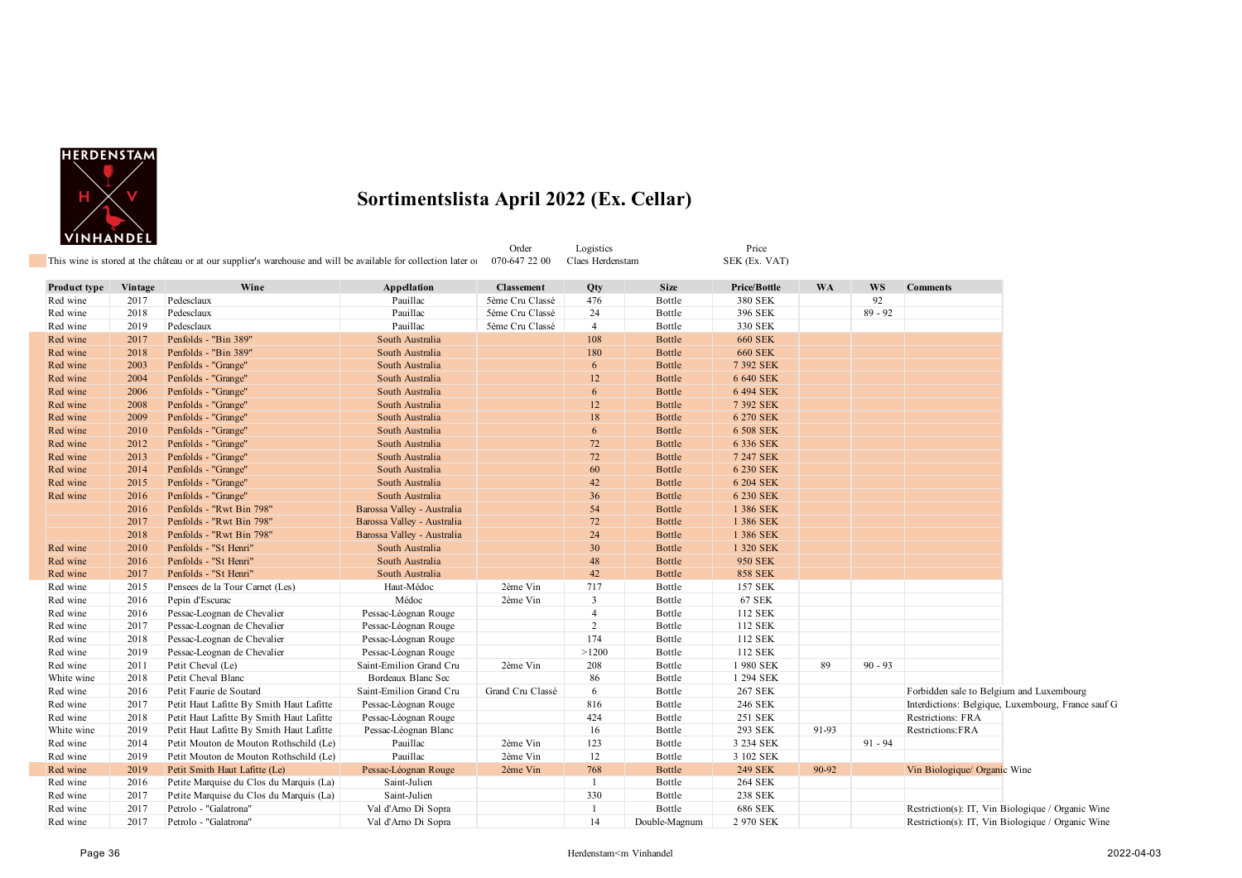

|              | , ,,,,,,,,, <b>,,,</b> | This wine is stored at the château or at our supplier's warehouse and will be available for collection later of |                            | Order<br>070-647 22 00 | Logistics<br>Claes Herdenstam |               | Price<br>SEK (Ex. VAT) |           |           |                                                    |
|--------------|------------------------|-----------------------------------------------------------------------------------------------------------------|----------------------------|------------------------|-------------------------------|---------------|------------------------|-----------|-----------|----------------------------------------------------|
| Product type | Vintage                | Wine                                                                                                            | Appellation                | <b>Classement</b>      | Qty                           | <b>Size</b>   | Price/Bottle           | <b>WA</b> | WS        | <b>Comments</b>                                    |
| Red wine     | 2017                   | Pedesclaux                                                                                                      | Pauillac                   | 5ème Cru Classé        | 476                           | Bottle        | 380 SEK                |           | 92        |                                                    |
| Red wine     | 2018                   | Pedesclaux                                                                                                      | Pauillac                   | 5ème Cru Classé        | 24                            | Bottle        | 396 SEK                |           | $89 - 92$ |                                                    |
| Red wine     | 2019                   | Pedesclaux                                                                                                      | Pauillac                   | 5ème Cru Classé        | $\overline{4}$                | Bottle        | 330 SEK                |           |           |                                                    |
| Red wine     | 2017                   | Penfolds - "Bin 389"                                                                                            | South Australia            |                        | 108                           | <b>Bottle</b> | <b>660 SEK</b>         |           |           |                                                    |
| Red wine     | 2018                   | Penfolds - "Bin 389"                                                                                            | South Australia            |                        | 180                           | Bottle        | <b>660 SEK</b>         |           |           |                                                    |
| Red wine     | 2003                   | Penfolds - "Grange"                                                                                             | South Australia            |                        | 6                             | <b>Bottle</b> | 7 392 SEK              |           |           |                                                    |
| Red wine     | 2004                   | Penfolds - "Grange"                                                                                             | South Australia            |                        | 12                            | <b>Bottle</b> | 6 640 SEK              |           |           |                                                    |
| Red wine     | 2006                   | Penfolds - "Grange"                                                                                             | South Australia            |                        | 6                             | Bottle        | 6 494 SEK              |           |           |                                                    |
| Red wine     | 2008                   | Penfolds - "Grange"                                                                                             | South Australia            |                        | 12                            | Bottle        | 7 392 SEK              |           |           |                                                    |
| Red wine     | 2009                   | Penfolds - "Grange"                                                                                             | South Australia            |                        | 18                            | Bottle        | 6 270 SEK              |           |           |                                                    |
| Red wine     | 2010                   | Penfolds - "Grange"                                                                                             | South Australia            |                        | 6                             | Bottle        | 6 508 SEK              |           |           |                                                    |
| Red wine     | 2012                   | Penfolds - "Grange"                                                                                             | South Australia            |                        | 72                            | Bottle        | 6 336 SEK              |           |           |                                                    |
| Red wine     | 2013                   | Penfolds - "Grange"                                                                                             | South Australia            |                        | 72                            | Bottle        | 7 247 SEK              |           |           |                                                    |
| Red wine     | 2014                   | Penfolds - "Grange"                                                                                             | South Australia            |                        | 60                            | <b>Bottle</b> | 6 230 SEK              |           |           |                                                    |
| Red wine     | 2015                   | Penfolds - "Grange"                                                                                             | South Australia            |                        | 42                            | <b>Bottle</b> | 6 204 SEK              |           |           |                                                    |
| Red wine     | 2016                   | Penfolds - "Grange"                                                                                             | South Australia            |                        | 36                            | <b>Bottle</b> | 6 230 SEK              |           |           |                                                    |
|              | 2016                   | Penfolds - "Rwt Bin 798"                                                                                        | Barossa Valley - Australia |                        | 54                            | <b>Bottle</b> | 1 386 SEK              |           |           |                                                    |
|              | 2017                   | Penfolds - "Rwt Bin 798"                                                                                        | Barossa Valley - Australia |                        | 72                            | Bottle        | 1 386 SEK              |           |           |                                                    |
|              | 2018                   | Penfolds - "Rwt Bin 798"                                                                                        | Barossa Valley - Australia |                        | 24                            | <b>Bottle</b> | 1 386 SEK              |           |           |                                                    |
| Red wine     | 2010                   | Penfolds - "St Henri"                                                                                           | South Australia            |                        | 30                            | <b>Bottle</b> | 1 320 SEK              |           |           |                                                    |
| Red wine     | 2016                   | Penfolds - "St Henri"                                                                                           | South Australia            |                        | 48                            | Bottle        | <b>950 SEK</b>         |           |           |                                                    |
| Red wine     | 2017                   | Penfolds - "St Henri"                                                                                           | South Australia            |                        | 42                            | Bottle        | <b>858 SEK</b>         |           |           |                                                    |
| Red wine     | 2015                   | Pensees de la Tour Carnet (Les)                                                                                 | Haut-Médoc                 | 2ème Vin               | 717                           | Bottle        | 157 SEK                |           |           |                                                    |
| Red wine     | 2016                   | Pepin d'Escurac                                                                                                 | Médoc                      | 2ème Vin               | $\overline{3}$                | Bottle        | <b>67 SEK</b>          |           |           |                                                    |
| Red wine     | 2016                   | Pessac-Leognan de Chevalier                                                                                     | Pessac-Léognan Rouge       |                        | $\overline{4}$                | Bottle        | 112 SEK                |           |           |                                                    |
| Red wine     | 2017                   | Pessac-Leognan de Chevalier                                                                                     | Pessac-Léognan Rouge       |                        | $\overline{2}$                | Bottle        | 112 SEK                |           |           |                                                    |
| Red wine     | 2018                   | Pessac-Leognan de Chevalier                                                                                     | Pessac-Léognan Rouge       |                        | 174                           | Bottle        | 112 SEK                |           |           |                                                    |
| Red wine     | 2019                   | Pessac-Leognan de Chevalier                                                                                     | Pessac-Léognan Rouge       |                        | >1200                         | Bottle        | 112 SEK                |           |           |                                                    |
| Red wine     | 2011                   | Petit Cheval (Le)                                                                                               | Saint-Emilion Grand Cru    | 2ème Vin               | 208                           | Bottle        | 1 980 SEK              | 89        | $90 - 93$ |                                                    |
| White wine   | 2018                   | Petit Cheval Blanc                                                                                              | Bordeaux Blanc Sec         |                        | 86                            | Bottle        | 1 294 SEK              |           |           |                                                    |
| Red wine     | 2016                   | Petit Faurie de Soutard                                                                                         | Saint-Emilion Grand Cru    | Grand Cru Classé       | 6                             | Bottle        | 267 SEK                |           |           | Forbidden sale to Belgium and Luxembourg           |
| Red wine     | 2017                   | Petit Haut Lafitte By Smith Haut Lafitte                                                                        | Pessac-Léognan Rouge       |                        | 816                           | Bottle        | 246 SEK                |           |           | Interdictions: Belgique, Luxembourg, France sauf G |
| Red wine     | 2018                   | Petit Haut Lafitte By Smith Haut Lafitte                                                                        | Pessac-Léognan Rouge       |                        | 424                           | Bottle        | 251 SEK                |           |           | Restrictions: FRA                                  |
| White wine   | 2019                   | Petit Haut Lafitte By Smith Haut Lafitte                                                                        | Pessac-Léognan Blanc       |                        | 16                            | Bottle        | 293 SEK                | 91-93     |           | Restrictions:FRA                                   |
| Red wine     | 2014                   | Petit Mouton de Mouton Rothschild (Le)                                                                          | Pauillac                   | 2ème Vin               | 123                           | Bottle        | 3 234 SEK              |           | $91 - 94$ |                                                    |
| Red wine     | 2019                   | Petit Mouton de Mouton Rothschild (Le)                                                                          | Pauillac                   | 2ème Vin               | 12                            | Bottle        | 3 102 SEK              |           |           |                                                    |
| Red wine     | 2019                   | Petit Smith Haut Lafitte (Le)                                                                                   | Pessac-Léognan Rouge       | 2ème Vin               | 768                           | <b>Bottle</b> | <b>249 SEK</b>         | 90-92     |           | Vin Biologique/ Organic Wine                       |
| Red wine     | 2016                   | Petite Marquise du Clos du Marquis (La)                                                                         | Saint-Julien               |                        |                               | Bottle        | <b>264 SEK</b>         |           |           |                                                    |
| Red wine     | 2017                   | Petite Marquise du Clos du Marquis (La)                                                                         | Saint-Julien               |                        | 330                           | Bottle        | <b>238 SEK</b>         |           |           |                                                    |
| Red wine     | 2017                   | Petrolo - "Galatrona"                                                                                           | Val d'Arno Di Sopra        |                        |                               | Bottle        | 686 SEK                |           |           | Restriction(s): IT, Vin Biologique / Organic Wine  |
| Red wine     | 2017                   | Petrolo - "Galatrona"                                                                                           | Val d'Arno Di Sopra        |                        | 14                            | Double-Magnum | 2 970 SEK              |           |           | Restriction(s): IT, Vin Biologique / Organic Wine  |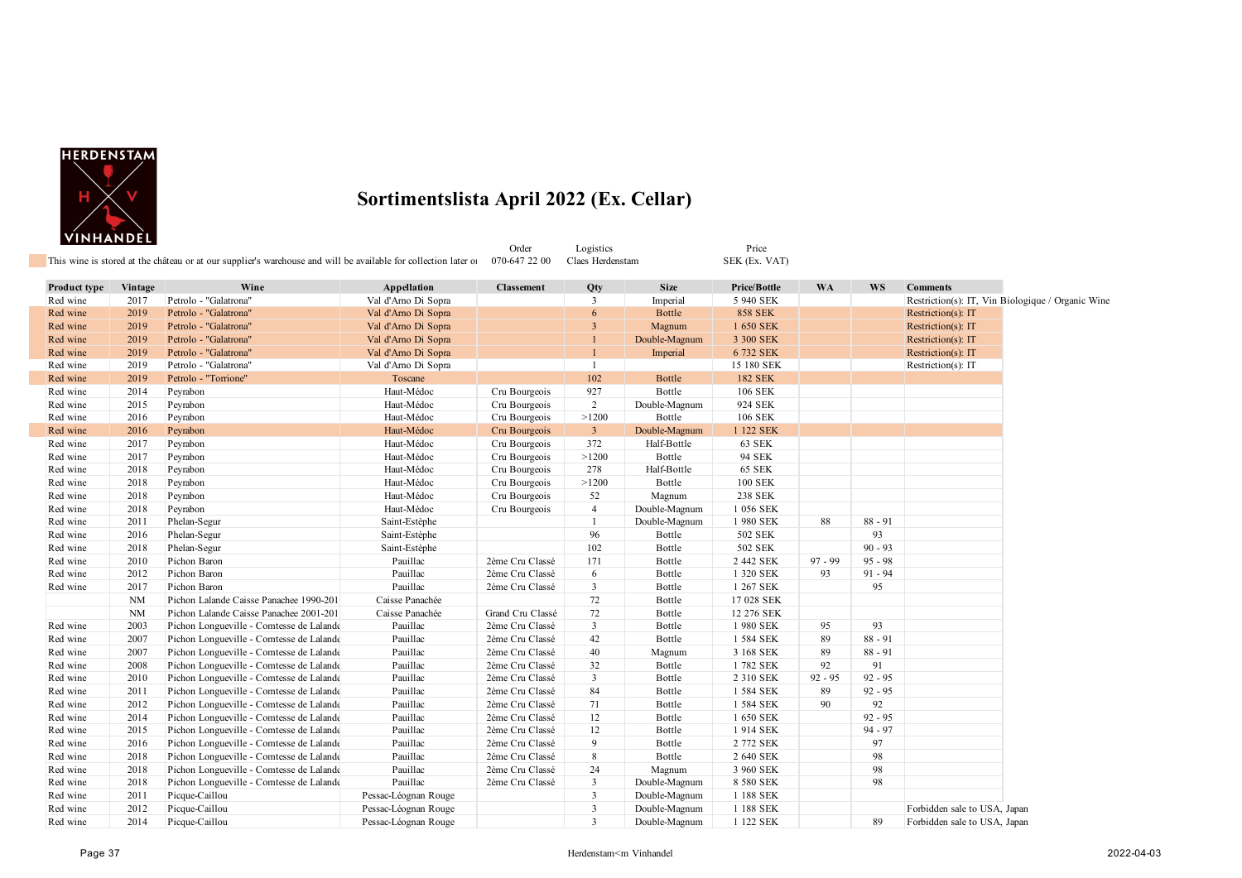

| This wine is stored at the château or at our supplier's warehouse and will be available for collection later of 070-647 22 00 |           |                                          |                      |                   |                |               |                |           |           |                                                   |  |
|-------------------------------------------------------------------------------------------------------------------------------|-----------|------------------------------------------|----------------------|-------------------|----------------|---------------|----------------|-----------|-----------|---------------------------------------------------|--|
| <b>Product type</b>                                                                                                           | Vintage   | Wine                                     | Appellation          | <b>Classement</b> | Qty            | <b>Size</b>   | Price/Bottle   | <b>WA</b> | <b>WS</b> | <b>Comments</b>                                   |  |
| Red wine                                                                                                                      | 2017      | Petrolo - "Galatrona"                    | Val d'Amo Di Sopra   |                   | $\overline{3}$ | Imperial      | 5 940 SEK      |           |           | Restriction(s): IT, Vin Biologique / Organic Wine |  |
| Red wine                                                                                                                      | 2019      | Petrolo - "Galatrona"                    | Val d'Arno Di Sopra  |                   | 6              | <b>Bottle</b> | <b>858 SEK</b> |           |           | Restriction(s): IT                                |  |
| Red wine                                                                                                                      | 2019      | Petrolo - "Galatrona"                    | Val d'Arno Di Sopra  |                   | 3              | Magnum        | 1 650 SEK      |           |           | Restriction(s): IT                                |  |
| Red wine                                                                                                                      | 2019      | Petrolo - "Galatrona"                    | Val d'Amo Di Sopra   |                   |                | Double-Magnum | 3 300 SEK      |           |           | Restriction(s): IT                                |  |
| Red wine                                                                                                                      | 2019      | Petrolo - "Galatrona"                    | Val d'Arno Di Sopra  |                   |                | Imperial      | 6 732 SEK      |           |           | Restriction(s): IT                                |  |
| Red wine                                                                                                                      | 2019      | Petrolo - "Galatrona"                    | Val d'Amo Di Sopra   |                   | $\mathbf{1}$   |               | 15 180 SEK     |           |           | Restriction(s): IT                                |  |
| Red wine                                                                                                                      | 2019      | Petrolo - "Torrione"                     | Toscane              |                   | 102            | <b>Bottle</b> | <b>182 SEK</b> |           |           |                                                   |  |
| Red wine                                                                                                                      | 2014      | Peyrabon                                 | Haut-Médoc           | Cru Bourgeois     | 927            | Bottle        | 106 SEK        |           |           |                                                   |  |
| Red wine                                                                                                                      | 2015      | Peyrabon                                 | Haut-Médoc           | Cru Bourgeois     | $\overline{2}$ | Double-Magnum | 924 SEK        |           |           |                                                   |  |
| Red wine                                                                                                                      | 2016      | Peyrabon                                 | Haut-Médoc           | Cru Bourgeois     | >1200          | Bottle        | <b>106 SEK</b> |           |           |                                                   |  |
| Red wine                                                                                                                      | 2016      | Peyrabon                                 | Haut-Médoc           | Cru Bourgeois     | $\mathbf{3}$   | Double-Magnum | 1 122 SEK      |           |           |                                                   |  |
| Red wine                                                                                                                      | 2017      | Peyrabon                                 | Haut-Médoc           | Cru Bourgeois     | 372            | Half-Bottle   | 63 SEK         |           |           |                                                   |  |
| Red wine                                                                                                                      | 2017      | Peyrabon                                 | Haut-Médoc           | Cru Bourgeois     | >1200          | Bottle        | 94 SEK         |           |           |                                                   |  |
| Red wine                                                                                                                      | 2018      | Peyrabon                                 | Haut-Médoc           | Cru Bourgeois     | 278            | Half-Bottle   | <b>65 SEK</b>  |           |           |                                                   |  |
| Red wine                                                                                                                      | 2018      | Peyrabon                                 | Haut-Médoc           | Cru Bourgeois     | >1200          | Bottle        | <b>100 SEK</b> |           |           |                                                   |  |
| Red wine                                                                                                                      | 2018      | Peyrabon                                 | Haut-Médoc           | Cru Bourgeois     | 52             | Magnum        | 238 SEK        |           |           |                                                   |  |
| Red wine                                                                                                                      | 2018      | Peyrabon                                 | Haut-Médoc           | Cru Bourgeois     | $\overline{4}$ | Double-Magnum | 1 056 SEK      |           |           |                                                   |  |
| Red wine                                                                                                                      | 2011      | Phelan-Segur                             | Saint-Estèphe        |                   | $\mathbf{1}$   | Double-Magnum | 1 980 SEK      | 88        | $88 - 91$ |                                                   |  |
| Red wine                                                                                                                      | 2016      | Phelan-Segur                             | Saint-Estèphe        |                   | 96             | Bottle        | 502 SEK        |           | 93        |                                                   |  |
| Red wine                                                                                                                      | 2018      | Phelan-Segur                             | Saint-Estèphe        |                   | 102            | Bottle        | 502 SEK        |           | $90 - 93$ |                                                   |  |
| Red wine                                                                                                                      | 2010      | Pichon Baron                             | Pauillac             | 2ème Cru Classé   | 171            | Bottle        | 2 442 SEK      | $97 - 99$ | $95 - 98$ |                                                   |  |
| Red wine                                                                                                                      | 2012      | Pichon Baron                             | Pauillac             | 2ème Cru Classé   | 6              | Bottle        | 1 320 SEK      | 93        | $91 - 94$ |                                                   |  |
| Red wine                                                                                                                      | 2017      | Pichon Baron                             | Pauillac             | 2ème Cru Classé   | $\mathbf{3}$   | Bottle        | 1 267 SEK      |           | 95        |                                                   |  |
|                                                                                                                               | <b>NM</b> | Pichon Lalande Caisse Panachee 1990-201  | Caisse Panachée      |                   | 72             | Bottle        | 17 028 SEK     |           |           |                                                   |  |
|                                                                                                                               | <b>NM</b> | Pichon Lalande Caisse Panachee 2001-201  | Caisse Panachée      | Grand Cru Classé  | 72             | Bottle        | 12 276 SEK     |           |           |                                                   |  |
| Red wine                                                                                                                      | 2003      | Pichon Longueville - Comtesse de Lalande | Pauillac             | 2ème Cru Classé   | $\mathbf{3}$   | Bottle        | 1980 SEK       | 95        | 93        |                                                   |  |
| Red wine                                                                                                                      | 2007      | Pichon Longueville - Comtesse de Lalande | Pauillac             | 2ème Cru Classé   | 42             | Bottle        | 1 584 SEK      | 89        | $88 - 91$ |                                                   |  |
| Red wine                                                                                                                      | 2007      | Pichon Longueville - Comtesse de Lalande | Pauillac             | 2ème Cru Classé   | 40             | Magnum        | 3 168 SEK      | 89        | $88 - 91$ |                                                   |  |
| Red wine                                                                                                                      | 2008      | Pichon Longueville - Comtesse de Lalande | Pauillac             | 2ème Cru Classé   | 32             | Bottle        | 1782 SEK       | 92        | 91        |                                                   |  |
| Red wine                                                                                                                      | 2010      | Pichon Longueville - Comtesse de Lalande | Pauillac             | 2ème Cru Classé   | $\mathbf{3}$   | Bottle        | 2 310 SEK      | $92 - 95$ | $92 - 95$ |                                                   |  |
| Red wine                                                                                                                      | 2011      | Pichon Longueville - Comtesse de Lalande | Pauillac             | 2ème Cru Classé   | 84             | Bottle        | 1 584 SEK      | 89        | $92 - 95$ |                                                   |  |
| Red wine                                                                                                                      | 2012      | Pichon Longueville - Comtesse de Lalande | Pauillac             | 2ème Cru Classé   | 71             | Bottle        | 1 584 SEK      | 90        | 92        |                                                   |  |
| Red wine                                                                                                                      | 2014      | Pichon Longueville - Comtesse de Lalande | Pauillac             | 2ème Cru Classé   | 12             | Bottle        | 1 650 SEK      |           | $92 - 95$ |                                                   |  |
| Red wine                                                                                                                      | 2015      | Pichon Longueville - Comtesse de Lalande | Pauillac             | 2ème Cru Classé   | 12             | Bottle        | 1914 SEK       |           | $94 - 97$ |                                                   |  |
| Red wine                                                                                                                      | 2016      | Pichon Longueville - Comtesse de Lalande | Pauillac             | 2ème Cru Classé   | 9              | Bottle        | 2 772 SEK      |           | 97        |                                                   |  |
| Red wine                                                                                                                      | 2018      | Pichon Longueville - Comtesse de Lalande | Pauillac             | 2ème Cru Classé   | 8              | Bottle        | 2 640 SEK      |           | 98        |                                                   |  |
| Red wine                                                                                                                      | 2018      | Pichon Longueville - Comtesse de Lalande | Pauillac             | 2ème Cru Classé   | 24             | Magnum        | 3 960 SEK      |           | 98        |                                                   |  |
| Red wine                                                                                                                      | 2018      | Pichon Longueville - Comtesse de Lalande | Pauillac             | 2ème Cru Classé   | 3              | Double-Magnum | 8 580 SEK      |           | 98        |                                                   |  |
| Red wine                                                                                                                      | 2011      | Picque-Caillou                           | Pessac-Léognan Rouge |                   | $\mathbf{3}$   | Double-Magnum | 1 188 SEK      |           |           |                                                   |  |
| Red wine                                                                                                                      | 2012      | Picque-Caillou                           | Pessac-Léognan Rouge |                   | 3              | Double-Magnum | 1 188 SEK      |           |           | Forbidden sale to USA, Japan                      |  |
| Red wine                                                                                                                      | 2014      | Picque-Caillou                           | Pessac-Léognan Rouge |                   | $\overline{3}$ | Double-Magnum | 1 122 SEK      |           | 89        | Forbidden sale to USA, Japan                      |  |

Order Logistics Price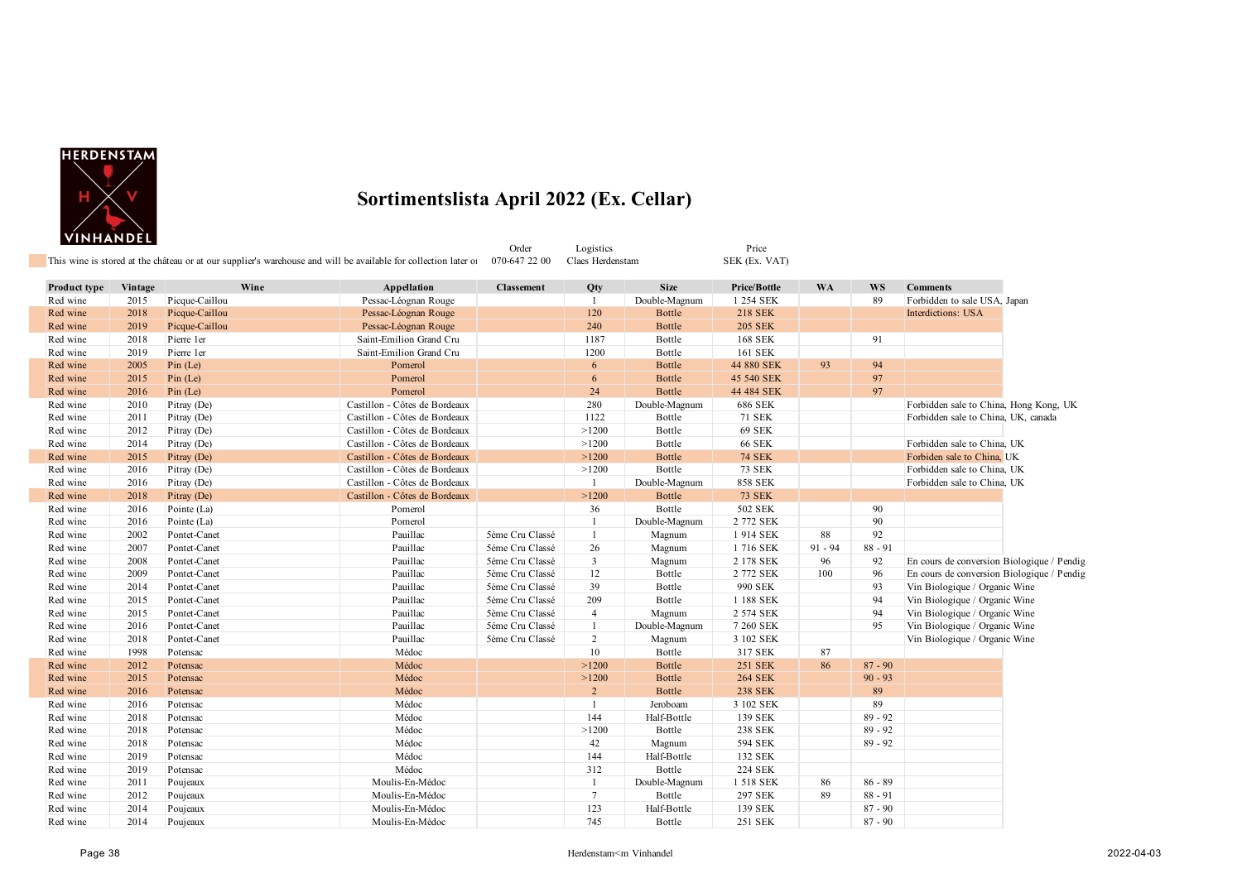

| Product type | Vintage | Wine           | Appellation                   | <b>Classement</b> | Qty             | <b>Size</b>   | Price/Bottle   | <b>WA</b> | <b>WS</b> | <b>Comments</b>                            |  |
|--------------|---------|----------------|-------------------------------|-------------------|-----------------|---------------|----------------|-----------|-----------|--------------------------------------------|--|
| Red wine     | 2015    | Picque-Caillou | Pessac-Léognan Rouge          |                   | 1               | Double-Magnum | 1 254 SEK      |           | 89        | Forbidden to sale USA, Japan               |  |
| Red wine     | 2018    | Picque-Caillou | Pessac-Léognan Rouge          |                   | 120             | <b>Bottle</b> | <b>218 SEK</b> |           |           | Interdictions: USA                         |  |
| Red wine     | 2019    | Picque-Caillou | Pessac-Léognan Rouge          |                   | 240             | Bottle        | <b>205 SEK</b> |           |           |                                            |  |
| Red wine     | 2018    | Pierre 1er     | Saint-Emilion Grand Cru       |                   | 1187            | Bottle        | <b>168 SEK</b> |           | 91        |                                            |  |
| Red wine     | 2019    | Pierre 1er     | Saint-Emilion Grand Cru       |                   | 1200            | Bottle        | 161 SEK        |           |           |                                            |  |
| Red wine     | 2005    | Pin (Le)       | Pomerol                       |                   | 6               | <b>Bottle</b> | 44 880 SEK     | 93        | 94        |                                            |  |
| Red wine     | 2015    | Pin (Le)       | Pomerol                       |                   | 6               | <b>Bottle</b> | 45 540 SEK     |           | 97        |                                            |  |
| Red wine     | 2016    | Pin (Le)       | Pomerol                       |                   | 24              | <b>Bottle</b> | 44 484 SEK     |           | 97        |                                            |  |
| Red wine     | 2010    | Pitray (De)    | Castillon - Côtes de Bordeaux |                   | 280             | Double-Magnum | 686 SEK        |           |           | Forbidden sale to China, Hong Kong, UK     |  |
| Red wine     | 2011    | Pitray (De)    | Castillon - Côtes de Bordeaux |                   | 1122            | Bottle        | <b>71 SEK</b>  |           |           | Forbidden sale to China, UK, canada        |  |
| Red wine     | 2012    | Pitray (De)    | Castillon - Côtes de Bordeaux |                   | >1200           | Bottle        | <b>69 SEK</b>  |           |           |                                            |  |
| Red wine     | 2014    | Pitray (De)    | Castillon - Côtes de Bordeaux |                   | >1200           | Bottle        | <b>66 SEK</b>  |           |           | Forbidden sale to China, UK                |  |
| Red wine     | 2015    | Pitray (De)    | Castillon - Côtes de Bordeaux |                   | >1200           | Bottle        | <b>74 SEK</b>  |           |           | Forbiden sale to China, UK                 |  |
| Red wine     | 2016    | Pitray (De)    | Castillon - Côtes de Bordeaux |                   | >1200           | Bottle        | <b>73 SEK</b>  |           |           | Forbidden sale to China, UK                |  |
| Red wine     | 2016    | Pitray (De)    | Castillon - Côtes de Bordeaux |                   | $\mathbf{1}$    | Double-Magnum | <b>858 SEK</b> |           |           | Forbidden sale to China, UK                |  |
| Red wine     | 2018    | Pitray (De)    | Castillon - Côtes de Bordeaux |                   | >1200           | <b>Bottle</b> | <b>73 SEK</b>  |           |           |                                            |  |
| Red wine     | 2016    | Pointe (La)    | Pomerol                       |                   | 36              | Bottle        | 502 SEK        |           | 90        |                                            |  |
| Red wine     | 2016    | Pointe (La)    | Pomerol                       |                   | $\mathbf{1}$    | Double-Magnum | 2 772 SEK      |           | 90        |                                            |  |
| Red wine     | 2002    | Pontet-Canet   | Pauillac                      | 5ème Cru Classé   | 1               | Magnum        | 1914 SEK       | 88        | 92        |                                            |  |
| Red wine     | 2007    | Pontet-Canet   | Pauillac                      | 5ème Cru Classé   | 26              | Magnum        | 1716 SEK       | $91 - 94$ | $88 - 91$ |                                            |  |
| Red wine     | 2008    | Pontet-Canet   | Pauillac                      | 5ème Cru Classé   | 3               | Magnum        | 2 178 SEK      | 96        | 92        | En cours de conversion Biologique / Pendig |  |
| Red wine     | 2009    | Pontet-Canet   | Pauillac                      | 5ème Cru Classé   | 12              | Bottle        | 2 772 SEK      | 100       | 96        | En cours de conversion Biologique / Pendig |  |
| Red wine     | 2014    | Pontet-Canet   | Pauillac                      | 5ème Cru Classé   | 39              | Bottle        | 990 SEK        |           | 93        | Vin Biologique / Organic Wine              |  |
| Red wine     | 2015    | Pontet-Canet   | Pauillac                      | 5ème Cru Classé   | 209             | Bottle        | 1 188 SEK      |           | 94        | Vin Biologique / Organic Wine              |  |
| Red wine     | 2015    | Pontet-Canet   | Pauillac                      | 5ème Cru Classé   | $\overline{4}$  | Magnum        | 2 574 SEK      |           | 94        | Vin Biologique / Organic Wine              |  |
| Red wine     | 2016    | Pontet-Canet   | Pauillac                      | 5ème Cru Classé   | $\mathbf{1}$    | Double-Magnum | 7 260 SEK      |           | 95        | Vin Biologique / Organic Wine              |  |
| Red wine     | 2018    | Pontet-Canet   | Pauillac                      | 5ème Cru Classé   | $\overline{2}$  | Magnum        | 3 102 SEK      |           |           | Vin Biologique / Organic Wine              |  |
| Red wine     | 1998    | Potensac       | Médoc                         |                   | 10              | Bottle        | 317 SEK        | 87        |           |                                            |  |
| Red wine     | 2012    | Potensac       | Médoc                         |                   | >1200           | <b>Bottle</b> | <b>251 SEK</b> | 86        | $87 - 90$ |                                            |  |
| Red wine     | 2015    | Potensac       | Médoc                         |                   | >1200           | <b>Bottle</b> | <b>264 SEK</b> |           | $90 - 93$ |                                            |  |
| Red wine     | 2016    | Potensac       | Médoc                         |                   | $\overline{2}$  | <b>Bottle</b> | <b>238 SEK</b> |           | 89        |                                            |  |
| Red wine     | 2016    | Potensac       | Médoc                         |                   | $\mathbf{1}$    | Jeroboam      | 3 102 SEK      |           | 89        |                                            |  |
| Red wine     | 2018    | Potensac       | Médoc                         |                   | 144             | Half-Bottle   | 139 SEK        |           | $89 - 92$ |                                            |  |
| Red wine     | 2018    | Potensac       | Médoc                         |                   | >1200           | Bottle        | <b>238 SEK</b> |           | $89 - 92$ |                                            |  |
| Red wine     | 2018    | Potensac       | Médoc                         |                   | 42              | Magnum        | 594 SEK        |           | $89 - 92$ |                                            |  |
| Red wine     | 2019    | Potensac       | Médoc                         |                   | 144             | Half-Bottle   | 132 SEK        |           |           |                                            |  |
| Red wine     | 2019    | Potensac       | Médoc                         |                   | 312             | Bottle        | 224 SEK        |           |           |                                            |  |
| Red wine     | 2011    | Poujeaux       | Moulis-En-Médoc               |                   | 1               | Double-Magnum | 1 518 SEK      | 86        | $86 - 89$ |                                            |  |
| Red wine     | 2012    | Poujeaux       | Moulis-En-Médoc               |                   | $7\overline{ }$ | Bottle        | 297 SEK        | 89        | $88 - 91$ |                                            |  |
| Red wine     | 2014    | Poujeaux       | Moulis-En-Médoc               |                   | 123             | Half-Bottle   | 139 SEK        |           | $87 - 90$ |                                            |  |
| Red wine     | 2014    | Poujeaux       | Moulis-En-Médoc               |                   | 745             | Bottle        | 251 SEK        |           | $87 - 90$ |                                            |  |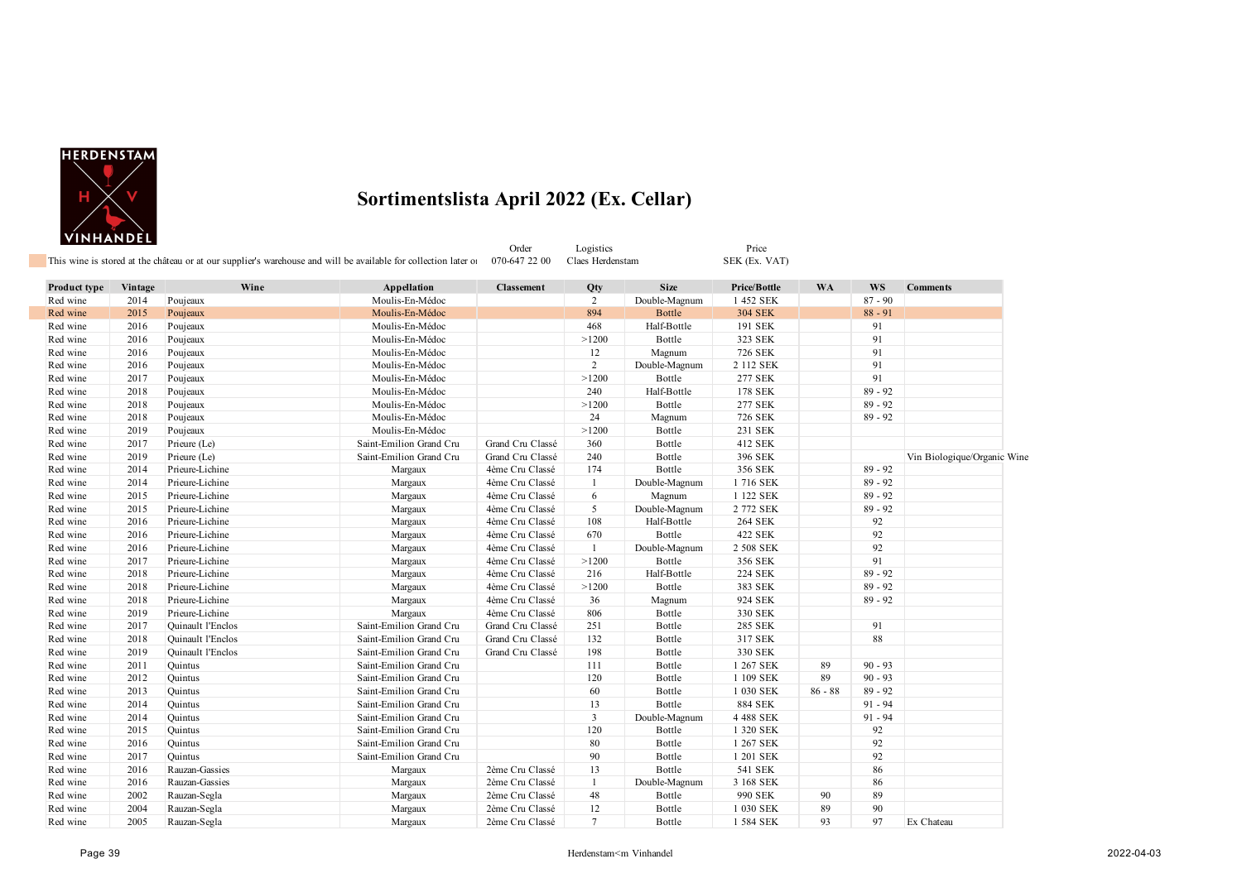

T.

#### **Sortimentslista April 2022 (Ex. Cellar)**

Price<br>SEK (Ex. VAT)

|                                                                                                                 | Order         | ogistic: | Price |
|-----------------------------------------------------------------------------------------------------------------|---------------|----------|-------|
| This wine is stored at the château or at our supplier's warehouse and will be available for collection later of | 070-647 22 00 | $1$ aec  | CEV   |

| Product type | Vintage | Wine              | Appellation             | <b>Classement</b> | Qty            | <b>Size</b>   | Price/Bottle   | <b>WA</b> | <b>WS</b> | <b>Comments</b>             |
|--------------|---------|-------------------|-------------------------|-------------------|----------------|---------------|----------------|-----------|-----------|-----------------------------|
| Red wine     | 2014    | Poujeaux          | Moulis-En-Médoc         |                   | 2              | Double-Magnum | 1 452 SEK      |           | $87 - 90$ |                             |
| Red wine     | 2015    | Poujeaux          | Moulis-En-Médoc         |                   | 894            | <b>Bottle</b> | <b>304 SEK</b> |           | $88 - 91$ |                             |
| Red wine     | 2016    | Poujeaux          | Moulis-En-Médoc         |                   | 468            | Half-Bottle   | 191 SEK        |           | 91        |                             |
| Red wine     | 2016    | Poujeaux          | Moulis-En-Médoc         |                   | >1200          | Bottle        | 323 SEK        |           | 91        |                             |
| Red wine     | 2016    | Poujeaux          | Moulis-En-Médoc         |                   | 12             | Magnum        | <b>726 SEK</b> |           | 91        |                             |
| Red wine     | 2016    | Poujeaux          | Moulis-En-Médoc         |                   | $\overline{2}$ | Double-Magnum | 2 112 SEK      |           | 91        |                             |
| Red wine     | 2017    | Poujeaux          | Moulis-En-Médoc         |                   | >1200          | Bottle        | <b>277 SEK</b> |           | 91        |                             |
| Red wine     | 2018    | Poujeaux          | Moulis-En-Médoc         |                   | 240            | Half-Bottle   | 178 SEK        |           | $89 - 92$ |                             |
| Red wine     | 2018    | Poujeaux          | Moulis-En-Médoc         |                   | >1200          | Bottle        | <b>277 SEK</b> |           | $89 - 92$ |                             |
| Red wine     | 2018    | Poujeaux          | Moulis-En-Médoc         |                   | 24             | Magnum        | <b>726 SEK</b> |           | $89 - 92$ |                             |
| Red wine     | 2019    | Poujeaux          | Moulis-En-Médoc         |                   | >1200          | Bottle        | 231 SEK        |           |           |                             |
| Red wine     | 2017    | Prieure (Le)      | Saint-Emilion Grand Cru | Grand Cru Classé  | 360            | Bottle        | 412 SEK        |           |           |                             |
| Red wine     | 2019    | Prieure (Le)      | Saint-Emilion Grand Cru | Grand Cru Classé  | 240            | Bottle        | 396 SEK        |           |           | Vin Biologique/Organic Wine |
| Red wine     | 2014    | Prieure-Lichine   | Margaux                 | 4ème Cru Classé   | 174            | Bottle        | 356 SEK        |           | $89 - 92$ |                             |
| Red wine     | 2014    | Prieure-Lichine   | Margaux                 | 4ème Cru Classé   | 1              | Double-Magnum | 1716 SEK       |           | $89 - 92$ |                             |
| Red wine     | 2015    | Prieure-Lichine   | Margaux                 | 4ème Cru Classé   | 6              | Magnum        | 1 122 SEK      |           | $89 - 92$ |                             |
| Red wine     | 2015    | Prieure-Lichine   | Margaux                 | 4ème Cru Classé   | 5              | Double-Magnum | 2 772 SEK      |           | $89 - 92$ |                             |
| Red wine     | 2016    | Prieure-Lichine   | Margaux                 | 4ème Cru Classé   | 108            | Half-Bottle   | <b>264 SEK</b> |           | 92        |                             |
| Red wine     | 2016    | Prieure-Lichine   | Margaux                 | 4ème Cru Classé   | 670            | Bottle        | 422 SEK        |           | 92        |                             |
| Red wine     | 2016    | Prieure-Lichine   | Margaux                 | 4ème Cru Classé   | -1             | Double-Magnum | 2 508 SEK      |           | 92        |                             |
| Red wine     | 2017    | Prieure-Lichine   | Margaux                 | 4ème Cru Classé   | >1200          | Bottle        | 356 SEK        |           | 91        |                             |
| Red wine     | 2018    | Prieure-Lichine   | Margaux                 | 4ème Cru Classé   | 216            | Half-Bottle   | <b>224 SEK</b> |           | $89 - 92$ |                             |
| Red wine     | 2018    | Prieure-Lichine   | Margaux                 | 4ème Cru Classé   | >1200          | Bottle        | 383 SEK        |           | $89 - 92$ |                             |
| Red wine     | 2018    | Prieure-Lichine   | Margaux                 | 4ème Cru Classé   | 36             | Magnum        | 924 SEK        |           | $89 - 92$ |                             |
| Red wine     | 2019    | Prieure-Lichine   | Margaux                 | 4ème Cru Classé   | 806            | Bottle        | 330 SEK        |           |           |                             |
| Red wine     | 2017    | Quinault l'Enclos | Saint-Emilion Grand Cru | Grand Cru Classé  | 251            | Bottle        | 285 SEK        |           | 91        |                             |
| Red wine     | 2018    | Quinault l'Enclos | Saint-Emilion Grand Cru | Grand Cru Classé  | 132            | Bottle        | 317 SEK        |           | 88        |                             |
| Red wine     | 2019    | Quinault l'Enclos | Saint-Emilion Grand Cru | Grand Cru Classé  | 198            | Bottle        | 330 SEK        |           |           |                             |
| Red wine     | 2011    | Quintus           | Saint-Emilion Grand Cru |                   | 111            | Bottle        | 1 267 SEK      | 89        | $90 - 93$ |                             |
| Red wine     | 2012    | Quintus           | Saint-Emilion Grand Cru |                   | 120            | Bottle        | 1 109 SEK      | 89        | $90 - 93$ |                             |
| Red wine     | 2013    | Quintus           | Saint-Emilion Grand Cru |                   | 60             | Bottle        | 1 030 SEK      | $86 - 88$ | $89 - 92$ |                             |
| Red wine     | 2014    | Quintus           | Saint-Emilion Grand Cru |                   | 13             | Bottle        | <b>884 SEK</b> |           | $91 - 94$ |                             |
| Red wine     | 2014    | Quintus           | Saint-Emilion Grand Cru |                   | 3              | Double-Magnum | 4 488 SEK      |           | $91 - 94$ |                             |
| Red wine     | 2015    | Quintus           | Saint-Emilion Grand Cru |                   | 120            | Bottle        | 1 320 SEK      |           | 92        |                             |
| Red wine     | 2016    | Quintus           | Saint-Emilion Grand Cru |                   | 80             | Bottle        | 1 267 SEK      |           | 92        |                             |
| Red wine     | 2017    | Quintus           | Saint-Emilion Grand Cru |                   | 90             | Bottle        | 1 201 SEK      |           | 92        |                             |
| Red wine     | 2016    | Rauzan-Gassies    | Margaux                 | 2ème Cru Classé   | 13             | Bottle        | 541 SEK        |           | 86        |                             |
| Red wine     | 2016    | Rauzan-Gassies    | Margaux                 | 2ème Cru Classé   | -1             | Double-Magnum | 3 168 SEK      |           | 86        |                             |
| Red wine     | 2002    | Rauzan-Segla      | Margaux                 | 2ème Cru Classé   | 48             | Bottle        | 990 SEK        | 90        | 89        |                             |
| Red wine     | 2004    | Rauzan-Segla      | Margaux                 | 2ème Cru Classé   | 12             | Bottle        | 1 030 SEK      | 89        | 90        |                             |
| Red wine     | 2005    | Rauzan-Segla      | Margaux                 | 2ème Cru Classé   | $\tau$         | Bottle        | 1 584 SEK      | 93        | 97        | Ex Chateau                  |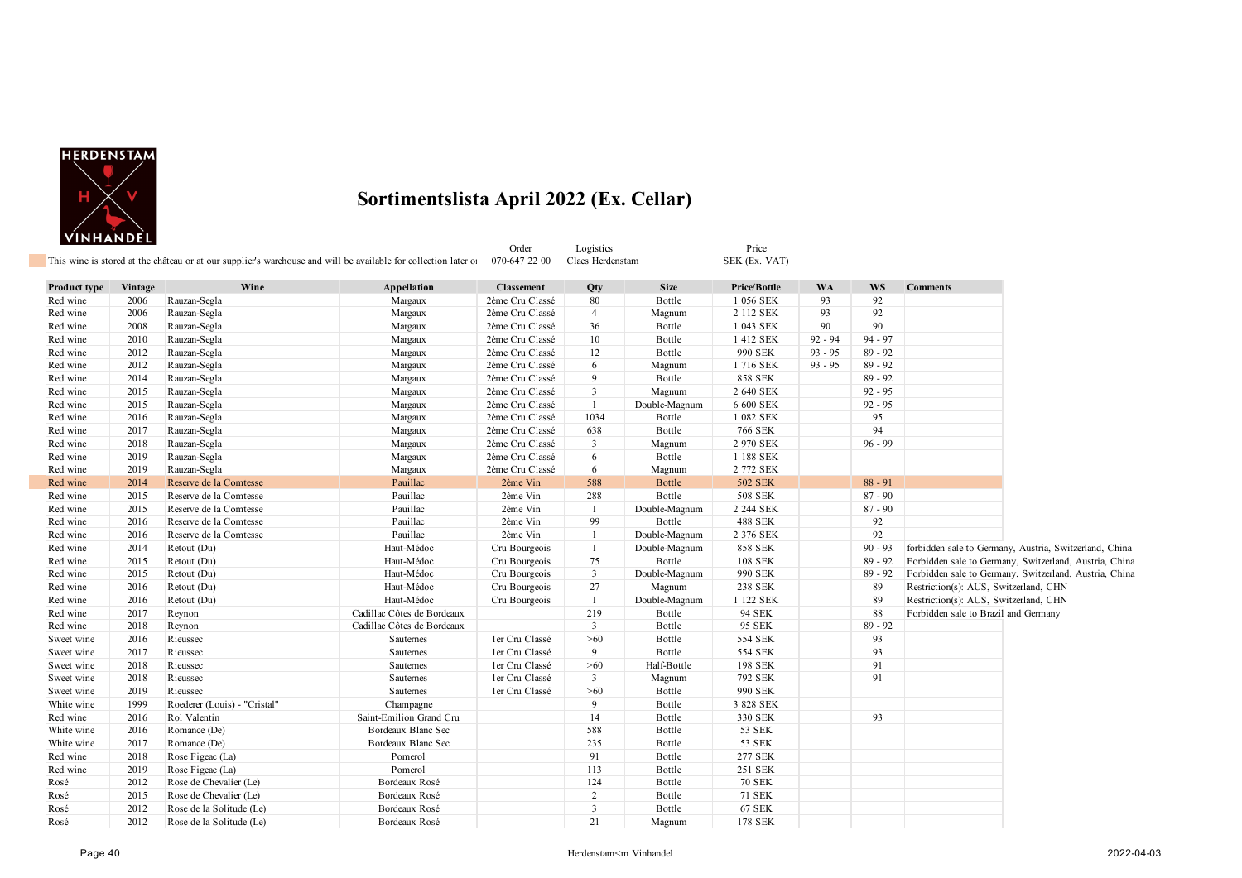

| Product type | Vintage | Wine                         | Appellation                | <b>Classement</b> | Qty            | <b>Size</b>   | Price/Bottle   | <b>WA</b> | <b>WS</b> | <b>Comments</b>                                        |
|--------------|---------|------------------------------|----------------------------|-------------------|----------------|---------------|----------------|-----------|-----------|--------------------------------------------------------|
| Red wine     | 2006    | Rauzan-Segla                 | Margaux                    | 2ème Cru Classé   | 80             | Bottle        | 1 056 SEK      | 93        | 92        |                                                        |
| Red wine     | 2006    | Rauzan-Segla                 | Margaux                    | 2ème Cru Classé   | $\overline{4}$ | Magnum        | 2 112 SEK      | 93        | 92        |                                                        |
| Red wine     | 2008    | Rauzan-Segla                 | Margaux                    | 2ème Cru Classé   | 36             | Bottle        | 1 043 SEK      | 90        | 90        |                                                        |
| Red wine     | 2010    | Rauzan-Segla                 | Margaux                    | 2ème Cru Classé   | 10             | Bottle        | 1 412 SEK      | $92 - 94$ | $94 - 97$ |                                                        |
| Red wine     | 2012    | Rauzan-Segla                 | Margaux                    | 2ème Cru Classé   | 12             | Bottle        | 990 SEK        | $93 - 95$ | $89 - 92$ |                                                        |
| Red wine     | 2012    | Rauzan-Segla                 | Margaux                    | 2ème Cru Classé   | 6              | Magnum        | 1716 SEK       | $93 - 95$ | $89 - 92$ |                                                        |
| Red wine     | 2014    | Rauzan-Segla                 | Margaux                    | 2ème Cru Classé   | 9              | Bottle        | <b>858 SEK</b> |           | $89 - 92$ |                                                        |
| Red wine     | 2015    | Rauzan-Segla                 | Margaux                    | 2ème Cru Classé   | $\mathbf{3}$   | Magnum        | 2 640 SEK      |           | $92 - 95$ |                                                        |
| Red wine     | 2015    | Rauzan-Segla                 | Margaux                    | 2ème Cru Classé   | -1             | Double-Magnum | 6 600 SEK      |           | $92 - 95$ |                                                        |
| Red wine     | 2016    | Rauzan-Segla                 | Margaux                    | 2ème Cru Classé   | 1034           | Bottle        | 1 082 SEK      |           | 95        |                                                        |
| Red wine     | 2017    | Rauzan-Segla                 | Margaux                    | 2ème Cru Classé   | 638            | Bottle        | 766 SEK        |           | 94        |                                                        |
| Red wine     | 2018    | Rauzan-Segla                 | Margaux                    | 2ème Cru Classé   | $\overline{3}$ | Magnum        | 2 970 SEK      |           | $96 - 99$ |                                                        |
| Red wine     | 2019    | Rauzan-Segla                 | Margaux                    | 2ème Cru Classé   | 6              | Bottle        | 1 188 SEK      |           |           |                                                        |
| Red wine     | 2019    | Rauzan-Segla                 | Margaux                    | 2ème Cru Classé   | 6              | Magnum        | 2 772 SEK      |           |           |                                                        |
| Red wine     | 2014    | Reserve de la Comtesse       | Pauillac                   | 2ème Vin          | 588            | <b>Bottle</b> | <b>502 SEK</b> |           | $88 - 91$ |                                                        |
| Red wine     | 2015    | Reserve de la Comtesse       | Pauillac                   | 2ème Vin          | 288            | Bottle        | <b>508 SEK</b> |           | $87 - 90$ |                                                        |
| Red wine     | 2015    | Reserve de la Comtesse       | Pauillac                   | 2ème Vin          | -1             | Double-Magnum | 2 244 SEK      |           | $87 - 90$ |                                                        |
| Red wine     | 2016    | Reserve de la Comtesse       | Pauillac                   | 2ème Vin          | 99             | Bottle        | <b>488 SEK</b> |           | 92        |                                                        |
| Red wine     | 2016    | Reserve de la Comtesse       | Pauillac                   | 2ème Vin          | -1             | Double-Magnum | 2 376 SEK      |           | 92        |                                                        |
| Red wine     | 2014    | Retout (Du)                  | Haut-Médoc                 | Cru Bourgeois     | $\mathbf{1}$   | Double-Magnum | <b>858 SEK</b> |           | $90 - 93$ | forbidden sale to Germany, Austria, Switzerland, China |
| Red wine     | 2015    | Retout (Du)                  | Haut-Médoc                 | Cru Bourgeois     | 75             | Bottle        | <b>108 SEK</b> |           | $89 - 92$ | Forbidden sale to Germany, Switzerland, Austria, China |
| Red wine     | 2015    | Retout (Du)                  | Haut-Médoc                 | Cru Bourgeois     | $\mathbf{3}$   | Double-Magnum | 990 SEK        |           | $89 - 92$ | Forbidden sale to Germany, Switzerland, Austria, China |
| Red wine     | 2016    | Retout (Du)                  | Haut-Médoc                 | Cru Bourgeois     | 27             | Magnum        | <b>238 SEK</b> |           | 89        | Restriction(s): AUS, Switzerland, CHN                  |
| Red wine     | 2016    | Retout (Du)                  | Haut-Médoc                 | Cru Bourgeois     | -1             | Double-Magnum | 1 122 SEK      |           | 89        | Restriction(s): AUS, Switzerland, CHN                  |
| Red wine     | 2017    | Reynon                       | Cadillac Côtes de Bordeaux |                   | 219            | Bottle        | 94 SEK         |           | 88        | Forbidden sale to Brazil and Germany                   |
| Red wine     | 2018    | Reynon                       | Cadillac Côtes de Bordeaux |                   | $\mathbf{3}$   | Bottle        | 95 SEK         |           | $89 - 92$ |                                                        |
| Sweet wine   | 2016    | Rieussec                     | Sauternes                  | ler Cru Classé    | >60            | Bottle        | 554 SEK        |           | 93        |                                                        |
| Sweet wine   | 2017    | Rieussec                     | Sauternes                  | ler Cru Classé    | 9              | Bottle        | 554 SEK        |           | 93        |                                                        |
| Sweet wine   | 2018    | Rieussec                     | Sauternes                  | ler Cru Classé    | $>60$          | Half-Bottle   | 198 SEK        |           | 91        |                                                        |
| Sweet wine   | 2018    | Rieussec                     | Sauternes                  | ler Cru Classé    | $\overline{3}$ | Magnum        | 792 SEK        |           | 91        |                                                        |
| Sweet wine   | 2019    | Rieussec                     | Sauternes                  | ler Cru Classé    | $>60$          | Bottle        | 990 SEK        |           |           |                                                        |
| White wine   | 1999    | Roederer (Louis) - "Cristal" | Champagne                  |                   | 9              | Bottle        | 3 828 SEK      |           |           |                                                        |
| Red wine     | 2016    | Rol Valentin                 | Saint-Emilion Grand Cru    |                   | 14             | Bottle        | 330 SEK        |           | 93        |                                                        |
| White wine   | 2016    | Romance (De)                 | Bordeaux Blanc Sec         |                   | 588            | Bottle        | 53 SEK         |           |           |                                                        |
| White wine   | 2017    | Romance (De)                 | Bordeaux Blanc Sec         |                   | 235            | Bottle        | 53 SEK         |           |           |                                                        |
| Red wine     | 2018    | Rose Figeac (La)             | Pomerol                    |                   | 91             | Bottle        | 277 SEK        |           |           |                                                        |
| Red wine     | 2019    | Rose Figeac (La)             | Pomerol                    |                   | 113            | Bottle        | 251 SEK        |           |           |                                                        |
| Rosé         | 2012    | Rose de Chevalier (Le)       | Bordeaux Rosé              |                   | 124            | Bottle        | <b>70 SEK</b>  |           |           |                                                        |
| Rosé         | 2015    | Rose de Chevalier (Le)       | Bordeaux Rosé              |                   | $\overline{2}$ | Bottle        | <b>71 SEK</b>  |           |           |                                                        |
| Rosé         | 2012    | Rose de la Solitude (Le)     | Bordeaux Rosé              |                   | $\mathbf{3}$   | Bottle        | <b>67 SEK</b>  |           |           |                                                        |
| Rosé         | 2012    | Rose de la Solitude (Le)     | Bordeaux Rosé              |                   | 21             | Magnum        | 178 SEK        |           |           |                                                        |

Order Logistics Price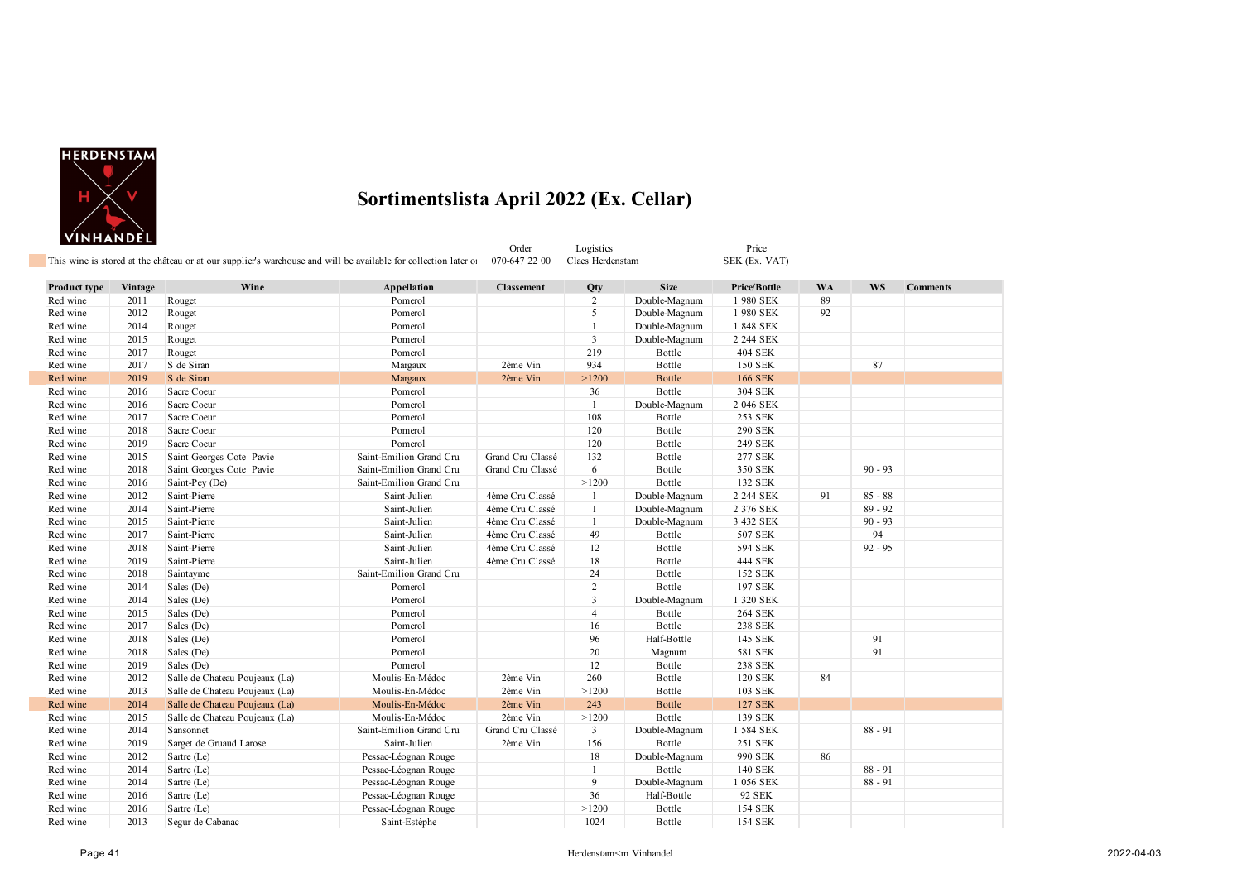

|              |         | This wine is stored at the château or at our supplier's warehouse and will be available for collection later of |                         | Order<br>070-647 22 00 | Logistics<br>Claes Herdenstam |               | Price<br>SEK (Ex. VAT) |           |           |                 |
|--------------|---------|-----------------------------------------------------------------------------------------------------------------|-------------------------|------------------------|-------------------------------|---------------|------------------------|-----------|-----------|-----------------|
| Product type | Vintage | Wine                                                                                                            | Appellation             | <b>Classement</b>      | Qty                           | <b>Size</b>   | Price/Bottle           | <b>WA</b> | <b>WS</b> | <b>Comments</b> |
| Red wine     | 2011    | Rouget                                                                                                          | Pomerol                 |                        | $\overline{2}$                | Double-Magnum | 1980 SEK               | 89        |           |                 |
| Red wine     | 2012    | Rouget                                                                                                          | Pomerol                 |                        | 5                             | Double-Magnum | 1980 SEK               | 92        |           |                 |
| Red wine     | 2014    | Rouget                                                                                                          | Pomerol                 |                        | $\mathbf{1}$                  | Double-Magnum | 1 848 SEK              |           |           |                 |
| Red wine     | 2015    | Rouget                                                                                                          | Pomerol                 |                        | 3                             | Double-Magnum | 2 244 SEK              |           |           |                 |
| Red wine     | 2017    | Rouget                                                                                                          | Pomerol                 |                        | 219                           | Bottle        | <b>404 SEK</b>         |           |           |                 |
| Red wine     | 2017    | S de Siran                                                                                                      | Margaux                 | 2ème Vin               | 934                           | Bottle        | <b>150 SEK</b>         |           | 87        |                 |
| Red wine     | 2019    | S de Siran                                                                                                      | Margaux                 | 2ème Vin               | >1200                         | <b>Bottle</b> | <b>166 SEK</b>         |           |           |                 |
| Red wine     | 2016    | Sacre Coeur                                                                                                     | Pomerol                 |                        | 36                            | Bottle        | 304 SEK                |           |           |                 |
| Red wine     | 2016    | Sacre Coeur                                                                                                     | Pomerol                 |                        | $\mathbf{1}$                  | Double-Magnum | 2 046 SEK              |           |           |                 |
| Red wine     | 2017    | Sacre Coeur                                                                                                     | Pomerol                 |                        | 108                           | Bottle        | 253 SEK                |           |           |                 |
| Red wine     | 2018    | Sacre Coeur                                                                                                     | Pomerol                 |                        | 120                           | Bottle        | 290 SEK                |           |           |                 |
| Red wine     | 2019    | Sacre Coeur                                                                                                     | Pomerol                 |                        | 120                           | Bottle        | 249 SEK                |           |           |                 |
| Red wine     | 2015    | Saint Georges Cote Pavie                                                                                        | Saint-Emilion Grand Cru | Grand Cru Classé       | 132                           | Bottle        | 277 SEK                |           |           |                 |
| Red wine     | 2018    | Saint Georges Cote Pavie                                                                                        | Saint-Emilion Grand Cru | Grand Cru Classé       | 6                             | Bottle        | 350 SEK                |           | $90 - 93$ |                 |
| Red wine     | 2016    | Saint-Pey (De)                                                                                                  | Saint-Emilion Grand Cru |                        | >1200                         | Bottle        | 132 SEK                |           |           |                 |
| Red wine     | 2012    | Saint-Pierre                                                                                                    | Saint-Julien            | 4ème Cru Classé        | -1                            | Double-Magnum | 2 244 SEK              | 91        | $85 - 88$ |                 |
| Red wine     | 2014    | Saint-Pierre                                                                                                    | Saint-Julien            | 4ème Cru Classé        | $\overline{1}$                | Double-Magnum | 2 376 SEK              |           | $89 - 92$ |                 |
| Red wine     | 2015    | Saint-Pierre                                                                                                    | Saint-Julien            | 4ème Cru Classé        | -1                            | Double-Magnum | 3 432 SEK              |           | $90 - 93$ |                 |
| Red wine     | 2017    | Saint-Pierre                                                                                                    | Saint-Julien            | 4ème Cru Classé        | 49                            | Bottle        | 507 SEK                |           | 94        |                 |
| Red wine     | 2018    | Saint-Pierre                                                                                                    | Saint-Julien            | 4ème Cru Classé        | 12                            | Bottle        | 594 SEK                |           | $92 - 95$ |                 |
| Red wine     | 2019    | Saint-Pierre                                                                                                    | Saint-Julien            | 4ème Cru Classé        | 18                            | Bottle        | 444 SEK                |           |           |                 |
| Red wine     | 2018    | Saintayme                                                                                                       | Saint-Emilion Grand Cru |                        | 24                            | Bottle        | 152 SEK                |           |           |                 |
| Red wine     | 2014    | Sales (De)                                                                                                      | Pomerol                 |                        | 2                             | Bottle        | 197 SEK                |           |           |                 |
| Red wine     | 2014    | Sales (De)                                                                                                      | Pomerol                 |                        | $\overline{3}$                | Double-Magnum | 1 320 SEK              |           |           |                 |
| Red wine     | 2015    | Sales (De)                                                                                                      | Pomerol                 |                        | 4                             | Bottle        | <b>264 SEK</b>         |           |           |                 |
| Red wine     | 2017    | Sales (De)                                                                                                      | Pomerol                 |                        | 16                            | Bottle        | 238 SEK                |           |           |                 |
| Red wine     | 2018    | Sales (De)                                                                                                      | Pomerol                 |                        | 96                            | Half-Bottle   | 145 SEK                |           | 91        |                 |
| Red wine     | 2018    | Sales (De)                                                                                                      | Pomerol                 |                        | 20                            | Magnum        | 581 SEK                |           | 91        |                 |
| Red wine     | 2019    | Sales (De)                                                                                                      | Pomerol                 |                        | 12                            | Bottle        | 238 SEK                |           |           |                 |
| Red wine     | 2012    | Salle de Chateau Poujeaux (La)                                                                                  | Moulis-En-Médoc         | 2ème Vin               | 260                           | Bottle        | <b>120 SEK</b>         | 84        |           |                 |
| Red wine     | 2013    | Salle de Chateau Poujeaux (La)                                                                                  | Moulis-En-Médoc         | 2ème Vin               | >1200                         | Bottle        | 103 SEK                |           |           |                 |
| Red wine     | 2014    | Salle de Chateau Poujeaux (La)                                                                                  | Moulis-En-Médoc         | 2ème Vin               | 243                           | Bottle        | <b>127 SEK</b>         |           |           |                 |
| Red wine     | 2015    | Salle de Chateau Poujeaux (La)                                                                                  | Moulis-En-Médoc         | 2ème Vin               | >1200                         | Bottle        | 139 SEK                |           |           |                 |
| Red wine     | 2014    | Sansonnet                                                                                                       | Saint-Emilion Grand Cru | Grand Cru Classé       | 3                             | Double-Magnum | 1 584 SEK              |           | $88 - 91$ |                 |
| Red wine     | 2019    | Sarget de Gruaud Larose                                                                                         | Saint-Julien            | 2ème Vin               | 156                           | Bottle        | 251 SEK                |           |           |                 |
| Red wine     | 2012    | Sartre (Le)                                                                                                     | Pessac-Léognan Rouge    |                        | 18                            | Double-Magnum | 990 SEK                | 86        |           |                 |
| Red wine     | 2014    | Sartre (Le)                                                                                                     | Pessac-Léognan Rouge    |                        | $\mathbf{1}$                  | Bottle        | 140 SEK                |           | $88 - 91$ |                 |
| Red wine     | 2014    | Sartre (Le)                                                                                                     | Pessac-Léognan Rouge    |                        | 9                             | Double-Magnum | 1 056 SEK              |           | $88 - 91$ |                 |
| Red wine     | 2016    | Sartre (Le)                                                                                                     | Pessac-Léognan Rouge    |                        | 36                            | Half-Bottle   | 92 SEK                 |           |           |                 |
| Red wine     | 2016    | Sartre (Le)                                                                                                     | Pessac-Léognan Rouge    |                        | >1200                         | Bottle        | 154 SEK                |           |           |                 |
| Red wine     | 2013    | Segur de Cabanac                                                                                                | Saint-Estèphe           |                        | 1024                          | Bottle        | <b>154 SEK</b>         |           |           |                 |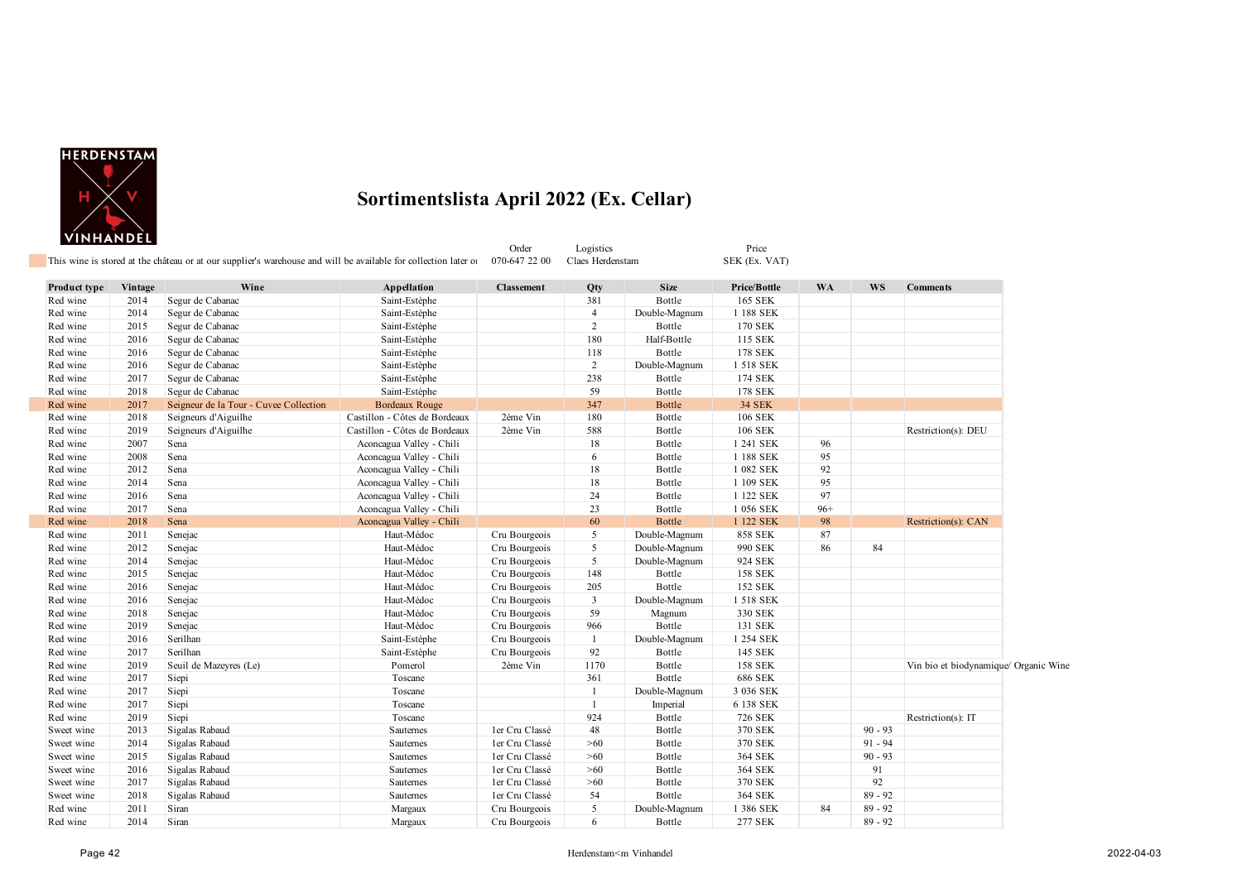

|              |         | This wine is stored at the château or at our supplier's warehouse and will be available for collection later of |                               | Order<br>070-647 22 00 | Logistics<br>Claes Herdenstam |               | Price<br>SEK (Ex. VAT) |           |           |                                       |  |
|--------------|---------|-----------------------------------------------------------------------------------------------------------------|-------------------------------|------------------------|-------------------------------|---------------|------------------------|-----------|-----------|---------------------------------------|--|
| Product type | Vintage | Wine                                                                                                            | Appellation                   | <b>Classement</b>      | Qty                           | <b>Size</b>   | Price/Bottle           | <b>WA</b> | <b>WS</b> | <b>Comments</b>                       |  |
| Red wine     | 2014    | Segur de Cabanac                                                                                                | Saint-Estèphe                 |                        | 381                           | Bottle        | 165 SEK                |           |           |                                       |  |
| Red wine     | 2014    | Segur de Cabanac                                                                                                | Saint-Estèphe                 |                        | $\overline{4}$                | Double-Magnum | 1 188 SEK              |           |           |                                       |  |
| Red wine     | 2015    | Segur de Cabanac                                                                                                | Saint-Estèphe                 |                        | $\overline{2}$                | Bottle        | <b>170 SEK</b>         |           |           |                                       |  |
| Red wine     | 2016    | Segur de Cabanac                                                                                                | Saint-Estèphe                 |                        | 180                           | Half-Bottle   | 115 SEK                |           |           |                                       |  |
| Red wine     | 2016    | Segur de Cabanac                                                                                                | Saint-Estèphe                 |                        | 118                           | Bottle        | <b>178 SEK</b>         |           |           |                                       |  |
| Red wine     | 2016    | Segur de Cabanac                                                                                                | Saint-Estèphe                 |                        | $\overline{2}$                | Double-Magnum | 1 518 SEK              |           |           |                                       |  |
| Red wine     | 2017    | Segur de Cabanac                                                                                                | Saint-Estèphe                 |                        | 238                           | Bottle        | 174 SEK                |           |           |                                       |  |
| Red wine     | 2018    | Segur de Cabanac                                                                                                | Saint-Estèphe                 |                        | 59                            | Bottle        | 178 SEK                |           |           |                                       |  |
| Red wine     | 2017    | Seigneur de la Tour - Cuvee Collection                                                                          | <b>Bordeaux Rouge</b>         |                        | 347                           | Bottle        | <b>34 SEK</b>          |           |           |                                       |  |
| Red wine     | 2018    | Seigneurs d'Aiguilhe                                                                                            | Castillon - Côtes de Bordeaux | 2ème Vin               | 180                           | Bottle        | 106 SEK                |           |           |                                       |  |
| Red wine     | 2019    | Seigneurs d'Aiguilhe                                                                                            | Castillon - Côtes de Bordeaux | 2ème Vin               | 588                           | Bottle        | 106 SEK                |           |           | Restriction(s): DEU                   |  |
| Red wine     | 2007    | Sena                                                                                                            | Aconcagua Valley - Chili      |                        | 18                            | Bottle        | 1 241 SEK              | 96        |           |                                       |  |
| Red wine     | 2008    | Sena                                                                                                            | Aconcagua Valley - Chili      |                        | 6                             | Bottle        | 1 188 SEK              | 95        |           |                                       |  |
| Red wine     | 2012    | Sena                                                                                                            | Aconcagua Valley - Chili      |                        | 18                            | Bottle        | 1 082 SEK              | 92        |           |                                       |  |
| Red wine     | 2014    | Sena                                                                                                            | Aconcagua Valley - Chili      |                        | 18                            | Bottle        | 1 109 SEK              | 95        |           |                                       |  |
| Red wine     | 2016    | Sena                                                                                                            | Aconcagua Valley - Chili      |                        | 24                            | Bottle        | 1 122 SEK              | 97        |           |                                       |  |
| Red wine     | 2017    | Sena                                                                                                            | Aconcagua Valley - Chili      |                        | 23                            | Bottle        | 1 056 SEK              | $96+$     |           |                                       |  |
| Red wine     | 2018    | Sena                                                                                                            | Aconcagua Valley - Chili      |                        | 60                            | Bottle        | 1 122 SEK              | 98        |           | Restriction(s): CAN                   |  |
| Red wine     | 2011    | Senejac                                                                                                         | Haut-Médoc                    | Cru Bourgeois          | 5                             | Double-Magnum | <b>858 SEK</b>         | 87        |           |                                       |  |
| Red wine     | 2012    | Senejac                                                                                                         | Haut-Médoc                    | Cru Bourgeois          | 5                             | Double-Magnum | 990 SEK                | 86        | 84        |                                       |  |
| Red wine     | 2014    | Senejac                                                                                                         | Haut-Médoc                    | Cru Bourgeois          | 5 <sup>5</sup>                | Double-Magnum | 924 SEK                |           |           |                                       |  |
| Red wine     | 2015    | Senejac                                                                                                         | Haut-Médoc                    | Cru Bourgeois          | 148                           | Bottle        | <b>158 SEK</b>         |           |           |                                       |  |
| Red wine     | 2016    | Senejac                                                                                                         | Haut-Médoc                    | Cru Bourgeois          | 205                           | Bottle        | 152 SEK                |           |           |                                       |  |
| Red wine     | 2016    | Senejac                                                                                                         | Haut-Médoc                    | Cru Bourgeois          | $\mathbf{3}$                  | Double-Magnum | 1 518 SEK              |           |           |                                       |  |
| Red wine     | 2018    | Senejac                                                                                                         | Haut-Médoc                    | Cru Bourgeois          | 59                            | Magnum        | 330 SEK                |           |           |                                       |  |
| Red wine     | 2019    | Senejac                                                                                                         | Haut-Médoc                    | Cru Bourgeois          | 966                           | Bottle        | 131 SEK                |           |           |                                       |  |
| Red wine     | 2016    | Serilhan                                                                                                        | Saint-Estèphe                 | Cru Bourgeois          | 1                             | Double-Magnum | 1 254 SEK              |           |           |                                       |  |
| Red wine     | 2017    | Serilhan                                                                                                        | Saint-Estèphe                 | Cru Bourgeois          | 92                            | Bottle        | 145 SEK                |           |           |                                       |  |
| Red wine     | 2019    | Seuil de Mazeyres (Le)                                                                                          | Pomerol                       | 2ème Vin               | 1170                          | Bottle        | 158 SEK                |           |           | Vin bio et biodynamique/ Organic Wine |  |
| Red wine     | 2017    | Siepi                                                                                                           | Toscane                       |                        | 361                           | Bottle        | 686 SEK                |           |           |                                       |  |
| Red wine     | 2017    | Siepi                                                                                                           | Toscane                       |                        | $\mathbf{1}$                  | Double-Magnum | 3 036 SEK              |           |           |                                       |  |
| Red wine     | 2017    | Siepi                                                                                                           | Toscane                       |                        | $\mathbf{1}$                  | Imperial      | 6 138 SEK              |           |           |                                       |  |
| Red wine     | 2019    | Siepi                                                                                                           | Toscane                       |                        | 924                           | Bottle        | 726 SEK                |           |           | Restriction(s): IT                    |  |
| Sweet wine   | 2013    | Sigalas Rabaud                                                                                                  | Sauternes                     | ler Cru Classé         | 48                            | Bottle        | 370 SEK                |           | $90 - 93$ |                                       |  |
| Sweet wine   | 2014    | Sigalas Rabaud                                                                                                  | Sauternes                     | ler Cru Classé         | >60                           | Bottle        | 370 SEK                |           | $91 - 94$ |                                       |  |
| Sweet wine   | 2015    | Sigalas Rabaud                                                                                                  | Sauternes                     | ler Cru Classé         | >60                           | Bottle        | 364 SEK                |           | $90 - 93$ |                                       |  |
| Sweet wine   | 2016    | Sigalas Rabaud                                                                                                  | Sauternes                     | ler Cru Classé         | >60                           | Bottle        | 364 SEK                |           | 91        |                                       |  |
| Sweet wine   | 2017    | Sigalas Rabaud                                                                                                  | Sauternes                     | ler Cru Classé         | >60                           | Bottle        | 370 SEK                |           | 92        |                                       |  |
| Sweet wine   | 2018    | Sigalas Rabaud                                                                                                  | Sauternes                     | ler Cru Classé         | 54                            | Bottle        | 364 SEK                |           | $89 - 92$ |                                       |  |
| Red wine     | 2011    | Siran                                                                                                           | Margaux                       | Cru Bourgeois          | 5                             | Double-Magnum | 1 386 SEK              | 84        | $89 - 92$ |                                       |  |
| Red wine     | 2014    | Siran                                                                                                           | Margaux                       | Cru Bourgeois          | 6                             | Bottle        | 277 SEK                |           | $89 - 92$ |                                       |  |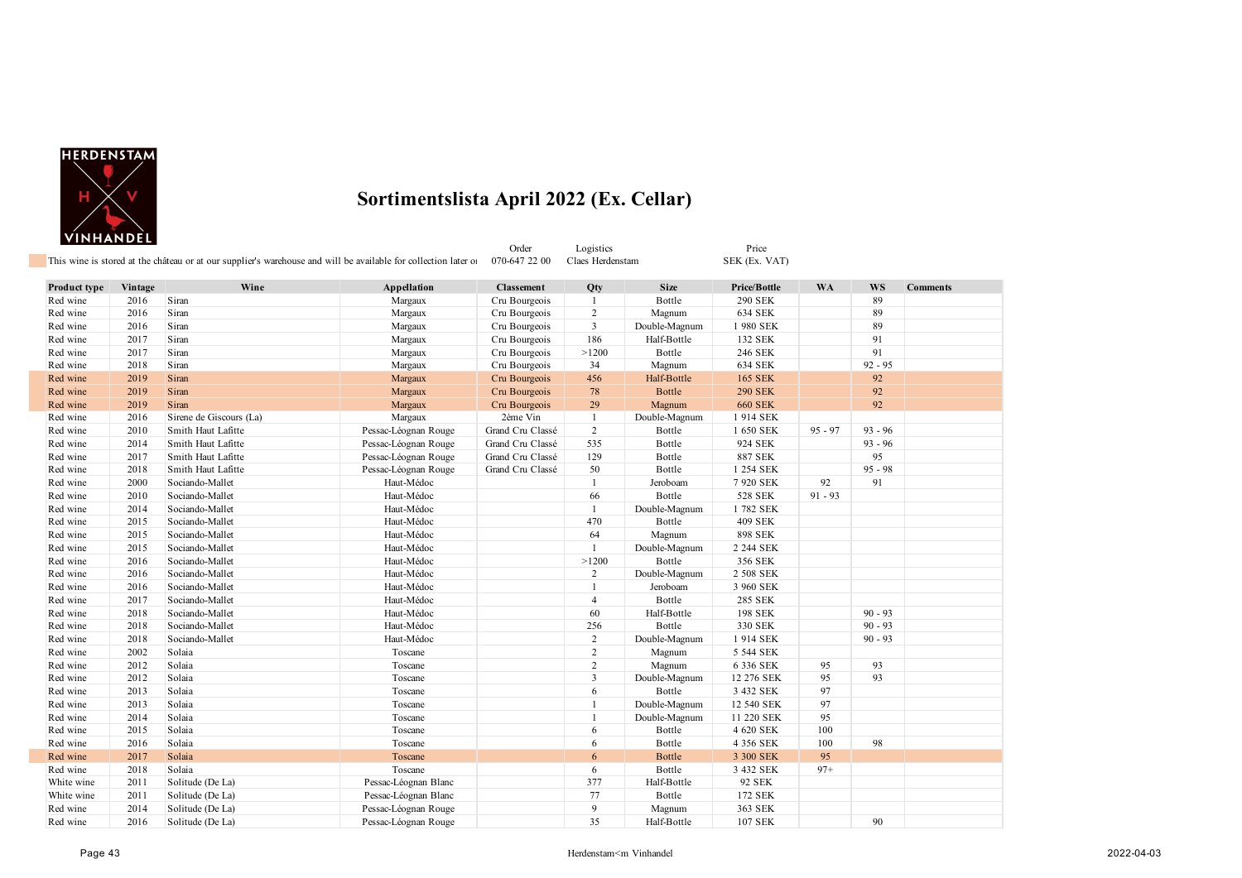

|                      |              |                         | This wine is stored at the château or at our supplier's warehouse and will be available for collection later of | Order<br>070-647 22 00             | Logistics<br>Claes Herdenstam |                       | Price<br>SEK (Ex. VAT)           |           |           |                 |
|----------------------|--------------|-------------------------|-----------------------------------------------------------------------------------------------------------------|------------------------------------|-------------------------------|-----------------------|----------------------------------|-----------|-----------|-----------------|
|                      |              |                         |                                                                                                                 |                                    |                               |                       |                                  |           |           |                 |
| Product type         | Vintage      | Wine<br>Siran           | Appellation<br>Margaux                                                                                          | <b>Classement</b><br>Cru Bourgeois | Qty                           | <b>Size</b><br>Bottle | Price/Bottle                     | WA        | WS        | <b>Comments</b> |
| Red wine<br>Red wine | 2016<br>2016 | Siran                   | Margaux                                                                                                         | Cru Bourgeois                      | -1<br>2                       | Magnum                | 290 SEK<br>634 SEK               |           | 89<br>89  |                 |
| Red wine             | 2016         | Siran                   | Margaux                                                                                                         | Cru Bourgeois                      | 3                             | Double-Magnum         | 1980 SEK                         |           | 89        |                 |
| Red wine             | 2017         | Siran                   | Margaux                                                                                                         | Cru Bourgeois                      | 186                           | Half-Bottle           | 132 SEK                          |           | 91        |                 |
| Red wine             | 2017         | Siran                   | Margaux                                                                                                         | Cru Bourgeois                      | >1200                         | Bottle                | 246 SEK                          |           | 91        |                 |
|                      | 2018         | Siran                   |                                                                                                                 |                                    |                               |                       | 634 SEK                          |           | $92 - 95$ |                 |
| Red wine<br>Red wine | 2019         | Siran                   | Margaux<br>Margaux                                                                                              | Cru Bourgeois<br>Cru Bourgeois     | 34<br>456                     | Magnum<br>Half-Bottle | 165 SEK                          |           | 92        |                 |
|                      |              |                         |                                                                                                                 |                                    |                               |                       |                                  |           |           |                 |
| Red wine             | 2019         | Siran                   | Margaux                                                                                                         | Cru Bourgeois                      | 78                            | <b>Bottle</b>         | <b>290 SEK</b><br><b>660 SEK</b> |           | 92<br>92  |                 |
| Red wine             | 2019         | Siran                   | Margaux                                                                                                         | Cru Bourgeois                      | 29                            | Magnum                |                                  |           |           |                 |
| Red wine             | 2016         | Sirene de Giscours (La) | Margaux                                                                                                         | 2ème Vin                           | $\mathbf{1}$                  | Double-Magnum         | 1914 SEK                         |           |           |                 |
| Red wine             | 2010         | Smith Haut Lafitte      | Pessac-Léognan Rouge                                                                                            | Grand Cru Classé                   | $\overline{c}$                | Bottle                | 1 650 SEK                        | $95 - 97$ | $93 - 96$ |                 |
| Red wine             | 2014         | Smith Haut Lafitte      | Pessac-Léognan Rouge                                                                                            | Grand Cru Classé                   | 535                           | Bottle                | 924 SEK                          |           | $93 - 96$ |                 |
| Red wine             | 2017         | Smith Haut Lafitte      | Pessac-Léognan Rouge                                                                                            | Grand Cru Classé                   | 129                           | Bottle                | 887 SEK                          |           | 95        |                 |
| Red wine             | 2018         | Smith Haut Lafitte      | Pessac-Léognan Rouge                                                                                            | Grand Cru Classé                   | 50                            | Bottle                | 1 254 SEK                        |           | $95 - 98$ |                 |
| Red wine             | 2000         | Sociando-Mallet         | Haut-Médoc                                                                                                      |                                    | $\mathbf{1}$                  | Jeroboam              | 7 920 SEK                        | 92        | 91        |                 |
| Red wine             | 2010         | Sociando-Mallet         | Haut-Médoc                                                                                                      |                                    | 66                            | Bottle                | 528 SEK                          | $91 - 93$ |           |                 |
| Red wine             | 2014         | Sociando-Mallet         | Haut-Médoc                                                                                                      |                                    | $\mathbf{1}$                  | Double-Magnum         | 1782 SEK                         |           |           |                 |
| Red wine             | 2015         | Sociando-Mallet         | Haut-Médoc                                                                                                      |                                    | 470                           | Bottle                | <b>409 SEK</b>                   |           |           |                 |
| Red wine             | 2015         | Sociando-Mallet         | Haut-Médoc                                                                                                      |                                    | 64                            | Magnum                | 898 SEK                          |           |           |                 |
| Red wine             | 2015         | Sociando-Mallet         | Haut-Médoc                                                                                                      |                                    | $\mathbf{1}$                  | Double-Magnum         | 2 244 SEK                        |           |           |                 |
| Red wine             | 2016         | Sociando-Mallet         | Haut-Médoc                                                                                                      |                                    | >1200                         | Bottle                | 356 SEK                          |           |           |                 |
| Red wine             | 2016         | Sociando-Mallet         | Haut-Médoc                                                                                                      |                                    | $\overline{2}$                | Double-Magnum         | 2 508 SEK                        |           |           |                 |
| Red wine             | 2016         | Sociando-Mallet         | Haut-Médoc                                                                                                      |                                    | $\mathbf{1}$                  | Jeroboam              | 3 960 SEK                        |           |           |                 |
| Red wine             | 2017         | Sociando-Mallet         | Haut-Médoc                                                                                                      |                                    | $\overline{4}$                | Bottle                | 285 SEK                          |           |           |                 |
| Red wine             | 2018         | Sociando-Mallet         | Haut-Médoc                                                                                                      |                                    | 60                            | Half-Bottle           | 198 SEK                          |           | $90 - 93$ |                 |
| Red wine             | 2018         | Sociando-Mallet         | Haut-Médoc                                                                                                      |                                    | 256                           | Bottle                | 330 SEK                          |           | $90 - 93$ |                 |
| Red wine             | 2018         | Sociando-Mallet         | Haut-Médoc                                                                                                      |                                    | $\overline{2}$                | Double-Magnum         | 1914 SEK                         |           | $90 - 93$ |                 |
| Red wine             | 2002         | Solaia                  | Toscane                                                                                                         |                                    | $\sqrt{2}$                    | Magnum                | 5 544 SEK                        |           |           |                 |
| Red wine             | 2012         | Solaia                  | Toscane                                                                                                         |                                    | $\overline{2}$                | Magnum                | 6 336 SEK                        | 95        | 93        |                 |
| Red wine             | 2012         | Solaia                  | Toscane                                                                                                         |                                    | 3                             | Double-Magnum         | 12 276 SEK                       | 95        | 93        |                 |
| Red wine             | 2013         | Solaia                  | Toscane                                                                                                         |                                    | 6                             | Bottle                | 3 432 SEK                        | 97        |           |                 |
| Red wine             | 2013         | Solaia                  | Toscane                                                                                                         |                                    | $\mathbf{1}$                  | Double-Magnum         | 12 540 SEK                       | 97        |           |                 |
| Red wine             | 2014         | Solaia                  | Toscane                                                                                                         |                                    | $\mathbf{1}$                  | Double-Magnum         | 11 220 SEK                       | 95        |           |                 |
| Red wine             | 2015         | Solaia                  | Toscane                                                                                                         |                                    | 6                             | Bottle                | 4 620 SEK                        | 100       |           |                 |
| Red wine             | 2016         | Solaia                  | Toscane                                                                                                         |                                    | 6                             | Bottle                | 4 356 SEK                        | 100       | 98        |                 |
| Red wine             | 2017         | Solaia                  | Toscane                                                                                                         |                                    | 6                             | <b>Bottle</b>         | 3 300 SEK                        | 95        |           |                 |
| Red wine             | 2018         | Solaia                  | Toscane                                                                                                         |                                    | 6                             | Bottle                | 3 432 SEK                        | $97+$     |           |                 |
| White wine           | 2011         | Solitude (De La)        | Pessac-Léognan Blanc                                                                                            |                                    | 377                           | Half-Bottle           | 92 SEK                           |           |           |                 |
| White wine           | 2011         | Solitude (De La)        | Pessac-Léognan Blanc                                                                                            |                                    | 77                            | Bottle                | 172 SEK                          |           |           |                 |
| Red wine             | 2014         | Solitude (De La)        | Pessac-Léognan Rouge                                                                                            |                                    | 9                             | Magnum                | 363 SEK                          |           |           |                 |
| Red wine             | 2016         | Solitude (De La)        | Pessac-Léognan Rouge                                                                                            |                                    | 35                            | Half-Bottle           | 107 SEK                          |           | 90        |                 |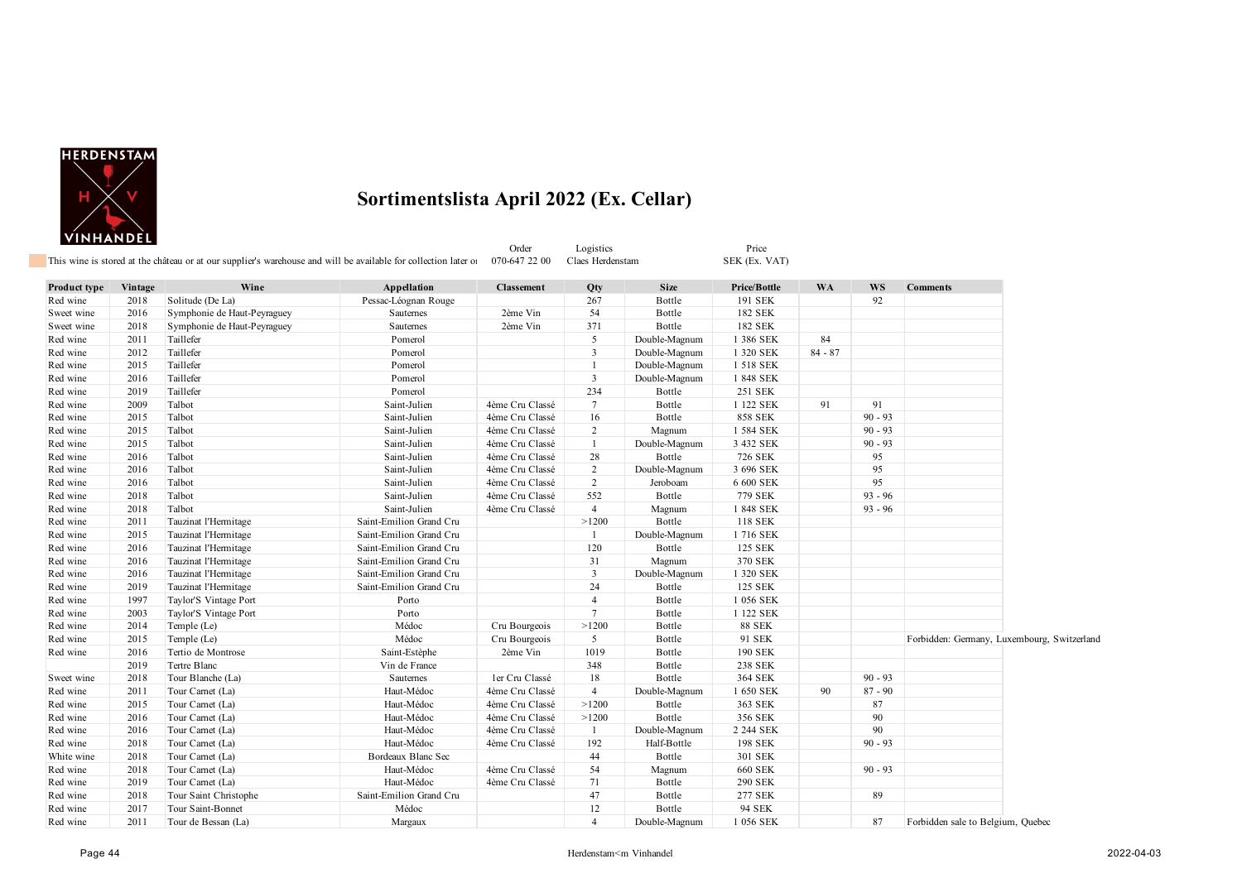

|              |         | This wine is stored at the château or at our supplier's warehouse and will be available for collection later of |                         | Order<br>070-647 22 00 | Logistics<br>Claes Herdenstam |               | Price<br>SEK (Ex. VAT) |           |           |                                             |  |
|--------------|---------|-----------------------------------------------------------------------------------------------------------------|-------------------------|------------------------|-------------------------------|---------------|------------------------|-----------|-----------|---------------------------------------------|--|
| Product type | Vintage | Wine                                                                                                            | Appellation             | <b>Classement</b>      | Qty                           | <b>Size</b>   | Price/Bottle           | <b>WA</b> | <b>WS</b> | <b>Comments</b>                             |  |
| Red wine     | 2018    | Solitude (De La)                                                                                                | Pessac-Léognan Rouge    |                        | 267                           | Bottle        | 191 SEK                |           | 92        |                                             |  |
| Sweet wine   | 2016    | Symphonie de Haut-Peyraguey                                                                                     | Sauternes               | 2ème Vin               | 54                            | Bottle        | 182 SEK                |           |           |                                             |  |
| Sweet wine   | 2018    | Symphonie de Haut-Peyraguey                                                                                     | <b>Sauternes</b>        | 2ème Vin               | 371                           | Bottle        | 182 SEK                |           |           |                                             |  |
| Red wine     | 2011    | Taillefer                                                                                                       | Pomerol                 |                        | 5                             | Double-Magnum | 1 386 SEK              | 84        |           |                                             |  |
| Red wine     | 2012    | Taillefer                                                                                                       | Pomerol                 |                        | $\overline{3}$                | Double-Magnum | 1 320 SEK              | $84 - 87$ |           |                                             |  |
| Red wine     | 2015    | Taillefer                                                                                                       | Pomerol                 |                        | $\mathbf{1}$                  | Double-Magnum | 1 518 SEK              |           |           |                                             |  |
| Red wine     | 2016    | Taillefer                                                                                                       | Pomerol                 |                        | $\overline{3}$                | Double-Magnum | 1 848 SEK              |           |           |                                             |  |
| Red wine     | 2019    | Taillefer                                                                                                       | Pomerol                 |                        | 234                           | Bottle        | 251 SEK                |           |           |                                             |  |
| Red wine     | 2009    | Talbot                                                                                                          | Saint-Julien            | 4ème Cru Classé        | $\tau$                        | Bottle        | 1 122 SEK              | 91        | 91        |                                             |  |
| Red wine     | 2015    | Talbot                                                                                                          | Saint-Julien            | 4ème Cru Classé        | 16                            | Bottle        | <b>858 SEK</b>         |           | $90 - 93$ |                                             |  |
| Red wine     | 2015    | Talbot                                                                                                          | Saint-Julien            | 4ème Cru Classé        | 2                             | Magnum        | 1 584 SEK              |           | $90 - 93$ |                                             |  |
| Red wine     | 2015    | Talbot                                                                                                          | Saint-Julien            | 4ème Cru Classé        | $\overline{1}$                | Double-Magnum | 3 432 SEK              |           | $90 - 93$ |                                             |  |
| Red wine     | 2016    | Talbot                                                                                                          | Saint-Julien            | 4ème Cru Classé        | 28                            | Bottle        | 726 SEK                |           | 95        |                                             |  |
| Red wine     | 2016    | Talbot                                                                                                          | Saint-Julien            | 4ème Cru Classé        | 2                             | Double-Magnum | 3 696 SEK              |           | 95        |                                             |  |
| Red wine     | 2016    | Talbot                                                                                                          | Saint-Julien            | 4ème Cru Classé        | $\overline{c}$                | Jeroboam      | 6 600 SEK              |           | 95        |                                             |  |
| Red wine     | 2018    | Talbot                                                                                                          | Saint-Julien            | 4ème Cru Classé        | 552                           | Bottle        | 779 SEK                |           | $93 - 96$ |                                             |  |
| Red wine     | 2018    | Talbot                                                                                                          | Saint-Julien            | 4ème Cru Classé        | $\overline{4}$                | Magnum        | 1 848 SEK              |           | $93 - 96$ |                                             |  |
| Red wine     | 2011    | Tauzinat l'Hermitage                                                                                            | Saint-Emilion Grand Cru |                        | >1200                         | Bottle        | 118 SEK                |           |           |                                             |  |
| Red wine     | 2015    | Tauzinat l'Hermitage                                                                                            | Saint-Emilion Grand Cru |                        | -1                            | Double-Magnum | 1716 SEK               |           |           |                                             |  |
| Red wine     | 2016    | Tauzinat l'Hermitage                                                                                            | Saint-Emilion Grand Cru |                        | 120                           | Bottle        | 125 SEK                |           |           |                                             |  |
| Red wine     | 2016    | Tauzinat l'Hermitage                                                                                            | Saint-Emilion Grand Cru |                        | 31                            | Magnum        | 370 SEK                |           |           |                                             |  |
| Red wine     | 2016    | Tauzinat l'Hermitage                                                                                            | Saint-Emilion Grand Cru |                        | $\overline{3}$                | Double-Magnum | 1 320 SEK              |           |           |                                             |  |
| Red wine     | 2019    | Tauzinat l'Hermitage                                                                                            | Saint-Emilion Grand Cru |                        | 24                            | Bottle        | 125 SEK                |           |           |                                             |  |
| Red wine     | 1997    | Taylor'S Vintage Port                                                                                           | Porto                   |                        | $\overline{4}$                | Bottle        | 1 056 SEK              |           |           |                                             |  |
| Red wine     | 2003    | Taylor'S Vintage Port                                                                                           | Porto                   |                        | $\tau$                        | Bottle        | 1 122 SEK              |           |           |                                             |  |
| Red wine     | 2014    | Temple (Le)                                                                                                     | Médoc                   | Cru Bourgeois          | >1200                         | Bottle        | <b>88 SEK</b>          |           |           |                                             |  |
| Red wine     | 2015    | Temple (Le)                                                                                                     | Médoc                   | Cru Bourgeois          | 5                             | Bottle        | 91 SEK                 |           |           | Forbidden: Germany, Luxembourg, Switzerland |  |
| Red wine     | 2016    | Tertio de Montrose                                                                                              | Saint-Estèphe           | 2ème Vin               | 1019                          | Bottle        | 190 SEK                |           |           |                                             |  |
|              | 2019    | Tertre Blanc                                                                                                    | Vin de France           |                        | 348                           | Bottle        | <b>238 SEK</b>         |           |           |                                             |  |
| Sweet wine   | 2018    | Tour Blanche (La)                                                                                               | Sauternes               | ler Cru Classé         | 18                            | Bottle        | 364 SEK                |           | $90 - 93$ |                                             |  |
| Red wine     | 2011    | Tour Carnet (La)                                                                                                | Haut-Médoc              | 4ème Cru Classé        | $\overline{4}$                | Double-Magnum | 1 650 SEK              | 90        | $87 - 90$ |                                             |  |
| Red wine     | 2015    | Tour Carnet (La)                                                                                                | Haut-Médoc              | 4ème Cru Classé        | >1200                         | Bottle        | 363 SEK                |           | 87        |                                             |  |
| Red wine     | 2016    | Tour Carnet (La)                                                                                                | Haut-Médoc              | 4ème Cru Classé        | >1200                         | Bottle        | 356 SEK                |           | 90        |                                             |  |
| Red wine     | 2016    | Tour Carnet (La)                                                                                                | Haut-Médoc              | 4ème Cru Classé        | -1                            | Double-Magnum | 2 244 SEK              |           | 90        |                                             |  |
| Red wine     | 2018    | Tour Carnet (La)                                                                                                | Haut-Médoc              | 4ème Cru Classé        | 192                           | Half-Bottle   | 198 SEK                |           | $90 - 93$ |                                             |  |
| White wine   | 2018    | Tour Carnet (La)                                                                                                | Bordeaux Blanc Sec      |                        | 44                            | Bottle        | 301 SEK                |           |           |                                             |  |
| Red wine     | 2018    | Tour Carnet (La)                                                                                                | Haut-Médoc              | 4ème Cru Classé        | 54                            | Magnum        | <b>660 SEK</b>         |           | $90 - 93$ |                                             |  |
| Red wine     | 2019    | Tour Carnet (La)                                                                                                | Haut-Médoc              | 4ème Cru Classé        | 71                            | Bottle        | 290 SEK                |           |           |                                             |  |
| Red wine     | 2018    | Tour Saint Christophe                                                                                           | Saint-Emilion Grand Cru |                        | 47                            | Bottle        | <b>277 SEK</b>         |           | 89        |                                             |  |
| Red wine     | 2017    | Tour Saint-Bonnet                                                                                               | Médoc                   |                        | 12                            | Bottle        | 94 SEK                 |           |           |                                             |  |
| Red wine     | 2011    | Tour de Bessan (La)                                                                                             | Margaux                 |                        | $\boldsymbol{\Delta}$         | Double-Magnum | 1 056 SEK              |           | 87        | Forbidden sale to Belgium, Quebec           |  |
|              |         |                                                                                                                 |                         |                        |                               |               |                        |           |           |                                             |  |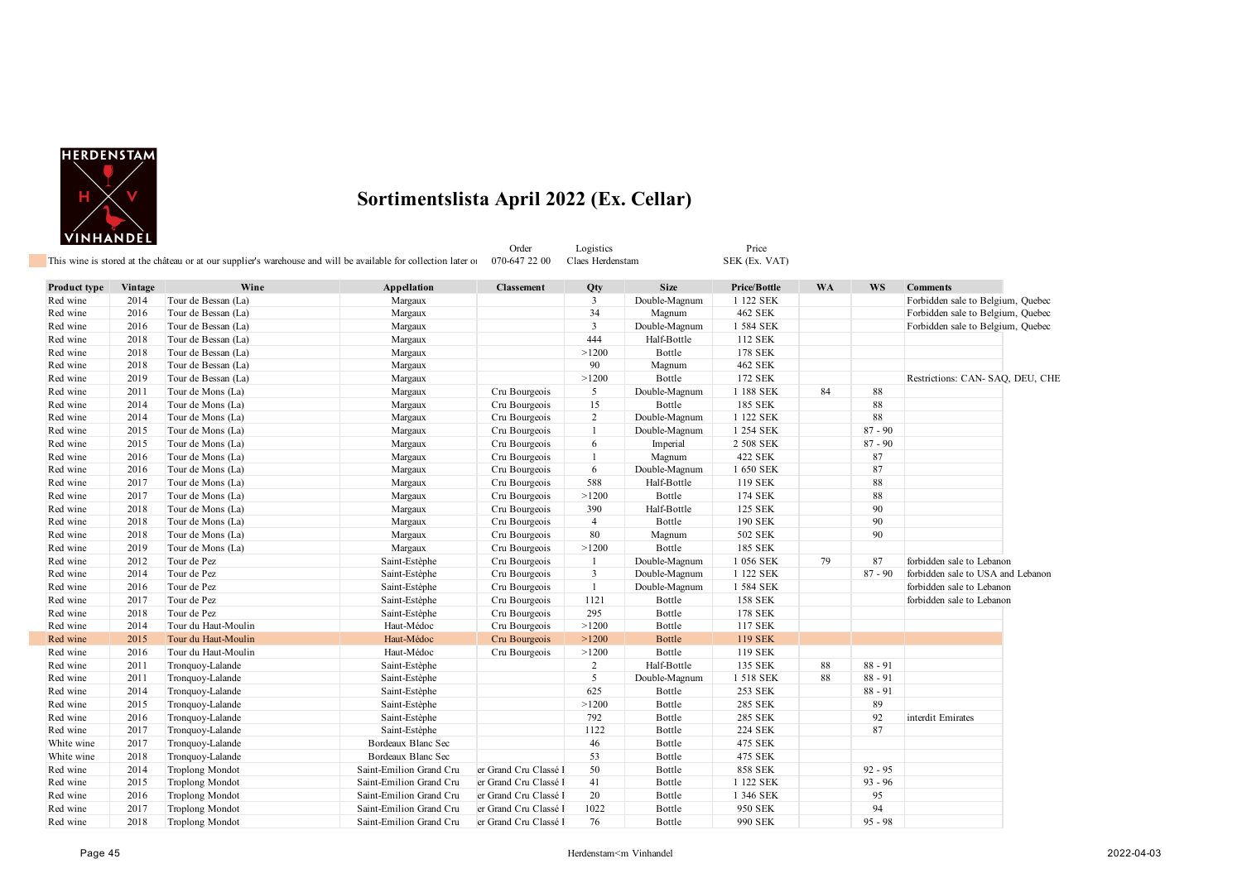

Order Logistics Price Price<br>
1992 - Price Claes Herdenstam SEK (Ex. VAT) This wine is stored at the château or at our supplier's warehouse and will be available for collection later on 070-647 22 00 Claes Herdenstam

| <b>Product type</b> | Vintage | Wine                   | Appellation             | <b>Classement</b>     | Qty            | <b>Size</b>   | Price/Bottle   | <b>WA</b> | <b>WS</b> | <b>Comments</b>                   |
|---------------------|---------|------------------------|-------------------------|-----------------------|----------------|---------------|----------------|-----------|-----------|-----------------------------------|
| Red wine            | 2014    | Tour de Bessan (La)    | Margaux                 |                       | 3              | Double-Magnum | 1 122 SEK      |           |           | Forbidden sale to Belgium, Quebec |
| Red wine            | 2016    | Tour de Bessan (La)    | Margaux                 |                       | 34             | Magnum        | 462 SEK        |           |           | Forbidden sale to Belgium, Quebec |
| Red wine            | 2016    | Tour de Bessan (La)    | Margaux                 |                       | $\overline{3}$ | Double-Magnum | 1 584 SEK      |           |           | Forbidden sale to Belgium, Quebec |
| Red wine            | 2018    | Tour de Bessan (La)    | Margaux                 |                       | 444            | Half-Bottle   | 112 SEK        |           |           |                                   |
| Red wine            | 2018    | Tour de Bessan (La)    | Margaux                 |                       | >1200          | Bottle        | 178 SEK        |           |           |                                   |
| Red wine            | 2018    | Tour de Bessan (La)    | Margaux                 |                       | 90             | Magnum        | 462 SEK        |           |           |                                   |
| Red wine            | 2019    | Tour de Bessan (La)    | Margaux                 |                       | >1200          | Bottle        | 172 SEK        |           |           | Restrictions: CAN- SAQ, DEU, CHE  |
| Red wine            | 2011    | Tour de Mons (La)      | Margaux                 | Cru Bourgeois         | 5              | Double-Magnum | 1 188 SEK      | 84        | 88        |                                   |
| Red wine            | 2014    | Tour de Mons (La)      | Margaux                 | Cru Bourgeois         | 15             | Bottle        | 185 SEK        |           | 88        |                                   |
| Red wine            | 2014    | Tour de Mons (La)      | Margaux                 | Cru Bourgeois         | 2              | Double-Magnum | 1 122 SEK      |           | 88        |                                   |
| Red wine            | 2015    | Tour de Mons (La)      | Margaux                 | Cru Bourgeois         | -1             | Double-Magnum | 1 254 SEK      |           | $87 - 90$ |                                   |
| Red wine            | 2015    | Tour de Mons (La)      | Margaux                 | Cru Bourgeois         | 6              | Imperial      | 2 508 SEK      |           | $87 - 90$ |                                   |
| Red wine            | 2016    | Tour de Mons (La)      | Margaux                 | Cru Bourgeois         | $\mathbf{1}$   | Magnum        | 422 SEK        |           | 87        |                                   |
| Red wine            | 2016    | Tour de Mons (La)      | Margaux                 | Cru Bourgeois         | 6              | Double-Magnum | 1 650 SEK      |           | 87        |                                   |
| Red wine            | 2017    | Tour de Mons (La)      | Margaux                 | Cru Bourgeois         | 588            | Half-Bottle   | 119 SEK        |           | 88        |                                   |
| Red wine            | 2017    | Tour de Mons (La)      | Margaux                 | Cru Bourgeois         | >1200          | Bottle        | 174 SEK        |           | 88        |                                   |
| Red wine            | 2018    | Tour de Mons (La)      | Margaux                 | Cru Bourgeois         | 390            | Half-Bottle   | 125 SEK        |           | 90        |                                   |
| Red wine            | 2018    | Tour de Mons (La)      | Margaux                 | Cru Bourgeois         | $\overline{4}$ | Bottle        | 190 SEK        |           | 90        |                                   |
| Red wine            | 2018    | Tour de Mons (La)      | Margaux                 | Cru Bourgeois         | 80             | Magnum        | 502 SEK        |           | 90        |                                   |
| Red wine            | 2019    | Tour de Mons (La)      | Margaux                 | Cru Bourgeois         | >1200          | Bottle        | 185 SEK        |           |           |                                   |
| Red wine            | 2012    | Tour de Pez            | Saint-Estèphe           | Cru Bourgeois         | -1             | Double-Magnum | 1 056 SEK      | 79        | 87        | forbidden sale to Lebanon         |
| Red wine            | 2014    | Tour de Pez            | Saint-Estèphe           | Cru Bourgeois         | $\overline{3}$ | Double-Magnum | 1 122 SEK      |           | $87 - 90$ | forbidden sale to USA and Lebanon |
| Red wine            | 2016    | Tour de Pez            | Saint-Estèphe           | Cru Bourgeois         | $\mathbf{1}$   | Double-Magnum | 1 584 SEK      |           |           | forbidden sale to Lebanon         |
| Red wine            | 2017    | Tour de Pez            | Saint-Estèphe           | Cru Bourgeois         | 1121           | Bottle        | <b>158 SEK</b> |           |           | forbidden sale to Lebanon         |
| Red wine            | 2018    | Tour de Pez            | Saint-Estèphe           | Cru Bourgeois         | 295            | Bottle        | 178 SEK        |           |           |                                   |
| Red wine            | 2014    | Tour du Haut-Moulin    | Haut-Médoc              | Cru Bourgeois         | >1200          | Bottle        | 117 SEK        |           |           |                                   |
| Red wine            | 2015    | Tour du Haut-Moulin    | Haut-Médoc              | Cru Bourgeois         | >1200          | <b>Bottle</b> | <b>119 SEK</b> |           |           |                                   |
| Red wine            | 2016    | Tour du Haut-Moulin    | Haut-Médoc              | Cru Bourgeois         | >1200          | Bottle        | 119 SEK        |           |           |                                   |
| Red wine            | 2011    | Tronquoy-Lalande       | Saint-Estèphe           |                       | 2              | Half-Bottle   | 135 SEK        | 88        | $88 - 91$ |                                   |
| Red wine            | 2011    | Tronquoy-Lalande       | Saint-Estèphe           |                       | 5              | Double-Magnum | 1 518 SEK      | 88        | $88 - 91$ |                                   |
| Red wine            | 2014    | Tronquoy-Lalande       | Saint-Estèphe           |                       | 625            | Bottle        | 253 SEK        |           | $88 - 91$ |                                   |
| Red wine            | 2015    | Tronquoy-Lalande       | Saint-Estèphe           |                       | >1200          | Bottle        | 285 SEK        |           | 89        |                                   |
| Red wine            | 2016    | Tronquoy-Lalande       | Saint-Estèphe           |                       | 792            | Bottle        | 285 SEK        |           | 92        | interdit Emirates                 |
| Red wine            | 2017    | Tronquoy-Lalande       | Saint-Estèphe           |                       | 1122           | Bottle        | <b>224 SEK</b> |           | 87        |                                   |
| White wine          | 2017    | Tronquoy-Lalande       | Bordeaux Blanc Sec      |                       | 46             | Bottle        | 475 SEK        |           |           |                                   |
| White wine          | 2018    | Tronquoy-Lalande       | Bordeaux Blanc Sec      |                       | 53             | Bottle        | 475 SEK        |           |           |                                   |
| Red wine            | 2014    | <b>Troplong Mondot</b> | Saint-Emilion Grand Cru | er Grand Cru Classé   | 50             | Bottle        | <b>858 SEK</b> |           | $92 - 95$ |                                   |
| Red wine            | 2015    | <b>Troplong Mondot</b> | Saint-Emilion Grand Cru | er Grand Cru Classé I | 41             | Bottle        | 1 122 SEK      |           | $93 - 96$ |                                   |
| Red wine            | 2016    | <b>Troplong Mondot</b> | Saint-Emilion Grand Cru | er Grand Cru Classé l | 20             | Bottle        | 1 346 SEK      |           | 95        |                                   |
| Red wine            | 2017    | <b>Troplong Mondot</b> | Saint-Emilion Grand Cru | er Grand Cru Classé l | 1022           | Bottle        | 950 SEK        |           | 94        |                                   |
| Red wine            | 2018    | <b>Troplong Mondot</b> | Saint-Emilion Grand Cru | er Grand Cru Classé l | 76             | Bottle        | 990 SEK        |           | $95 - 98$ |                                   |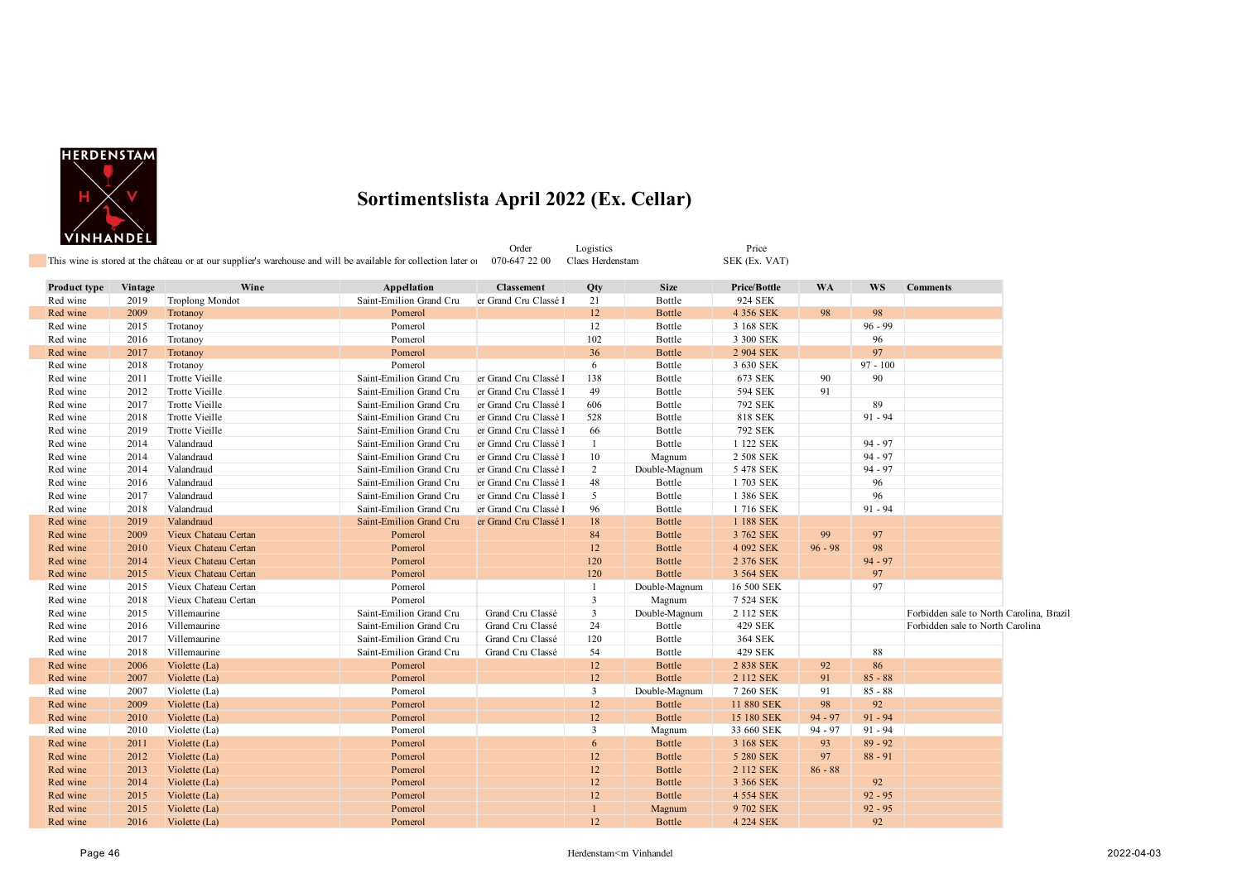

| VINHANDEL    |         |                       | This wine is stored at the château or at our supplier's warehouse and will be available for collection later of | Order<br>070-647 22 00 | Logistics<br>Claes Herdenstam |               | Price<br>SEK (Ex. VAT) |           |            |                                          |  |
|--------------|---------|-----------------------|-----------------------------------------------------------------------------------------------------------------|------------------------|-------------------------------|---------------|------------------------|-----------|------------|------------------------------------------|--|
| Product type | Vintage | Wine                  | Appellation                                                                                                     | <b>Classement</b>      | Qty                           | <b>Size</b>   | Price/Bottle           | <b>WA</b> | <b>WS</b>  | <b>Comments</b>                          |  |
| Red wine     | 2019    | Troplong Mondot       | Saint-Emilion Grand Cru                                                                                         | er Grand Cru Classé l  | 21                            | Bottle        | 924 SEK                |           |            |                                          |  |
| Red wine     | 2009    | Trotanoy              | Pomerol                                                                                                         |                        | 12                            | <b>Bottle</b> | 4 356 SEK              | 98        | 98         |                                          |  |
| Red wine     | 2015    | Trotanoy              | Pomerol                                                                                                         |                        | 12                            | Bottle        | 3 168 SEK              |           | $96 - 99$  |                                          |  |
| Red wine     | 2016    | Trotanoy              | Pomerol                                                                                                         |                        | 102                           | Bottle        | 3 300 SEK              |           | 96         |                                          |  |
| Red wine     | 2017    | Trotanoy              | Pomerol                                                                                                         |                        | 36                            | <b>Bottle</b> | 2 904 SEK              |           | 97         |                                          |  |
| Red wine     | 2018    | Trotanoy              | Pomerol                                                                                                         |                        | 6                             | Bottle        | 3 630 SEK              |           | $97 - 100$ |                                          |  |
| Red wine     | 2011    | Trotte Vieille        | Saint-Emilion Grand Cru                                                                                         | er Grand Cru Classé l  | 138                           | Bottle        | 673 SEK                | 90        | 90         |                                          |  |
| Red wine     | 2012    | <b>Trotte Vieille</b> | Saint-Emilion Grand Cru                                                                                         | er Grand Cru Classé I  | 49                            | Bottle        | 594 SEK                | 91        |            |                                          |  |
| Red wine     | 2017    | <b>Trotte Vieille</b> | Saint-Emilion Grand Cru                                                                                         | er Grand Cru Classé I  | 606                           | Bottle        | 792 SEK                |           | 89         |                                          |  |
| Red wine     | 2018    | <b>Trotte Vieille</b> | Saint-Emilion Grand Cru                                                                                         | er Grand Cru Classé l  | 528                           | Bottle        | 818 SEK                |           | $91 - 94$  |                                          |  |
| Red wine     | 2019    | Trotte Vieille        | Saint-Emilion Grand Cru                                                                                         | er Grand Cru Classé I  | 66                            | Bottle        | 792 SEK                |           |            |                                          |  |
| Red wine     | 2014    | Valandraud            | Saint-Emilion Grand Cru                                                                                         | er Grand Cru Classé l  | $\mathbf{1}$                  | Bottle        | 1 122 SEK              |           | $94 - 97$  |                                          |  |
| Red wine     | 2014    | Valandraud            | Saint-Emilion Grand Cru                                                                                         | er Grand Cru Classé I  | $10\,$                        | Magnum        | 2 508 SEK              |           | $94 - 97$  |                                          |  |
| Red wine     | 2014    | Valandraud            | Saint-Emilion Grand Cru                                                                                         | er Grand Cru Classé I  | $\overline{2}$                | Double-Magnum | 5 478 SEK              |           | $94 - 97$  |                                          |  |
| Red wine     | 2016    | Valandraud            | Saint-Emilion Grand Cru                                                                                         | er Grand Cru Classé l  | 48                            | Bottle        | 1703 SEK               |           | 96         |                                          |  |
| Red wine     | 2017    | Valandraud            | Saint-Emilion Grand Cru                                                                                         | er Grand Cru Classé l  | $\mathfrak{I}$                | Bottle        | 1 386 SEK              |           | 96         |                                          |  |
| Red wine     | 2018    | Valandraud            | Saint-Emilion Grand Cru                                                                                         | er Grand Cru Classé I  | 96                            | Bottle        | 1716 SEK               |           | $91 - 94$  |                                          |  |
| Red wine     | 2019    | Valandraud            | Saint-Emilion Grand Cru                                                                                         | er Grand Cru Classé l  | $18\,$                        | <b>Bottle</b> | 1 188 SEK              |           |            |                                          |  |
| Red wine     | 2009    | Vieux Chateau Certan  | Pomerol                                                                                                         |                        | 84                            | <b>Bottle</b> | 3 762 SEK              | 99        | 97         |                                          |  |
| Red wine     | 2010    | Vieux Chateau Certan  | Pomerol                                                                                                         |                        | 12                            | Bottle        | 4 092 SEK              | $96 - 98$ | 98         |                                          |  |
| Red wine     | 2014    | Vieux Chateau Certan  | Pomerol                                                                                                         |                        | 120                           | <b>Bottle</b> | 2 376 SEK              |           | $94 - 97$  |                                          |  |
| Red wine     | 2015    | Vieux Chateau Certan  | Pomerol                                                                                                         |                        | 120                           | Bottle        | 3 564 SEK              |           | 97         |                                          |  |
| Red wine     | 2015    | Vieux Chateau Certan  | Pomerol                                                                                                         |                        | -1                            | Double-Magnum | 16 500 SEK             |           | 97         |                                          |  |
| Red wine     | 2018    | Vieux Chateau Certan  | Pomerol                                                                                                         |                        | $\overline{3}$                | Magnum        | 7 524 SEK              |           |            |                                          |  |
| Red wine     | 2015    | Villemaurine          | Saint-Emilion Grand Cru                                                                                         | Grand Cru Classé       | $\mathbf{3}$                  | Double-Magnum | 2 112 SEK              |           |            | Forbidden sale to North Carolina, Brazil |  |
| Red wine     | 2016    | Villemaurine          | Saint-Emilion Grand Cru                                                                                         | Grand Cru Classé       | 24                            | Bottle        | 429 SEK                |           |            | Forbidden sale to North Carolina         |  |
| Red wine     | 2017    | Villemaurine          | Saint-Emilion Grand Cru                                                                                         | Grand Cru Classé       | 120                           | Bottle        | 364 SEK                |           |            |                                          |  |
| Red wine     | 2018    | Villemaurine          | Saint-Emilion Grand Cru                                                                                         | Grand Cru Classé       | 54                            | Bottle        | 429 SEK                |           | 88         |                                          |  |
| Red wine     | 2006    | Violette (La)         | Pomerol                                                                                                         |                        | 12                            | <b>Bottle</b> | 2 838 SEK              | 92        | 86         |                                          |  |
| Red wine     | 2007    | Violette (La)         | Pomerol                                                                                                         |                        | 12                            | <b>Bottle</b> | 2 112 SEK              | 91        | $85 - 88$  |                                          |  |
| Red wine     | 2007    | Violette (La)         | Pomerol                                                                                                         |                        | $\overline{3}$                | Double-Magnum | 7 260 SEK              | 91        | $85 - 88$  |                                          |  |
| Red wine     | 2009    | Violette (La)         | Pomerol                                                                                                         |                        | 12                            | Bottle        | 11 880 SEK             | 98        | 92         |                                          |  |
| Red wine     | 2010    | Violette (La)         | Pomerol                                                                                                         |                        | 12                            | Bottle        | 15 180 SEK             | $94 - 97$ | $91 - 94$  |                                          |  |
| Red wine     | 2010    | Violette (La)         | Pomerol                                                                                                         |                        | $\overline{3}$                | Magnum        | 33 660 SEK             | $94 - 97$ | $91 - 94$  |                                          |  |
| Red wine     | 2011    | Violette (La)         | Pomerol                                                                                                         |                        | 6                             | <b>Bottle</b> | 3 168 SEK              | 93        | $89 - 92$  |                                          |  |
| Red wine     | 2012    | Violette (La)         | Pomerol                                                                                                         |                        | 12                            | Bottle        | 5 280 SEK              | 97        | $88 - 91$  |                                          |  |
| Red wine     | 2013    | Violette (La)         | Pomerol                                                                                                         |                        | 12                            | <b>Bottle</b> | 2 112 SEK              | $86 - 88$ |            |                                          |  |
| Red wine     | 2014    | Violette (La)         | Pomerol                                                                                                         |                        | 12                            | <b>Bottle</b> | 3 366 SEK              |           | 92         |                                          |  |
| Red wine     | 2015    | Violette (La)         | Pomerol                                                                                                         |                        | 12                            | <b>Bottle</b> | 4 554 SEK              |           | $92 - 95$  |                                          |  |
| Red wine     | 2015    | Violette (La)         | Pomerol                                                                                                         |                        |                               | Magnum        | 9 702 SEK              |           | $92 - 95$  |                                          |  |

Red wine 2016 Violette (La) 2008 Pomerol 2016 Pomerol 2016 Pomerol 2021 Settle 4 224 SEK 92